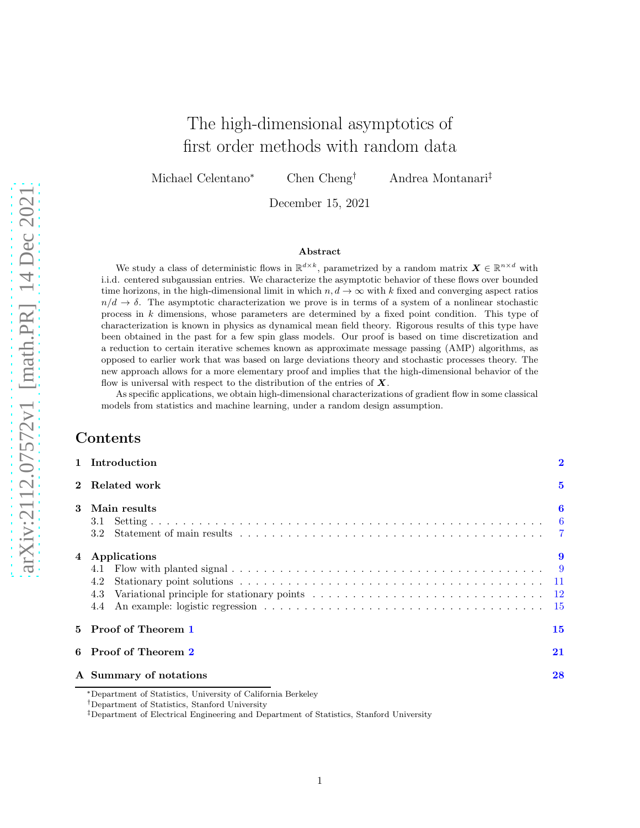# The high-dimensional asymptotics of first order methods with random data

Michael Celentano<sup>∗</sup> Chen Cheng† Andrea Montanari‡

December 15, 2021

#### Abstract

We study a class of deterministic flows in  $\mathbb{R}^{d\times k}$ , parametrized by a random matrix  $\boldsymbol{X}\in\mathbb{R}^{n\times d}$  with i.i.d. centered subgaussian entries. We characterize the asymptotic behavior of these flows over bounded time horizons, in the high-dimensional limit in which  $n, d \to \infty$  with k fixed and converging aspect ratios  $n/d \rightarrow \delta$ . The asymptotic characterization we prove is in terms of a system of a nonlinear stochastic process in k dimensions, whose parameters are determined by a fixed point condition. This type of characterization is known in physics as dynamical mean field theory. Rigorous results of this type have been obtained in the past for a few spin glass models. Our proof is based on time discretization and a reduction to certain iterative schemes known as approximate message passing (AMP) algorithms, as opposed to earlier work that was based on large deviations theory and stochastic processes theory. The new approach allows for a more elementary proof and implies that the high-dimensional behavior of the flow is universal with respect to the distribution of the entries of  $X$ .

As specific applications, we obtain high-dimensional characterizations of gradient flow in some classical models from statistics and machine learning, under a random design assumption.

# Contents

|                | 1 Introduction                           | $\overline{2}$ |  |  |
|----------------|------------------------------------------|----------------|--|--|
| $\overline{2}$ | Related work                             | $\overline{5}$ |  |  |
| 3              | Main results<br>3.1                      | 6              |  |  |
| $\overline{4}$ | Applications<br>4.1<br>4.2<br>4.3<br>4.4 | 9              |  |  |
|                | 5 Proof of Theorem 1                     |                |  |  |
|                | 6 Proof of Theorem 2                     |                |  |  |
|                | 28<br>A Summary of notations             |                |  |  |

<sup>∗</sup>Department of Statistics, University of California Berkeley

<sup>†</sup>Department of Statistics, Stanford University

<sup>‡</sup>Department of Electrical Engineering and Department of Statistics, Stanford University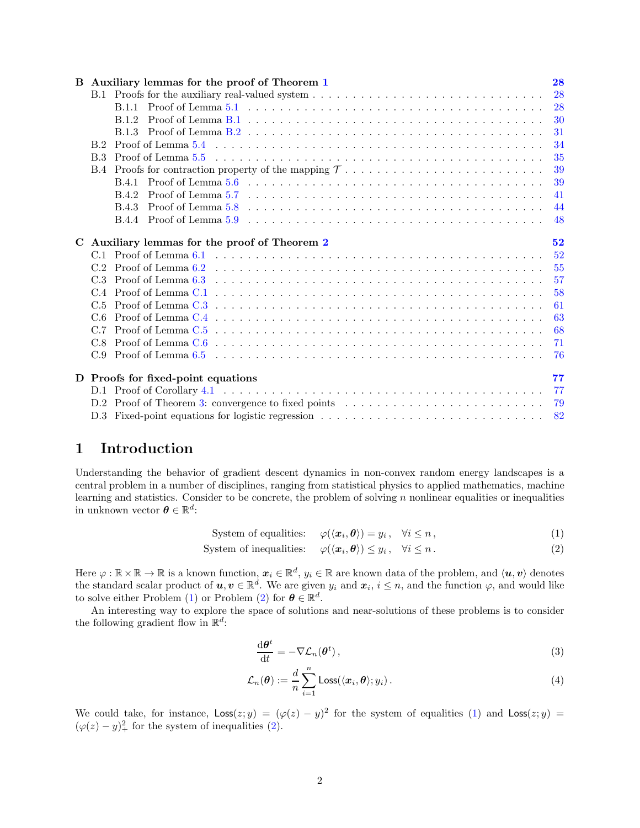|            | B Auxiliary lemmas for the proof of Theorem 1                                                                                                      | 28         |
|------------|----------------------------------------------------------------------------------------------------------------------------------------------------|------------|
|            |                                                                                                                                                    | 28         |
|            |                                                                                                                                                    | 28         |
|            | Proof of Lemma B.1 $\dots \dots \dots \dots \dots \dots \dots \dots \dots \dots \dots \dots \dots \dots \dots \dots$<br>B 1 2                      | 30         |
|            |                                                                                                                                                    | 31         |
| B.2        |                                                                                                                                                    | 34         |
| <b>B.3</b> | Proof of Lemma $5.5$ $\ldots$ $\ldots$ $\ldots$ $\ldots$ $\ldots$ $\ldots$ $\ldots$ $\ldots$ $\ldots$ $\ldots$ $\ldots$ $\ldots$ $\ldots$ $\ldots$ | 35         |
|            |                                                                                                                                                    | 39         |
|            |                                                                                                                                                    | 39         |
|            | <b>B.4.2</b>                                                                                                                                       | 41         |
|            | B.4.3                                                                                                                                              | 44         |
|            |                                                                                                                                                    | 48         |
|            | C Auxiliary lemmas for the proof of Theorem 2                                                                                                      | 52         |
|            |                                                                                                                                                    | 52         |
|            |                                                                                                                                                    |            |
| C.3        |                                                                                                                                                    |            |
|            |                                                                                                                                                    |            |
|            |                                                                                                                                                    | 57         |
|            |                                                                                                                                                    | 58         |
| C.5<br>C 6 |                                                                                                                                                    | 61         |
|            |                                                                                                                                                    | 63         |
| C.7        |                                                                                                                                                    | 68         |
|            |                                                                                                                                                    | - 71<br>76 |
|            |                                                                                                                                                    |            |
|            | D Proofs for fixed-point equations                                                                                                                 | 77         |
|            |                                                                                                                                                    | -77        |
|            |                                                                                                                                                    | 82         |

# <span id="page-1-0"></span>1 Introduction

Understanding the behavior of gradient descent dynamics in non-convex random energy landscapes is a central problem in a number of disciplines, ranging from statistical physics to applied mathematics, machine learning and statistics. Consider to be concrete, the problem of solving  $n$  nonlinear equalities or inequalities in unknown vector  $\boldsymbol{\theta} \in \mathbb{R}^d$ :

System of equalities:  $\varphi(\langle \mathbf{x}_i, \boldsymbol{\theta} \rangle) = y_i, \quad \forall i \leq n$ , (1)

$$
System of inequalities: \varphi(\langle \mathbf{x}_i, \boldsymbol{\theta} \rangle) \leq y_i, \quad \forall i \leq n. \tag{2}
$$

Here  $\varphi : \mathbb{R} \times \mathbb{R} \to \mathbb{R}$  is a known function,  $x_i \in \mathbb{R}^d$ ,  $y_i \in \mathbb{R}$  are known data of the problem, and  $\langle u, v \rangle$  denotes the standard scalar product of  $u, v \in \mathbb{R}^d$ . We are given  $y_i$  and  $x_i, i \leq n$ , and the function  $\varphi$ , and would like to solve either Problem [\(1\)](#page-1-1) or Problem [\(2\)](#page-1-2) for  $\boldsymbol{\theta} \in \mathbb{R}^d$ .

An interesting way to explore the space of solutions and near-solutions of these problems is to consider the following gradient flow in  $\mathbb{R}^d$ :

<span id="page-1-4"></span><span id="page-1-3"></span><span id="page-1-2"></span><span id="page-1-1"></span>
$$
\frac{\mathrm{d}\boldsymbol{\theta}^t}{\mathrm{d}t} = -\nabla \mathcal{L}_n(\boldsymbol{\theta}^t),\tag{3}
$$

$$
\mathcal{L}_n(\boldsymbol{\theta}) := \frac{d}{n} \sum_{i=1}^n \text{Loss}(\langle \boldsymbol{x}_i, \boldsymbol{\theta} \rangle; y_i).
$$
\n(4)

We could take, for instance,  $\text{Loss}(z; y) = (\varphi(z) - y)^2$  for the system of equalities [\(1\)](#page-1-1) and  $\text{Loss}(z; y) =$  $(\varphi(z) - y)_+^2$  for the system of inequalities [\(2\)](#page-1-2).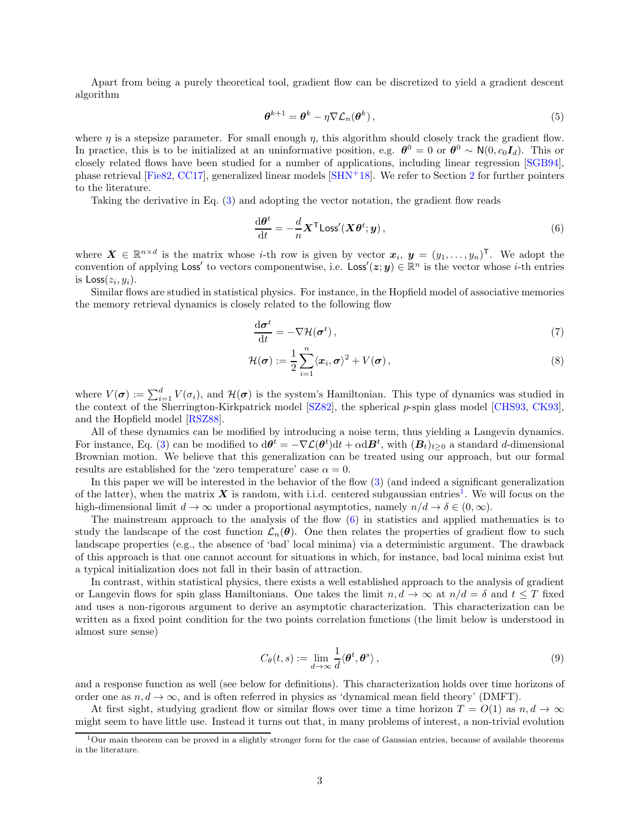Apart from being a purely theoretical tool, gradient flow can be discretized to yield a gradient descent algorithm

<span id="page-2-2"></span>
$$
\boldsymbol{\theta}^{k+1} = \boldsymbol{\theta}^k - \eta \nabla \mathcal{L}_n(\boldsymbol{\theta}^k) \,, \tag{5}
$$

where  $\eta$  is a stepsize parameter. For small enough  $\eta$ , this algorithm should closely track the gradient flow. In practice, this is to be initialized at an uninformative position, e.g.  $\theta^0 = 0$  or  $\theta^0 \sim N(0, c_0 I_d)$ . This or closely related flows have been studied for a number of applications, including linear regression [\[SGB94\]](#page-26-0), phase retrieval [\[Fie82,](#page-25-0) [CC17\]](#page-24-0), generalized linear models [\[SHN](#page-26-1)+18]. We refer to Section [2](#page-4-0) for further pointers to the literature.

Taking the derivative in Eq. [\(3\)](#page-1-3) and adopting the vector notation, the gradient flow reads

<span id="page-2-1"></span>
$$
\frac{\mathrm{d}\boldsymbol{\theta}^t}{\mathrm{d}t} = -\frac{d}{n} \boldsymbol{X}^\mathsf{T} \text{Loss}'(\boldsymbol{X}\boldsymbol{\theta}^t; \boldsymbol{y}),\tag{6}
$$

where  $\mathbf{X} \in \mathbb{R}^{n \times d}$  is the matrix whose *i*-th row is given by vector  $\mathbf{x}_i, \mathbf{y} = (y_1, \ldots, y_n)^\mathsf{T}$ . We adopt the convention of applying  $\textsf{Loss}'$  to vectors componentwise, i.e.  $\textsf{Loss}'(z; y) \in \mathbb{R}^n$  is the vector whose *i*-th entries is  $\textsf{Loss}(z_i, y_i)$ .

Similar flows are studied in statistical physics. For instance, in the Hopfield model of associative memories the memory retrieval dynamics is closely related to the following flow

$$
\frac{\mathrm{d}\sigma^t}{\mathrm{d}t} = -\nabla \mathcal{H}(\sigma^t) \,,\tag{7}
$$

$$
\mathcal{H}(\boldsymbol{\sigma}) := \frac{1}{2} \sum_{i=1}^{n} \langle x_i, \boldsymbol{\sigma} \rangle^2 + V(\boldsymbol{\sigma}), \qquad (8)
$$

where  $V(\sigma) := \sum_{i=1}^d V(\sigma_i)$ , and  $\mathcal{H}(\sigma)$  is the system's Hamiltonian. This type of dynamics was studied in the context of the Sherrington-Kirkpatrick model [\[SZ82\]](#page-26-2), the spherical p-spin glass model [\[CHS93,](#page-24-1) [CK93\]](#page-24-2), and the Hopfield model [\[RSZ88\]](#page-25-1).

All of these dynamics can be modified by introducing a noise term, thus yielding a Langevin dynamics. For instance, Eq. [\(3\)](#page-1-3) can be modified to  $d\theta^t = -\nabla \mathcal{L}(\theta^t)dt + \alpha d\mathbf{B}^t$ , with  $(\mathbf{B}_t)_{t\geq 0}$  a standard d-dimensional Brownian motion. We believe that this generalization can be treated using our approach, but our formal results are established for the 'zero temperature' case  $\alpha = 0$ .

In this paper we will be interested in the behavior of the flow [\(3\)](#page-1-3) (and indeed a significant generalization of the latter), when the matrix  $X$  is random, with i.i.d. centered subgaussian entries<sup>[1](#page-2-0)</sup>. We will focus on the high-dimensional limit  $d \to \infty$  under a proportional asymptotics, namely  $n/d \to \delta \in (0,\infty)$ .

The mainstream approach to the analysis of the flow [\(6\)](#page-2-1) in statistics and applied mathematics is to study the landscape of the cost function  $\mathcal{L}_n(\theta)$ . One then relates the properties of gradient flow to such landscape properties (e.g., the absence of 'bad' local minima) via a deterministic argument. The drawback of this approach is that one cannot account for situations in which, for instance, bad local minima exist but a typical initialization does not fall in their basin of attraction.

In contrast, within statistical physics, there exists a well established approach to the analysis of gradient or Langevin flows for spin glass Hamiltonians. One takes the limit  $n, d \to \infty$  at  $n/d = \delta$  and  $t \leq T$  fixed and uses a non-rigorous argument to derive an asymptotic characterization. This characterization can be written as a fixed point condition for the two points correlation functions (the limit below is understood in almost sure sense)

$$
C_{\theta}(t,s) := \lim_{d \to \infty} \frac{1}{d} \langle \theta^t, \theta^s \rangle,
$$
\n(9)

and a response function as well (see below for definitions). This characterization holds over time horizons of order one as  $n, d \to \infty$ , and is often referred in physics as 'dynamical mean field theory' (DMFT).

At first sight, studying gradient flow or similar flows over time a time horizon  $T = O(1)$  as  $n, d \to \infty$ might seem to have little use. Instead it turns out that, in many problems of interest, a non-trivial evolution

<span id="page-2-0"></span> $1$ Our main theorem can be proved in a slightly stronger form for the case of Gaussian entries, because of available theorems in the literature.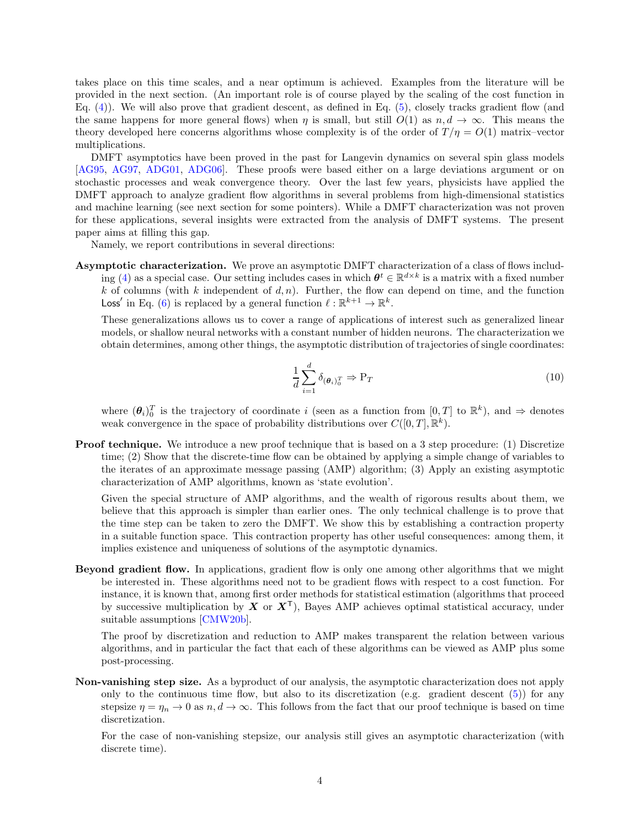takes place on this time scales, and a near optimum is achieved. Examples from the literature will be provided in the next section. (An important role is of course played by the scaling of the cost function in Eq. [\(4\)](#page-1-4)). We will also prove that gradient descent, as defined in Eq. [\(5\)](#page-2-2), closely tracks gradient flow (and the same happens for more general flows) when  $\eta$  is small, but still  $O(1)$  as  $n, d \rightarrow \infty$ . This means the theory developed here concerns algorithms whose complexity is of the order of  $T/\eta = O(1)$  matrix-vector multiplications.

DMFT asymptotics have been proved in the past for Langevin dynamics on several spin glass models [\[AG95,](#page-24-3) [AG97,](#page-24-4) [ADG01,](#page-24-5) [ADG06\]](#page-24-6). These proofs were based either on a large deviations argument or on stochastic processes and weak convergence theory. Over the last few years, physicists have applied the DMFT approach to analyze gradient flow algorithms in several problems from high-dimensional statistics and machine learning (see next section for some pointers). While a DMFT characterization was not proven for these applications, several insights were extracted from the analysis of DMFT systems. The present paper aims at filling this gap.

Namely, we report contributions in several directions:

Asymptotic characterization. We prove an asymptotic DMFT characterization of a class of flows includ-ing [\(4\)](#page-1-4) as a special case. Our setting includes cases in which  $\theta^t \in \mathbb{R}^{d \times k}$  is a matrix with a fixed number k of columns (with k independent of  $d, n$ ). Further, the flow can depend on time, and the function Loss' in Eq. [\(6\)](#page-2-1) is replaced by a general function  $\ell : \mathbb{R}^{k+1} \to \mathbb{R}^k$ .

These generalizations allows us to cover a range of applications of interest such as generalized linear models, or shallow neural networks with a constant number of hidden neurons. The characterization we obtain determines, among other things, the asymptotic distribution of trajectories of single coordinates:

$$
\frac{1}{d} \sum_{i=1}^{d} \delta_{(\theta_i)_0^T} \Rightarrow \mathbf{P}_T \tag{10}
$$

where  $(\theta_i)_0^T$  is the trajectory of coordinate i (seen as a function from  $[0,T]$  to  $\mathbb{R}^k$ ), and  $\Rightarrow$  denotes weak convergence in the space of probability distributions over  $C([0,T], \mathbb{R}^k)$ .

**Proof technique.** We introduce a new proof technique that is based on a 3 step procedure: (1) Discretize time; (2) Show that the discrete-time flow can be obtained by applying a simple change of variables to the iterates of an approximate message passing (AMP) algorithm; (3) Apply an existing asymptotic characterization of AMP algorithms, known as 'state evolution'.

Given the special structure of AMP algorithms, and the wealth of rigorous results about them, we believe that this approach is simpler than earlier ones. The only technical challenge is to prove that the time step can be taken to zero the DMFT. We show this by establishing a contraction property in a suitable function space. This contraction property has other useful consequences: among them, it implies existence and uniqueness of solutions of the asymptotic dynamics.

Beyond gradient flow. In applications, gradient flow is only one among other algorithms that we might be interested in. These algorithms need not to be gradient flows with respect to a cost function. For instance, it is known that, among first order methods for statistical estimation (algorithms that proceed by successive multiplication by  $X$  or  $X^{\top}$ ), Bayes AMP achieves optimal statistical accuracy, under suitable assumptions [\[CMW20b\]](#page-25-2).

The proof by discretization and reduction to AMP makes transparent the relation between various algorithms, and in particular the fact that each of these algorithms can be viewed as AMP plus some post-processing.

Non-vanishing step size. As a byproduct of our analysis, the asymptotic characterization does not apply only to the continuous time flow, but also to its discretization (e.g. gradient descent  $(5)$ ) for any stepsize  $\eta = \eta_n \to 0$  as  $n, d \to \infty$ . This follows from the fact that our proof technique is based on time discretization.

For the case of non-vanishing stepsize, our analysis still gives an asymptotic characterization (with discrete time).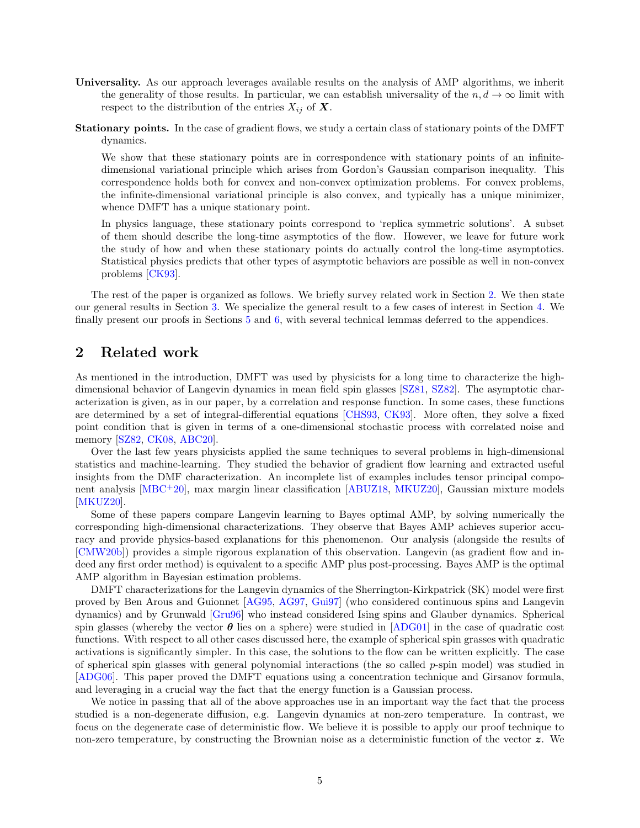- Universality. As our approach leverages available results on the analysis of AMP algorithms, we inherit the generality of those results. In particular, we can establish universality of the  $n, d \to \infty$  limit with respect to the distribution of the entries  $X_{ij}$  of  $\boldsymbol{X}$ .
- Stationary points. In the case of gradient flows, we study a certain class of stationary points of the DMFT dynamics.

We show that these stationary points are in correspondence with stationary points of an infinitedimensional variational principle which arises from Gordon's Gaussian comparison inequality. This correspondence holds both for convex and non-convex optimization problems. For convex problems, the infinite-dimensional variational principle is also convex, and typically has a unique minimizer, whence DMFT has a unique stationary point.

In physics language, these stationary points correspond to 'replica symmetric solutions'. A subset of them should describe the long-time asymptotics of the flow. However, we leave for future work the study of how and when these stationary points do actually control the long-time asymptotics. Statistical physics predicts that other types of asymptotic behaviors are possible as well in non-convex problems [\[CK93\]](#page-24-2).

The rest of the paper is organized as follows. We briefly survey related work in Section [2.](#page-4-0) We then state our general results in Section [3.](#page-5-0) We specialize the general result to a few cases of interest in Section [4.](#page-8-0) We finally present our proofs in Sections [5](#page-14-1) and [6,](#page-20-0) with several technical lemmas deferred to the appendices.

### <span id="page-4-0"></span>2 Related work

As mentioned in the introduction, DMFT was used by physicists for a long time to characterize the highdimensional behavior of Langevin dynamics in mean field spin glasses [\[SZ81,](#page-26-3) [SZ82\]](#page-26-2). The asymptotic characterization is given, as in our paper, by a correlation and response function. In some cases, these functions are determined by a set of integral-differential equations [\[CHS93,](#page-24-1) [CK93\]](#page-24-2). More often, they solve a fixed point condition that is given in terms of a one-dimensional stochastic process with correlated noise and memory [\[SZ82,](#page-26-2) [CK08,](#page-25-3) [ABC20\]](#page-24-7).

Over the last few years physicists applied the same techniques to several problems in high-dimensional statistics and machine-learning. They studied the behavior of gradient flow learning and extracted useful insights from the DMF characterization. An incomplete list of examples includes tensor principal component analysis [\[MBC](#page-25-4)<sup>+</sup>20], max margin linear classification [\[ABUZ18,](#page-24-8) [MKUZ20\]](#page-25-5), Gaussian mixture models [\[MKUZ20\]](#page-25-5).

Some of these papers compare Langevin learning to Bayes optimal AMP, by solving numerically the corresponding high-dimensional characterizations. They observe that Bayes AMP achieves superior accuracy and provide physics-based explanations for this phenomenon. Our analysis (alongside the results of [\[CMW20b\]](#page-25-2)) provides a simple rigorous explanation of this observation. Langevin (as gradient flow and indeed any first order method) is equivalent to a specific AMP plus post-processing. Bayes AMP is the optimal AMP algorithm in Bayesian estimation problems.

DMFT characterizations for the Langevin dynamics of the Sherrington-Kirkpatrick (SK) model were first proved by Ben Arous and Guionnet [\[AG95,](#page-24-3) [AG97,](#page-24-4) [Gui97\]](#page-25-6) (who considered continuous spins and Langevin dynamics) and by Grunwald [\[Gru96\]](#page-25-7) who instead considered Ising spins and Glauber dynamics. Spherical spin glasses (whereby the vector  $\theta$  lies on a sphere) were studied in [\[ADG01\]](#page-24-5) in the case of quadratic cost functions. With respect to all other cases discussed here, the example of spherical spin grasses with quadratic activations is significantly simpler. In this case, the solutions to the flow can be written explicitly. The case of spherical spin glasses with general polynomial interactions (the so called  $p$ -spin model) was studied in [\[ADG06\]](#page-24-6). This paper proved the DMFT equations using a concentration technique and Girsanov formula, and leveraging in a crucial way the fact that the energy function is a Gaussian process.

We notice in passing that all of the above approaches use in an important way the fact that the process studied is a non-degenerate diffusion, e.g. Langevin dynamics at non-zero temperature. In contrast, we focus on the degenerate case of deterministic flow. We believe it is possible to apply our proof technique to non-zero temperature, by constructing the Brownian noise as a deterministic function of the vector z. We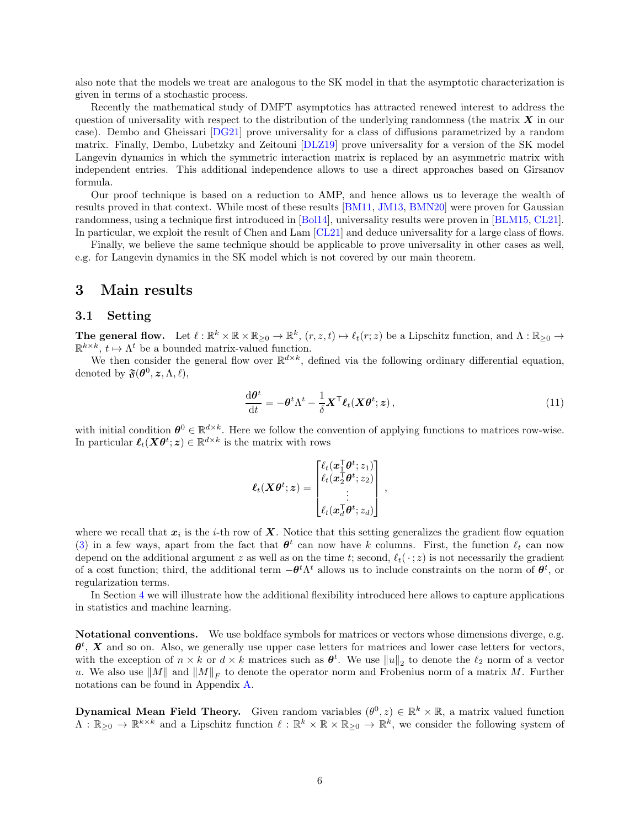also note that the models we treat are analogous to the SK model in that the asymptotic characterization is given in terms of a stochastic process.

Recently the mathematical study of DMFT asymptotics has attracted renewed interest to address the question of universality with respect to the distribution of the underlying randomness (the matrix  $\bm{X}$  in our case). Dembo and Gheissari [\[DG21\]](#page-25-8) prove universality for a class of diffusions parametrized by a random matrix. Finally, Dembo, Lubetzky and Zeitouni [\[DLZ19\]](#page-25-9) prove universality for a version of the SK model Langevin dynamics in which the symmetric interaction matrix is replaced by an asymmetric matrix with independent entries. This additional independence allows to use a direct approaches based on Girsanov formula.

Our proof technique is based on a reduction to AMP, and hence allows us to leverage the wealth of results proved in that context. While most of these results [\[BM11,](#page-24-9) [JM13,](#page-25-10) [BMN20\]](#page-24-10) were proven for Gaussian randomness, using a technique first introduced in [\[Bol14\]](#page-24-11), universality results were proven in [\[BLM15,](#page-24-12) [CL21\]](#page-25-11). In particular, we exploit the result of Chen and Lam [\[CL21\]](#page-25-11) and deduce universality for a large class of flows.

Finally, we believe the same technique should be applicable to prove universality in other cases as well, e.g. for Langevin dynamics in the SK model which is not covered by our main theorem.

### <span id="page-5-1"></span><span id="page-5-0"></span>3 Main results

#### 3.1 Setting

The general flow. Let  $\ell : \mathbb{R}^k \times \mathbb{R} \times \mathbb{R}_{\geq 0} \to \mathbb{R}^k$ ,  $(r, z, t) \mapsto \ell_t(r; z)$  be a Lipschitz function, and  $\Lambda : \mathbb{R}_{\geq 0} \to$  $\mathbb{R}^{k \times k}$ ,  $t \mapsto \Lambda^t$  be a bounded matrix-valued function.

We then consider the general flow over  $\mathbb{R}^{d \times k}$ , defined via the following ordinary differential equation, denoted by  $\mathfrak{F}(\boldsymbol{\theta}^0, \boldsymbol{z}, \boldsymbol{\Lambda}, \ell),$ 

$$
\frac{\mathrm{d}\boldsymbol{\theta}^t}{\mathrm{d}t} = -\boldsymbol{\theta}^t \Lambda^t - \frac{1}{\delta} \boldsymbol{X}^\mathsf{T} \boldsymbol{\ell}_t (\boldsymbol{X} \boldsymbol{\theta}^t; \boldsymbol{z}), \qquad (11)
$$

with initial condition  $\theta^0 \in \mathbb{R}^{d \times k}$ . Here we follow the convention of applying functions to matrices row-wise. In particular  $\ell_t(\mathbf{X}\boldsymbol{\theta}^t;\boldsymbol{z}) \in \mathbb{R}^{d \times k}$  is the matrix with rows

<span id="page-5-2"></span>
$$
\boldsymbol{\ell}_t(\boldsymbol{X}\boldsymbol{\theta}^t;\boldsymbol{z})=\begin{bmatrix} \ell_t(\boldsymbol{x}_1^\mathsf{T}\boldsymbol{\theta}^t;z_1) \\ \ell_t(\boldsymbol{x}_2^\mathsf{T}\boldsymbol{\theta}^t;z_2) \\ \vdots \\ \ell_t(\boldsymbol{x}_d^\mathsf{T}\boldsymbol{\theta}^t;z_d) \end{bmatrix}\,,
$$

where we recall that  $x_i$  is the *i*-th row of  $X$ . Notice that this setting generalizes the gradient flow equation [\(3\)](#page-1-3) in a few ways, apart from the fact that  $\theta^t$  can now have k columns. First, the function  $\ell_t$  can now depend on the additional argument z as well as on the time t; second,  $\ell_t(\cdot; z)$  is not necessarily the gradient of a cost function; third, the additional term  $-\theta^t \Lambda^t$  allows us to include constraints on the norm of  $\theta^t$ , or regularization terms.

In Section [4](#page-8-0) we will illustrate how the additional flexibility introduced here allows to capture applications in statistics and machine learning.

Notational conventions. We use boldface symbols for matrices or vectors whose dimensions diverge, e.g.  $\theta^t$ , X and so on. Also, we generally use upper case letters for matrices and lower case letters for vectors, with the exception of  $n \times k$  or  $d \times k$  matrices such as  $\theta^t$ . We use  $||u||_2$  to denote the  $\ell_2$  norm of a vector u. We also use  $||M||$  and  $||M||_F$  to denote the operator norm and Frobenius norm of a matrix M. Further notations can be found in Appendix [A.](#page-27-0)

**Dynamical Mean Field Theory.** Given random variables  $(\theta^0, z) \in \mathbb{R}^k \times \mathbb{R}$ , a matrix valued function  $\Lambda: \mathbb{R}_{\geq 0} \to \mathbb{R}^{k \times k}$  and a Lipschitz function  $\ell: \mathbb{R}^k \times \mathbb{R} \times \mathbb{R}_{\geq 0} \to \mathbb{R}^k$ , we consider the following system of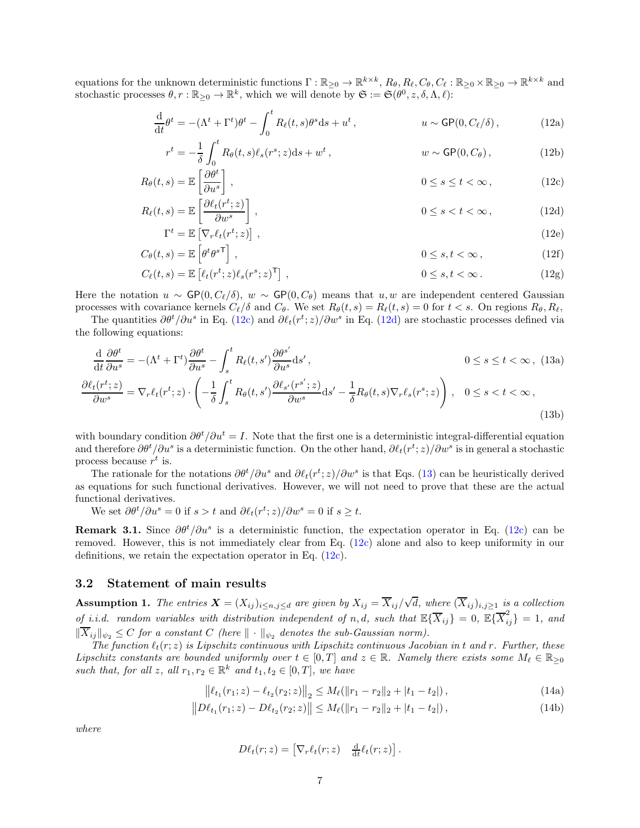equations for the unknown deterministic functions  $\Gamma : \mathbb{R}_{\geq 0} \to \mathbb{R}^{k \times k}$ ,  $R_{\theta}, R_{\theta}, C_{\theta}, C_{\theta} : \mathbb{R}_{\geq 0} \times \mathbb{R}_{\geq 0} \to \mathbb{R}^{k \times k}$  and stochastic processes  $\theta, r : \mathbb{R}_{\geq 0} \to \mathbb{R}^k$ , which we will denote by  $\mathfrak{S} := \mathfrak{S}(\theta^0, z, \delta, \Lambda, \ell)$ :

$$
\frac{\mathrm{d}}{\mathrm{d}t}\theta^t = -(\Lambda^t + \Gamma^t)\theta^t - \int_0^t R_\ell(t, s)\theta^s \mathrm{d}s + u^t, \qquad u \sim \mathsf{GP}(0, C_\ell/\delta), \qquad (12a)
$$

<span id="page-6-9"></span><span id="page-6-5"></span><span id="page-6-2"></span><span id="page-6-1"></span>
$$
r^{t} = -\frac{1}{\delta} \int_{0}^{t} R_{\theta}(t, s) \ell_{s}(r^{s}; z) ds + w^{t}, \qquad w \sim \mathsf{GP}(0, C_{\theta}), \qquad (12b)
$$

$$
R_{\theta}(t,s) = \mathbb{E}\left[\frac{\partial \theta^t}{\partial u^s}\right],\tag{12c}
$$

$$
R_{\ell}(t,s) = \mathbb{E}\left[\frac{\partial \ell_t(r^t; z)}{\partial w^s}\right],\tag{12d}
$$

$$
\Gamma^{t} = \mathbb{E}\left[\nabla_{r}\ell_{t}(r^{t}; z)\right],
$$
\n
$$
C_{\theta}(t, s) = \mathbb{E}\left[\theta^{t} \theta^{s\mathsf{T}}\right],
$$
\n
$$
0 \le s, t < \infty,
$$
\n
$$
(12f)
$$

<span id="page-6-8"></span><span id="page-6-7"></span><span id="page-6-6"></span><span id="page-6-3"></span>
$$
C_{\ell}(t,s) = \mathbb{E}\left[\ell_t(r^t; z)\ell_s(r^s; z)^{\mathsf{T}}\right],
$$
\n
$$
0 \le s, t < \infty.
$$
\n(12g)

Here the notation  $u \sim \mathsf{GP}(0, C_f/\delta)$ ,  $w \sim \mathsf{GP}(0, C_\theta)$  means that  $u, w$  are independent centered Gaussian processes with covariance kernels  $C_{\ell}/\delta$  and  $C_{\theta}$ . We set  $R_{\theta}(t, s) = R_{\ell}(t, s) = 0$  for  $t < s$ . On regions  $R_{\theta}, R_{\ell}$ ,

The quantities  $\partial \theta^t / \partial u^s$  in Eq. [\(12c\)](#page-6-1) and  $\partial \ell_t(r^t; z) / \partial w^s$  in Eq. [\(12d\)](#page-6-2) are stochastic processes defined via the following equations:

$$
\frac{\mathrm{d}}{\mathrm{d}t}\frac{\partial\theta^t}{\partial u^s} = -(\Lambda^t + \Gamma^t)\frac{\partial\theta^t}{\partial u^s} - \int_s^t R_\ell(t, s')\frac{\partial\theta^{s'}}{\partial u^s} \mathrm{d}s',\qquad 0 \le s \le t < \infty, (13a)
$$
\n
$$
\frac{\partial\ell_t(r^t; z)}{\partial w^s} = \nabla_r \ell_t(r^t; z) \cdot \left(-\frac{1}{\delta} \int_s^t R_\theta(t, s')\frac{\partial\ell_{s'}(r^{s'}; z)}{\partial w^s} \mathrm{d}s' - \frac{1}{\delta}R_\theta(t, s)\nabla_r \ell_s(r^s; z)\right), \quad 0 \le s < t < \infty,
$$
\n(13b)

with boundary condition  $\partial \theta^t / \partial u^t = I$ . Note that the first one is a deterministic integral-differential equation and therefore  $\partial \theta^t / \partial u^s$  is a deterministic function. On the other hand,  $\partial \ell_t(r^t; z) / \partial w^s$  is in general a stochastic process because  $r^t$  is.

The rationale for the notations  $\partial \theta^t / \partial u^s$  and  $\partial \ell_t(r^t; z) / \partial w^s$  is that Eqs. [\(13\)](#page-6-3) can be heuristically derived as equations for such functional derivatives. However, we will not need to prove that these are the actual functional derivatives.

We set  $\partial \theta^t / \partial u^s = 0$  if  $s > t$  and  $\partial \ell_t(r^t; z) / \partial w^s = 0$  if  $s \ge t$ .

**Remark 3.1.** Since  $\partial \theta^t / \partial u^s$  is a deterministic function, the expectation operator in Eq. [\(12c\)](#page-6-1) can be removed. However, this is not immediately clear from Eq. [\(12c\)](#page-6-1) alone and also to keep uniformity in our definitions, we retain the expectation operator in Eq. [\(12c\)](#page-6-1).

#### <span id="page-6-0"></span>3.2 Statement of main results

<span id="page-6-4"></span>**Assumption 1.** The entries  $\mathbf{X} = (X_{ij})_{i \leq n,j \leq d}$  are given by  $X_{ij} = \overline{X}_{ij}/\sqrt{d}$ , where  $(\overline{X}_{ij})_{i,j \geq 1}$  is a collection of i.i.d. random variables with distribution independent of n, d, such that  $\mathbb{E}\{\overline{X}_{ij}\}=0, \ \mathbb{E}\{\overline{X}_{ij}^2\}=1,$  and  $\|\overline{X}_{ii}\|_{\psi_2} \leq C$  for a constant C (here  $\|\cdot\|_{\psi_2}$  denotes the sub-Gaussian norm).

The function  $\ell_t(r;z)$  is Lipschitz continuous with Lipschitz continuous Jacobian in t and r. Further, these Lipschitz constants are bounded uniformly over  $t \in [0,T]$  and  $z \in \mathbb{R}$ . Namely there exists some  $M_{\ell} \in \mathbb{R}_{\geq 0}$ such that, for all z, all  $r_1, r_2 \in \mathbb{R}^k$  and  $t_1, t_2 \in [0, T]$ , we have

$$
\left\| \ell_{t_1}(r_1; z) - \ell_{t_2}(r_2; z) \right\|_2 \le M_{\ell}(\|r_1 - r_2\|_2 + |t_1 - t_2|), \tag{14a}
$$

$$
||D\ell_{t_1}(r_1; z) - D\ell_{t_2}(r_2; z)|| \le M_{\ell}(||r_1 - r_2||_2 + |t_1 - t_2|), \qquad (14b)
$$

where

$$
D\ell_t(r;z) = \left[\nabla_r \ell_t(r;z) \quad \frac{\mathrm{d}}{\mathrm{d}t} \ell_t(r;z)\right].
$$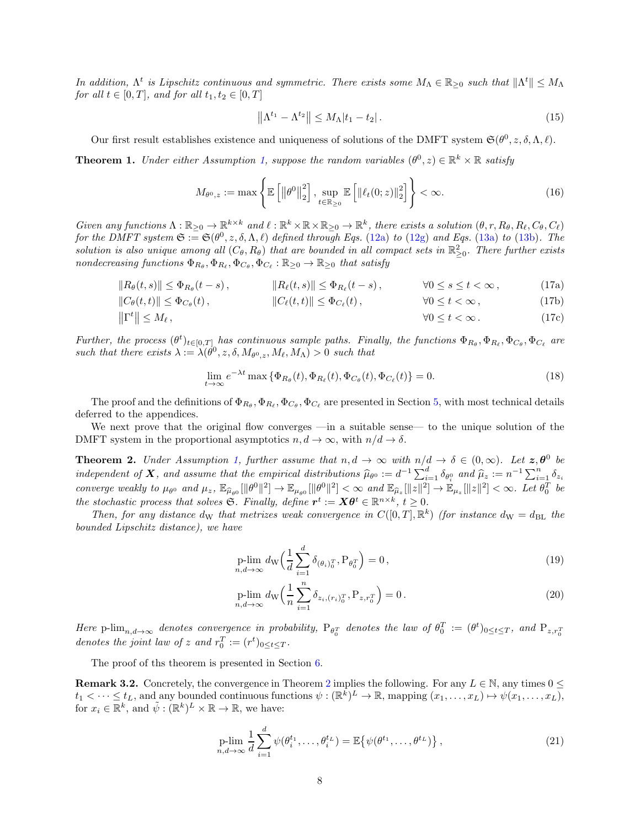In addition,  $\Lambda^t$  is Lipschitz continuous and symmetric. There exists some  $M_\Lambda \in \mathbb{R}_{\geq 0}$  such that  $\|\Lambda^t\| \leq M_\Lambda$ for all  $t \in [0, T]$ , and for all  $t_1, t_2 \in [0, T]$ 

$$
\left\| \Lambda^{t_1} - \Lambda^{t_2} \right\| \le M_\Lambda |t_1 - t_2| \,. \tag{15}
$$

Our first result establishes existence and uniqueness of solutions of the DMFT system  $\mathfrak{S}(\theta^0, z, \delta, \Lambda, \ell)$ .

<span id="page-7-0"></span>**Theorem 1.** Under either Assumption [1,](#page-6-4) suppose the random variables  $(\theta^0, z) \in \mathbb{R}^k \times \mathbb{R}$  satisfy

$$
M_{\theta^0,z} := \max\left\{\mathbb{E}\left[\left\|\theta^0\right\|_2^2\right], \sup_{t \in \mathbb{R}_{\geq 0}} \mathbb{E}\left[\left\|\ell_t(0;z)\right\|_2^2\right]\right\} < \infty. \tag{16}
$$

Given any functions  $\Lambda : \mathbb{R}_{\geq 0} \to \mathbb{R}^{k \times k}$  and  $\ell : \mathbb{R}^k \times \mathbb{R} \times \mathbb{R}_{\geq 0} \to \mathbb{R}^k$ , there exists a solution  $(\theta, r, R_\theta, R_\ell, C_\theta, C_\ell)$ for the DMFT system  $\mathfrak{S} := \mathfrak{S}(\theta^0, z, \delta, \Lambda, \ell)$  defined through Eqs. [\(12a\)](#page-6-5) to [\(12g\)](#page-6-6) and Eqs. [\(13a\)](#page-6-7) to [\(13b\)](#page-6-8). The solution is also unique among all  $(C_{\theta}, R_{\theta})$  that are bounded in all compact sets in  $\mathbb{R}^2_{\geq 0}$ . There further exists nondecreasing functions  $\Phi_{R_{\theta}}, \Phi_{R_{\ell}}, \Phi_{C_{\theta}}, \Phi_{C_{\ell}} : \mathbb{R}_{\geq 0} \to \mathbb{R}_{\geq 0}$  that satisfy

$$
||R_{\theta}(t,s)|| \leq \Phi_{R_{\theta}}(t-s), \qquad ||R_{\ell}(t,s)|| \leq \Phi_{R_{\ell}}(t-s), \qquad \forall 0 \leq s \leq t < \infty, \qquad (17a)
$$

$$
||C_{\theta}(t,t)|| \leq \Phi_{C_{\theta}}(t), \qquad ||C_{\ell}(t,t)|| \leq \Phi_{C_{\ell}}(t), \qquad \forall 0 \leq t < \infty, \qquad (17b)
$$

$$
\|\Gamma^t\| \le M_\ell, \qquad \forall 0 \le t < \infty. \tag{17c}
$$

Further, the process  $(\theta^t)_{t \in [0,T]}$  has continuous sample paths. Finally, the functions  $\Phi_{R_\theta}, \Phi_{R_\ell}, \Phi_{C_\theta}, \Phi_{C_\ell}$  are such that there exists  $\lambda := \lambda(\theta^0, z, \delta, M_{\theta^0, z}, M_\ell, M_\Lambda) > 0$  such that

$$
\lim_{t \to \infty} e^{-\lambda t} \max \{ \Phi_{R_{\theta}}(t), \Phi_{R_{\ell}}(t), \Phi_{C_{\theta}}(t), \Phi_{C_{\ell}}(t) \} = 0.
$$
\n(18)

The proof and the definitions of  $\Phi_{R_\theta}, \Phi_{R_\ell}, \Phi_{C_\theta}, \Phi_{C_\ell}$  are presented in Section [5,](#page-14-1) with most technical details deferred to the appendices.

We next prove that the original flow converges —in a suitable sense— to the unique solution of the DMFT system in the proportional asymptotics  $n, d \to \infty$ , with  $n/d \to \delta$ .

<span id="page-7-1"></span>**Theorem 2.** Under Assumption [1,](#page-6-4) further assume that  $n, d \to \infty$  with  $n/d \to \delta \in (0, \infty)$ . Let  $\mathbf{z}, \boldsymbol{\theta}^0$  be independent of **X**, and assume that the empirical distributions  $\widehat{\mu}_{\theta^0} := d^{-1} \sum_{i=1}^d \delta_{\theta^0_i}$  and  $\widehat{\mu}_z := n^{-1} \sum_{i=1}^n \delta_{z_i}$ converge weakly to  $\mu_{\theta^0}$  and  $\mu_z$ ,  $\mathbb{E}_{\widehat{\mu}_{\theta^0}}[\|\theta^0\|^2] \to \mathbb{E}_{\mu_{\theta^0}}[\|\theta^0\|^2] < \infty$  and  $\mathbb{E}_{\widehat{\mu}_z}[\|z\|^2] \to \mathbb{E}_{\mu_z}[\|z\|^2] < \infty$ . Let  $\theta_0^T$  be the stochastic process that solves S. Finally, define  $r^t := X\theta^t \in \mathbb{R}^{n \times k}$ ,  $t \geq 0$ .

Then, for any distance d<sub>W</sub> that metrizes weak convergence in  $C([0,T],\mathbb{R}^k)$  (for instance d<sub>W</sub> = d<sub>BL</sub> the bounded Lipschitz distance), we have

<span id="page-7-3"></span>
$$
\underset{n,d \to \infty}{\text{p-lim}} d_{\mathcal{W}} \left( \frac{1}{d} \sum_{i=1}^{d} \delta_{(\theta_i)_0^T}, \mathbf{P}_{\theta_0^T} \right) = 0, \qquad (19)
$$

<span id="page-7-4"></span>
$$
\underset{n,d \to \infty}{\text{p-lim}} d_{\mathcal{W}} \left( \frac{1}{n} \sum_{i=1}^{n} \delta_{z_i, (r_i)_0^T}, \mathcal{P}_{z, r_0^T} \right) = 0 \,. \tag{20}
$$

Here  $P\lim_{n,d\to\infty}$  denotes convergence in probability,  $P_{\theta_0^T}$  denotes the law of  $\theta_0^T := (\theta^t)_{0 \le t \le T}$ , and  $P_{z,r_0^T}$ denotes the joint law of z and  $r_0^T := (r^t)_{0 \le t \le T}$ .

The proof of ths theorem is presented in Section [6.](#page-20-0)

<span id="page-7-5"></span>**Remark 3.[2](#page-7-1).** Concretely, the convergence in Theorem 2 implies the following. For any  $L \in \mathbb{N}$ , any times  $0 \leq$  $t_1 < \cdots \leq t_L$ , and any bounded continuous functions  $\psi : (\mathbb{R}^k)^L \to \mathbb{R}$ , mapping  $(x_1, \ldots, x_L) \mapsto \psi(x_1, \ldots, x_L)$ , for  $x_i \in \mathbb{R}^k$ , and  $\tilde{\psi} : (\mathbb{R}^k)^L \times \mathbb{R} \to \mathbb{R}$ , we have:

<span id="page-7-2"></span>
$$
\underset{n,d \to \infty}{\text{plim}} \frac{1}{d} \sum_{i=1}^{d} \psi(\theta_i^{t_1}, \dots, \theta_i^{t_L}) = \mathbb{E}\left\{\psi(\theta^{t_1}, \dots, \theta^{t_L})\right\},\tag{21}
$$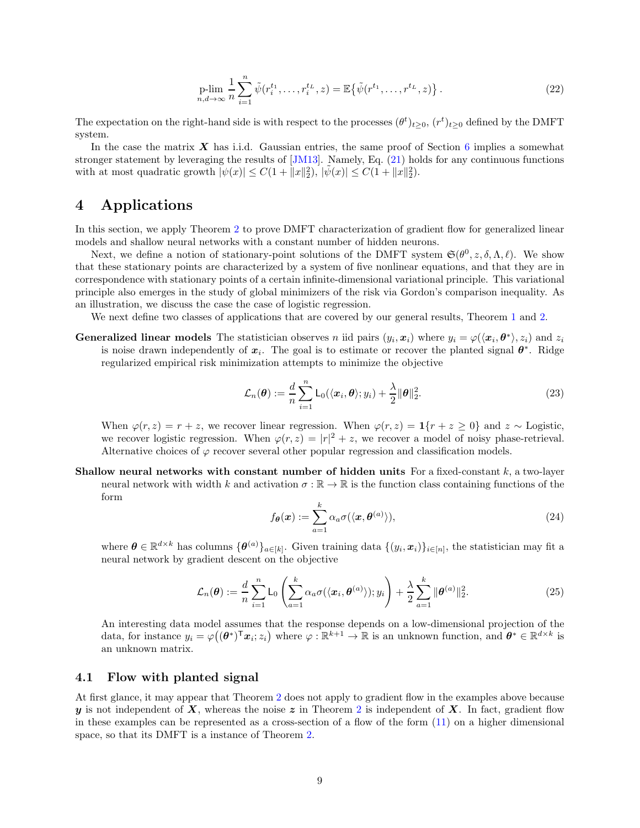$$
\underset{n,d \to \infty}{\text{plim}} \frac{1}{n} \sum_{i=1}^{n} \tilde{\psi}(r_i^{t_1}, \dots, r_i^{t_L}, z) = \mathbb{E}\{\tilde{\psi}(r^{t_1}, \dots, r^{t_L}, z)\}.
$$
\n(22)

The expectation on the right-hand side is with respect to the processes  $(\theta^t)_{t\geq 0}$ ,  $(r^t)_{t\geq 0}$  defined by the DMFT system.

In the case the matrix  $\boldsymbol{X}$  has i.i.d. Gaussian entries, the same proof of Section [6](#page-20-0) implies a somewhat stronger statement by leveraging the results of [\[JM13\]](#page-25-10). Namely, Eq. [\(21\)](#page-7-2) holds for any continuous functions with at most quadratic growth  $|\psi(x)| \leq C(1 + ||x||_2^2)$ ,  $|\tilde{\psi}(x)| \leq C(1 + ||x||_2^2)$ .

# <span id="page-8-0"></span>4 Applications

In this section, we apply Theorem [2](#page-7-1) to prove DMFT characterization of gradient flow for generalized linear models and shallow neural networks with a constant number of hidden neurons.

Next, we define a notion of stationary-point solutions of the DMFT system  $\mathfrak{S}(\theta^0, z, \delta, \Lambda, \ell)$ . We show that these stationary points are characterized by a system of five nonlinear equations, and that they are in correspondence with stationary points of a certain infinite-dimensional variational principle. This variational principle also emerges in the study of global minimizers of the risk via Gordon's comparison inequality. As an illustration, we discuss the case the case of logistic regression.

We next define two classes of applications that are covered by our general results, Theorem [1](#page-7-0) and [2.](#page-7-1)

**Generalized linear models** The statistician observes n iid pairs  $(y_i, x_i)$  where  $y_i = \varphi(\langle x_i, \theta^* \rangle, z_i)$  and  $z_i$ is noise drawn independently of  $x_i$ . The goal is to estimate or recover the planted signal  $\theta^*$ . Ridge regularized empirical risk minimization attempts to minimize the objective

$$
\mathcal{L}_n(\boldsymbol{\theta}) := \frac{d}{n} \sum_{i=1}^n \mathsf{L}_0(\langle \boldsymbol{x}_i, \boldsymbol{\theta} \rangle; y_i) + \frac{\lambda}{2} ||\boldsymbol{\theta}||_2^2.
$$
 (23)

When  $\varphi(r, z) = r + z$ , we recover linear regression. When  $\varphi(r, z) = \mathbf{1}\{r + z \geq 0\}$  and  $z \sim$  Logistic, we recover logistic regression. When  $\varphi(r, z) = |r|^2 + z$ , we recover a model of noisy phase-retrieval. Alternative choices of  $\varphi$  recover several other popular regression and classification models.

Shallow neural networks with constant number of hidden units For a fixed-constant  $k$ , a two-layer neural network with width k and activation  $\sigma : \mathbb{R} \to \mathbb{R}$  is the function class containing functions of the form

$$
f_{\theta}(\boldsymbol{x}) := \sum_{a=1}^{k} \alpha_a \sigma(\langle \boldsymbol{x}, \theta^{(a)} \rangle), \qquad (24)
$$

where  $\boldsymbol{\theta} \in \mathbb{R}^{d \times k}$  has columns  $\{\boldsymbol{\theta}^{(a)}\}_{a \in [k]}$ . Given training data  $\{(y_i, x_i)\}_{i \in [n]}$ , the statistician may fit a neural network by gradient descent on the objective

$$
\mathcal{L}_n(\boldsymbol{\theta}) := \frac{d}{n} \sum_{i=1}^n \mathsf{L}_0\left(\sum_{a=1}^k \alpha_a \sigma(\langle \boldsymbol{x}_i, \boldsymbol{\theta}^{(a)} \rangle); y_i\right) + \frac{\lambda}{2} \sum_{a=1}^k \|\boldsymbol{\theta}^{(a)}\|_2^2.
$$
 (25)

An interesting data model assumes that the response depends on a low-dimensional projection of the data, for instance  $y_i = \varphi((\boldsymbol{\theta}^*)^T \boldsymbol{x}_i; z_i)$  where  $\varphi : \mathbb{R}^{k+1} \to \mathbb{R}$  is an unknown function, and  $\boldsymbol{\theta}^* \in \mathbb{R}^{d \times k}$  is an unknown matrix.

#### <span id="page-8-1"></span>4.1 Flow with planted signal

At first glance, it may appear that Theorem [2](#page-7-1) does not apply to gradient flow in the examples above because y is not independent of X, whereas the noise  $z$  in Theorem [2](#page-7-1) is independent of X. In fact, gradient flow in these examples can be represented as a cross-section of a flow of the form  $(11)$  on a higher dimensional space, so that its DMFT is a instance of Theorem [2.](#page-7-1)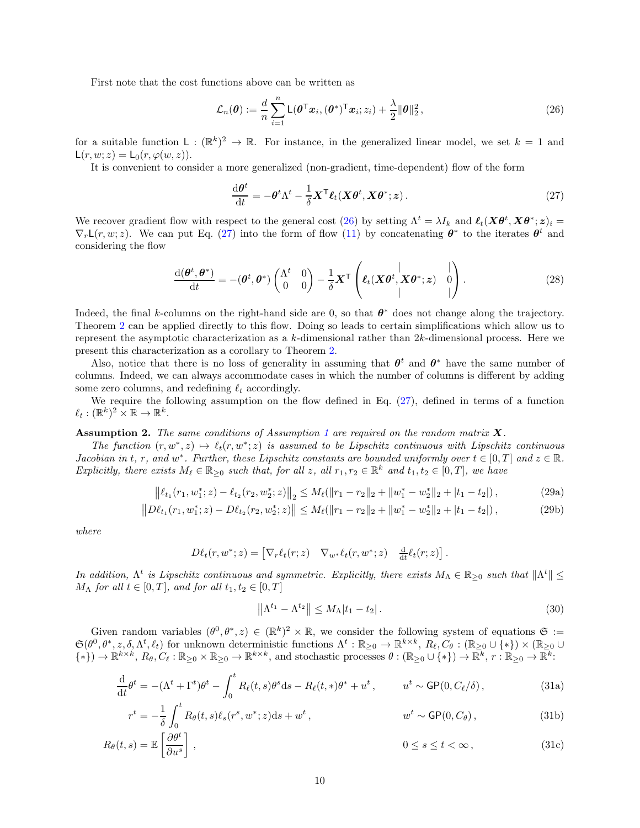First note that the cost functions above can be written as

$$
\mathcal{L}_n(\boldsymbol{\theta}) := \frac{d}{n} \sum_{i=1}^n \mathsf{L}(\boldsymbol{\theta}^\mathsf{T} \boldsymbol{x}_i, (\boldsymbol{\theta}^*)^\mathsf{T} \boldsymbol{x}_i; z_i) + \frac{\lambda}{2} ||\boldsymbol{\theta}||_2^2, \qquad (26)
$$

for a suitable function  $\mathsf{L}: (\mathbb{R}^k)^2 \to \mathbb{R}$ . For instance, in the generalized linear model, we set  $k = 1$  and  $\mathsf{L}(r, w; z) = \mathsf{L}_0(r, \varphi(w, z)).$ 

It is convenient to consider a more generalized (non-gradient, time-dependent) flow of the form

<span id="page-9-1"></span><span id="page-9-0"></span>
$$
\frac{\mathrm{d}\boldsymbol{\theta}^t}{\mathrm{d}t} = -\boldsymbol{\theta}^t \Lambda^t - \frac{1}{\delta} \boldsymbol{X}^\mathsf{T} \boldsymbol{\ell}_t (\boldsymbol{X} \boldsymbol{\theta}^t, \boldsymbol{X} \boldsymbol{\theta}^*; \boldsymbol{z}). \tag{27}
$$

We recover gradient flow with respect to the general cost [\(26\)](#page-9-0) by setting  $\Lambda^t = \lambda I_k$  and  $\ell_t(\mathbf{X}\theta^t, \mathbf{X}\theta^*; \mathbf{z})_i =$  $\nabla_r \mathsf{L}(r, w; z)$ . We can put Eq. [\(27\)](#page-9-1) into the form of flow [\(11\)](#page-5-2) by concatenating  $\theta^*$  to the iterates  $\theta^t$  and considering the flow

$$
\frac{\mathrm{d}(\boldsymbol{\theta}^{t},\boldsymbol{\theta}^{*})}{\mathrm{d}t} = -(\boldsymbol{\theta}^{t},\boldsymbol{\theta}^{*})\begin{pmatrix} \Lambda^{t} & 0\\ 0 & 0 \end{pmatrix} - \frac{1}{\delta}\boldsymbol{X}^{\mathsf{T}}\begin{pmatrix} \ell_{t}(\boldsymbol{X}\boldsymbol{\theta}^{t},\boldsymbol{X}\boldsymbol{\theta}^{*};\boldsymbol{z}) & 0\\ 0 & 0 & 0 \end{pmatrix}.
$$
\n(28)

Indeed, the final k-columns on the right-hand side are 0, so that  $\theta^*$  does not change along the trajectory. Theorem [2](#page-7-1) can be applied directly to this flow. Doing so leads to certain simplifications which allow us to represent the asymptotic characterization as a k-dimensional rather than 2k-dimensional process. Here we present this characterization as a corollary to Theorem [2.](#page-7-1)

Also, notice that there is no loss of generality in assuming that  $\theta^t$  and  $\theta^*$  have the same number of columns. Indeed, we can always accommodate cases in which the number of columns is different by adding some zero columns, and redefining  $\ell_t$  accordingly.

We require the following assumption on the flow defined in Eq.  $(27)$ , defined in terms of a function  $\ell_t: (\mathbb{R}^k)^2 \times \mathbb{R} \to \mathbb{R}^k$ .

<span id="page-9-2"></span>**Assumption 2.** The same conditions of Assumption [1](#page-6-4) are required on the random matrix  $\bf{X}$ .

The function  $(r, w^*, z) \mapsto \ell_t(r, w^*; z)$  is assumed to be Lipschitz continuous with Lipschitz continuous *Jacobian in t, r, and w\*. Further, these Lipschitz constants are bounded uniformly over t*  $\in [0, T]$  *and*  $z \in \mathbb{R}$ . Explicitly, there exists  $M_{\ell} \in \mathbb{R}_{\geq 0}$  such that, for all z, all  $r_1, r_2 \in \mathbb{R}^k$  and  $t_1, t_2 \in [0, T]$ , we have

$$
\left\|\ell_{t_1}(r_1, w_1^*; z) - \ell_{t_2}(r_2, w_2^*; z)\right\|_2 \le M_{\ell}(\|r_1 - r_2\|_2 + \|w_1^* - w_2^*\|_2 + |t_1 - t_2|),\tag{29a}
$$

$$
||D\ell_{t_1}(r_1, w_1^*; z) - D\ell_{t_2}(r_2, w_2^*; z)|| \le M_{\ell} (||r_1 - r_2||_2 + ||w_1^* - w_2^*||_2 + |t_1 - t_2|),
$$
\n(29b)

where

$$
D\ell_t(r, w^*; z) = \begin{bmatrix} \nabla_r \ell_t(r; z) & \nabla_{w^*} \ell_t(r, w^*; z) & \frac{\mathrm{d}}{\mathrm{d}t} \ell_t(r; z) \end{bmatrix}.
$$

In addition,  $\Lambda^t$  is Lipschitz continuous and symmetric. Explicitly, there exists  $M_\Lambda \in \mathbb{R}_{\geq 0}$  such that  $\|\Lambda^t\| \leq$  $M_{\Lambda}$  for all  $t \in [0, T]$ , and for all  $t_1, t_2 \in [0, T]$ 

<span id="page-9-3"></span>
$$
\left\|\Lambda^{t_1} - \Lambda^{t_2}\right\| \le M_\Lambda |t_1 - t_2|.
$$
\n(30)

Given random variables  $(\theta^0, \theta^*, z) \in (\mathbb{R}^k)^2 \times \mathbb{R}$ , we consider the following system of equations  $\mathfrak{S} :=$  $\mathfrak{S}(\theta^0, \theta^*, z, \delta, \Lambda^t, \ell_t)$  for unknown deterministic functions  $\Lambda^t : \mathbb{R}_{\geq 0} \to \mathbb{R}^{k \times k}$ ,  $R_\ell, C_\theta : (\mathbb{R}_{\geq 0} \cup \{*\}) \times (\mathbb{R}_{\geq 0} \cup \{*\})$  $\{*\}\rightarrow \mathbb{R}^{k\times k}, R_{\theta}, C_{\ell} : \mathbb{R}_{\geq 0} \times \mathbb{R}_{\geq 0} \rightarrow \mathbb{R}^{k\times k}$ , and stochastic processes  $\theta : (\mathbb{R}_{\geq 0} \cup \{*\}) \rightarrow \mathbb{R}^{k}, r : \mathbb{R}_{\geq 0} \rightarrow \mathbb{R}^{k}$ :

$$
\frac{\mathrm{d}}{\mathrm{d}t}\theta^t = -(\Lambda^t + \Gamma^t)\theta^t - \int_0^t R_\ell(t,s)\theta^s \mathrm{d}s - R_\ell(t,*)\theta^* + u^t, \qquad u^t \sim \mathsf{GP}(0, C_\ell/\delta), \tag{31a}
$$

$$
r^t = -\frac{1}{\delta} \int_0^t R_\theta(t, s) \ell_s(r^s, w^*; z) ds + w^t, \qquad w^t \sim \mathsf{GP}(0, C_\theta), \qquad (31b)
$$

$$
R_{\theta}(t,s) = \mathbb{E}\left[\frac{\partial \theta^t}{\partial u^s}\right],\tag{31c}
$$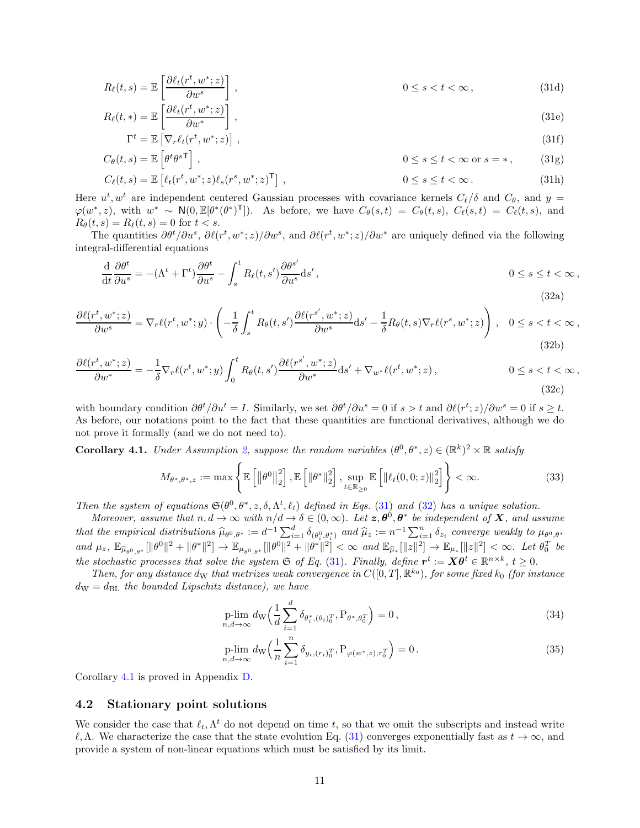$$
R_{\ell}(t,s) = \mathbb{E}\left[\frac{\partial \ell_t(r^t, w^*; z)}{\partial w^s}\right],\tag{31d}
$$

$$
R_{\ell}(t,*) = \mathbb{E}\left[\frac{\partial \ell_t(r^t, w^*; z)}{\partial w^*}\right],
$$
\n(31e)

$$
\Gamma^{t} = \mathbb{E}\left[\nabla_{r}\ell_{t}(r^{t}, w^{*}; z)\right],
$$
\n(31f)  
\n
$$
C_{\epsilon}(t, e) = \mathbb{E}\left[d^{t} \rho s^{\mathsf{T}}\right]
$$
\n(31f)

$$
C_{\theta}(t,s) = \mathbb{E}\left[\theta^t \theta^{s\mathsf{T}}\right], \qquad 0 \le s \le t < \infty \text{ or } s = *, \qquad (31g)
$$

$$
C_{\ell}(t,s) = \mathbb{E}\left[\ell_t(r^t, w^*; z)\ell_s(r^s, w^*; z)^{\mathsf{T}}\right],\tag{31h}
$$

Here  $u^t, w^t$  are independent centered Gaussian processes with covariance kernels  $C_{\ell}/\delta$  and  $C_{\theta}$ , and  $y =$  $\varphi(w^*,z)$ , with  $w^* \sim N(0,\mathbb{E}[\theta^*(\theta^*)^T])$ . As before, we have  $C_{\theta}(s,t) = C_{\theta}(t,s)$ ,  $C_{\ell}(s,t) = C_{\ell}(t,s)$ , and  $R_{\theta}(t, s) = R_{\ell}(t, s) = 0$  for  $t < s$ .

The quantities  $\partial \theta^t / \partial u^s$ ,  $\partial \ell(r^t, w^*; z) / \partial w^s$ , and  $\partial \ell(r^t, w^*; z) / \partial w^s$  are uniquely defined via the following integral-differential equations

<span id="page-10-2"></span>
$$
\frac{\mathrm{d}}{\mathrm{d}t}\frac{\partial\theta^t}{\partial u^s} = -(\Lambda^t + \Gamma^t)\frac{\partial\theta^t}{\partial u^s} - \int_s^t R_\ell(t, s')\frac{\partial\theta^{s'}}{\partial u^s}ds',\qquad 0 \le s \le t < \infty,
$$
\n(32a)

$$
\frac{\partial \ell(r^t, w^*; z)}{\partial w^s} = \nabla_r \ell(r^t, w^*; y) \cdot \left( -\frac{1}{\delta} \int_s^t R_\theta(t, s') \frac{\partial \ell(r^{s'}, w^*; z)}{\partial w^s} ds' - \frac{1}{\delta} R_\theta(t, s) \nabla_r \ell(r^s, w^*; z) \right), \quad 0 \le s < t < \infty,
$$
\n(32b)

$$
\frac{\partial \ell(r^t, w^*; z)}{\partial w^*} = -\frac{1}{\delta} \nabla_r \ell(r^t, w^*; y) \int_0^t R_\theta(t, s') \frac{\partial \ell(r^{s'}, w^*; z)}{\partial w^*} ds' + \nabla_{w^*} \ell(r^t, w^*; z), \qquad 0 \le s < t < \infty,
$$
\n(32c)

with boundary condition  $\partial \theta^t / \partial u^t = I$ . Similarly, we set  $\partial \theta^t / \partial u^s = 0$  if  $s > t$  and  $\partial \ell(r^t; z) / \partial w^s = 0$  if  $s \ge t$ . As before, our notations point to the fact that these quantities are functional derivatives, although we do not prove it formally (and we do not need to).

<span id="page-10-1"></span>**Corollary 4.1.** Under Assumption [2,](#page-9-2) suppose the random variables  $(\theta^0, \theta^*, z) \in (\mathbb{R}^k)^2 \times \mathbb{R}$  satisfy

$$
M_{\theta^*,\theta^*,z} := \max\left\{\mathbb{E}\left[\left\|\theta^0\right\|_2^2\right],\mathbb{E}\left[\left\|\theta^*\right\|_2^2\right],\sup_{t\in\mathbb{R}_{\geq 0}}\mathbb{E}\left[\left\|\ell_t(0,0;z)\right\|_2^2\right]\right\}<\infty. \tag{33}
$$

Then the system of equations  $\mathfrak{S}(\theta^0, \theta^*, z, \delta, \Lambda^t, \ell_t)$  defined in Eqs. [\(31\)](#page-9-3) and [\(32\)](#page-10-2) has a unique solution.

Moreover, assume that  $n, d \to \infty$  with  $n/d \to \delta \in (0, \infty)$ . Let  $\mathbf{z}, \theta^0, \theta^*$  be independent of  $\mathbf{X}$ , and assume that the empirical distributions  $\widehat{\mu}_{\theta^0,\theta^*} := d^{-1} \sum_{i=1}^d \delta_{(\theta^0_i,\theta^*_{i})}$  and  $\widehat{\mu}_z := n^{-1} \sum_{i=1}^n \delta_{z_i}$  converge weakly to  $\mu_{\theta^0,\theta^*}$ and  $\mu_z$ ,  $\mathbb{E}_{\hat{\mu}_{\theta^0,\theta^*}}[\|\theta^0\|^2 + \|\theta^*\|^2] \to \mathbb{E}_{\mu_{\theta^0,\theta^*}}[\|\theta^0\|^2 + \|\theta^*\|^2] < \infty$  and  $\mathbb{E}_{\hat{\mu}_z}[\|z\|^2] \to \mathbb{E}_{\mu_z}[\|z\|^2] < \infty$ . Let  $\theta_0^T$  be the stochastic processes that solve the system  $\mathfrak{S}$  of Eq. [\(31\)](#page-9-3). Finally, define  $r^t := X\theta^t \in \mathbb{R}^{n \times k}$ ,  $t \geq 0$ .

Then, for any distance d<sub>W</sub> that metrizes weak convergence in  $C([0,T], \mathbb{R}^{k_0})$ , for some fixed  $k_0$  (for instance  $d_{\rm W} = d_{\rm BL}$  the bounded Lipschitz distance), we have

$$
\underset{n,d \to \infty}{\text{plim}} d_{\mathcal{W}} \left( \frac{1}{d} \sum_{i=1}^{d} \delta_{\theta_i^*, (\theta_i)_0^T}, \mathbf{P}_{\theta^*, \theta_0^T} \right) = 0, \tag{34}
$$

$$
\underset{n,d \to \infty}{\text{plim}} \, d_{\mathcal{W}} \left( \frac{1}{n} \sum_{i=1}^{n} \delta_{y_i, (r_i)_0^T}, \mathcal{P}_{\varphi(w^*, z), r_0^T} \right) = 0 \,. \tag{35}
$$

Corollary [4.1](#page-10-1) is proved in Appendix [D.](#page-76-0)

#### <span id="page-10-0"></span>4.2 Stationary point solutions

We consider the case that  $\ell_t, \Lambda^t$  do not depend on time t, so that we omit the subscripts and instead write  $ℓ, Λ.$  We characterize the case that the state evolution Eq. [\(31\)](#page-9-3) converges exponentially fast as  $t → ∞$ , and provide a system of non-linear equations which must be satisfied by its limit.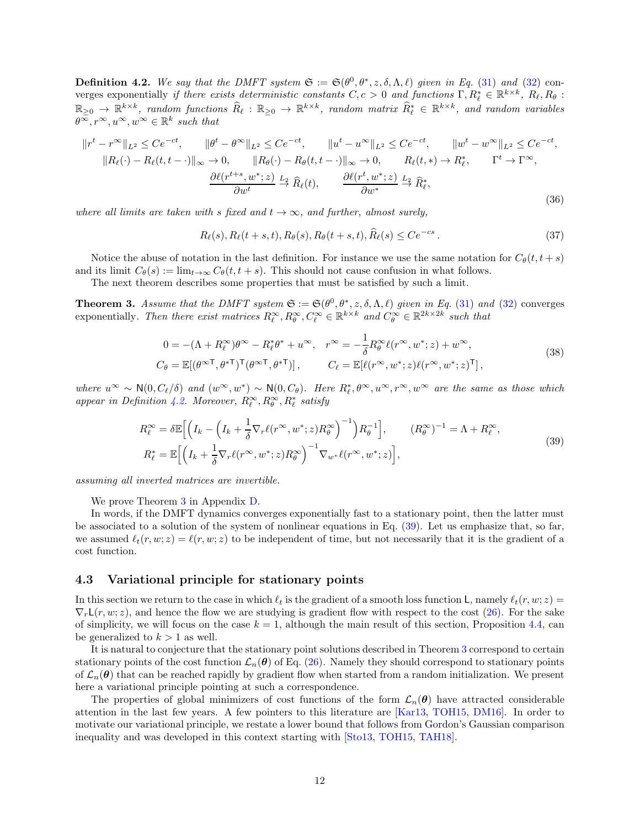<span id="page-11-2"></span>**Definition 4.2.** We say that the DMFT system  $\mathfrak{S} := \mathfrak{S}(\theta^0, \theta^*, z, \delta, \Lambda, \ell)$  given in Eq. [\(31\)](#page-9-3) and [\(32\)](#page-10-2) converges exponentially if there exists deterministic constants  $C, c > 0$  and functions  $\Gamma, R^*_\ell \in \mathbb{R}^{k \times k}$ ,  $R_\ell, R_\theta$ :  $\mathbb{R}_{\geq 0} \to \mathbb{R}^{k \times k}$ , random functions  $\widehat{R}_{\ell}: \mathbb{R}_{\geq 0} \to \mathbb{R}^{k \times k}$ , random matrix  $\widehat{R}_{\ell}^* \in \mathbb{R}^{k \times k}$ , and random variables  $\theta^{\infty}, r^{\infty}, u^{\infty}, w^{\infty} \in \mathbb{R}^k$  such that

$$
||r^t - r^{\infty}||_{L^2} \le Ce^{-ct}, \qquad ||\theta^t - \theta^{\infty}||_{L^2} \le Ce^{-ct}, \qquad ||u^t - u^{\infty}||_{L^2} \le Ce^{-ct}, \qquad ||w^t - w^{\infty}||_{L^2} \le Ce^{-ct},
$$
  

$$
||R_{\ell}(\cdot) - R_{\ell}(t, t - \cdot)||_{\infty} \to 0, \qquad ||R_{\theta}(\cdot) - R_{\theta}(t, t - \cdot)||_{\infty} \to 0, \qquad R_{\ell}(t, \ast) \to R_{\ell}^*, \qquad \Gamma^t \to \Gamma^{\infty},
$$
  

$$
\frac{\partial \ell(r^{t+s}, w^*; z)}{\partial w^t} \xrightarrow{L_2} \widehat{R}_{\ell}(t), \qquad \frac{\partial \ell(r^t, w^*; z)}{\partial w^*} \xrightarrow{L_2} \widehat{R}_{\ell}^*,
$$
  
(36)

where all limits are taken with s fixed and  $t \to \infty$ , and further, almost surely,

$$
R_{\ell}(s), R_{\ell}(t+s,t), R_{\theta}(s), R_{\theta}(t+s,t), \widehat{R}_{\ell}(s) \leq C e^{-cs}.
$$
\n(37)

Notice the abuse of notation in the last definition. For instance we use the same notation for  $C_{\theta}(t, t + s)$ and its limit  $C_{\theta}(s) := \lim_{t \to \infty} C_{\theta}(t, t + s)$ . This should not cause confusion in what follows.

The next theorem describes some properties that must be satisfied by such a limit.

<span id="page-11-1"></span>**Theorem 3.** Assume that the DMFT system  $\mathfrak{S} := \mathfrak{S}(\theta^0, \theta^*, z, \delta, \Lambda, \ell)$  given in Eq. [\(31\)](#page-9-3) and [\(32\)](#page-10-2) converges exponentially. Then there exist matrices  $R_{\ell}^{\infty}, R_{\theta}^{\infty}, C_{\ell}^{\infty} \in \mathbb{R}^{k \times k}$  and  $C_{\theta}^{\infty} \in \mathbb{R}^{2k \times 2k}$  such that

<span id="page-11-4"></span>
$$
0 = -(\Lambda + R_{\ell}^{\infty})\theta^{\infty} - R_{\ell}^{*}\theta^{*} + u^{\infty}, \quad r^{\infty} = -\frac{1}{\delta}R_{\theta}^{\infty}\ell(r^{\infty}, w^{*}; z) + w^{\infty},
$$
  
\n
$$
C_{\theta} = \mathbb{E}[(\theta^{\infty T}, \theta^{*T})^{\mathsf{T}}(\theta^{\infty T}, \theta^{*T})], \qquad C_{\ell} = \mathbb{E}[\ell(r^{\infty}, w^{*}; z)\ell(r^{\infty}, w^{*}; z)^{\mathsf{T}}],
$$
\n(38)

where  $u^{\infty} \sim N(0, C_{\ell}/\delta)$  and  $(w^{\infty}, w^*) \sim N(0, C_{\theta})$ . Here  $R_{\ell}^*, \theta^{\infty}, u^{\infty}, r^{\infty}, w^{\infty}$  are the same as those which appear in Definition [4.2.](#page-11-2) Moreover,  $R_{\ell}^{\infty}, R_{\theta}^{\infty}, R_{\ell}^{*}$  satisfy

<span id="page-11-3"></span>
$$
R_{\ell}^{\infty} = \delta \mathbb{E} \Big[ \Big( I_k - \Big( I_k + \frac{1}{\delta} \nabla_r \ell(r^{\infty}, w^*; z) R_{\theta}^{\infty} \Big)^{-1} \Big) R_{\theta}^{-1} \Big], \qquad (R_{\theta}^{\infty})^{-1} = \Lambda + R_{\ell}^{\infty},
$$
  

$$
R_{\ell}^* = \mathbb{E} \Big[ \Big( I_k + \frac{1}{\delta} \nabla_r \ell(r^{\infty}, w^*; z) R_{\theta}^{\infty} \Big)^{-1} \nabla_{w^*} \ell(r^{\infty}, w^*; z) \Big],
$$
 (39)

assuming all inverted matrices are invertible.

We prove Theorem [3](#page-11-1) in Appendix [D.](#page-76-0)

In words, if the DMFT dynamics converges exponentially fast to a stationary point, then the latter must be associated to a solution of the system of nonlinear equations in Eq. [\(39\)](#page-11-3). Let us emphasize that, so far, we assumed  $\ell_t(r, w; z) = \ell(r, w; z)$  to be independent of time, but not necessarily that it is the gradient of a cost function.

### <span id="page-11-0"></span>4.3 Variational principle for stationary points

In this section we return to the case in which  $\ell_t$  is the gradient of a smooth loss function L, namely  $\ell_t(r, w; z)$  =  $\nabla_r\mathcal{L}(r, w; z)$ , and hence the flow we are studying is gradient flow with respect to the cost [\(26\)](#page-9-0). For the sake of simplicity, we will focus on the case  $k = 1$ , although the main result of this section, Proposition [4.4,](#page-12-0) can be generalized to  $k > 1$  as well.

It is natural to conjecture that the stationary point solutions described in Theorem [3](#page-11-1) correspond to certain stationary points of the cost function  $\mathcal{L}_n(\theta)$  of Eq. [\(26\)](#page-9-0). Namely they should correspond to stationary points of  $\mathcal{L}_n(\theta)$  that can be reached rapidly by gradient flow when started from a random initialization. We present here a variational principle pointing at such a correspondence.

The properties of global minimizers of cost functions of the form  $\mathcal{L}_n(\theta)$  have attracted considerable attention in the last few years. A few pointers to this literature are [\[Kar13,](#page-25-12) [TOH15,](#page-26-4) [DM16\]](#page-25-13). In order to motivate our variational principle, we restate a lower bound that follows from Gordon's Gaussian comparison inequality and was developed in this context starting with [\[Sto13,](#page-26-5) [TOH15,](#page-26-4) [TAH18\]](#page-26-6).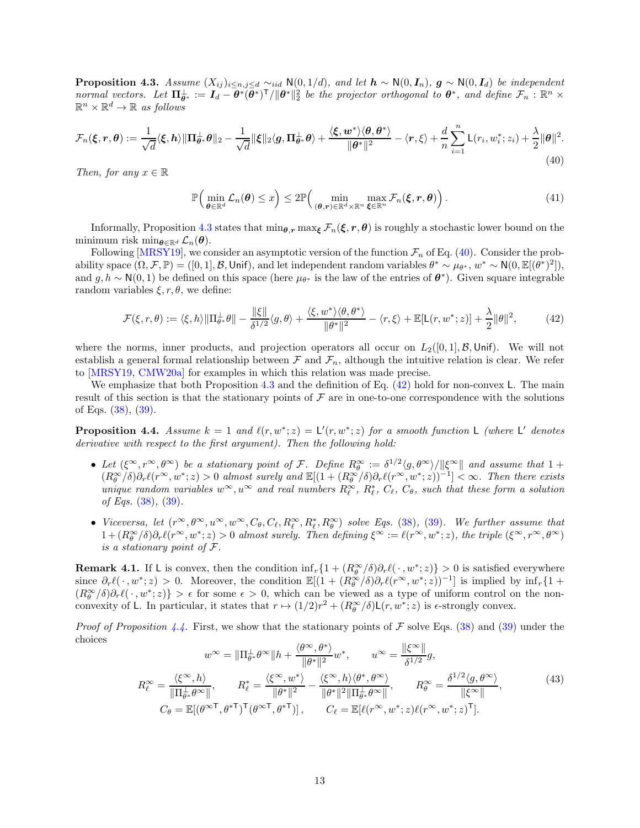<span id="page-12-1"></span>**Proposition 4.3.** Assume  $(X_{ij})_{i\leq n,j\leq d}$   $\sim$ iid  $\mathsf{N}(0,1/d)$ , and let  $\mathbf{h} \sim \mathsf{N}(0,\mathbf{I}_n)$ ,  $\mathbf{g} \sim \mathsf{N}(0,\mathbf{I}_d)$  be independent normal vectors. Let  $\mathbf{\Pi}_{\theta^*}^{\perp} := \mathbf{I}_d - \theta^*(\bar{\theta}^*)^{\mathsf{T}} / \|\theta^*\|_2^2$  be the projector orthogonal to  $\theta^*$ , and define  $\mathcal{F}_n : \mathbb{R}^n \times$  $\mathbb{R}^n \times \mathbb{R}^d \to \mathbb{R}$  as follows

<span id="page-12-2"></span>
$$
\mathcal{F}_n(\boldsymbol{\xi}, \boldsymbol{r}, \boldsymbol{\theta}) := \frac{1}{\sqrt{d}} \langle \boldsymbol{\xi}, \boldsymbol{h} \rangle \| \boldsymbol{\Pi}_{\boldsymbol{\theta}^*}^{\perp} \boldsymbol{\theta} \|_2 - \frac{1}{\sqrt{d}} \|\boldsymbol{\xi}\|_2 \langle \boldsymbol{g}, \boldsymbol{\Pi}_{\boldsymbol{\theta}^*}^{\perp} \boldsymbol{\theta} \rangle + \frac{\langle \boldsymbol{\xi}, \boldsymbol{w}^* \rangle \langle \boldsymbol{\theta}, \boldsymbol{\theta}^* \rangle}{\|\boldsymbol{\theta}^* \|^2} - \langle \boldsymbol{r}, \boldsymbol{\xi} \rangle + \frac{d}{n} \sum_{i=1}^n \mathsf{L}(r_i, w_i^*; z_i) + \frac{\lambda}{2} \|\boldsymbol{\theta}\|^2.
$$
\n(40)

Then, for any  $x \in \mathbb{R}$ 

<span id="page-12-3"></span>
$$
\mathbb{P}\Big(\min_{\boldsymbol{\theta}\in\mathbb{R}^d}\mathcal{L}_n(\boldsymbol{\theta})\leq x\Big)\leq 2\mathbb{P}\Big(\min_{(\boldsymbol{\theta},\boldsymbol{r})\in\mathbb{R}^d\times\mathbb{R}^n}\max_{\boldsymbol{\xi}\in\mathbb{R}^n}\mathcal{F}_n(\boldsymbol{\xi},\boldsymbol{r},\boldsymbol{\theta})\Big). \tag{41}
$$

Informally, Proposition [4.3](#page-12-1) states that  $\min_{\theta,r} \max_{\xi} \mathcal{F}_n(\xi,r,\theta)$  is roughly a stochastic lower bound on the minimum risk min $_{\boldsymbol{\theta} \in \mathbb{R}^d}$   $\mathcal{L}_n(\boldsymbol{\theta})$ .

Following  $[MRSY19]$ , we consider an asymptotic version of the function  $\mathcal{F}_n$  of Eq. [\(40\)](#page-12-2). Consider the probability space  $(\Omega, \mathcal{F}, \mathbb{P}) = ([0, 1], \mathcal{B}, \mathsf{Unif})$ , and let independent random variables  $\theta^* \sim \mu_{\theta^*}, w^* \sim \mathsf{N}(0, \mathbb{E}[(\theta^*)^2]),$ and  $g, h \sim N(0, 1)$  be defined on this space (here  $\mu_{\theta^*}$  is the law of the entries of  $\theta^*$ ). Given square integrable random variables  $\xi, r, \theta$ , we define:

$$
\mathcal{F}(\xi, r, \theta) := \langle \xi, h \rangle \|\Pi_{\theta^*}^{\perp} \theta\| - \frac{\|\xi\|}{\delta^{1/2}} \langle g, \theta \rangle + \frac{\langle \xi, w^* \rangle \langle \theta, \theta^* \rangle}{\|\theta^* \|^2} - \langle r, \xi \rangle + \mathbb{E}[\mathsf{L}(r, w^*; z)] + \frac{\lambda}{2} \|\theta\|^2,\tag{42}
$$

where the norms, inner products, and projection operators all occur on  $L_2([0,1], \mathcal{B}, \mathsf{Unif})$ . We will not establish a general formal relationship between  $\mathcal F$  and  $\mathcal F_n$ , although the intuitive relation is clear. We refer to [\[MRSY19,](#page-25-14) [CMW20a\]](#page-25-15) for examples in which this relation was made precise.

We emphasize that both Proposition [4.3](#page-12-1) and the definition of Eq.  $(42)$  hold for non-convex L. The main result of this section is that the stationary points of  $\mathcal F$  are in one-to-one correspondence with the solutions of Eqs. [\(38\)](#page-11-4), [\(39\)](#page-11-3).

<span id="page-12-0"></span>**Proposition 4.4.** Assume  $k = 1$  and  $\ell(r, w^*; z) = L'(r, w^*; z)$  for a smooth function L (where L' denotes derivative with respect to the first argument). Then the following hold:

- Let  $(\xi^{\infty}, r^{\infty}, \theta^{\infty})$  be a stationary point of F. Define  $R_{\theta}^{\infty} := \delta^{1/2} \langle g, \theta^{\infty} \rangle / ||\xi^{\infty}||$  and assume that  $1 +$  $(R^{\infty}_{\theta}/\delta)\partial_r \ell(r^{\infty}, w^*; z) > 0$  almost surely and  $\mathbb{E}[(1 + (R^{\infty}_{\theta}/\delta)\partial_r \ell(r^{\infty}, w^*; z))^{-1}] < \infty$ . Then there exists unique random variables  $w^{\infty}, u^{\infty}$  and real numbers  $R^{\infty}_{\ell}$ ,  $R^*_{\ell}$ ,  $C_{\ell}$ ,  $C_{\theta}$ , such that these form a solution of Eqs.  $(38)$ ,  $(39)$ .
- Viceversa, let  $(r^{\infty}, \theta^{\infty}, u^{\infty}, w^{\infty}, C_{\theta}, C_{\ell}, R_{\ell}^{\infty}, R_{\ell}^{*}, R_{\theta}^{\infty})$  solve Eqs. [\(38\)](#page-11-4), [\(39\)](#page-11-3). We further assume that  $1 + (R_\theta^{\infty}/\delta) \partial_r \ell(r^{\infty}, w^*; z) > 0$  almost surely. Then defining  $\xi^{\infty} := \ell(r^{\infty}, w^*; z)$ , the triple  $(\xi^{\infty}, r^{\infty}, \theta^{\infty})$ is a stationary point of F.

**Remark 4.1.** If L is convex, then the condition  $\inf_r \{1 + (R_\theta^\infty/\delta) \partial_r \ell(\cdot, w^*; z)\} > 0$  is satisfied everywhere since  $\partial_r \ell(\cdot, w^*; z) > 0$ . Moreover, the condition  $\mathbb{E}[(1 + (R_\theta^\infty/\delta)\partial_r \ell(r^\infty, w^*; z))^{-1}]$  is implied by  $\inf_r \{1 +$  $(R^{\infty}_{\theta}/\delta)\partial_r \ell(\cdot, w^*; z) > \epsilon$  for some  $\epsilon > 0$ , which can be viewed as a type of uniform control on the nonconvexity of L. In particular, it states that  $r \mapsto (1/2)r^2 + (R_\theta^\infty/\delta) \mathsf{L}(r, w^*; z)$  is  $\epsilon$ -strongly convex.

*Proof of Proposition [4.4.](#page-12-0)* First, we show that the stationary points of F solve Eqs. [\(38\)](#page-11-4) and [\(39\)](#page-11-3) under the choices  $\cos \theta$ \*\  $||\cos||$ 

<span id="page-12-4"></span>
$$
w^{\infty} = \|\Pi^{\perp}_{\theta^*} \theta^{\infty} \| h + \frac{\langle \theta^{\infty}, \theta^{\infty} \rangle}{\|\theta^*\|^2} w^*, \qquad u^{\infty} = \frac{\|\xi^{\infty}\|}{\delta^{1/2}} g,
$$
  

$$
R_{\ell}^{\infty} = \frac{\langle \xi^{\infty}, h \rangle}{\|\Pi^{\perp}_{\theta^*} \theta^{\infty} \|}, \qquad R_{\ell}^* = \frac{\langle \xi^{\infty}, w^* \rangle}{\|\theta^*\|^2} - \frac{\langle \xi^{\infty}, h \rangle \langle \theta^*, \theta^{\infty} \rangle}{\|\theta^*\|^2 \|\Pi^{\perp}_{\theta^*} \theta^{\infty} \|}, \qquad R_{\theta}^{\infty} = \frac{\delta^{1/2} \langle g, \theta^{\infty} \rangle}{\|\xi^{\infty} \|},
$$
  

$$
C_{\theta} = \mathbb{E}[(\theta^{\infty}^{\mathsf{T}}, \theta^{*\mathsf{T}})^{\mathsf{T}} (\theta^{\infty}^{\mathsf{T}}, \theta^{*\mathsf{T}})], \qquad C_{\ell} = \mathbb{E}[\ell(r^{\infty}, w^*; z) \ell(r^{\infty}, w^*; z)^{\mathsf{T}}].
$$
  
(43)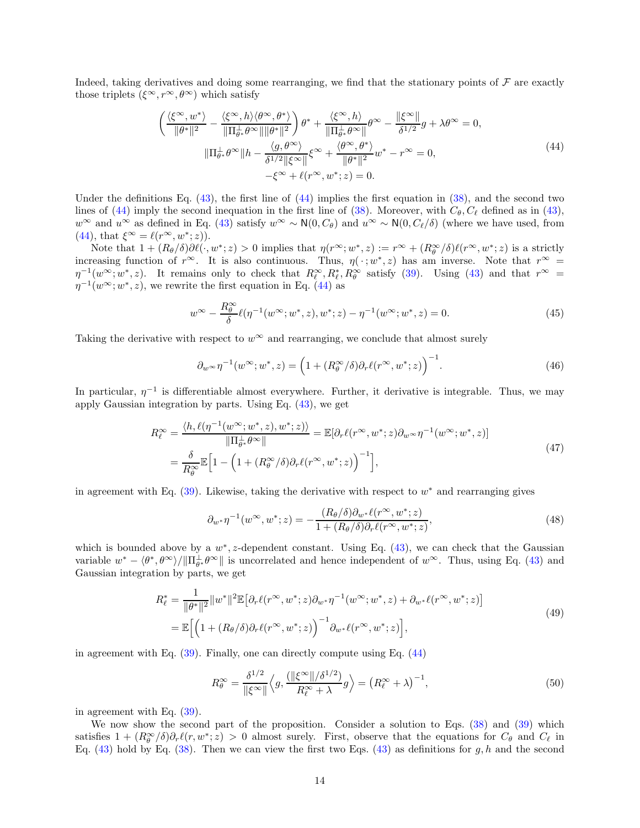Indeed, taking derivatives and doing some rearranging, we find that the stationary points of  $\mathcal F$  are exactly those triplets  $({\xi}^{\infty}, r^{\infty}, \theta^{\infty})$  which satisfy

<span id="page-13-0"></span>
$$
\left(\frac{\langle\xi^{\infty},w^*\rangle}{\|\theta^*\|^2} - \frac{\langle\xi^{\infty},h\rangle\langle\theta^{\infty},\theta^*\rangle}{\|\Pi_{\theta^*}^{\perp}\theta^{\infty}\|\|\theta^*\|^2}\right)\theta^* + \frac{\langle\xi^{\infty},h\rangle}{\|\Pi_{\theta^*}^{\perp}\theta^{\infty}\|}\theta^{\infty} - \frac{\|\xi^{\infty}\|}{\delta^{1/2}}g + \lambda\theta^{\infty} = 0,
$$
\n
$$
\|\Pi_{\theta^*}^{\perp}\theta^{\infty}\|h - \frac{\langle g,\theta^{\infty}\rangle}{\delta^{1/2}\|\xi^{\infty}\|}\xi^{\infty} + \frac{\langle\theta^{\infty},\theta^*\rangle}{\|\theta^*\|^2}w^* - r^{\infty} = 0,
$$
\n
$$
-\xi^{\infty} + \ell(r^{\infty},w^*;z) = 0.
$$
\n(44)

Under the definitions Eq.  $(43)$ , the first line of  $(44)$  implies the first equation in  $(38)$ , and the second two lines of [\(44\)](#page-13-0) imply the second inequation in the first line of [\(38\)](#page-11-4). Moreover, with  $C_{\theta}$ ,  $C_{\ell}$  defined as in [\(43\)](#page-12-4),  $w^{\infty}$  and  $u^{\infty}$  as defined in Eq. [\(43\)](#page-12-4) satisfy  $w^{\infty} \sim N(0, C_{\theta})$  and  $u^{\infty} \sim N(0, C_{\ell}/\delta)$  (where we have used, from  $(44)$ , that  $\xi^{\infty} = \ell(r^{\infty}, w^*; z)$ .

Note that  $1 + (R_{\theta}/\delta)\partial \ell(\cdot, w^*; z) > 0$  implies that  $\eta(r^{\infty}; w^*, z) := r^{\infty} + (R_{\theta}^{\infty}/\delta)\ell(r^{\infty}, w^*; z)$  is a strictly increasing function of  $r^{\infty}$ . It is also continuous. Thus,  $\eta(\cdot; w^*, z)$  has am inverse. Note that  $r^{\infty} =$  $\eta^{-1}(w^{\infty}; w^*, z)$ . It remains only to check that  $R^{\infty}_{\ell}, R^*_{\ell}, R^{\infty}_{\theta}$  satisfy [\(39\)](#page-11-3). Using [\(43\)](#page-12-4) and that  $r^{\infty}$  =  $\eta^{-1}(w^{\infty}; w^*, z)$ , we rewrite the first equation in Eq. [\(44\)](#page-13-0) as

$$
w^{\infty} - \frac{R^{\infty}_{\theta}}{\delta} \ell(\eta^{-1}(w^{\infty}; w^*, z), w^*; z) - \eta^{-1}(w^{\infty}; w^*, z) = 0.
$$
 (45)

Taking the derivative with respect to  $w^{\infty}$  and rearranging, we conclude that almost surely

$$
\partial_w \sim \eta^{-1}(w^{\infty}; w^*, z) = \left(1 + (R_{\theta}^{\infty}/\delta)\partial_r \ell(r^{\infty}, w^*; z)\right)^{-1}.
$$
\n(46)

In particular,  $\eta^{-1}$  is differentiable almost everywhere. Further, it derivative is integrable. Thus, we may apply Gaussian integration by parts. Using Eq. [\(43\)](#page-12-4), we get

$$
R_{\ell}^{\infty} = \frac{\langle h, \ell(\eta^{-1}(w^{\infty}; w^*, z), w^*; z) \rangle}{\|\Pi_{\theta^*}^{\perp} \theta^{\infty}\|} = \mathbb{E}[\partial_r \ell(r^{\infty}, w^*; z) \partial_w \sim \eta^{-1}(w^{\infty}; w^*, z)]
$$
  
= 
$$
\frac{\delta}{R_{\theta}^{\infty}} \mathbb{E} \Big[ 1 - \Big( 1 + (R_{\theta}^{\infty}/\delta) \partial_r \ell(r^{\infty}, w^*; z) \Big)^{-1} \Big],
$$
 (47)

in agreement with Eq.  $(39)$ . Likewise, taking the derivative with respect to  $w^*$  and rearranging gives

<span id="page-13-1"></span>
$$
\partial_{w^*} \eta^{-1}(w^\infty, w^*; z) = -\frac{(R_\theta/\delta)\partial_{w^*}\ell(r^\infty, w^*; z)}{1 + (R_\theta/\delta)\partial_r\ell(r^\infty, w^*; z)},\tag{48}
$$

which is bounded above by a  $w^*$ , z-dependent constant. Using Eq. [\(43\)](#page-12-4), we can check that the Gaussian variable  $w^* - \langle \theta^*, \theta^{\infty} \rangle / \|\Pi_{\theta^*}^{\perp} \theta^{\infty}\|$  is uncorrelated and hence independent of  $w^{\infty}$ . Thus, using Eq. [\(43\)](#page-12-4) and Gaussian integration by parts, we get

$$
R_{\ell}^{*} = \frac{1}{\|\theta^{*}\|^{2}} \|w^{*}\|^{2} \mathbb{E} \big[\partial_{r} \ell(r^{\infty}, w^{*}; z) \partial_{w^{*}} \eta^{-1}(w^{\infty}; w^{*}, z) + \partial_{w^{*}} \ell(r^{\infty}, w^{*}; z)\big]
$$
  

$$
= \mathbb{E} \Big[ \Big(1 + (R_{\theta}/\delta) \partial_{r} \ell(r^{\infty}, w^{*}; z)\Big)^{-1} \partial_{w^{*}} \ell(r^{\infty}, w^{*}; z)\Big],
$$
\n(49)

in agreement with Eq.  $(39)$ . Finally, one can directly compute using Eq.  $(44)$ 

$$
R_{\theta}^{\infty} = \frac{\delta^{1/2}}{\|\xi^{\infty}\|} \left\langle g, \frac{\left(\|\xi^{\infty}\|/\delta^{1/2}\right)}{R_{\ell}^{\infty} + \lambda} g \right\rangle = \left(R_{\ell}^{\infty} + \lambda\right)^{-1},\tag{50}
$$

in agreement with Eq. [\(39\)](#page-11-3).

We now show the second part of the proposition. Consider a solution to Eqs.  $(38)$  and  $(39)$  which satisfies  $1 + (R_\theta^{\infty}/\delta)\partial_r \ell(r, w^*; z) > 0$  almost surely. First, observe that the equations for  $C_\theta$  and  $C_\ell$  in Eq. [\(43\)](#page-12-4) hold by Eq. [\(38\)](#page-11-4). Then we can view the first two Eqs. (43) as definitions for g, h and the second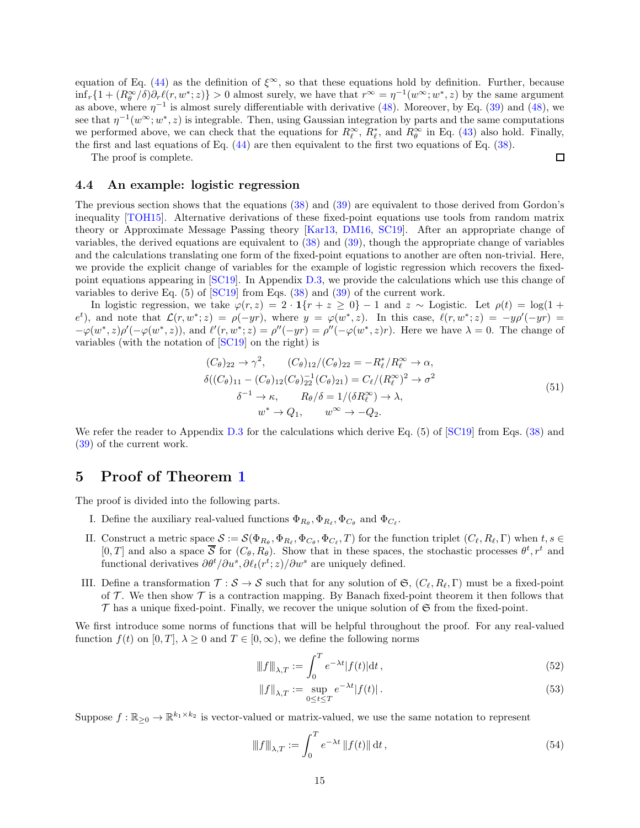equation of Eq. [\(44\)](#page-13-0) as the definition of  $\xi^{\infty}$ , so that these equations hold by definition. Further, because  $\inf_r \{1 + (R_\theta^\infty/\delta) \partial_r \ell(r, w^*; z)\} > 0$  almost surely, we have that  $r^\infty = \eta^{-1}(w^\infty; w^*, z)$  by the same argument as above, where  $\eta^{-1}$  is almost surely differentiable with derivative [\(48\)](#page-13-1). Moreover, by Eq. [\(39\)](#page-11-3) and (48), we see that  $\eta^{-1}(w^{\infty}; w^*, z)$  is integrable. Then, using Gaussian integration by parts and the same computations we performed above, we can check that the equations for  $R_{\ell}^{\infty}$ ,  $R_{\ell}^{*}$ , and  $R_{\theta}^{\infty}$  in Eq. [\(43\)](#page-12-4) also hold. Finally, the first and last equations of Eq. [\(44\)](#page-13-0) are then equivalent to the first two equations of Eq. [\(38\)](#page-11-4).

The proof is complete.

#### <span id="page-14-0"></span>4.4 An example: logistic regression

The previous section shows that the equations [\(38\)](#page-11-4) and [\(39\)](#page-11-3) are equivalent to those derived from Gordon's inequality [\[TOH15\]](#page-26-4). Alternative derivations of these fixed-point equations use tools from random matrix theory or Approximate Message Passing theory [\[Kar13,](#page-25-12) [DM16,](#page-25-13) [SC19\]](#page-25-16). After an appropriate change of variables, the derived equations are equivalent to [\(38\)](#page-11-4) and [\(39\)](#page-11-3), though the appropriate change of variables and the calculations translating one form of the fixed-point equations to another are often non-trivial. Here, we provide the explicit change of variables for the example of logistic regression which recovers the fixedpoint equations appearing in [\[SC19\]](#page-25-16). In Appendix [D.3,](#page-81-0) we provide the calculations which use this change of variables to derive Eq. (5) of [\[SC19\]](#page-25-16) from Eqs. [\(38\)](#page-11-4) and [\(39\)](#page-11-3) of the current work.

In logistic regression, we take  $\varphi(r, z) = 2 \cdot 1\{r + z \geq 0\} - 1$  and  $z \sim$  Logistic. Let  $\rho(t) = \log(1 +$  $e^t$ ), and note that  $\mathcal{L}(r, w^*; z) = \rho(-yr)$ , where  $y = \varphi(w^*, z)$ . In this case,  $\ell(r, w^*; z) = -y\rho'(-yr) =$  $-\varphi(w^*,z)\rho'(-\varphi(w^*,z))$ , and  $\ell'(r,w^*;z) = \rho''(-yr) = \rho''(-\varphi(w^*,z)r)$ . Here we have  $\lambda = 0$ . The change of variables (with the notation of [\[SC19\]](#page-25-16) on the right) is

$$
(C_{\theta})_{22} \rightarrow \gamma^2, \qquad (C_{\theta})_{12}/(C_{\theta})_{22} = -R_{\ell}^*/R_{\ell}^{\infty} \rightarrow \alpha,
$$
  
\n
$$
\delta((C_{\theta})_{11} - (C_{\theta})_{12}(C_{\theta})_{22}^{-1}(C_{\theta})_{21}) = C_{\ell}/(R_{\ell}^{\infty})^2 \rightarrow \sigma^2
$$
  
\n
$$
\delta^{-1} \rightarrow \kappa, \qquad R_{\theta}/\delta = 1/(\delta R_{\ell}^{\infty}) \rightarrow \lambda,
$$
  
\n
$$
w^* \rightarrow Q_1, \qquad w^{\infty} \rightarrow -Q_2.
$$
\n(51)

 $\Box$ 

We refer the reader to Appendix [D.3](#page-81-0) for the calculations which derive Eq. (5) of [\[SC19\]](#page-25-16) from Eqs. [\(38\)](#page-11-4) and [\(39\)](#page-11-3) of the current work.

## <span id="page-14-1"></span>5 Proof of Theorem [1](#page-7-0)

The proof is divided into the following parts.

- I. Define the auxiliary real-valued functions  $\Phi_{R_{\theta}}, \Phi_{R_{\ell}}, \Phi_{C_{\theta}}$  and  $\Phi_{C_{\ell}}$ .
- II. Construct a metric space  $S := \mathcal{S}(\Phi_{R_{\theta}}, \Phi_{R_{\ell}}, \Phi_{C_{\theta}}, \Phi_{C_{\ell}}, T)$  for the function triplet  $(C_{\ell}, R_{\ell}, \Gamma)$  when  $t, s \in \mathbb{R}$  $[0, T]$  and also a space  $\overline{S}$  for  $(C_{\theta}, R_{\theta})$ . Show that in these spaces, the stochastic processes  $\theta^t, r^t$  and functional derivatives  $\partial \theta^t / \partial u^s$ ,  $\partial \ell_t(r^t; z) / \partial w^s$  are uniquely defined.
- III. Define a transformation  $\mathcal{T}: \mathcal{S} \to \mathcal{S}$  such that for any solution of  $\mathfrak{S}, (\mathcal{C}_{\ell}, R_{\ell}, \Gamma)$  must be a fixed-point of  $\mathcal T$ . We then show  $\mathcal T$  is a contraction mapping. By Banach fixed-point theorem it then follows that  $\mathcal T$  has a unique fixed-point. Finally, we recover the unique solution of  $\mathfrak S$  from the fixed-point.

We first introduce some norms of functions that will be helpful throughout the proof. For any real-valued function  $f(t)$  on  $[0, T]$ ,  $\lambda \geq 0$  and  $T \in [0, \infty)$ , we define the following norms

$$
\|f\|_{\lambda,T} := \int_0^T e^{-\lambda t} |f(t)| \mathrm{d}t,\tag{52}
$$

$$
||f||_{\lambda,T} := \sup_{0 \le t \le T} e^{-\lambda t} |f(t)|.
$$
\n(53)

Suppose  $f: \mathbb{R}_{\geq 0} \to \mathbb{R}^{k_1 \times k_2}$  is vector-valued or matrix-valued, we use the same notation to represent

$$
\|f\|_{\lambda,T} := \int_0^T e^{-\lambda t} \|f(t)\| \, \mathrm{d}t \,,\tag{54}
$$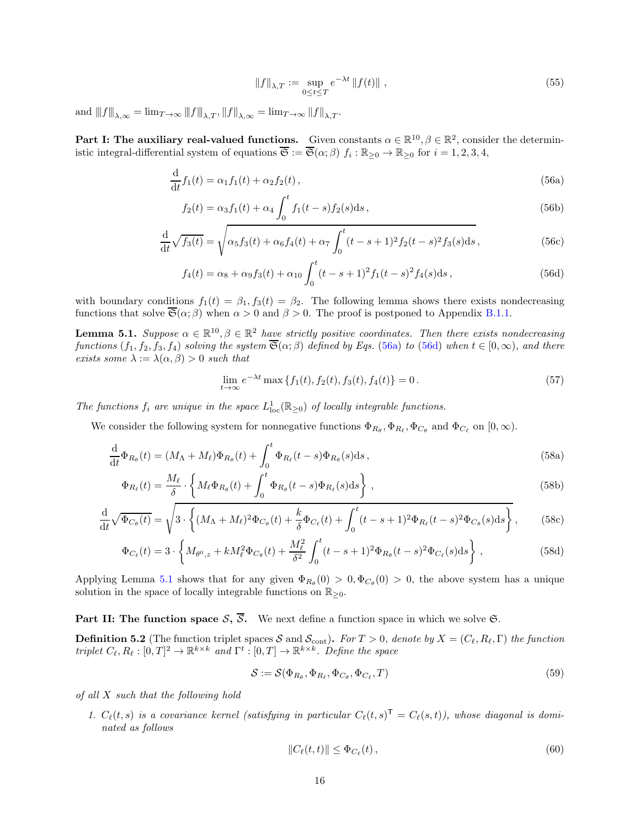<span id="page-15-5"></span><span id="page-15-4"></span><span id="page-15-1"></span>
$$
||f||_{\lambda,T} := \sup_{0 \le t \le T} e^{-\lambda t} ||f(t)|| , \qquad (55)
$$

and  $||f||_{\lambda,\infty} = \lim_{T\to\infty} ||f||_{\lambda,T}$ ,  $||f||_{\lambda,\infty} = \lim_{T\to\infty} ||f||_{\lambda,T}$ .

Part I: The auxiliary real-valued functions. Given constants  $\alpha \in \mathbb{R}^{10}, \beta \in \mathbb{R}^2$ , consider the deterministic integral-differential system of equations  $\overline{\mathfrak{S}} := \overline{\mathfrak{S}}(\alpha;\beta)$   $f_i : \mathbb{R}_{\geq 0} \to \mathbb{R}_{\geq 0}$  for  $i = 1,2,3,4$ ,

$$
\frac{d}{dt}f_1(t) = \alpha_1 f_1(t) + \alpha_2 f_2(t),
$$
\n(56a)

$$
f_2(t) = \alpha_3 f_1(t) + \alpha_4 \int_0^t f_1(t-s) f_2(s) \, \mathrm{d}s \,,\tag{56b}
$$

$$
\frac{d}{dt}\sqrt{f_3(t)} = \sqrt{\alpha_5 f_3(t) + \alpha_6 f_4(t) + \alpha_7 \int_0^t (t - s + 1)^2 f_2(t - s)^2 f_3(s) ds},
$$
\n(56c)

$$
f_4(t) = \alpha_8 + \alpha_9 f_3(t) + \alpha_{10} \int_0^t (t - s + 1)^2 f_1(t - s)^2 f_4(s) \, ds \,, \tag{56d}
$$

with boundary conditions  $f_1(t) = \beta_1, f_3(t) = \beta_2$ . The following lemma shows there exists nondecreasing functions that solve  $\overline{\mathfrak{S}}(\alpha;\beta)$  when  $\alpha > 0$  and  $\beta > 0$ . The proof is postponed to Appendix [B.1.1.](#page-27-3)

<span id="page-15-0"></span>**Lemma 5.1.** Suppose  $\alpha \in \mathbb{R}^{10}, \beta \in \mathbb{R}^2$  have strictly positive coordinates. Then there exists nondecreasing functions  $(f_1, f_2, f_3, f_4)$  solving the system  $\overline{\mathfrak{S}}(\alpha; \beta)$  defined by Eqs. [\(56a\)](#page-15-1) to [\(56d\)](#page-15-2) when  $t \in [0, \infty)$ , and there exists some  $\lambda := \lambda(\alpha, \beta) > 0$  such that

<span id="page-15-7"></span><span id="page-15-2"></span>
$$
\lim_{t \to \infty} e^{-\lambda t} \max \{ f_1(t), f_2(t), f_3(t), f_4(t) \} = 0.
$$
\n(57)

The functions  $f_i$  are unique in the space  $L^1_{loc}(\mathbb{R}_{\geq 0})$  of locally integrable functions.

We consider the following system for nonnegative functions  $\Phi_{R_{\theta}}, \Phi_{R_{\ell}}, \Phi_{C_{\theta}}$  and  $\Phi_{C_{\ell}}$  on  $[0, \infty)$ .

$$
\frac{\mathrm{d}}{\mathrm{d}t}\Phi_{R_{\theta}}(t) = (M_{\Lambda} + M_{\ell})\Phi_{R_{\theta}}(t) + \int_{0}^{t} \Phi_{R_{\ell}}(t-s)\Phi_{R_{\theta}}(s)\mathrm{d}s, \qquad (58a)
$$

$$
\Phi_{R_{\ell}}(t) = \frac{M_{\ell}}{\delta} \cdot \left\{ M_{\ell} \Phi_{R_{\theta}}(t) + \int_0^t \Phi_{R_{\theta}}(t-s) \Phi_{R_{\ell}}(s) \, \mathrm{d}s \right\},\tag{58b}
$$

$$
\frac{\mathrm{d}}{\mathrm{d}t}\sqrt{\Phi_{C_{\theta}}(t)} = \sqrt{3\cdot\left\{ (M_{\Lambda} + M_{\ell})^2 \Phi_{C_{\theta}}(t) + \frac{k}{\delta} \Phi_{C_{\ell}}(t) + \int_0^t (t - s + 1)^2 \Phi_{R_{\ell}}(t - s)^2 \Phi_{C_{\theta}}(s) \mathrm{d}s \right\}},\tag{58c}
$$

$$
\Phi_{C_{\ell}}(t) = 3 \cdot \left\{ M_{\theta^0, z} + k M_{\ell}^2 \Phi_{C_{\theta}}(t) + \frac{M_{\ell}^2}{\delta^2} \int_0^t (t - s + 1)^2 \Phi_{R_{\theta}}(t - s)^2 \Phi_{C_{\ell}}(s) \, ds \right\},\tag{58d}
$$

Applying Lemma [5.1](#page-15-0) shows that for any given  $\Phi_{R_{\theta}}(0) > 0, \Phi_{C_{\theta}}(0) > 0$ , the above system has a unique solution in the space of locally integrable functions on  $\mathbb{R}_{>0}$ .

**Part II: The function space S,**  $\overline{S}$ **.** We next define a function space in which we solve G.

<span id="page-15-3"></span>**Definition 5.2** (The function triplet spaces S and  $\mathcal{S}_{\text{cont}}$ ). For  $T > 0$ , denote by  $X = (C_{\ell}, R_{\ell}, \Gamma)$  the function triplet  $C_{\ell}, R_{\ell}: [0,T]^2 \to \mathbb{R}^{k \times k}$  and  $\Gamma^t: [0,T] \to \mathbb{R}^{k \times k}$ . Define the space

<span id="page-15-6"></span>
$$
S := S(\Phi_{R_{\theta}}, \Phi_{R_{\ell}}, \Phi_{C_{\theta}}, \Phi_{C_{\ell}}, T)
$$
\n(59)

of all X such that the following hold

1.  $C_{\ell}(t, s)$  is a covariance kernel (satisfying in particular  $C_{\ell}(t, s)^{\mathsf{T}} = C_{\ell}(s, t)$ ), whose diagonal is dominated as follows

$$
||C_{\ell}(t,t)|| \leq \Phi_{C_{\ell}}(t), \qquad (60)
$$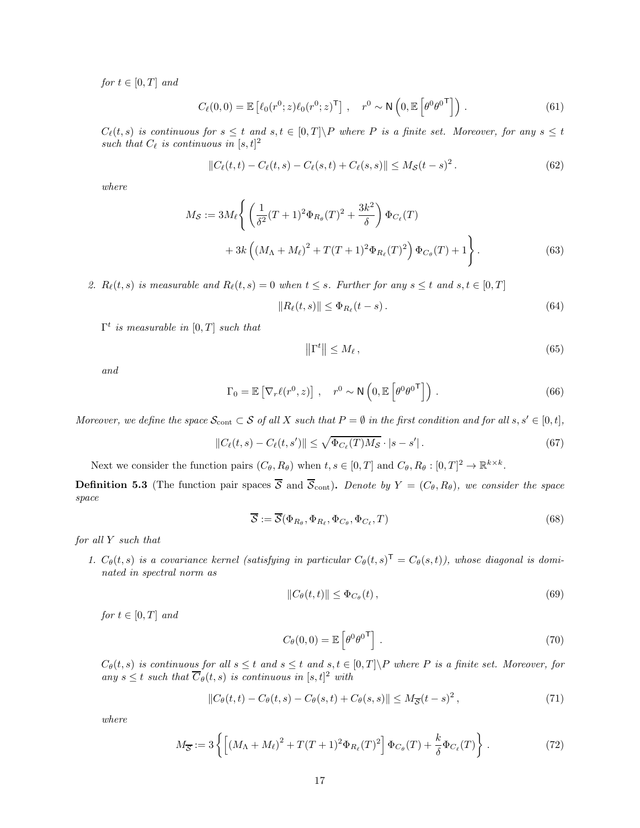for  $t \in [0, T]$  and

$$
C_{\ell}(0,0) = \mathbb{E}\left[\ell_0(r^0; z)\ell_0(r^0; z)^{\mathsf{T}}\right], \quad r^0 \sim \mathsf{N}\left(0, \mathbb{E}\left[\theta^0 \theta^{0\mathsf{T}}\right]\right). \tag{61}
$$

 $C_{\ell}(t, s)$  is continuous for  $s \leq t$  and  $s, t \in [0, T] \backslash P$  where P is a finite set. Moreover, for any  $s \leq t$ such that  $C_{\ell}$  is continuous in  $[s, t]^2$ 

$$
||C_{\ell}(t,t) - C_{\ell}(t,s) - C_{\ell}(s,t) + C_{\ell}(s,s)|| \le M_{\mathcal{S}}(t-s)^{2}.
$$
 (62)

where

$$
M_{\mathcal{S}} := 3M_{\ell} \left\{ \left( \frac{1}{\delta^2} (T+1)^2 \Phi_{R_{\theta}}(T)^2 + \frac{3k^2}{\delta} \right) \Phi_{C_{\ell}}(T) + 3k \left( (M_{\Lambda} + M_{\ell})^2 + T(T+1)^2 \Phi_{R_{\ell}}(T)^2 \right) \Phi_{C_{\theta}}(T) + 1 \right\}.
$$
 (63)

2.  $R_{\ell}(t,s)$  is measurable and  $R_{\ell}(t,s) = 0$  when  $t \leq s$ . Further for any  $s \leq t$  and  $s, t \in [0,T]$ 

$$
||R_{\ell}(t,s)|| \leq \Phi_{R_{\ell}}(t-s). \tag{64}
$$

 $\Gamma^t$  is measurable in  $[0,T]$  such that

<span id="page-16-1"></span>
$$
\left\|\Gamma^t\right\| \le M_\ell\,,\tag{65}
$$

and

$$
\Gamma_0 = \mathbb{E}\left[\nabla_r \ell(r^0, z)\right], \quad r^0 \sim \mathsf{N}\left(0, \mathbb{E}\left[\theta^0 \theta^0^{\mathsf{T}}\right]\right). \tag{66}
$$

Moreover, we define the space  $\mathcal{S}_{\text{cont}} \subset \mathcal{S}$  of all X such that  $P = \emptyset$  in the first condition and for all  $s, s' \in [0, t]$ ,

$$
||C_{\ell}(t,s) - C_{\ell}(t,s')|| \le \sqrt{\Phi_{C_{\ell}}(T)M_{\mathcal{S}}} \cdot |s - s'|.
$$
\n(67)

Next we consider the function pairs  $(C_{\theta}, R_{\theta})$  when  $t, s \in [0, T]$  and  $C_{\theta}, R_{\theta} : [0, T]^2 \to \mathbb{R}^{k \times k}$ .

**Definition 5.3** (The function pair spaces  $\overline{S}$  and  $\overline{S}_{cont}$ ). Denote by  $Y = (C_{\theta}, R_{\theta})$ , we consider the space space

$$
\overline{\mathcal{S}} := \overline{\mathcal{S}}(\Phi_{R_{\theta}}, \Phi_{R_{\ell}}, \Phi_{C_{\theta}}, \Phi_{C_{\ell}}, T) \tag{68}
$$

for all Y such that

1.  $C_{\theta}(t, s)$  is a covariance kernel (satisfying in particular  $C_{\theta}(t, s)^{\mathsf{T}} = C_{\theta}(s, t)$ ), whose diagonal is dominated in spectral norm as

$$
||C_{\theta}(t,t)|| \leq \Phi_{C_{\theta}}(t), \qquad (69)
$$

for  $t \in [0, T]$  and

<span id="page-16-0"></span>
$$
C_{\theta}(0,0) = \mathbb{E}\left[\theta^0 \theta^{0\mathsf{T}}\right].
$$
\n(70)

 $C_{\theta}(t, s)$  is continuous for all  $s \leq t$  and  $s \leq t$  and  $s, t \in [0, T] \backslash P$  where P is a finite set. Moreover, for any  $s \leq t$  such that  $\overline{C}_{\theta}(t, s)$  is continuous in  $[s, t]^2$  with

$$
||C_{\theta}(t,t) - C_{\theta}(t,s) - C_{\theta}(s,t) + C_{\theta}(s,s)|| \le M_{\overline{S}}(t-s)^2,
$$
\n(71)

where

$$
M_{\overline{S}} := 3\left\{ \left[ \left(M_{\Lambda} + M_{\ell} \right)^2 + T(T+1)^2 \Phi_{R_{\ell}}(T)^2 \right] \Phi_{C_{\theta}}(T) + \frac{k}{\delta} \Phi_{C_{\ell}}(T) \right\} \,. \tag{72}
$$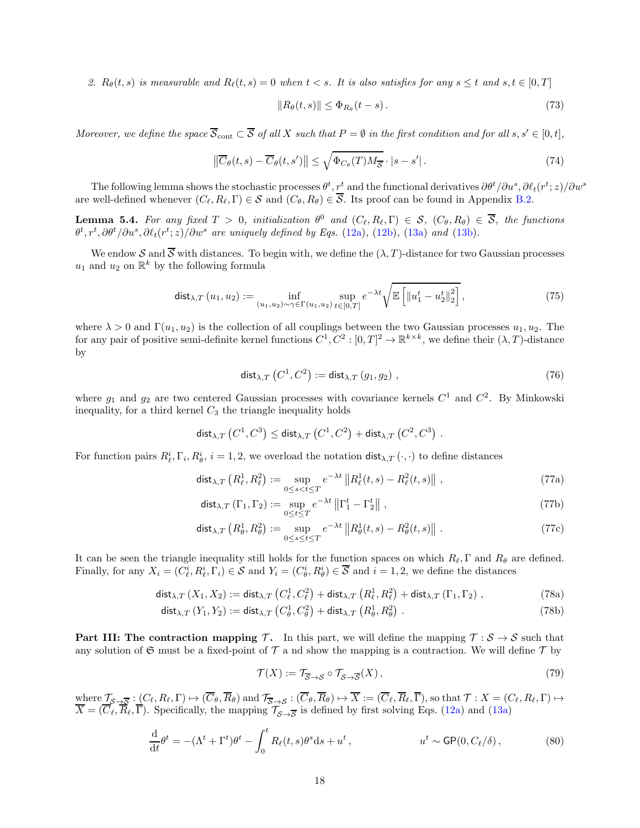2.  $R_{\theta}(t,s)$  is measurable and  $R_{\ell}(t,s) = 0$  when  $t < s$ . It is also satisfies for any  $s \leq t$  and  $s, t \in [0,T]$ 

<span id="page-17-4"></span>
$$
||R_{\theta}(t,s)|| \leq \Phi_{R_{\theta}}(t-s). \tag{73}
$$

Moreover, we define the space  $\overline{S}_{\text{cont}} \subset \overline{S}$  of all X such that  $P = \emptyset$  in the first condition and for all  $s, s' \in [0, t]$ ,

$$
\left\| \overline{C}_{\theta}(t,s) - \overline{C}_{\theta}(t,s') \right\| \leq \sqrt{\Phi_{C_{\theta}}(T)M_{\overline{S}}} \cdot |s - s'|.
$$
\n(74)

The following lemma shows the stochastic processes  $\theta^t, r^t$  and the functional derivatives  $\partial \theta^t/\partial u^s, \partial \ell_t(r^t; z)/\partial w^s$ are well-defined whenever  $(C_{\ell}, R_{\ell}, \Gamma) \in S$  and  $(C_{\theta}, R_{\theta}) \in \overline{S}$ . Its proof can be found in Appendix [B.2.](#page-33-0)

<span id="page-17-0"></span>**Lemma 5.4.** For any fixed  $T > 0$ , initialization  $\theta^0$  and  $(C_{\ell}, R_{\ell}, \Gamma) \in S$ ,  $(C_{\theta}, R_{\theta}) \in \overline{S}$ , the functions  $\theta^t, r^t, \partial \theta^t / \partial u^s, \partial \ell_t(r^t; z) / \partial w^s$  are uniquely defined by Eqs. [\(12a\)](#page-6-5), [\(12b\)](#page-6-9), [\(13a\)](#page-6-7) and [\(13b\)](#page-6-8).

We endow S and  $\overline{S}$  with distances. To begin with, we define the  $(\lambda, T)$ -distance for two Gaussian processes  $u_1$  and  $u_2$  on  $\mathbb{R}^k$  by the following formula

$$
\text{dist}_{\lambda,T}(u_1, u_2) := \inf_{(u_1, u_2) \sim \gamma \in \Gamma(u_1, u_2)} \sup_{t \in [0,T]} e^{-\lambda t} \sqrt{\mathbb{E}\left[ \|u_1^t - u_2^t\|_2^2 \right]},
$$
\n(75)

where  $\lambda > 0$  and  $\Gamma(u_1, u_2)$  is the collection of all couplings between the two Gaussian processes  $u_1, u_2$ . The for any pair of positive semi-definite kernel functions  $C^1, C^2 : [0, T]^2 \to \mathbb{R}^{k \times k}$ , we define their  $(\lambda, T)$ -distance by

<span id="page-17-2"></span>
$$
\operatorname{dist}_{\lambda,T}\left(C^1, C^2\right) := \operatorname{dist}_{\lambda,T}\left(g_1, g_2\right),\tag{76}
$$

where  $g_1$  and  $g_2$  are two centered Gaussian processes with covariance kernels  $C^1$  and  $C^2$ . By Minkowski inequality, for a third kernel  $C_3$  the triangle inequality holds

$$
\mathsf{dist}_{\lambda,T}\left(C^1,C^3\right) \leq \mathsf{dist}_{\lambda,T}\left(C^1,C^2\right) + \mathsf{dist}_{\lambda,T}\left(C^2,C^3\right) \,.
$$

For function pairs  $R_{\ell}^i, \Gamma_i, R_{\theta}^i, i = 1, 2$ , we overload the notation  $dist_{\lambda,T}(\cdot, \cdot)$  to define distances

$$
\operatorname{dist}_{\lambda,T}\left(R_{\ell}^{1}, R_{\ell}^{2}\right) := \sup_{0 \le s < t \le T} e^{-\lambda t} \left\|R_{\ell}^{1}(t, s) - R_{\ell}^{2}(t, s)\right\|,\tag{77a}
$$

$$
\operatorname{dist}_{\lambda,T} \left( \Gamma_1, \Gamma_2 \right) := \sup_{0 \le t \le T} e^{-\lambda t} \left\| \Gamma_1^t - \Gamma_2^t \right\| \,, \tag{77b}
$$

$$
\operatorname{dist}_{\lambda,T}\left(R_{\theta}^1, R_{\theta}^2\right) := \sup_{0 \le s \le t \le T} e^{-\lambda t} \|R_{\theta}^1(t,s) - R_{\theta}^2(t,s)\|.
$$
 (77c)

It can be seen the triangle inequality still holds for the function spaces on which  $R_{\ell}$ , Γ and  $R_{\theta}$  are defined. Finally, for any  $X_i = (C_{\ell}^i, R_{\ell}^i, \Gamma_i) \in S$  and  $Y_i = (C_{\theta}^i, R_{\theta}^i) \in \overline{S}$  and  $i = 1, 2$ , we define the distances

$$
\mathsf{dist}_{\lambda,T}\left(X_1, X_2\right) := \mathsf{dist}_{\lambda,T}\left(C^1_{\ell}, C^2_{\ell}\right) + \mathsf{dist}_{\lambda,T}\left(R^1_{\ell}, R^2_{\ell}\right) + \mathsf{dist}_{\lambda,T}\left(\Gamma_1, \Gamma_2\right),\tag{78a}
$$

$$
\mathsf{dist}_{\lambda,T}(Y_1, Y_2) := \mathsf{dist}_{\lambda,T}\left(C_\theta^1, C_\theta^2\right) + \mathsf{dist}_{\lambda,T}\left(R_\theta^1, R_\theta^2\right). \tag{78b}
$$

**Part III: The contraction mapping T.** In this part, we will define the mapping  $T : S \to S$  such that any solution of  $\mathfrak S$  must be a fixed-point of  $\mathcal T$  a nd show the mapping is a contraction. We will define  $\mathcal T$  by

<span id="page-17-5"></span><span id="page-17-3"></span><span id="page-17-1"></span>
$$
\mathcal{T}(X) := \mathcal{T}_{\overline{\mathcal{S}} \to \mathcal{S}} \circ \mathcal{T}_{\mathcal{S} \to \overline{\mathcal{S}}}(X),\tag{79}
$$

where  $\mathcal{T}_{\mathcal{S}\to\overline{\mathcal{S}}}: (C_{\ell}, R_{\ell}, \Gamma) \mapsto (C_{\theta}, R_{\theta})$  and  $\mathcal{T}_{\overline{\mathcal{S}}\to\mathcal{S}}: (C_{\theta}, R_{\theta}) \mapsto X := (C_{\ell}, R_{\ell}, \Gamma)$ , so that  $\mathcal{T}: X = (C_{\ell}, R_{\ell}, \Gamma) \mapsto \overline{\mathcal{T}}$  $X = (C_{\ell}, R_{\ell}, \Gamma)$ . Specifically, the mapping  $\mathcal{T}_{S \to \overline{S}}$  is defined by first solving Eqs. [\(12a\)](#page-6-5) and [\(13a\)](#page-6-7)

$$
\frac{\mathrm{d}}{\mathrm{d}t}\theta^t = -(\Lambda^t + \Gamma^t)\theta^t - \int_0^t R_\ell(t,s)\theta^s \mathrm{d}s + u^t, \qquad u^t \sim \mathsf{GP}(0, C_\ell/\delta), \qquad (80)
$$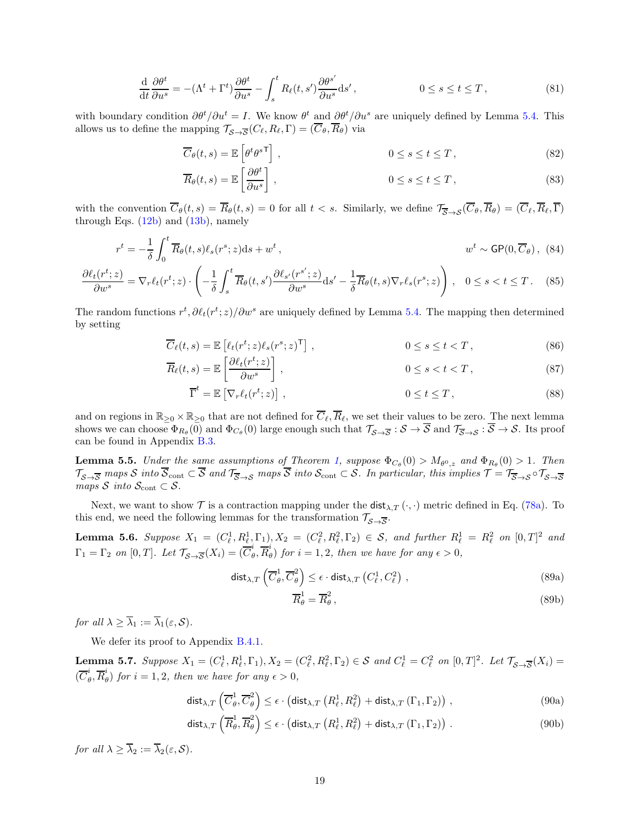$$
\frac{\mathrm{d}}{\mathrm{d}t}\frac{\partial\theta^t}{\partial u^s} = -(\Lambda^t + \Gamma^t)\frac{\partial\theta^t}{\partial u^s} - \int_s^t R_\ell(t, s')\frac{\partial\theta^{s'}}{\partial u^s}ds', \qquad 0 \le s \le t \le T,
$$
\n(81)

with boundary condition  $\partial \theta^t / \partial u^t = I$ . We know  $\theta^t$  and  $\partial \theta^t / \partial u^s$  are uniquely defined by Lemma [5.4.](#page-17-0) This allows us to define the mapping  $\mathcal{T}_{\mathcal{S}\to\overline{\mathcal{S}}}(C_{\ell},R_{\ell},\Gamma)=(C_{\theta},R_{\theta})$  via

<span id="page-18-3"></span>
$$
\overline{C}_{\theta}(t,s) = \mathbb{E}\left[\theta^t \theta^{s\mathsf{T}}\right], \qquad 0 \le s \le t \le T,
$$
\n(82)

$$
\overline{R}_{\theta}(t,s) = \mathbb{E}\left[\frac{\partial \theta^t}{\partial u^s}\right], \qquad 0 \le s \le t \le T,
$$
\n(83)

with the convention  $\overline{C}_{\theta}(t,s) = \overline{R}_{\theta}(t,s) = 0$  for all  $t < s$ . Similarly, we define  $\mathcal{T}_{\overline{S}\rightarrow S}(\overline{C}_{\theta}, \overline{R}_{\theta}) = (\overline{C}_{\ell}, \overline{R}_{\ell}, \overline{\Gamma})$ through Eqs.  $(12b)$  and  $(13b)$ , namely

$$
r^{t} = -\frac{1}{\delta} \int_{0}^{t} \overline{R}_{\theta}(t, s) \ell_{s}(r^{s}; z) ds + w^{t}, \qquad w^{t} \sim \mathsf{GP}(0, \overline{C}_{\theta}), \tag{84}
$$

$$
\frac{\partial \ell_t(r^t; z)}{\partial w^s} = \nabla_r \ell_t(r^t; z) \cdot \left( -\frac{1}{\delta} \int_s^t \overline{R}_\theta(t, s') \frac{\partial \ell_{s'}(r^{s'}; z)}{\partial w^s} ds' - \frac{1}{\delta} \overline{R}_\theta(t, s) \nabla_r \ell_s(r^s; z) \right), \quad 0 \le s < t \le T. \tag{85}
$$

The random functions  $r^t, \partial \ell_t(r^t; z)/\partial w^s$  are uniquely defined by Lemma [5.4.](#page-17-0) The mapping then determined by setting

$$
\overline{C}_{\ell}(t,s) = \mathbb{E}\left[\ell_t(r^t; z)\ell_s(r^s; z)^{\mathsf{T}}\right],\tag{86}
$$

$$
\overline{R}_{\ell}(t,s) = \mathbb{E}\left[\frac{\partial \ell_t(r^t; z)}{\partial w^s}\right], \qquad 0 \le s < t < T,
$$
\n(87)

$$
\overline{\Gamma}^t = \mathbb{E}\left[\nabla_r \ell_t(r^t; z)\right],\tag{88}
$$

and on regions in  $\mathbb{R}_{\geq 0} \times \mathbb{R}_{\geq 0}$  that are not defined for  $\overline{C}_{\ell}, \overline{R}_{\ell}$ , we set their values to be zero. The next lemma shows we can choose  $\Phi_{R_{\theta}}(0)$  and  $\Phi_{C_{\theta}}(0)$  large enough such that  $\mathcal{T}_{\mathcal{S}\to\mathcal{S}}:\mathcal{S}\to\mathcal{S}$  and  $\mathcal{T}_{\overline{\mathcal{S}}\to\mathcal{S}}:\mathcal{S}\to\mathcal{S}$ . Its proof can be found in Appendix [B.3.](#page-34-0)

<span id="page-18-0"></span>**Lemma 5.5.** Under the same assumptions of Theorem [1,](#page-7-0) suppose  $\Phi_{C_{\theta}}(0) > M_{\theta^0, z}$  and  $\Phi_{R_{\theta}}(0) > 1$ . Then  $\mathcal{T}_{\mathcal{S}\rightarrow\overline{\mathcal{S}}}$  maps  $\mathcal{S}$  into  $\mathcal{S}_{\text{cont}} \subset \mathcal{S}$  and  $\mathcal{T}_{\overline{\mathcal{S}}\rightarrow\mathcal{S}}$  maps  $\mathcal{S}$  into  $\mathcal{S}_{\text{cont}} \subset \mathcal{S}$ . In particular, this implies  $\mathcal{T} = \mathcal{T}_{\overline{\mathcal{S}}\rightarrow\mathcal{S}} \circ \mathcal{T}_{\mathcal{S}\rightarrow\overline{\mathcal{S}}}$ maps S into  $S_{\text{cont}} \subset S$ .

Next, we want to show  $\mathcal T$  is a contraction mapping under the dist<sub> $\lambda, T(\cdot, \cdot)$ </sub> metric defined in Eq. [\(78a\)](#page-17-1). To this end, we need the following lemmas for the transformation  $\mathcal{T}_{\mathcal{S}\rightarrow\overline{\mathcal{S}}}.$ 

<span id="page-18-1"></span>**Lemma 5.6.** Suppose  $X_1 = (C_{\ell}^1, R_{\ell}^1, \Gamma_1), X_2 = (C_{\ell}^2, R_{\ell}^2, \Gamma_2) \in S$ , and further  $R_{\ell}^1 = R_{\ell}^2$  on  $[0, T]^2$  and  $\Gamma_1 = \Gamma_2$  on  $[0, T]$ . Let  $\mathcal{T}_{\mathcal{S}\rightarrow\overline{\mathcal{S}}}(X_i) = (\overline{C}_\theta^i)$  $_{\theta }^{i},\overline{R}_{\theta }^{i}$  $\int_{\theta}^{\infty}$  for  $i = 1, 2$ , then we have for any  $\epsilon > 0$ ,

$$
\mathsf{dist}_{\lambda,T}\left(\overline{C}_{\theta}^{1},\overline{C}_{\theta}^{2}\right) \leq \epsilon \cdot \mathsf{dist}_{\lambda,T}\left(C_{\ell}^{1},C_{\ell}^{2}\right),\tag{89a}
$$

$$
\overline{R}_{\theta}^{1} = \overline{R}_{\theta}^{2},\tag{89b}
$$

for all  $\lambda > \overline{\lambda}_1 := \overline{\lambda}_1(\varepsilon, \mathcal{S}).$ 

We defer its proof to Appendix [B.4.1.](#page-38-1)

<span id="page-18-2"></span>**Lemma 5.7.** Suppose  $X_1 = (C_\ell^1, R_\ell^1, \Gamma_1), X_2 = (C_\ell^2, R_\ell^2, \Gamma_2) \in \mathcal{S}$  and  $C_\ell^1 = C_\ell^2$  on  $[0, T]^2$ . Let  $\mathcal{T}_{\mathcal{S} \to \overline{\mathcal{S}}}(X_i) =$  $(\overline{C}^i_\ell$  $_{\theta }^{i},\overline{R}_{\theta }^{i}$  $\int_{\theta}^{\infty}$  for  $i = 1, 2$ , then we have for any  $\epsilon > 0$ ,

$$
\mathsf{dist}_{\lambda,T}\left(\overline{C}_{\theta}^{1},\overline{C}_{\theta}^{2}\right) \leq \epsilon \cdot \left(\mathsf{dist}_{\lambda,T}\left(R_{\ell}^{1},R_{\ell}^{2}\right) + \mathsf{dist}_{\lambda,T}\left(\Gamma_{1},\Gamma_{2}\right)\right) ,\tag{90a}
$$

$$
\mathsf{dist}_{\lambda,T}\left(\overline{R}^1_{\theta},\overline{R}^2_{\theta}\right) \leq \epsilon \cdot \left(\mathsf{dist}_{\lambda,T}\left(R^1_{\ell},R^2_{\ell}\right) + \mathsf{dist}_{\lambda,T}\left(\Gamma_1,\Gamma_2\right)\right). \tag{90b}
$$

for all  $\lambda > \overline{\lambda}_2 := \overline{\lambda}_2(\varepsilon, \mathcal{S}).$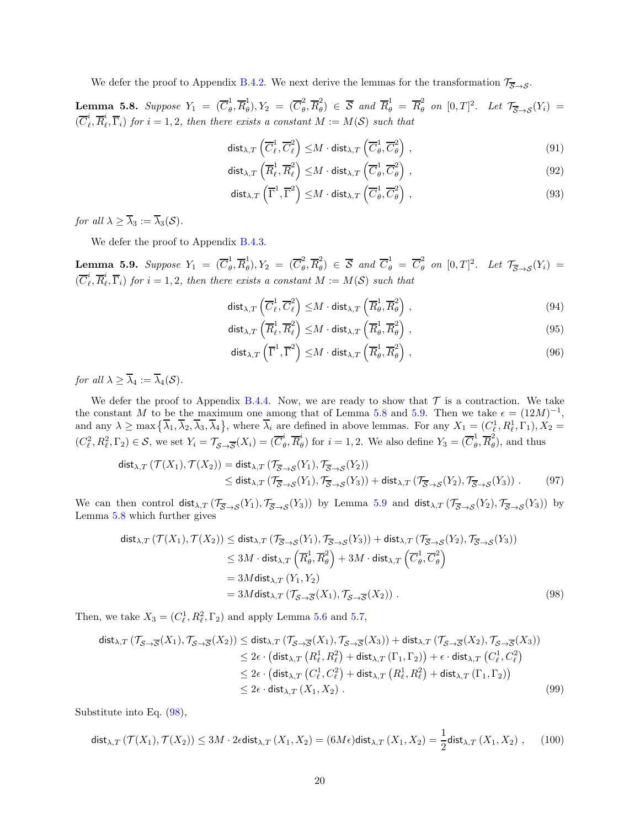We defer the proof to Appendix [B.4.2.](#page-40-0) We next derive the lemmas for the transformation  $\mathcal{T}_{\overline{S}\rightarrow S}$ .

<span id="page-19-0"></span> ${\bf Lemma}$  5.8.  $Suppose$   $Y_1$  =  $(\overline{C}^{1}_{\theta}$  $_{\theta }^{1},\overline{R}_{\theta }^{1}$  $\overline{C}_{\theta}^{1}), Y_2 = (\overline{C}_{\theta}^{2})$  $_{\theta }^{2},\overline{R}_{\theta }^{2}$  $\overline{B}_{\theta}^2$   $\in$   $\overline{S}$  and  $\overline{R}_{\theta}^1$  =  $\overline{R}_{\theta}^2$  on  $[0, T]^2$ . Let  $\mathcal{T}_{\overline{S}\rightarrow S}(Y_i)$  =  $(\overline{C}^i_\ell$  $_{\ell}^{i},\overline{R}_{\ell}^{i}$  $\mathcal{L}_{\ell}, \Gamma_i)$  for  $i = 1, 2$ , then there exists a constant  $M := M(S)$  such that

$$
\operatorname{dist}_{\lambda, T} \left( \overline{C}_{\ell}^1, \overline{C}_{\ell}^2 \right) \leq M \cdot \operatorname{dist}_{\lambda, T} \left( \overline{C}_{\theta}^1, \overline{C}_{\theta}^2 \right) , \tag{91}
$$

$$
\operatorname{dist}_{\lambda, T}\left(\overline{R}_{\ell}^{1}, \overline{R}_{\ell}^{2}\right) \leq M \cdot \operatorname{dist}_{\lambda, T}\left(\overline{C}_{\theta}^{1}, \overline{C}_{\theta}^{2}\right),\tag{92}
$$

$$
\mathsf{dist}_{\lambda,T}\left(\overline{\Gamma}^1,\overline{\Gamma}^2\right) \leq M \cdot \mathsf{dist}_{\lambda,T}\left(\overline{C}^1_{\theta},\overline{C}^2_{\theta}\right),\tag{93}
$$

for all  $\lambda > \overline{\lambda}_3 := \overline{\lambda}_3(\mathcal{S})$ .

We defer the proof to Appendix [B.4.3.](#page-43-0)

<span id="page-19-1"></span> ${\bf Lemma}$  5.9.  $Suppose$   $Y_1$  =  $(\overline{C}^{1}_{\theta}$  $_{\theta}^1, \overline{R}_{\theta}^1$  $\overline{C}_{\theta}^{1}), Y_2 = (\overline{C}_{\theta}^{2})$  $_{\theta }^{2},\overline{R}_{\theta }^{2}$  $\overline{B}_{\theta}^{2}$   $\in \overline{S}$  and  $\overline{C}_{\theta}^{1} = \overline{C}_{\theta}^{2}$  on  $[0, T]^{2}$ . Let  $\mathcal{T}_{\overline{S}\rightarrow S}(Y_{i}) =$  $(\overline{C}^i_\ell$  $_{\ell}^{i},\overline{R}_{\ell}^{i}$  $\binom{1}{\ell}, \Gamma_i$  for  $i = 1, 2$ , then there exists a constant  $M := M(S)$  such that

$$
\mathsf{dist}_{\lambda,T}\left(\overline{C}_{\ell}^1, \overline{C}_{\ell}^2\right) \leq M \cdot \mathsf{dist}_{\lambda,T}\left(\overline{R}_{\theta}^1, \overline{R}_{\theta}^2\right),\tag{94}
$$

$$
\mathsf{dist}_{\lambda,T}\left(\overline{R}_{\ell}^1,\overline{R}_{\ell}^2\right) \leq M \cdot \mathsf{dist}_{\lambda,T}\left(\overline{R}_{\theta}^1,\overline{R}_{\theta}^2\right),\tag{95}
$$

<span id="page-19-2"></span>
$$
\mathsf{dist}_{\lambda,T}\left(\overline{\Gamma}^1,\overline{\Gamma}^2\right) \leq M \cdot \mathsf{dist}_{\lambda,T}\left(\overline{R}^1_\theta,\overline{R}^2_\theta\right) ,\tag{96}
$$

for all  $\lambda \geq \overline{\lambda}_4 := \overline{\lambda}_4(\mathcal{S})$ .

We defer the proof to Appendix [B.4.4.](#page-47-0) Now, we are ready to show that  $\mathcal T$  is a contraction. We take the constant M to be the maximum one among that of Lemma [5.8](#page-19-0) and [5.9.](#page-19-1) Then we take  $\epsilon = (12M)^{-1}$ , and any  $\lambda \ge \max\left\{ \overline{\lambda}_1, \overline{\lambda}_2, \overline{\lambda}_3, \overline{\lambda}_4 \right\}$ , where  $\overline{\lambda}_i$  are defined in above lemmas. For any  $X_1 = (C_{\ell}^1, R_{\ell}^1, \Gamma_1), X_2 =$  $(C_{\ell}^2, R_{\ell}^2, \Gamma_2) \in S$ , we set  $Y_i = \mathcal{T}_{\mathcal{S} \to \overline{\mathcal{S}}}(X_i) = (\overline{C}_{\ell}^i)$  $_{\theta }^{i},\overline{R}_{\theta }^{i}$  $\stackrel{i}{\theta}$ ) for  $i = 1, 2$ . We also define  $Y_3 = (\overline{C}_{\theta}^1)$  $\frac{1}{\theta}, \overline{R}_{\theta}^2$  $\tilde{\theta}$ ), and thus

$$
\begin{split} \mathsf{dist}_{\lambda,T} \left( \mathcal{T}(X_1), \mathcal{T}(X_2) \right) &= \mathsf{dist}_{\lambda,T} \left( \mathcal{T}_{\overline{\mathcal{S}} \to \mathcal{S}}(Y_1), \mathcal{T}_{\overline{\mathcal{S}} \to \mathcal{S}}(Y_2) \right) \\ &\leq \mathsf{dist}_{\lambda,T} \left( \mathcal{T}_{\overline{\mathcal{S}} \to \mathcal{S}}(Y_1), \mathcal{T}_{\overline{\mathcal{S}} \to \mathcal{S}}(Y_3) \right) + \mathsf{dist}_{\lambda,T} \left( \mathcal{T}_{\overline{\mathcal{S}} \to \mathcal{S}}(Y_2), \mathcal{T}_{\overline{\mathcal{S}} \to \mathcal{S}}(Y_3) \right). \end{split} \tag{97}
$$

We can then control  $dist_{\lambda,T} (\mathcal{T}_{\overline{S} \to S}(Y_1), \mathcal{T}_{\overline{S} \to S}(Y_3))$  by Lemma [5.9](#page-19-1) and  $dist_{\lambda,T} (\mathcal{T}_{\overline{S} \to S}(Y_2), \mathcal{T}_{\overline{S} \to S}(Y_3))$  by Lemma [5.8](#page-19-0) which further gives

$$
\begin{split}\n\text{dist}_{\lambda, T} \left( \mathcal{T}(X_1), \mathcal{T}(X_2) \right) &\leq \text{dist}_{\lambda, T} \left( \mathcal{T}_{\overline{S} \to S}(Y_1), \mathcal{T}_{\overline{S} \to S}(Y_3) \right) + \text{dist}_{\lambda, T} \left( \mathcal{T}_{\overline{S} \to S}(Y_2), \mathcal{T}_{\overline{S} \to S}(Y_3) \right) \\
&\leq 3M \cdot \text{dist}_{\lambda, T} \left( \overline{R}_{\theta}^1, \overline{R}_{\theta}^2 \right) + 3M \cdot \text{dist}_{\lambda, T} \left( \overline{C}_{\theta}^1, \overline{C}_{\theta}^2 \right) \\
&= 3M \text{dist}_{\lambda, T} \left( Y_1, Y_2 \right) \\
&= 3M \text{dist}_{\lambda, T} \left( \mathcal{T}_{S \to \overline{S}}(X_1), \mathcal{T}_{S \to \overline{S}}(X_2) \right) .\n\end{split} \tag{98}
$$

Then, we take  $X_3 = (C_{\ell}^1, R_{\ell}^2, \Gamma_2)$  and apply Lemma [5.6](#page-18-1) and [5.7,](#page-18-2)

$$
\begin{split} \text{dist}_{\lambda, T} \left( \mathcal{T}_{\mathcal{S} \to \overline{\mathcal{S}}}(X_1), \mathcal{T}_{\mathcal{S} \to \overline{\mathcal{S}}}(X_2) \right) &\leq \text{dist}_{\lambda, T} \left( \mathcal{T}_{\mathcal{S} \to \overline{\mathcal{S}}}(X_1), \mathcal{T}_{\mathcal{S} \to \overline{\mathcal{S}}}(X_3) \right) + \text{dist}_{\lambda, T} \left( \mathcal{T}_{\mathcal{S} \to \overline{\mathcal{S}}}(X_2), \mathcal{T}_{\mathcal{S} \to \overline{\mathcal{S}}}(X_3) \right) \\ &\leq 2\epsilon \cdot \left( \text{dist}_{\lambda, T} \left( R^1_\ell, R^2_\ell \right) + \text{dist}_{\lambda, T} \left( \Gamma_1, \Gamma_2 \right) \right) + \epsilon \cdot \text{dist}_{\lambda, T} \left( C^1_\ell, C^2_\ell \right) \\ &\leq 2\epsilon \cdot \left( \text{dist}_{\lambda, T} \left( C^1_\ell, C^2_\ell \right) + \text{dist}_{\lambda, T} \left( R^1_\ell, R^2_\ell \right) + \text{dist}_{\lambda, T} \left( \Gamma_1, \Gamma_2 \right) \right) \\ &\leq 2\epsilon \cdot \text{dist}_{\lambda, T} \left( X_1, X_2 \right) \,. \end{split} \tag{99}
$$

Substitute into Eq. [\(98\)](#page-19-2),

$$
\mathsf{dist}_{\lambda,T}\left(\mathcal{T}(X_1),\mathcal{T}(X_2)\right) \le 3M \cdot 2\epsilon \mathsf{dist}_{\lambda,T}\left(X_1,X_2\right) = (6M\epsilon)\mathsf{dist}_{\lambda,T}\left(X_1,X_2\right) = \frac{1}{2}\mathsf{dist}_{\lambda,T}\left(X_1,X_2\right) \,,\tag{100}
$$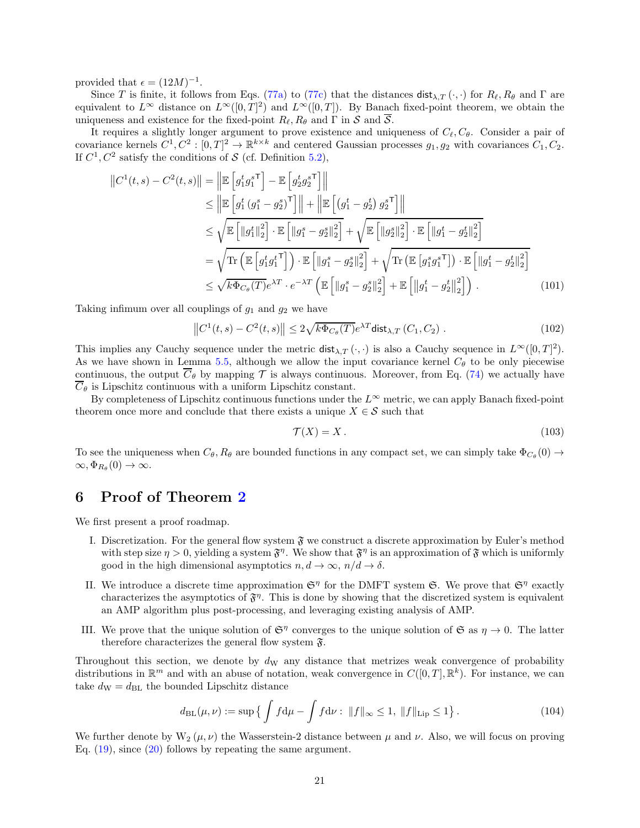provided that  $\epsilon = (12M)^{-1}$ .

Since T is finite, it follows from Eqs. [\(77a\)](#page-17-2) to [\(77c\)](#page-17-3) that the distances  $dist_{\lambda,T}(\cdot,\cdot)$  for  $R_{\ell},R_{\theta}$  and  $\Gamma$  are equivalent to  $L^{\infty}$  distance on  $L^{\infty}([0,T]^2)$  and  $L^{\infty}([0,T])$ . By Banach fixed-point theorem, we obtain the uniqueness and existence for the fixed-point  $R_{\ell}, R_{\theta}$  and  $\Gamma$  in  $\mathcal S$  and  $\overline{\mathcal S}$ .

It requires a slightly longer argument to prove existence and uniqueness of  $C_{\ell}, C_{\theta}$ . Consider a pair of covariance kernels  $C^1, C^2 : [0, T]^2 \to \mathbb{R}^{k \times k}$  and centered Gaussian processes  $g_1, g_2$  with covariances  $C_1, C_2$ . If  $C^1$ ,  $C^2$  satisfy the conditions of  $S$  (cf. Definition [5.2\)](#page-15-3),

$$
||C^{1}(t,s) - C^{2}(t,s)|| = ||\mathbb{E}\left[g_{1}^{t}g_{1}^{s\top}\right] - \mathbb{E}\left[g_{2}^{t}g_{2}^{s\top}\right]||
$$
  
\n
$$
\leq ||\mathbb{E}\left[g_{1}^{t}(g_{1}^{s} - g_{2}^{s})^{\top}\right]|| + ||\mathbb{E}\left[(g_{1}^{t} - g_{2}^{t})g_{2}^{s\top}\right]||
$$
  
\n
$$
\leq \sqrt{\mathbb{E}\left[||g_{1}^{t}||_{2}^{2}\right] \cdot \mathbb{E}\left[||g_{1}^{s} - g_{2}^{s}||_{2}^{2}\right]} + \sqrt{\mathbb{E}\left[||g_{2}^{s}||_{2}^{2}\right] \cdot \mathbb{E}\left[||g_{1}^{t} - g_{2}^{t}||_{2}^{2}\right]}
$$
  
\n
$$
= \sqrt{\text{Tr}\left(\mathbb{E}\left[g_{1}^{t}g_{1}^{t\top}\right]\right) \cdot \mathbb{E}\left[||g_{1}^{s} - g_{2}^{s}||_{2}^{2}\right]} + \sqrt{\text{Tr}\left(\mathbb{E}\left[g_{1}^{s}g_{1}^{s\top}\right]\right) \cdot \mathbb{E}\left[||g_{1}^{t} - g_{2}^{t}||_{2}^{2}\right]}
$$
  
\n
$$
\leq \sqrt{k \Phi_{C_{\theta}}(T)}e^{\lambda T} \cdot e^{-\lambda T}\left(\mathbb{E}\left[||g_{1}^{s} - g_{2}^{s}||_{2}^{2}\right] + \mathbb{E}\left[||g_{1}^{t} - g_{2}^{t}||_{2}^{2}\right]\right).
$$
 (101)

Taking infimum over all couplings of  $g_1$  and  $g_2$  we have

$$
||C^{1}(t,s) - C^{2}(t,s)|| \le 2\sqrt{k\Phi_{C_{\theta}}(T)}e^{\lambda T} \text{dist}_{\lambda,T}(C_{1}, C_{2}). \qquad (102)
$$

This implies any Cauchy sequence under the metric  $dist_{\lambda,T}(\cdot,\cdot)$  is also a Cauchy sequence in  $L^{\infty}([0,T]^2)$ . As we have shown in Lemma [5.5,](#page-18-0) although we allow the input covariance kernel  $C_{\theta}$  to be only piecewise continuous, the output  $\overline{C}_{\theta}$  by mapping T is always continuous. Moreover, from Eq. [\(74\)](#page-17-4) we actually have  $\overline{C}_{\theta}$  is Lipschitz continuous with a uniform Lipschitz constant.

By completeness of Lipschitz continuous functions under the  $L^{\infty}$  metric, we can apply Banach fixed-point theorem once more and conclude that there exists a unique  $X \in \mathcal{S}$  such that

$$
\mathcal{T}(X) = X \,. \tag{103}
$$

To see the uniqueness when  $C_{\theta}$ ,  $R_{\theta}$  are bounded functions in any compact set, we can simply take  $\Phi_{C_{\theta}}(0) \to$  $\infty, \Phi_{R_{\theta}}(0) \to \infty.$ 

# <span id="page-20-0"></span>6 Proof of Theorem [2](#page-7-1)

We first present a proof roadmap.

- I. Discretization. For the general flow system  $\mathfrak{F}$  we construct a discrete approximation by Euler's method with step size  $\eta > 0$ , yielding a system  $\mathfrak{F}^{\eta}$ . We show that  $\mathfrak{F}^{\eta}$  is an approximation of  $\mathfrak{F}$  which is uniformly good in the high dimensional asymptotics  $n, d \to \infty$ ,  $n/d \to \delta$ .
- II. We introduce a discrete time approximation  $\mathfrak{S}^{\eta}$  for the DMFT system  $\mathfrak{S}$ . We prove that  $\mathfrak{S}^{\eta}$  exactly characterizes the asymptotics of  $\mathfrak{F}^{\eta}$ . This is done by showing that the discretized system is equivalent an AMP algorithm plus post-processing, and leveraging existing analysis of AMP.
- III. We prove that the unique solution of  $\mathfrak{S}^{\eta}$  converges to the unique solution of  $\mathfrak{S}$  as  $\eta \to 0$ . The latter therefore characterizes the general flow system  $\mathfrak{F}$ .

Throughout this section, we denote by  $d<sub>W</sub>$  any distance that metrizes weak convergence of probability distributions in  $\mathbb{R}^m$  and with an abuse of notation, weak convergence in  $C([0,T], \mathbb{R}^k)$ . For instance, we can take  $d_{\mathrm{W}} = d_{\mathrm{BL}}$  the bounded Lipschitz distance

$$
d_{\rm BL}(\mu,\nu) := \sup \left\{ \int f d\mu - \int f d\nu : \|f\|_{\infty} \le 1, \|f\|_{\rm Lip} \le 1 \right\}.
$$
 (104)

We further denote by  $W_2(\mu, \nu)$  the Wasserstein-2 distance between  $\mu$  and  $\nu$ . Also, we will focus on proving Eq.  $(19)$ , since  $(20)$  follows by repeating the same argument.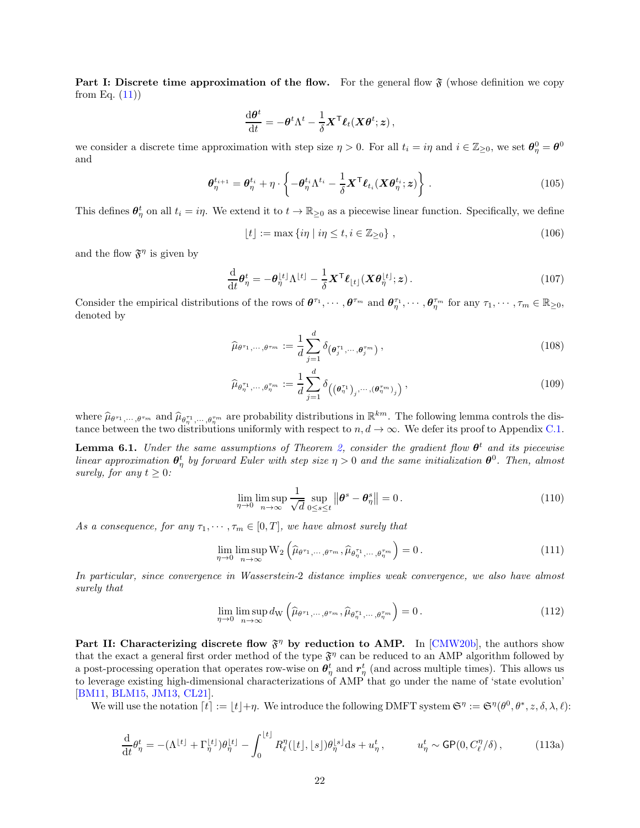**Part I: Discrete time approximation of the flow.** For the general flow  $\mathfrak{F}$  (whose definition we copy from Eq.  $(11)$ )

$$
\frac{\mathrm{d}\boldsymbol{\theta}^t}{\mathrm{d}t} = -\boldsymbol{\theta}^t \Lambda^t - \frac{1}{\delta} \boldsymbol{X}^\mathsf{T} \boldsymbol{\ell}_t(\boldsymbol{X} \boldsymbol{\theta}^t; \boldsymbol{z})\,,
$$

we consider a discrete time approximation with step size  $\eta > 0$ . For all  $t_i = i\eta$  and  $i \in \mathbb{Z}_{\geq 0}$ , we set  $\theta_{\eta}^0 = \theta^0$ and

$$
\boldsymbol{\theta}_{\eta}^{t_{i+1}} = \boldsymbol{\theta}_{\eta}^{t_i} + \eta \cdot \left\{ -\boldsymbol{\theta}_{\eta}^{t_i} \Lambda^{t_i} - \frac{1}{\delta} \boldsymbol{X}^{\mathsf{T}} \boldsymbol{\ell}_{t_i} (\boldsymbol{X} \boldsymbol{\theta}_{\eta}^{t_i}; \boldsymbol{z}) \right\}.
$$
 (105)

This defines  $\theta_{\eta}^{t}$  on all  $t_i = i\eta$ . We extend it to  $t \to \mathbb{R}_{\geq 0}$  as a piecewise linear function. Specifically, we define

$$
\lfloor t \rfloor := \max \{ i\eta \mid i\eta \le t, i \in \mathbb{Z}_{\ge 0} \}, \qquad (106)
$$

and the flow  $\mathfrak{F}^{\eta}$  is given by

$$
\frac{\mathrm{d}}{\mathrm{d}t}\boldsymbol{\theta}_{\eta}^{t} = -\boldsymbol{\theta}_{\eta}^{\lfloor t \rfloor} \Lambda^{\lfloor t \rfloor} - \frac{1}{\delta} \mathbf{X}^{\mathsf{T}} \boldsymbol{\ell}_{\lfloor t \rfloor} (\mathbf{X} \boldsymbol{\theta}_{\eta}^{\lfloor t \rfloor}; \boldsymbol{z}). \tag{107}
$$

Consider the empirical distributions of the rows of  $\theta^{\tau_1}, \dots, \theta^{\tau_m}$  and  $\theta^{\tau_1}_\eta, \dots, \theta^{\tau_m}_\eta$  for any  $\tau_1, \dots, \tau_m \in \mathbb{R}_{\geq 0}$ , denoted by

<span id="page-21-1"></span>
$$
\widehat{\mu}_{\theta^{\tau_1}, \cdots, \theta^{\tau_m}} := \frac{1}{d} \sum_{j=1}^d \delta_{\left(\boldsymbol{\theta}_j^{\tau_1}, \cdots, \boldsymbol{\theta}_j^{\tau_m}\right)},
$$
\n(108)

$$
\widehat{\mu}_{\theta_{\eta}^{\tau_1},\cdots,\theta_{\eta}^{\tau_m}} := \frac{1}{d} \sum_{j=1}^d \delta_{\left(\left(\theta_{\eta}^{\tau_1}\right)_j,\cdots,\left(\theta_{\eta}^{\tau_m}\right)_j\right)},\tag{109}
$$

where  $\hat{\mu}_{\theta^{\tau_1},\dots,\theta^{\tau_m}}$  and  $\hat{\mu}_{\theta^{\tau_1},\dots,\theta^{\tau_m}}$  are probability distributions in  $\mathbb{R}^{km}$ . The following lemma controls the distance between the two distributions uniformly with respect to  $n, d \to \infty$ . We defer its proof to Appendix [C.1.](#page-51-1)

<span id="page-21-0"></span>**Lemma 6.1.** Under the same assumptions of Theorem [2,](#page-7-1) consider the gradient flow  $\theta^t$  and its piecewise linear approximation  $\theta^t_\eta$  by forward Euler with step size  $\eta > 0$  and the same initialization  $\theta^0$ . Then, almost surely, for any  $t \geq 0$ :

$$
\lim_{\eta \to 0} \limsup_{n \to \infty} \frac{1}{\sqrt{d}} \sup_{0 \le s \le t} ||\boldsymbol{\theta}^s - \boldsymbol{\theta}^s_{\eta}|| = 0.
$$
\n(110)

As a consequence, for any  $\tau_1, \dots, \tau_m \in [0, T]$ , we have almost surely that

$$
\lim_{\eta \to 0} \limsup_{n \to \infty} \mathcal{W}_2 \left( \widehat{\mu}_{\theta^{\tau_1}, \cdots, \theta^{\tau_m}}, \widehat{\mu}_{\theta_{\eta}^{\tau_1}, \cdots, \theta_{\eta}^{\tau_m}} \right) = 0. \tag{111}
$$

In particular, since convergence in Wasserstein-2 distance implies weak convergence, we also have almost surely that

$$
\lim_{\eta \to 0} \limsup_{n \to \infty} d_{\mathcal{W}} \left( \widehat{\mu}_{\theta^{\tau_1}, \cdots, \theta^{\tau_m}}, \widehat{\mu}_{\theta_{\eta}^{\tau_1}, \cdots, \theta_{\eta}^{\tau_m}} \right) = 0.
$$
\n(112)

Part II: Characterizing discrete flow  $\mathfrak{F}^{\eta}$  by reduction to AMP. In [\[CMW20b\]](#page-25-2), the authors show that the exact a general first order method of the type  $\mathfrak{F}^{\eta}$  can be reduced to an AMP algorithm followed by a post-processing operation that operates row-wise on  $\theta^t_\eta$  and  $r^t_\eta$  (and across multiple times). This allows us to leverage existing high-dimensional characterizations of AMP that go under the name of 'state evolution' [\[BM11,](#page-24-9) [BLM15,](#page-24-12) [JM13,](#page-25-10) [CL21\]](#page-25-11).

We will use the notation  $\lceil t \rceil := \lfloor t \rfloor + \eta$ . We introduce the following DMFT system  $\mathfrak{S}^{\eta} := \mathfrak{S}^{\eta}(\theta^0, \theta^*, z, \delta, \lambda, \ell)$ :

$$
\frac{\mathrm{d}}{\mathrm{d}t}\theta_{\eta}^{t} = -(\Lambda^{\lfloor t \rfloor} + \Gamma_{\eta}^{\lfloor t \rfloor})\theta_{\eta}^{\lfloor t \rfloor} - \int_{0}^{\lfloor t \rfloor} R_{\ell}^{\eta}(\lfloor t \rfloor, \lfloor s \rfloor)\theta_{\eta}^{\lfloor s \rfloor} \mathrm{d}s + u_{\eta}^{t}, \qquad u_{\eta}^{t} \sim \mathsf{GP}(0, C_{\ell}^{\eta}/\delta), \tag{113a}
$$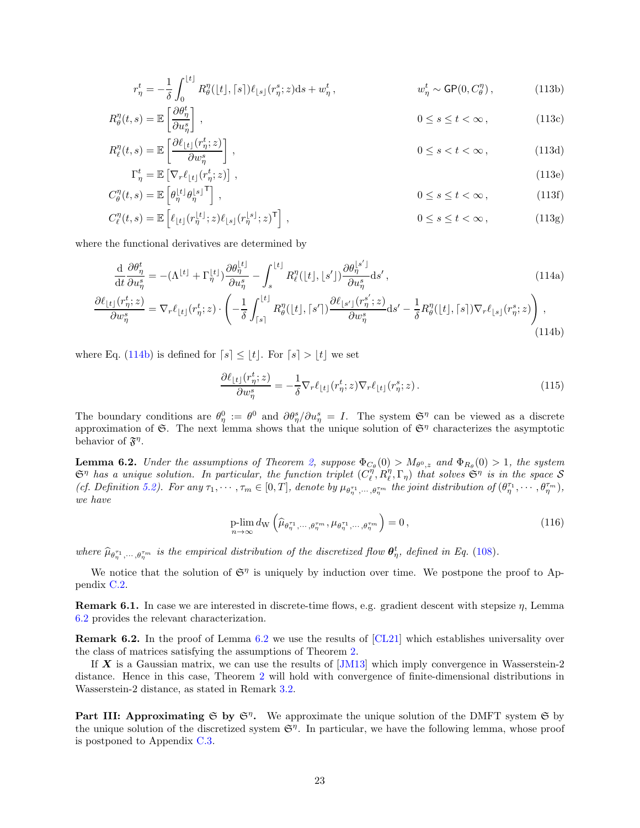$$
r_{\eta}^t = -\frac{1}{\delta} \int_0^{\lfloor t \rfloor} R_{\theta}^{\eta}(\lfloor t \rfloor, \lceil s \rceil) \ell_{\lfloor s \rfloor}(r_{\eta}^s; z) \mathrm{d} s + w_{\eta}^t, \qquad w_{\eta}^t \sim \mathsf{GP}(0, C_{\theta}^{\eta}), \qquad (113b)
$$

$$
R_{\theta}^{\eta}(t,s) = \mathbb{E}\left[\frac{\partial \theta_{\eta}^{t}}{\partial u_{\eta}^{s}}\right], \qquad 0 \le s \le t < \infty, \qquad (113c)
$$

$$
R_{\ell}^{\eta}(t,s) = \mathbb{E}\left[\frac{\partial \ell_{\lfloor t\rfloor}(r_{\eta}^t; z)}{\partial w_{\eta}^s}\right],\tag{113d}
$$

$$
\Gamma_{\eta}^{t} = \mathbb{E}\left[\nabla_{r}\ell_{\lfloor t \rfloor}(r_{\eta}^{t}; z)\right],\tag{113e}
$$
\n
$$
C^{\eta}(t, s) = \mathbb{E}\left[a|t|a|s|^{\mathsf{T}}\right]
$$
\n
$$
0 \leq s \leq t \leq 20
$$
\n
$$
(113f)
$$

$$
C_{\theta}^{\eta}(t,s) = \mathbb{E}\left[\theta_{\eta}^{\lfloor t \rfloor} \theta_{\eta}^{\lfloor s \rfloor^{-1}}\right], \qquad 0 \le s \le t < \infty, \qquad (113f)
$$

$$
C_{\ell}^{\eta}(t,s) = \mathbb{E}\left[\ell_{\lfloor t\rfloor}(r_{\eta}^{\lfloor t\rfloor};z)\ell_{\lfloor s\rfloor}(r_{\eta}^{\lfloor s\rfloor};z)^{\mathsf{T}}\right],\tag{113g}
$$

where the functional derivatives are determined by

$$
\frac{\mathrm{d}}{\mathrm{d}t}\frac{\partial\theta_{\eta}^{t}}{\partial u_{\eta}^{s}} = -(\Lambda^{\lfloor t \rfloor} + \Gamma_{\eta}^{\lfloor t \rfloor})\frac{\partial\theta_{\eta}^{\lfloor t \rfloor}}{\partial u_{\eta}^{s}} - \int_{s}^{\lfloor t \rfloor} R_{\ell}^{\eta}(\lfloor t \rfloor, \lfloor s' \rfloor) \frac{\partial\theta_{\eta}^{\lfloor s' \rfloor}}{\partial u_{\eta}^{s}} \mathrm{d}s',\tag{114a}
$$

$$
\frac{\partial \ell_{\lfloor t\rfloor}(r_{\eta}^{t};z)}{\partial w_{\eta}^{s}} = \nabla_{r}\ell_{\lfloor t\rfloor}(r_{\eta}^{t};z) \cdot \left(-\frac{1}{\delta} \int_{\lceil s\rceil}^{\lfloor t\rfloor} R_{\theta}^{\eta}(\lfloor t\rfloor, \lceil s'\rceil) \frac{\partial \ell_{\lfloor s'\rfloor}(r_{\eta}^{s'};z)}{\partial w_{\eta}^{s}} ds' - \frac{1}{\delta} R_{\theta}^{\eta}(\lfloor t\rfloor, \lceil s\rceil) \nabla_{r}\ell_{\lfloor s\rfloor}(r_{\eta}^{s};z)\right),\tag{114b}
$$

where Eq. [\(114b\)](#page-22-1) is defined for  $[s] \leq \lfloor t \rfloor$ . For  $[s] > \lfloor t \rfloor$  we set

<span id="page-22-1"></span>
$$
\frac{\partial \ell_{\lfloor t \rfloor}(r_{\eta}^t; z)}{\partial w_{\eta}^s} = -\frac{1}{\delta} \nabla_r \ell_{\lfloor t \rfloor}(r_{\eta}^t; z) \nabla_r \ell_{\lfloor t \rfloor}(r_{\eta}^s; z). \tag{115}
$$

The boundary conditions are  $\theta_{\eta}^0 := \theta^0$  and  $\partial \theta_{\eta}^s / \partial u_{\eta}^s = I$ . The system  $\mathfrak{S}^{\eta}$  can be viewed as a discrete approximation of  $\mathfrak{S}$ . The next lemma shows that the unique solution of  $\mathfrak{S}^{\eta}$  characterizes the asymptotic behavior of  $\mathfrak{F}^{\eta}$ .

<span id="page-22-0"></span>**Lemma 6.2.** Under the assumptions of Theorem [2,](#page-7-1) suppose  $\Phi_{C_{\theta}}(0) > M_{\theta^0, z}$  and  $\Phi_{R_{\theta}}(0) > 1$ , the system  $\mathfrak{S}^{\eta}$  has a unique solution. In particular, the function triplet  $(C_{\ell}^{\eta}, R_{\ell}^{\eta}, \Gamma_{\eta})$  that solves  $\mathfrak{S}^{\eta}$  is in the space  $S$ (cf. Definition [5.2\)](#page-15-3). For any  $\tau_1, \dots, \tau_m \in [0, T]$ , denote by  $\mu_{\theta_{\eta}^{\tau_1}, \dots, \theta_{\eta}^{\tau_m}}$  the joint distribution of  $(\theta_{\eta}^{\tau_1}, \dots, \theta_{\eta}^{\tau_m})$ , we have

$$
\underset{n \to \infty}{\text{plim}} \, d_{\mathcal{W}} \left( \widehat{\mu}_{\theta_{\eta}^{\tau_1}, \dots, \theta_{\eta}^{\tau_m}}, \mu_{\theta_{\eta}^{\tau_1}, \dots, \theta_{\eta}^{\tau_m}} \right) = 0 \,, \tag{116}
$$

where  $\widehat{\mu}_{\theta_{\eta}}^{\tau_1}, \dots, \theta_{\eta}^{\tau_m}$  is the empirical distribution of the discretized flow  $\theta_{\eta}^t$ , defined in Eq. [\(108\)](#page-21-1).

We notice that the solution of  $\mathfrak{S}^{\eta}$  is uniquely by induction over time. We postpone the proof to Appendix [C.2.](#page-54-0)

Remark 6.1. In case we are interested in discrete-time flows, e.g. gradient descent with stepsize η, Lemma [6.2](#page-22-0) provides the relevant characterization.

Remark 6.2. In the proof of Lemma [6.2](#page-22-0) we use the results of [\[CL21\]](#page-25-11) which establishes universality over the class of matrices satisfying the assumptions of Theorem [2.](#page-7-1)

If  $X$  is a Gaussian matrix, we can use the results of  $|JM13|$  which imply convergence in Wasserstein-2 distance. Hence in this case, Theorem [2](#page-7-1) will hold with convergence of finite-dimensional distributions in Wasserstein-2 distance, as stated in Remark [3.2.](#page-7-5)

Part III: Approximating  $\mathfrak{S}$  by  $\mathfrak{S}^{\eta}$ . We approximate the unique solution of the DMFT system  $\mathfrak{S}$  by the unique solution of the discretized system  $\mathfrak{S}^{\eta}$ . In particular, we have the following lemma, whose proof is postponed to Appendix [C.3.](#page-56-0)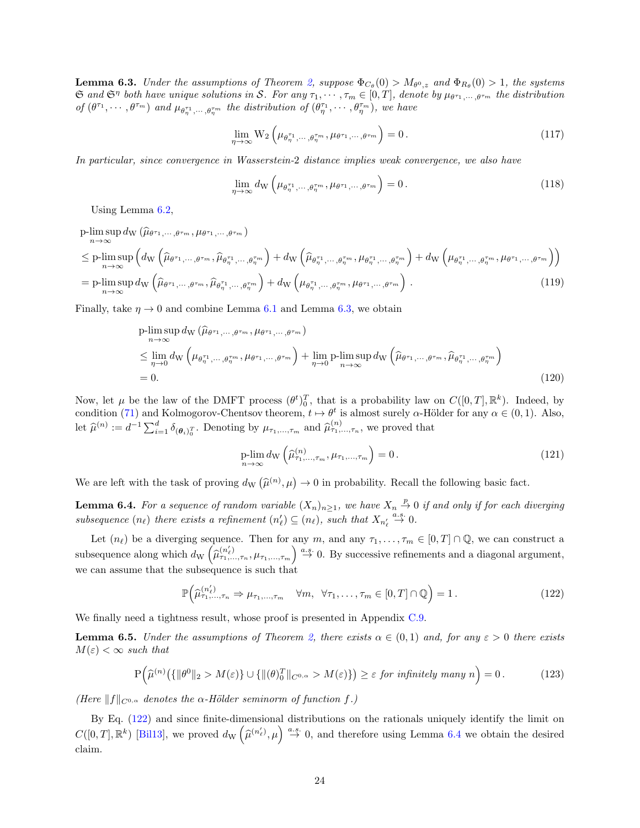<span id="page-23-0"></span>**Lemma 6.3.** Under the assumptions of Theorem [2,](#page-7-1) suppose  $\Phi_{C_{\theta}}(0) > M_{\theta^0, z}$  and  $\Phi_{R_{\theta}}(0) > 1$ , the systems  $\mathfrak{S}$  and  $\mathfrak{S}^{\eta}$  both have unique solutions in S. For any  $\tau_1, \cdots, \tau_m \in [0, T]$ , denote by  $\mu_{\theta^{\tau_1}, \cdots, \theta^{\tau_m}}$  the distribution of  $(\theta^{\tau_1},\dots,\theta^{\tau_m})$  and  $\mu_{\theta^{\tau_1}_\eta,\dots,\theta^{\tau_m}_\eta}$  the distribution of  $(\theta^{\tau_1}_\eta,\dots,\theta^{\tau_m}_\eta)$ , we have

$$
\lim_{\eta \to \infty} \mathcal{W}_2 \left( \mu_{\theta_{\eta}^{\tau_1}, \dots, \theta_{\eta}^{\tau_m}}, \mu_{\theta^{\tau_1}, \dots, \theta^{\tau_m}} \right) = 0. \tag{117}
$$

In particular, since convergence in Wasserstein-2 distance implies weak convergence, we also have

$$
\lim_{\eta \to \infty} d_{\mathcal{W}}\left(\mu_{\theta_{\eta}^{\tau_1}, \cdots, \theta_{\eta}^{\tau_m}}, \mu_{\theta^{\tau_1}, \cdots, \theta^{\tau_m}}\right) = 0.
$$
\n(118)

Using Lemma [6.2,](#page-22-0)

$$
\begin{split}\n&\text{p-lim}\sup_{n\to\infty} d_{\mathrm{W}}\left(\widehat{\mu}_{\theta^{\tau_{1}},\cdots,\theta^{\tau_{m}}},\mu_{\theta^{\tau_{1}},\cdots,\theta^{\tau_{m}}}\right) \\
&\leq \text{p-lim}\sup_{n\to\infty} \left( d_{\mathrm{W}}\left(\widehat{\mu}_{\theta^{\tau_{1}},\cdots,\theta^{\tau_{m}}},\widehat{\mu}_{\theta^{\tau_{1}}_{\eta}},\cdots,\theta^{\tau_{m}}_{\eta}\right) + d_{\mathrm{W}}\left(\widehat{\mu}_{\theta^{\tau_{1}}_{\eta}},\cdots,\theta^{\tau_{m}}_{\eta},\mu_{\theta^{\tau_{1}}_{\eta}},\cdots,\theta^{\tau_{m}}_{\eta}\right) + d_{\mathrm{W}}\left(\mu_{\theta^{\tau_{1}}_{\eta}},\cdots,\theta^{\tau_{m}}_{\eta},\mu_{\theta^{\tau_{1}}},\cdots,\theta^{\tau_{m}}_{\eta},\mu_{\theta^{\tau_{1}}},\cdots,\theta^{\tau_{m}}_{\eta}\right)\n\end{split}
$$
\n
$$
= \text{p-lim}\sup_{n\to\infty} d_{\mathrm{W}}\left(\widehat{\mu}_{\theta^{\tau_{1}},\cdots,\theta^{\tau_{m}}},\widehat{\mu}_{\theta^{\tau_{1}}_{\eta}},\cdots,\widehat{\mu}^{\tau_{m}}_{\eta}\right) + d_{\mathrm{W}}\left(\mu_{\theta^{\tau_{1}}_{\eta}},\cdots,\widehat{\mu}^{\tau_{m}}_{\eta},\mu_{\theta^{\tau_{1}}},\cdots,\theta^{\tau_{m}}\right). \tag{119}
$$

Finally, take  $\eta \to 0$  and combine Lemma [6.1](#page-21-0) and Lemma [6.3,](#page-23-0) we obtain

$$
\begin{split}\n\text{p-lim sup } & d_{\mathcal{W}}\left(\widehat{\mu}_{\theta^{\tau_{1}},\dots,\theta^{\tau_{m}}},\mu_{\theta^{\tau_{1}},\dots,\theta^{\tau_{m}}}\right) \\
&\leq \lim_{\eta \to 0} d_{\mathcal{W}}\left(\mu_{\theta_{\eta}^{\tau_{1}},\dots,\theta_{\eta}^{\tau_{m}}},\mu_{\theta^{\tau_{1}},\dots,\theta^{\tau_{m}}}\right) + \lim_{\eta \to 0} \text{p-lim sup } d_{\mathcal{W}}\left(\widehat{\mu}_{\theta^{\tau_{1}},\dots,\theta^{\tau_{m}}},\widehat{\mu}_{\theta_{\eta}^{\tau_{1}},\dots,\theta_{\eta}^{\tau_{m}}}\right) \\
&= 0.\n\end{split} \tag{120}
$$

Now, let  $\mu$  be the law of the DMFT process  $(\theta^t)_0^T$ , that is a probability law on  $C([0,T],\mathbb{R}^k)$ . Indeed, by condition [\(71\)](#page-16-0) and Kolmogorov-Chentsov theorem,  $t \mapsto \theta^t$  is almost surely  $\alpha$ -Hölder for any  $\alpha \in (0, 1)$ . Also, let  $\hat{\mu}^{(n)} := d^{-1} \sum_{i=1}^d \delta_{(\theta_i)_0^T}$ . Denoting by  $\mu_{\tau_1,\dots,\tau_m}$  and  $\hat{\mu}^{(n)}_{\tau_1,\dots,\tau_n}$ , we proved that

<span id="page-23-2"></span>
$$
\underset{n \to \infty}{\text{plim}} d_{\mathcal{W}}\left(\widehat{\mu}_{\tau_1,\ldots,\tau_m}^{(n)}, \mu_{\tau_1,\ldots,\tau_m}\right) = 0. \tag{121}
$$

We are left with the task of proving  $d_{\rm W}(\hat{\mu}^{(n)},\mu) \to 0$  in probability. Recall the following basic fact.

<span id="page-23-3"></span>**Lemma 6.4.** For a sequence of random variable  $(X_n)_{n\geq 1}$ , we have  $X_n \overset{p}{\rightarrow} 0$  if and only if for each diverging subsequence  $(n_\ell)$  there exists a refinement  $(n'_\ell) \subseteq (n_\ell)$ , such that  $X_{n'_\ell} \stackrel{a.s.}{\rightarrow} 0$ .

Let  $(n_\ell)$  be a diverging sequence. Then for any m, and any  $\tau_1, \ldots, \tau_m \in [0, T] \cap \mathbb{Q}$ , we can construct a subsequence along which  $d_{\rm W}(\hat{\mu}_{\tau_1,\ldots,\tau_n}^{(n'_{\ell})},\mu_{\tau_1,\ldots,\tau_m}) \stackrel{a.s.}{\rightarrow} 0$ . By successive refinements and a diagonal argument, we can assume that the subsequence is such that

$$
\mathbb{P}\left(\widehat{\mu}_{\tau_1,\ldots,\tau_n}^{(n_\ell')}\Rightarrow\mu_{\tau_1,\ldots,\tau_m}\quad\forall m,\ \forall\tau_1,\ldots,\tau_m\in[0,T]\cap\mathbb{Q}\right)=1.
$$
\n(122)

We finally need a tightness result, whose proof is presented in Appendix [C.9.](#page-75-0)

<span id="page-23-1"></span>**Lemma 6.5.** Under the assumptions of Theorem [2,](#page-7-1) there exists  $\alpha \in (0,1)$  and, for any  $\varepsilon > 0$  there exists  $M(\varepsilon) < \infty$  such that

$$
\mathbf{P}\Big(\widehat{\mu}^{(n)}\big(\{\|\theta^0\|_2 > M(\varepsilon)\} \cup \{\|(\theta)^T_0\|_{C^{0,\alpha}} > M(\varepsilon)\}\big) \geq \varepsilon \text{ for infinitely many } n\Big) = 0. \tag{123}
$$

(Here  $||f||_{C^{0,\alpha}}$  denotes the  $\alpha$ -Hölder seminorm of function f.)

By Eq. [\(122\)](#page-23-2) and since finite-dimensional distributions on the rationals uniquely identify the limit on  $C([0,T],\mathbb{R}^k)$  [\[Bil13\]](#page-24-13), we proved  $d_{\rm W}(\hat{\mu}^{(n'_\ell)},\mu) \stackrel{a.s.}{\rightarrow} 0$ , and therefore using Lemma [6.4](#page-23-3) we obtain the desired claim.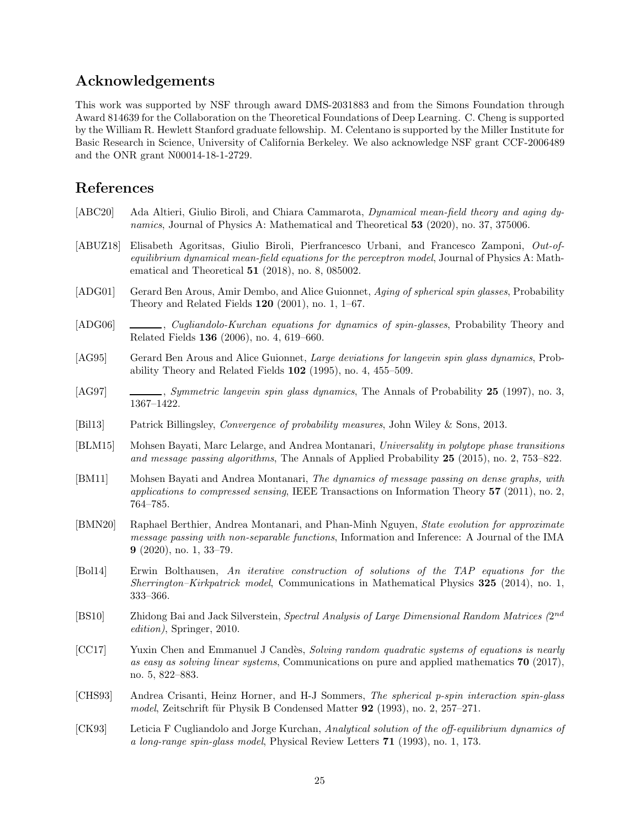# Acknowledgements

This work was supported by NSF through award DMS-2031883 and from the Simons Foundation through Award 814639 for the Collaboration on the Theoretical Foundations of Deep Learning. C. Cheng is supported by the William R. Hewlett Stanford graduate fellowship. M. Celentano is supported by the Miller Institute for Basic Research in Science, University of California Berkeley. We also acknowledge NSF grant CCF-2006489 and the ONR grant N00014-18-1-2729.

# References

- <span id="page-24-7"></span>[ABC20] Ada Altieri, Giulio Biroli, and Chiara Cammarota, Dynamical mean-field theory and aging dynamics, Journal of Physics A: Mathematical and Theoretical 53 (2020), no. 37, 375006.
- <span id="page-24-8"></span>[ABUZ18] Elisabeth Agoritsas, Giulio Biroli, Pierfrancesco Urbani, and Francesco Zamponi, Out-ofequilibrium dynamical mean-field equations for the perceptron model, Journal of Physics A: Mathematical and Theoretical 51 (2018), no. 8, 085002.
- <span id="page-24-5"></span>[ADG01] Gerard Ben Arous, Amir Dembo, and Alice Guionnet, Aging of spherical spin glasses, Probability Theory and Related Fields 120 (2001), no. 1, 1–67.
- <span id="page-24-6"></span>[ADG06] , Cugliandolo-Kurchan equations for dynamics of spin-glasses, Probability Theory and Related Fields 136 (2006), no. 4, 619–660.
- <span id="page-24-3"></span>[AG95] Gerard Ben Arous and Alice Guionnet, *Large deviations for langevin spin glass dynamics*, Probability Theory and Related Fields 102 (1995), no. 4, 455–509.
- <span id="page-24-4"></span>[AG97] , Symmetric langevin spin glass dynamics, The Annals of Probability 25 (1997), no. 3, 1367–1422.
- <span id="page-24-13"></span>[Bil13] Patrick Billingsley, Convergence of probability measures, John Wiley & Sons, 2013.
- <span id="page-24-12"></span>[BLM15] Mohsen Bayati, Marc Lelarge, and Andrea Montanari, Universality in polytope phase transitions and message passing algorithms, The Annals of Applied Probability 25 (2015), no. 2, 753–822.
- <span id="page-24-9"></span>[BM11] Mohsen Bayati and Andrea Montanari, The dynamics of message passing on dense graphs, with applications to compressed sensing, IEEE Transactions on Information Theory  $57$  (2011), no. 2, 764–785.
- <span id="page-24-10"></span>[BMN20] Raphael Berthier, Andrea Montanari, and Phan-Minh Nguyen, State evolution for approximate message passing with non-separable functions, Information and Inference: A Journal of the IMA 9 (2020), no. 1, 33–79.
- <span id="page-24-11"></span>[Bol14] Erwin Bolthausen, An iterative construction of solutions of the TAP equations for the Sherrington–Kirkpatrick model, Communications in Mathematical Physics 325 (2014), no. 1, 333–366.
- [BS10] Zhidong Bai and Jack Silverstein, Spectral Analysis of Large Dimensional Random Matrices (2nd) edition), Springer, 2010.
- <span id="page-24-0"></span>[CC17] Yuxin Chen and Emmanuel J Candès, Solving random quadratic systems of equations is nearly as easy as solving linear systems, Communications on pure and applied mathematics  $70$  (2017), no. 5, 822–883.
- <span id="page-24-1"></span>[CHS93] Andrea Crisanti, Heinz Horner, and H-J Sommers, The spherical p-spin interaction spin-glass model, Zeitschrift für Physik B Condensed Matter  $92$  (1993), no. 2, 257–271.
- <span id="page-24-2"></span>[CK93] Leticia F Cugliandolo and Jorge Kurchan, Analytical solution of the off-equilibrium dynamics of a long-range spin-glass model, Physical Review Letters 71 (1993), no. 1, 173.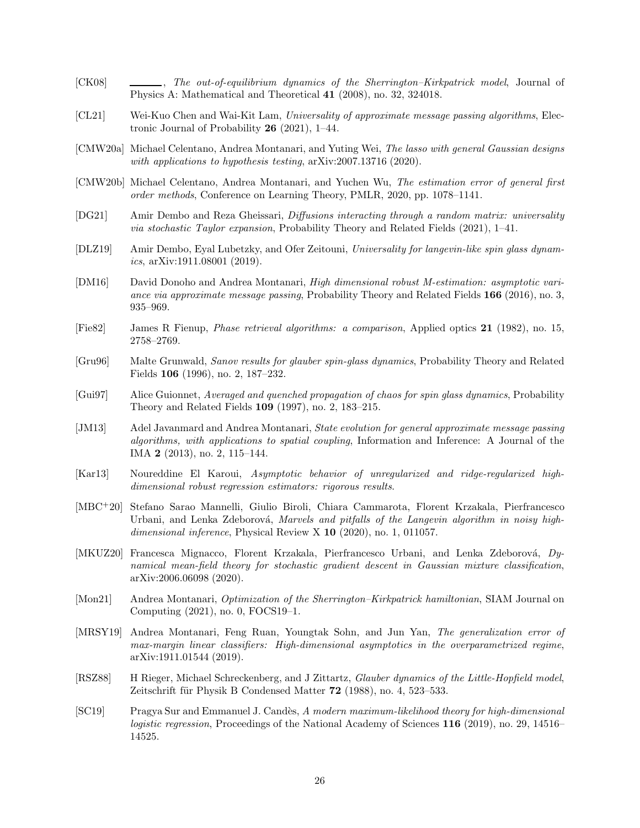- <span id="page-25-3"></span>[CK08] , The out-of-equilibrium dynamics of the Sherrington–Kirkpatrick model, Journal of Physics A: Mathematical and Theoretical 41 (2008), no. 32, 324018.
- <span id="page-25-11"></span>[CL21] Wei-Kuo Chen and Wai-Kit Lam, Universality of approximate message passing algorithms, Electronic Journal of Probability 26 (2021), 1–44.
- <span id="page-25-15"></span>[CMW20a] Michael Celentano, Andrea Montanari, and Yuting Wei, The lasso with general Gaussian designs with applications to hypothesis testing, arXiv:2007.13716 (2020).
- <span id="page-25-2"></span>[CMW20b] Michael Celentano, Andrea Montanari, and Yuchen Wu, The estimation error of general first order methods, Conference on Learning Theory, PMLR, 2020, pp. 1078–1141.
- <span id="page-25-8"></span>[DG21] Amir Dembo and Reza Gheissari, Diffusions interacting through a random matrix: universality via stochastic Taylor expansion, Probability Theory and Related Fields (2021), 1–41.
- <span id="page-25-9"></span>[DLZ19] Amir Dembo, Eyal Lubetzky, and Ofer Zeitouni, Universality for langevin-like spin glass dynamics,  $arXiv:1911.08001$  (2019).
- <span id="page-25-13"></span>[DM16] David Donoho and Andrea Montanari, High dimensional robust M-estimation: asymptotic variance via approximate message passing, Probability Theory and Related Fields 166 (2016), no. 3, 935–969.
- <span id="page-25-0"></span>[Fie82] James R Fienup, Phase retrieval algorithms: a comparison, Applied optics 21 (1982), no. 15, 2758–2769.
- <span id="page-25-7"></span>[Gru96] Malte Grunwald, Sanov results for glauber spin-glass dynamics, Probability Theory and Related Fields 106 (1996), no. 2, 187–232.
- <span id="page-25-6"></span>[Gui97] Alice Guionnet, Averaged and quenched propagation of chaos for spin glass dynamics, Probability Theory and Related Fields 109 (1997), no. 2, 183–215.
- <span id="page-25-10"></span>[JM13] Adel Javanmard and Andrea Montanari, State evolution for general approximate message passing algorithms, with applications to spatial coupling, Information and Inference: A Journal of the IMA 2 (2013), no. 2, 115–144.
- <span id="page-25-12"></span>[Kar13] Noureddine El Karoui, Asymptotic behavior of unregularized and ridge-regularized highdimensional robust regression estimators: rigorous results.
- <span id="page-25-4"></span>[MBC<sup>+</sup>20] Stefano Sarao Mannelli, Giulio Biroli, Chiara Cammarota, Florent Krzakala, Pierfrancesco Urbani, and Lenka Zdeborová, Marvels and pitfalls of the Langevin algorithm in noisy highdimensional inference, Physical Review X 10 (2020), no. 1, 011057.
- <span id="page-25-5"></span>[MKUZ20] Francesca Mignacco, Florent Krzakala, Pierfrancesco Urbani, and Lenka Zdeborová, Dynamical mean-field theory for stochastic gradient descent in Gaussian mixture classification, arXiv:2006.06098 (2020).
- [Mon21] Andrea Montanari, Optimization of the Sherrington–Kirkpatrick hamiltonian, SIAM Journal on Computing (2021), no. 0, FOCS19–1.
- <span id="page-25-14"></span>[MRSY19] Andrea Montanari, Feng Ruan, Youngtak Sohn, and Jun Yan, The generalization error of max-margin linear classifiers: High-dimensional asymptotics in the overparametrized regime, arXiv:1911.01544 (2019).
- <span id="page-25-1"></span>[RSZ88] H Rieger, Michael Schreckenberg, and J Zittartz, Glauber dynamics of the Little-Hopfield model, Zeitschrift für Physik B Condensed Matter  $72$  (1988), no. 4, 523–533.
- <span id="page-25-16"></span>[SC19] Pragya Sur and Emmanuel J. Cand`es, A modern maximum-likelihood theory for high-dimensional logistic regression, Proceedings of the National Academy of Sciences 116 (2019), no. 29, 14516– 14525.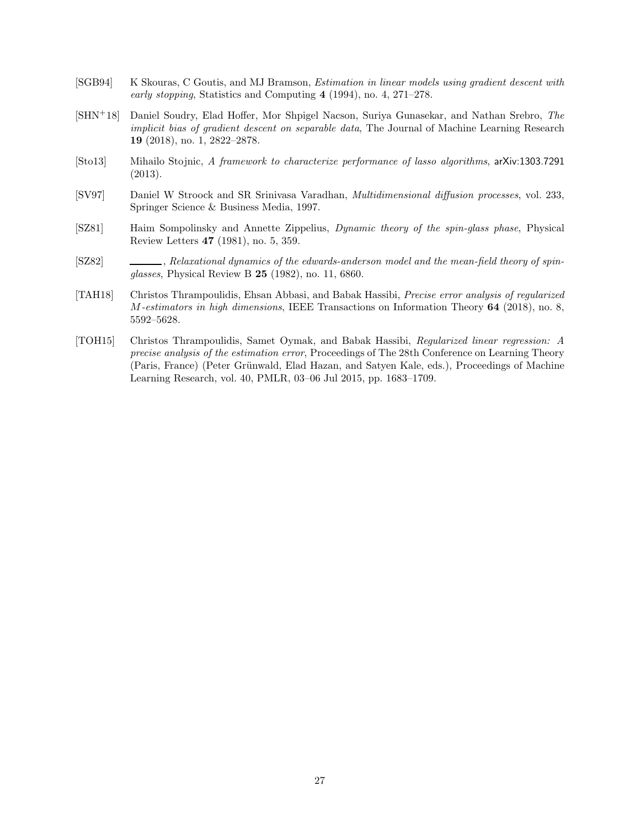- <span id="page-26-0"></span>[SGB94] K Skouras, C Goutis, and MJ Bramson, Estimation in linear models using gradient descent with early stopping, Statistics and Computing 4 (1994), no. 4, 271–278.
- <span id="page-26-1"></span>[SHN+18] Daniel Soudry, Elad Hoffer, Mor Shpigel Nacson, Suriya Gunasekar, and Nathan Srebro, The implicit bias of gradient descent on separable data, The Journal of Machine Learning Research 19 (2018), no. 1, 2822–2878.
- <span id="page-26-5"></span>[Sto13] Mihailo Stojnic, A framework to characterize performance of lasso algorithms, arXiv:1303.7291 (2013).
- <span id="page-26-7"></span>[SV97] Daniel W Stroock and SR Srinivasa Varadhan, Multidimensional diffusion processes, vol. 233, Springer Science & Business Media, 1997.
- <span id="page-26-3"></span>[SZ81] Haim Sompolinsky and Annette Zippelius, Dynamic theory of the spin-glass phase, Physical Review Letters 47 (1981), no. 5, 359.
- <span id="page-26-2"></span>[SZ82] , Relaxational dynamics of the edwards-anderson model and the mean-field theory of spinglasses, Physical Review B 25 (1982), no. 11, 6860.
- <span id="page-26-6"></span>[TAH18] Christos Thrampoulidis, Ehsan Abbasi, and Babak Hassibi, Precise error analysis of regularized M-estimators in high dimensions, IEEE Transactions on Information Theory 64 (2018), no. 8, 5592–5628.
- <span id="page-26-4"></span>[TOH15] Christos Thrampoulidis, Samet Oymak, and Babak Hassibi, Regularized linear regression: A precise analysis of the estimation error, Proceedings of The 28th Conference on Learning Theory (Paris, France) (Peter Grünwald, Elad Hazan, and Satyen Kale, eds.), Proceedings of Machine Learning Research, vol. 40, PMLR, 03–06 Jul 2015, pp. 1683–1709.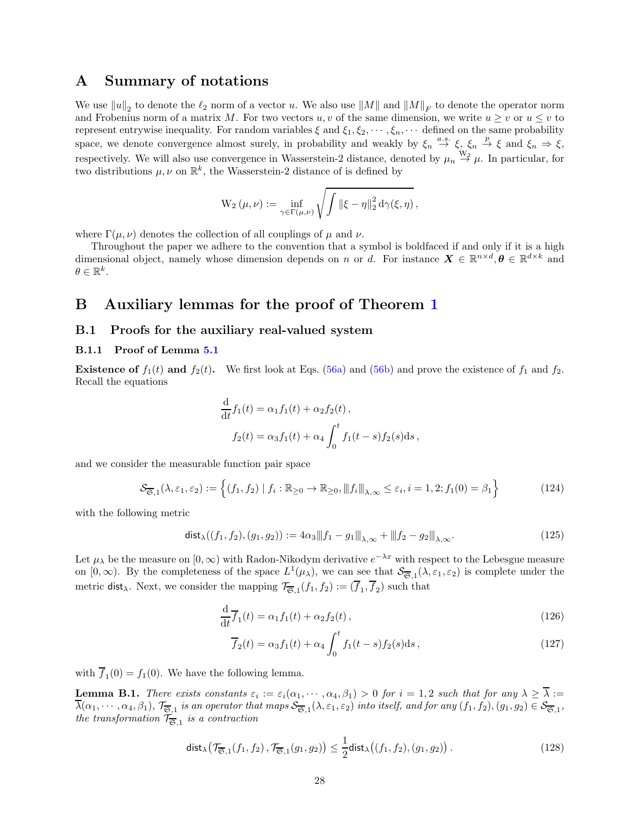# <span id="page-27-0"></span>A Summary of notations

We use  $||u||_2$  to denote the  $\ell_2$  norm of a vector u. We also use  $||M||$  and  $||M||_F$  to denote the operator norm and Frobenius norm of a matrix M. For two vectors  $u, v$  of the same dimension, we write  $u \geq v$  or  $u \leq v$  to represent entrywise inequality. For random variables  $\xi$  and  $\xi_1, \xi_2, \cdots, \xi_n, \cdots$  defined on the same probability space, we denote convergence almost surely, in probability and weakly by  $\xi_n \stackrel{a.s.}{\to} \xi$ ,  $\xi_n \stackrel{p}{\to} \xi$  and  $\xi_n \Rightarrow \xi$ , respectively. We will also use convergence in Wasserstein-2 distance, denoted by  $\mu_n \stackrel{W_2}{\rightarrow} \mu$ . In particular, for two distributions  $\mu, \nu$  on  $\mathbb{R}^k$ , the Wasserstein-2 distance of is defined by

$$
\mathrm{W}_2\left(\mu,\nu\right):=\inf_{\gamma\in\Gamma\left(\mu,\nu\right)}\sqrt{\int\left\|\xi-\eta\right\|_2^2\mathrm{d}\gamma(\xi,\eta)}\,,
$$

where  $\Gamma(\mu, \nu)$  denotes the collection of all couplings of  $\mu$  and  $\nu$ .

Throughout the paper we adhere to the convention that a symbol is boldfaced if and only if it is a high dimensional object, namely whose dimension depends on n or d. For instance  $\mathbf{X} \in \mathbb{R}^{n \times d}, \boldsymbol{\theta} \in \mathbb{R}^{d \times k}$  and  $\theta \in \mathbb{R}^k$ .

## <span id="page-27-1"></span>B Auxiliary lemmas for the proof of Theorem [1](#page-7-0)

### <span id="page-27-3"></span><span id="page-27-2"></span>B.1 Proofs for the auxiliary real-valued system

#### B.1.1 Proof of Lemma [5.1](#page-15-0)

**Existence of**  $f_1(t)$  and  $f_2(t)$ . We first look at Eqs. [\(56a\)](#page-15-1) and [\(56b\)](#page-15-4) and prove the existence of  $f_1$  and  $f_2$ . Recall the equations

$$
\frac{d}{dt}f_1(t) = \alpha_1 f_1(t) + \alpha_2 f_2(t),
$$
  

$$
f_2(t) = \alpha_3 f_1(t) + \alpha_4 \int_0^t f_1(t-s) f_2(s) ds,
$$

and we consider the measurable function pair space

$$
\mathcal{S}_{\overline{\mathfrak{S}},1}(\lambda,\varepsilon_1,\varepsilon_2) := \left\{ (f_1,f_2) \mid f_i : \mathbb{R}_{\geq 0} \to \mathbb{R}_{\geq 0}, \|f_i\|_{\lambda,\infty} \leq \varepsilon_i, i = 1,2; f_1(0) = \beta_1 \right\}
$$
(124)

with the following metric

$$
\text{dist}_{\lambda}((f_1, f_2), (g_1, g_2)) := 4\alpha_3 \|f_1 - g_1\|_{\lambda, \infty} + \|f_2 - g_2\|_{\lambda, \infty}.
$$
\n(125)

Let  $\mu_{\lambda}$  be the measure on  $[0,\infty)$  with Radon-Nikodym derivative  $e^{-\lambda x}$  with respect to the Lebesgue measure on  $[0,\infty)$ . By the completeness of the space  $L^1(\mu_\lambda)$ , we can see that  $\mathcal{S}_{\overline{\mathfrak{S}},1}(\lambda,\varepsilon_1,\varepsilon_2)$  is complete under the metric dist<sub> $\lambda$ </sub>. Next, we consider the mapping  $\mathcal{T}_{\overline{\mathfrak{S}},1}(f_1, f_2) := (\overline{f}_1, \overline{f}_2)$  such that

$$
\frac{\mathrm{d}}{\mathrm{d}t}\overline{f}_1(t) = \alpha_1 f_1(t) + \alpha_2 f_2(t),\tag{126}
$$

<span id="page-27-6"></span><span id="page-27-5"></span>
$$
\overline{f}_2(t) = \alpha_3 f_1(t) + \alpha_4 \int_0^t f_1(t-s) f_2(s) \, \mathrm{d}s \,, \tag{127}
$$

with  $f_1(0) = f_1(0)$ . We have the following lemma.

<span id="page-27-4"></span>**Lemma B.1.** There exists constants  $\varepsilon_i := \varepsilon_i(\alpha_1, \dots, \alpha_4, \beta_1) > 0$  for  $i = 1, 2$  such that for any  $\lambda \geq \lambda :=$  $\lambda(\alpha_1,\cdots,\alpha_4,\beta_1),$   $\mathcal{T}_{\overline{\mathfrak{S}},1}$  is an operator that maps  $\mathcal{S}_{\overline{\mathfrak{S}},1}(\lambda,\varepsilon_1,\varepsilon_2)$  into itself, and for any  $(f_1,f_2),(g_1,g_2)\in\mathcal{S}_{\overline{\mathfrak{S}},1},$ the transformation  $\mathcal{T}_{\mathbf{\overline{S}},1}$  is a contraction

$$
\mathsf{dist}_{\lambda}\big(\mathcal{T}_{\overline{\mathfrak{S}},1}(f_1,f_2),\mathcal{T}_{\overline{\mathfrak{S}},1}(g_1,g_2)\big) \leq \frac{1}{2}\mathsf{dist}_{\lambda}\big((f_1,f_2),(g_1,g_2)\big) \,. \tag{128}
$$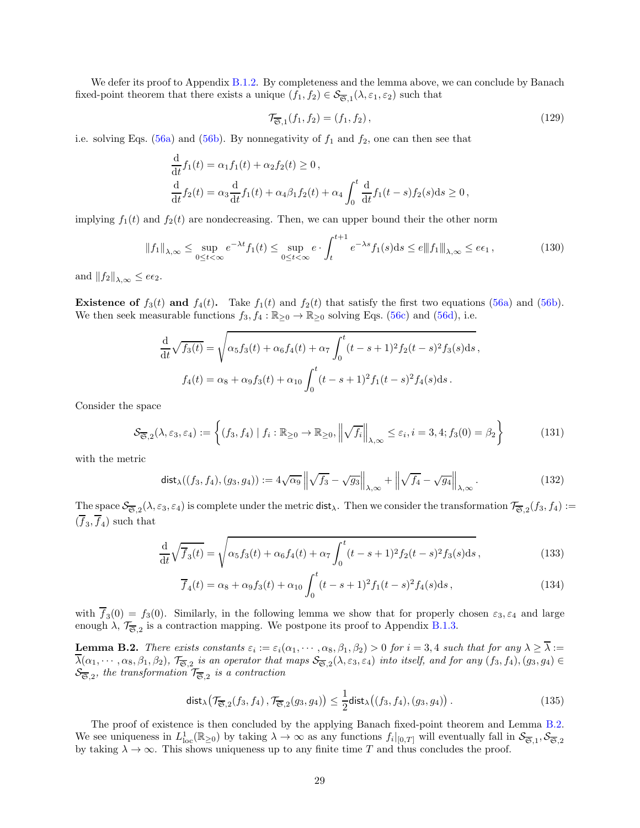We defer its proof to Appendix [B.1.2.](#page-29-0) By completeness and the lemma above, we can conclude by Banach fixed-point theorem that there exists a unique  $(f_1, f_2) \in S_{\overline{\mathfrak{S}},1}(\lambda, \varepsilon_1, \varepsilon_2)$  such that

$$
\mathcal{T}_{\overline{\mathfrak{S}},1}(f_1, f_2) = (f_1, f_2), \qquad (129)
$$

i.e. solving Eqs. [\(56a\)](#page-15-1) and [\(56b\)](#page-15-4). By nonnegativity of  $f_1$  and  $f_2$ , one can then see that

$$
\frac{\mathrm{d}}{\mathrm{d}t}f_1(t) = \alpha_1 f_1(t) + \alpha_2 f_2(t) \ge 0,
$$
\n
$$
\frac{\mathrm{d}}{\mathrm{d}t}f_2(t) = \alpha_3 \frac{\mathrm{d}}{\mathrm{d}t}f_1(t) + \alpha_4 \beta_1 f_2(t) + \alpha_4 \int_0^t \frac{\mathrm{d}}{\mathrm{d}t}f_1(t-s)f_2(s)ds \ge 0,
$$

implying  $f_1(t)$  and  $f_2(t)$  are nondecreasing. Then, we can upper bound their the other norm

$$
||f_1||_{\lambda,\infty} \le \sup_{0 \le t < \infty} e^{-\lambda t} f_1(t) \le \sup_{0 \le t < \infty} e \cdot \int_t^{t+1} e^{-\lambda s} f_1(s) ds \le e ||f_1||_{\lambda,\infty} \le e\epsilon_1,
$$
\n(130)

and  $||f_2||_{\lambda,\infty} \leq e\epsilon_2$ .

**Existence of**  $f_3(t)$  and  $f_4(t)$ . Take  $f_1(t)$  and  $f_2(t)$  that satisfy the first two equations [\(56a\)](#page-15-1) and [\(56b\)](#page-15-4). We then seek measurable functions  $f_3, f_4 : \mathbb{R}_{\geq 0} \to \mathbb{R}_{\geq 0}$  solving Eqs. [\(56c\)](#page-15-5) and [\(56d\)](#page-15-2), i.e.

$$
\frac{d}{dt}\sqrt{f_3(t)} = \sqrt{\alpha_5 f_3(t) + \alpha_6 f_4(t) + \alpha_7 \int_0^t (t - s + 1)^2 f_2(t - s)^2 f_3(s) ds},
$$
  

$$
f_4(t) = \alpha_8 + \alpha_9 f_3(t) + \alpha_{10} \int_0^t (t - s + 1)^2 f_1(t - s)^2 f_4(s) ds.
$$

Consider the space

$$
\mathcal{S}_{\overline{\mathfrak{S}},2}(\lambda,\varepsilon_3,\varepsilon_4) := \left\{ (f_3, f_4) \mid f_i : \mathbb{R}_{\geq 0} \to \mathbb{R}_{\geq 0}, \left\| \sqrt{f_i} \right\|_{\lambda,\infty} \leq \varepsilon_i, i = 3, 4; f_3(0) = \beta_2 \right\}
$$
(131)

with the metric

$$
\text{dist}_{\lambda}((f_3, f_4), (g_3, g_4)) := 4\sqrt{\alpha_9} \left\| \sqrt{f_3} - \sqrt{g_3} \right\|_{\lambda, \infty} + \left\| \sqrt{f_4} - \sqrt{g_4} \right\|_{\lambda, \infty}.
$$
 (132)

The space  $\mathcal{S}_{\overline{\mathfrak{S}},2}(\lambda,\varepsilon_3,\varepsilon_4)$  is complete under the metric dist<sub> $\lambda$ </sub>. Then we consider the transformation  $\mathcal{T}_{\overline{\mathfrak{S}},2}(f_3,f_4)$ :=  $(f_3, f_4)$  such that

$$
\frac{\mathrm{d}}{\mathrm{d}t}\sqrt{\overline{f}_3(t)} = \sqrt{\alpha_5 f_3(t) + \alpha_6 f_4(t) + \alpha_7 \int_0^t (t - s + 1)^2 f_2(t - s)^2 f_3(s) \mathrm{d}s},\tag{133}
$$

<span id="page-28-2"></span><span id="page-28-1"></span>
$$
\overline{f}_4(t) = \alpha_8 + \alpha_9 f_3(t) + \alpha_{10} \int_0^t (t - s + 1)^2 f_1(t - s)^2 f_4(s) \, ds \,, \tag{134}
$$

with  $f_3(0) = f_3(0)$ . Similarly, in the following lemma we show that for properly chosen  $\varepsilon_3, \varepsilon_4$  and large enough  $\lambda$ ,  $\mathcal{T}_{\overline{\mathfrak{S}},2}$  is a contraction mapping. We postpone its proof to Appendix [B.1.3.](#page-30-0)

<span id="page-28-0"></span>**Lemma B.2.** There exists constants  $\varepsilon_i := \varepsilon_i(\alpha_1, \dots, \alpha_8, \beta_1, \beta_2) > 0$  for  $i = 3, 4$  such that for any  $\lambda \ge \lambda :=$  $\lambda(\alpha_1,\cdots,\alpha_8,\beta_1,\beta_2),\, \mathcal{T}_{\overline{\mathfrak{S}},2}$  is an operator that maps  $\mathcal{S}_{\overline{\mathfrak{S}},2}(\lambda,\varepsilon_3,\varepsilon_4)$  into itself, and for any  $(f_3,f_4),(g_3,g_4)\in$  $\mathcal{S}_{\overline{\mathfrak{S}},2}$ , the transformation  $\mathcal{T}_{\overline{\mathfrak{S}},2}$  is a contraction

$$
\mathsf{dist}_{\lambda}\big(\mathcal{T}_{\overline{\mathfrak{S}},2}(f_3,f_4),\mathcal{T}_{\overline{\mathfrak{S}},2}(g_3,g_4)\big) \le \frac{1}{2}\mathsf{dist}_{\lambda}\big((f_3,f_4),(g_3,g_4)\big) \,. \tag{135}
$$

The proof of existence is then concluded by the applying Banach fixed-point theorem and Lemma [B.2.](#page-28-0) We see uniqueness in  $L^1_{\text{loc}}(\mathbb{R}_{\geq 0})$  by taking  $\lambda \to \infty$  as any functions  $f_i|_{[0,T]}$  will eventually fall in  $\mathcal{S}_{\overline{\mathfrak{S}},1}$ ,  $\mathcal{S}_{\overline{\mathfrak{S}},2}$ by taking  $\lambda \to \infty$ . This shows uniqueness up to any finite time T and thus concludes the proof.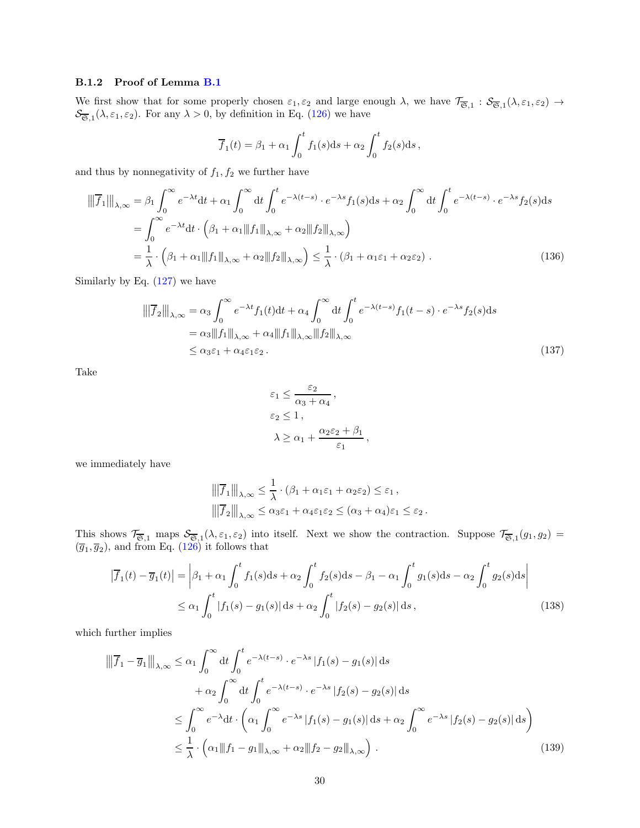#### <span id="page-29-0"></span>B.1.2 Proof of Lemma [B.1](#page-27-4)

We first show that for some properly chosen  $\varepsilon_1, \varepsilon_2$  and large enough  $\lambda$ , we have  $\mathcal{T}_{\overline{\mathfrak{S}},1} : \mathcal{S}_{\overline{\mathfrak{S}},1}(\lambda, \varepsilon_1, \varepsilon_2) \to$  $\mathcal{S}_{\overline{\mathfrak{S}},1}(\lambda,\varepsilon_1,\varepsilon_2)$ . For any  $\lambda > 0$ , by definition in Eq. [\(126\)](#page-27-5) we have

$$
\overline{f}_1(t) = \beta_1 + \alpha_1 \int_0^t f_1(s) \mathrm{d}s + \alpha_2 \int_0^t f_2(s) \mathrm{d}s,
$$

and thus by nonnegativity of  $f_1, f_2$  we further have

$$
\|\overline{f}_1\|\|_{\lambda,\infty} = \beta_1 \int_0^{\infty} e^{-\lambda t} dt + \alpha_1 \int_0^{\infty} dt \int_0^t e^{-\lambda(t-s)} \cdot e^{-\lambda s} f_1(s) ds + \alpha_2 \int_0^{\infty} dt \int_0^t e^{-\lambda(t-s)} \cdot e^{-\lambda s} f_2(s) ds \n= \int_0^{\infty} e^{-\lambda t} dt \cdot \left(\beta_1 + \alpha_1 \|\|f_1\|\|_{\lambda,\infty} + \alpha_2 \|\|f_2\|\|_{\lambda,\infty}\right) \n= \frac{1}{\lambda} \cdot \left(\beta_1 + \alpha_1 \|\|f_1\|\|_{\lambda,\infty} + \alpha_2 \|\|f_2\|\|_{\lambda,\infty}\right) \le \frac{1}{\lambda} \cdot \left(\beta_1 + \alpha_1 \varepsilon_1 + \alpha_2 \varepsilon_2\right).
$$
\n(136)

Similarly by Eq. [\(127\)](#page-27-6) we have

$$
\|\overline{f}_2\|_{\lambda,\infty} = \alpha_3 \int_0^{\infty} e^{-\lambda t} f_1(t) dt + \alpha_4 \int_0^{\infty} dt \int_0^t e^{-\lambda(t-s)} f_1(t-s) \cdot e^{-\lambda s} f_2(s) ds
$$
  
\n
$$
= \alpha_3 \|f_1\|_{\lambda,\infty} + \alpha_4 \|f_1\|_{\lambda,\infty} \|f_2\|_{\lambda,\infty}
$$
  
\n
$$
\leq \alpha_3 \varepsilon_1 + \alpha_4 \varepsilon_1 \varepsilon_2.
$$
\n(137)

Take

$$
\varepsilon_1 \leq \frac{\varepsilon_2}{\alpha_3 + \alpha_4},
$$
  
\n
$$
\varepsilon_2 \leq 1,
$$
  
\n
$$
\lambda \geq \alpha_1 + \frac{\alpha_2 \varepsilon_2 + \beta_1}{\varepsilon_1},
$$

we immediately have

$$
\|\overline{f}_1\|\|_{\lambda,\infty} \leq \frac{1}{\lambda} \cdot (\beta_1 + \alpha_1 \varepsilon_1 + \alpha_2 \varepsilon_2) \leq \varepsilon_1,
$$
  

$$
\|\overline{f}_2\|\|_{\lambda,\infty} \leq \alpha_3 \varepsilon_1 + \alpha_4 \varepsilon_1 \varepsilon_2 \leq (\alpha_3 + \alpha_4) \varepsilon_1 \leq \varepsilon_2.
$$

This shows  $\mathcal{T}_{\overline{\mathfrak{S}},1}$  maps  $\mathcal{S}_{\overline{\mathfrak{S}},1}(\lambda,\varepsilon_1,\varepsilon_2)$  into itself. Next we show the contraction. Suppose  $\mathcal{T}_{\overline{\mathfrak{S}},1}(g_1,g_2)$  $(\overline{g}_1, \overline{g}_2)$ , and from Eq. [\(126\)](#page-27-5) it follows that

$$
\left|\overline{f}_1(t) - \overline{g}_1(t)\right| = \left|\beta_1 + \alpha_1 \int_0^t f_1(s)ds + \alpha_2 \int_0^t f_2(s)ds - \beta_1 - \alpha_1 \int_0^t g_1(s)ds - \alpha_2 \int_0^t g_2(s)ds\right|
$$
  

$$
\leq \alpha_1 \int_0^t |f_1(s) - g_1(s)| ds + \alpha_2 \int_0^t |f_2(s) - g_2(s)| ds,
$$
 (138)

which further implies

$$
\|\overline{f}_1 - \overline{g}_1\|\|_{\lambda,\infty} \leq \alpha_1 \int_0^\infty dt \int_0^t e^{-\lambda(t-s)} \cdot e^{-\lambda s} |f_1(s) - g_1(s)| ds
$$
  
+  $\alpha_2 \int_0^\infty dt \int_0^t e^{-\lambda(t-s)} \cdot e^{-\lambda s} |f_2(s) - g_2(s)| ds$   

$$
\leq \int_0^\infty e^{-\lambda} dt \cdot \left( \alpha_1 \int_0^\infty e^{-\lambda s} |f_1(s) - g_1(s)| ds + \alpha_2 \int_0^\infty e^{-\lambda s} |f_2(s) - g_2(s)| ds \right)
$$
  

$$
\leq \frac{1}{\lambda} \cdot \left( \alpha_1 \|f_1 - g_1\|_{\lambda,\infty} + \alpha_2 \|f_2 - g_2\|_{\lambda,\infty} \right).
$$
 (139)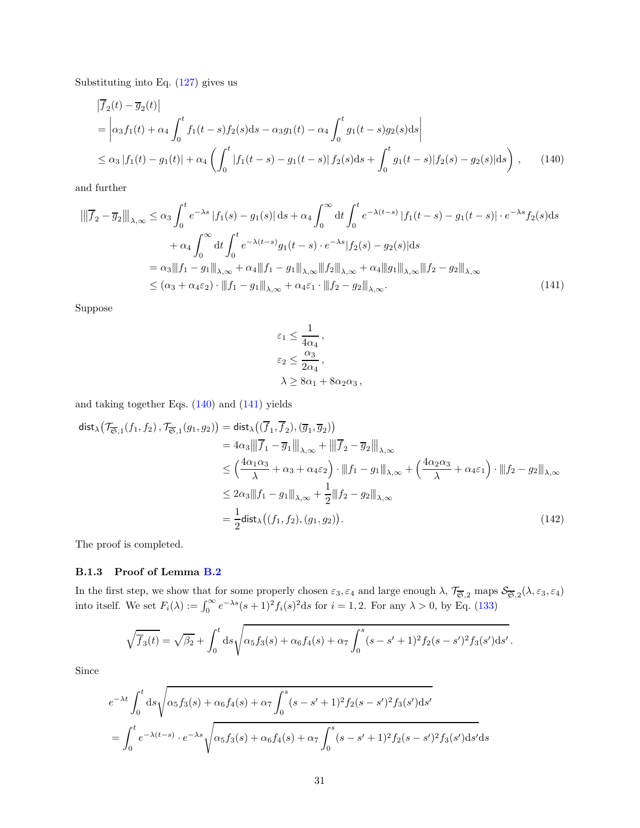Substituting into Eq. [\(127\)](#page-27-6) gives us

$$
\begin{aligned}\n|\overline{f}_2(t) - \overline{g}_2(t)| \\
&= \left| \alpha_3 f_1(t) + \alpha_4 \int_0^t f_1(t-s) f_2(s) ds - \alpha_3 g_1(t) - \alpha_4 \int_0^t g_1(t-s) g_2(s) ds \right| \\
&\le \alpha_3 |f_1(t) - g_1(t)| + \alpha_4 \left( \int_0^t |f_1(t-s) - g_1(t-s)| f_2(s) ds + \int_0^t g_1(t-s) |f_2(s) - g_2(s)| ds \right),\n\end{aligned} \tag{140}
$$

and further

$$
\|\overline{f}_2 - \overline{g}_2\|_{\lambda,\infty} \le \alpha_3 \int_0^t e^{-\lambda s} |f_1(s) - g_1(s)| ds + \alpha_4 \int_0^\infty dt \int_0^t e^{-\lambda(t-s)} |f_1(t-s) - g_1(t-s)| \cdot e^{-\lambda s} f_2(s) ds
$$
  
+  $\alpha_4 \int_0^\infty dt \int_0^t e^{-\lambda(t-s)} g_1(t-s) \cdot e^{-\lambda s} |f_2(s) - g_2(s)| ds$   
=  $\alpha_3 \|f_1 - g_1\|_{\lambda,\infty} + \alpha_4 \|f_1 - g_1\|_{\lambda,\infty} \|f_2\|_{\lambda,\infty} + \alpha_4 \|g_1\|_{\lambda,\infty} \|f_2 - g_2\|_{\lambda,\infty}$   
\$\leq (\alpha\_3 + \alpha\_4 \varepsilon\_2) \cdot \|f\_1 - g\_1\|\_{\lambda,\infty} + \alpha\_4 \varepsilon\_1 \cdot \|f\_2 - g\_2\|\_{\lambda,\infty}. \tag{141}

Suppose

<span id="page-30-2"></span><span id="page-30-1"></span>
$$
\varepsilon_1 \le \frac{1}{4\alpha_4},
$$
  
\n
$$
\varepsilon_2 \le \frac{\alpha_3}{2\alpha_4},
$$
  
\n
$$
\lambda \ge 8\alpha_1 + 8\alpha_2\alpha_3,
$$

and taking together Eqs. [\(140\)](#page-30-1) and [\(141\)](#page-30-2) yields

$$
\begin{split}\n\text{dist}_{\lambda} \big( \mathcal{T}_{\overline{\mathfrak{S}},1}(f_1, f_2), \mathcal{T}_{\overline{\mathfrak{S}},1}(g_1, g_2) \big) &= \text{dist}_{\lambda} \big( (\overline{f}_1, \overline{f}_2), (\overline{g}_1, \overline{g}_2) \big) \\
&= 4\alpha_3 \|\|\overline{f}_1 - \overline{g}_1\|\|_{\lambda,\infty} + \|\|\overline{f}_2 - \overline{g}_2\|\|_{\lambda,\infty} \\
&\le \left( \frac{4\alpha_1 \alpha_3}{\lambda} + \alpha_3 + \alpha_4 \varepsilon_2 \right) \cdot \|f_1 - g_1\|_{\lambda,\infty} + \left( \frac{4\alpha_2 \alpha_3}{\lambda} + \alpha_4 \varepsilon_1 \right) \cdot \|f_2 - g_2\|_{\lambda,\infty} \\
&\le 2\alpha_3 \|f_1 - g_1\|_{\lambda,\infty} + \frac{1}{2} \|f_2 - g_2\|_{\lambda,\infty} \\
&= \frac{1}{2} \text{dist}_{\lambda} \big( (f_1, f_2), (g_1, g_2) \big). \n\end{split} \tag{142}
$$

The proof is completed.

#### <span id="page-30-0"></span>B.1.3 Proof of Lemma [B.2](#page-28-0)

In the first step, we show that for some properly chosen  $\varepsilon_3$ ,  $\varepsilon_4$  and large enough  $\lambda$ ,  $\mathcal{T}_{\overline{\mathfrak{S}},2}$  maps  $\mathcal{S}_{\overline{\mathfrak{S}},2}(\lambda,\varepsilon_3,\varepsilon_4)$ into itself. We set  $F_i(\lambda) := \int_0^\infty e^{-\lambda s} (s+1)^2 f_i(s)^2 ds$  for  $i = 1, 2$ . For any  $\lambda > 0$ , by Eq. [\(133\)](#page-28-1)

$$
\sqrt{\overline{f}_3(t)} = \sqrt{\beta_2} + \int_0^t ds \sqrt{\alpha_5 f_3(s) + \alpha_6 f_4(s) + \alpha_7 \int_0^s (s - s' + 1)^2 f_2(s - s')^2 f_3(s') ds'}
$$

.

Since

$$
e^{-\lambda t} \int_0^t ds \sqrt{\alpha_5 f_3(s) + \alpha_6 f_4(s) + \alpha_7 \int_0^s (s - s' + 1)^2 f_2(s - s')^2 f_3(s') ds'}
$$
  
= 
$$
\int_0^t e^{-\lambda(t - s)} \cdot e^{-\lambda s} \sqrt{\alpha_5 f_3(s) + \alpha_6 f_4(s) + \alpha_7 \int_0^s (s - s' + 1)^2 f_2(s - s')^2 f_3(s') ds' ds'}
$$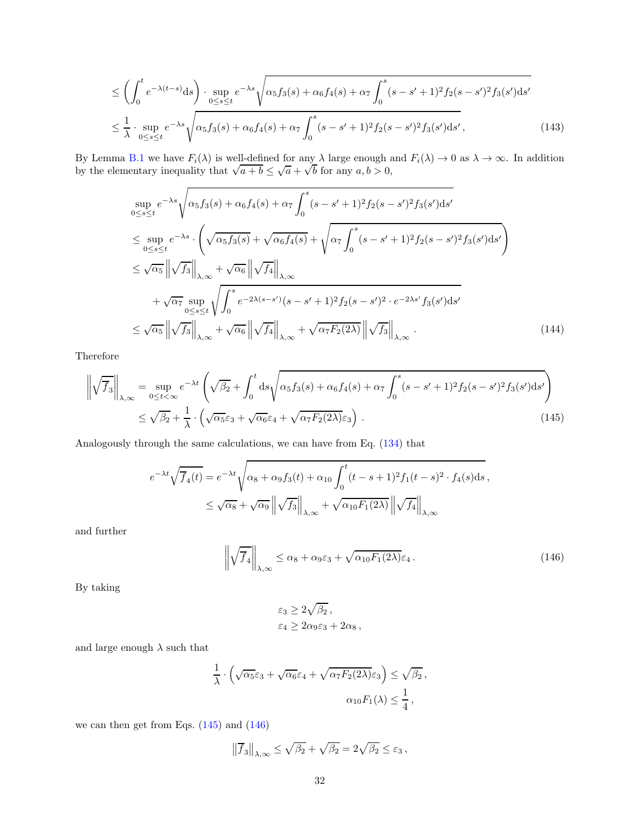$$
\leq \left(\int_0^t e^{-\lambda(t-s)} ds\right) \cdot \sup_{0 \leq s \leq t} e^{-\lambda s} \sqrt{\alpha_5 f_3(s) + \alpha_6 f_4(s) + \alpha_7 \int_0^s (s - s' + 1)^2 f_2(s - s')^2 f_3(s') ds'}
$$
  

$$
\leq \frac{1}{\lambda} \cdot \sup_{0 \leq s \leq t} e^{-\lambda s} \sqrt{\alpha_5 f_3(s) + \alpha_6 f_4(s) + \alpha_7 \int_0^s (s - s' + 1)^2 f_2(s - s')^2 f_3(s') ds'},
$$
(143)

By Lemma [B.1](#page-27-4) we have  $F_i(\lambda)$  is well-defined for any  $\lambda$  large enough and  $F_i(\lambda) \to 0$  as  $\lambda \to \infty$ . In addition by the elementary inequality that  $\sqrt{a+b} \leq \sqrt{a} + \sqrt{b}$  for any  $a, b > 0$ ,

$$
\sup_{0\leq s\leq t} e^{-\lambda s} \sqrt{\alpha_5 f_3(s) + \alpha_6 f_4(s) + \alpha_7 \int_0^s (s - s' + 1)^2 f_2(s - s')^2 f_3(s') ds'}
$$
\n
$$
\leq \sup_{0\leq s\leq t} e^{-\lambda s} \cdot \left( \sqrt{\alpha_5 f_3(s)} + \sqrt{\alpha_6 f_4(s)} + \sqrt{\alpha_7 \int_0^s (s - s' + 1)^2 f_2(s - s')^2 f_3(s') ds'} \right)
$$
\n
$$
\leq \sqrt{\alpha_5} \left\| \sqrt{f_3} \right\|_{\lambda, \infty} + \sqrt{\alpha_6} \left\| \sqrt{f_4} \right\|_{\lambda, \infty}
$$
\n
$$
+ \sqrt{\alpha_7} \sup_{0\leq s\leq t} \sqrt{\int_0^s e^{-2\lambda(s - s')}(s - s' + 1)^2 f_2(s - s')^2 \cdot e^{-2\lambda s'} f_3(s') ds'}
$$
\n
$$
\leq \sqrt{\alpha_5} \left\| \sqrt{f_3} \right\|_{\lambda, \infty} + \sqrt{\alpha_6} \left\| \sqrt{f_4} \right\|_{\lambda, \infty} + \sqrt{\alpha_7 F_2(2\lambda)} \left\| \sqrt{f_3} \right\|_{\lambda, \infty} .
$$
\n(144)

Therefore

$$
\left\| \sqrt{f_3} \right\|_{\lambda,\infty} = \sup_{0 \le t < \infty} e^{-\lambda t} \left( \sqrt{\beta_2} + \int_0^t ds \sqrt{\alpha_5 f_3(s) + \alpha_6 f_4(s) + \alpha_7 \int_0^s (s - s' + 1)^2 f_2(s - s')^2 f_3(s') ds'} \right)
$$
  

$$
\le \sqrt{\beta_2} + \frac{1}{\lambda} \cdot \left( \sqrt{\alpha_5} \varepsilon_3 + \sqrt{\alpha_6} \varepsilon_4 + \sqrt{\alpha_7 F_2(2\lambda)} \varepsilon_3 \right).
$$
 (145)

Analogously through the same calculations, we can have from Eq. [\(134\)](#page-28-2) that

$$
e^{-\lambda t} \sqrt{f_4(t)} = e^{-\lambda t} \sqrt{\alpha_8 + \alpha_9 f_3(t) + \alpha_{10}} \int_0^t (t - s + 1)^2 f_1(t - s)^2 \cdot f_4(s) ds,
$$
  

$$
\leq \sqrt{\alpha_8} + \sqrt{\alpha_9} \left\| \sqrt{f_3} \right\|_{\lambda, \infty} + \sqrt{\alpha_{10} F_1(2\lambda)} \left\| \sqrt{f_4} \right\|_{\lambda, \infty}
$$

and further

$$
\left\| \sqrt{\overline{f}_4} \right\|_{\lambda,\infty} \le \alpha_8 + \alpha_9 \varepsilon_3 + \sqrt{\alpha_{10} F_1(2\lambda)} \varepsilon_4. \tag{146}
$$

By taking

<span id="page-31-1"></span><span id="page-31-0"></span>
$$
\varepsilon_3 \ge 2\sqrt{\beta_2} \,, \n\varepsilon_4 \ge 2\alpha_9 \varepsilon_3 + 2\alpha_8 \,,
$$

and large enough  $\lambda$  such that

$$
\frac{1}{\lambda} \cdot \left( \sqrt{\alpha_5} \varepsilon_3 + \sqrt{\alpha_6} \varepsilon_4 + \sqrt{\alpha_7 F_2(2\lambda)} \varepsilon_3 \right) \leq \sqrt{\beta_2},
$$

$$
\alpha_{10} F_1(\lambda) \leq \frac{1}{4},
$$

we can then get from Eqs. [\(145\)](#page-31-0) and [\(146\)](#page-31-1)

$$
\left\|\overline{f}_3\right\|_{\lambda,\infty} \le \sqrt{\beta_2} + \sqrt{\beta_2} = 2\sqrt{\beta_2} \le \varepsilon_3,
$$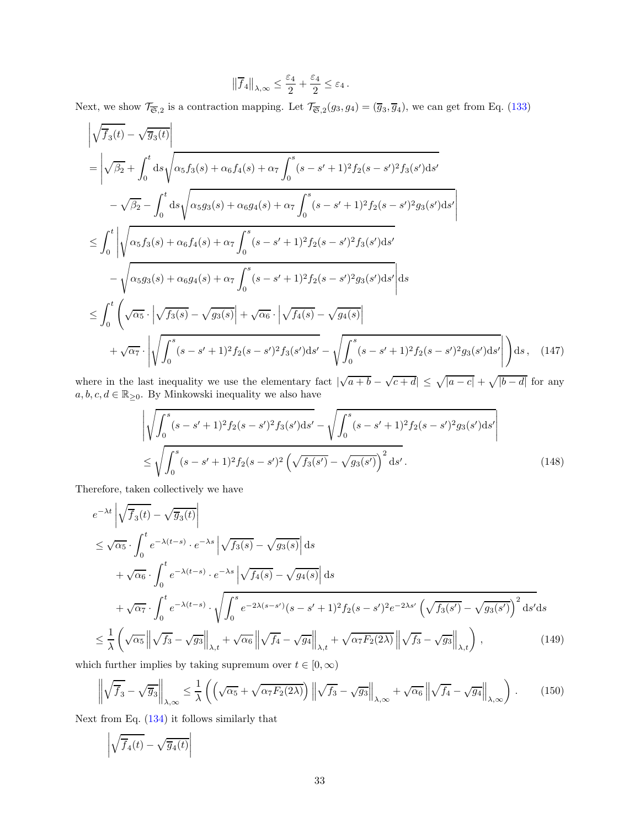$$
\left\|\overline{f}_4\right\|_{\lambda,\infty} \leq \frac{\varepsilon_4}{2} + \frac{\varepsilon_4}{2} \leq \varepsilon_4.
$$

Next, we show  $\mathcal{T}_{\overline{\mathfrak{S}},2}$  is a contraction mapping. Let  $\mathcal{T}_{\overline{\mathfrak{S}},2}(g_3,g_4)=(\overline{g}_3,\overline{g}_4)$ , we can get from Eq. [\(133\)](#page-28-1)

$$
\sqrt{\overline{f}_{3}(t)} - \sqrt{\overline{g}_{3}(t)}\n= \left| \sqrt{\beta_{2}} + \int_{0}^{t} ds \sqrt{\alpha_{5} f_{3}(s) + \alpha_{6} f_{4}(s) + \alpha_{7} \int_{0}^{s} (s - s' + 1)^{2} f_{2}(s - s')^{2} f_{3}(s') ds'} - \sqrt{\beta_{2}} - \int_{0}^{t} ds \sqrt{\alpha_{5} g_{3}(s) + \alpha_{6} g_{4}(s) + \alpha_{7} \int_{0}^{s} (s - s' + 1)^{2} f_{2}(s - s')^{2} g_{3}(s') ds'} \right|
$$
\n
$$
\leq \int_{0}^{t} \left| \sqrt{\alpha_{5} f_{3}(s) + \alpha_{6} f_{4}(s) + \alpha_{7} \int_{0}^{s} (s - s' + 1)^{2} f_{2}(s - s')^{2} f_{3}(s') ds'} - \sqrt{\alpha_{5} g_{3}(s) + \alpha_{6} g_{4}(s) + \alpha_{7} \int_{0}^{s} (s - s' + 1)^{2} f_{2}(s - s')^{2} g_{3}(s') ds'} \right| ds
$$
\n
$$
\leq \int_{0}^{t} \left( \sqrt{\alpha_{5}} \cdot \left| \sqrt{f_{3}(s) - \sqrt{g_{3}(s)} \right| + \sqrt{\alpha_{6}} \cdot \left| \sqrt{f_{4}(s) - \sqrt{g_{4}(s)} \right|} + \sqrt{\alpha_{7}} \cdot \left| \sqrt{\int_{0}^{s} (s - s' + 1)^{2} f_{2}(s - s')^{2} g_{3}(s') ds'} - \sqrt{\int_{0}^{s} (s - s' + 1)^{2} f_{2}(s - s')^{2} g_{3}(s') ds'} \right| \right) ds, \quad (147)
$$

where in the last inequality we use the elementary fact  $|\sqrt{a+b} - \sqrt{c+d}| \leq \sqrt{|a-c|} + \sqrt{|b-d|}$  for any  $a,b,c,d\in\mathbb{R}_{\geq 0}.$  By Minkowski inequality we also have

$$
\left| \sqrt{\int_0^s (s - s' + 1)^2 f_2(s - s')^2 f_3(s') ds'} - \sqrt{\int_0^s (s - s' + 1)^2 f_2(s - s')^2 g_3(s') ds'} \right|
$$
  

$$
\leq \sqrt{\int_0^s (s - s' + 1)^2 f_2(s - s')^2 \left( \sqrt{f_3(s')} - \sqrt{g_3(s')} \right)^2 ds'}.
$$
 (148)

Therefore, taken collectively we have

$$
e^{-\lambda t} \left| \sqrt{f_3(t)} - \sqrt{g_3(t)} \right|
$$
  
\n
$$
\leq \sqrt{\alpha_5} \cdot \int_0^t e^{-\lambda(t-s)} \cdot e^{-\lambda s} \left| \sqrt{f_3(s)} - \sqrt{g_3(s)} \right| ds
$$
  
\n
$$
+ \sqrt{\alpha_6} \cdot \int_0^t e^{-\lambda(t-s)} \cdot e^{-\lambda s} \left| \sqrt{f_4(s)} - \sqrt{g_4(s)} \right| ds
$$
  
\n
$$
+ \sqrt{\alpha_7} \cdot \int_0^t e^{-\lambda(t-s)} \cdot \sqrt{\int_0^s e^{-2\lambda(s-s')} (s-s'+1)^2 f_2(s-s')^2 e^{-2\lambda s'} \left( \sqrt{f_3(s')} - \sqrt{g_3(s')} \right)^2 ds'} ds
$$
  
\n
$$
\leq \frac{1}{\lambda} \left( \sqrt{\alpha_5} \left\| \sqrt{f_3} - \sqrt{g_3} \right\|_{\lambda, t} + \sqrt{\alpha_6} \left\| \sqrt{f_4} - \sqrt{g_4} \right\|_{\lambda, t} + \sqrt{\alpha_7 F_2(2\lambda)} \left\| \sqrt{f_3} - \sqrt{g_3} \right\|_{\lambda, t} \right), \tag{149}
$$

which further implies by taking supremum over  $t \in [0, \infty)$ 

$$
\left\| \sqrt{\overline{f}_3} - \sqrt{\overline{g}_3} \right\|_{\lambda,\infty} \le \frac{1}{\lambda} \left( \left( \sqrt{\alpha_5} + \sqrt{\alpha_7 F_2(2\lambda)} \right) \left\| \sqrt{f_3} - \sqrt{g_3} \right\|_{\lambda,\infty} + \sqrt{\alpha_6} \left\| \sqrt{f_4} - \sqrt{g_4} \right\|_{\lambda,\infty} \right). \tag{150}
$$

Next from Eq. [\(134\)](#page-28-2) it follows similarly that

$$
\left|\sqrt{\overline{f}_4(t)}-\sqrt{\overline{g}_4(t)}\right|
$$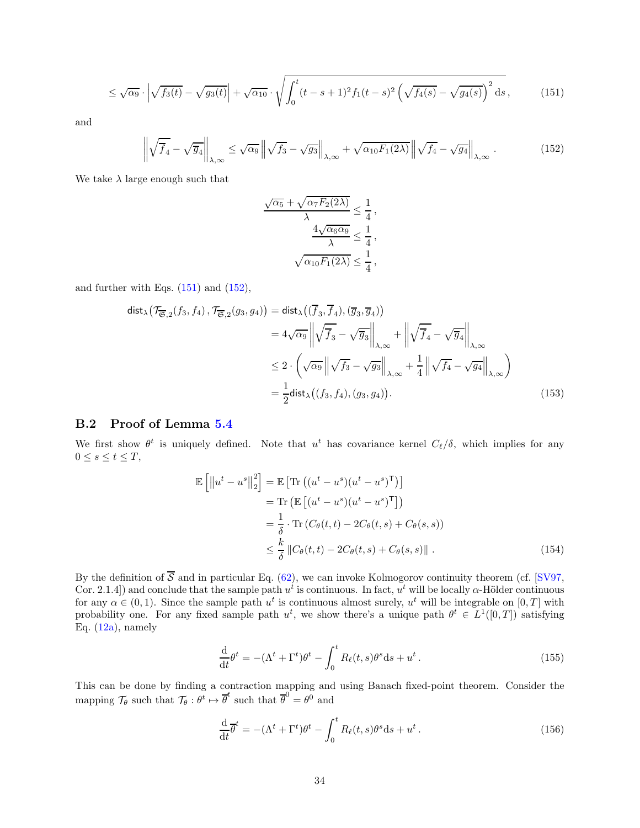$$
\leq \sqrt{\alpha_9} \cdot \left| \sqrt{f_3(t)} - \sqrt{g_3(t)} \right| + \sqrt{\alpha_{10}} \cdot \sqrt{\int_0^t (t - s + 1)^2 f_1(t - s)^2 \left( \sqrt{f_4(s)} - \sqrt{g_4(s)} \right)^2 ds},\tag{151}
$$

and

$$
\left\| \sqrt{\overline{f}_4} - \sqrt{\overline{g}_4} \right\|_{\lambda,\infty} \le \sqrt{\alpha_9} \left\| \sqrt{f_3} - \sqrt{g_3} \right\|_{\lambda,\infty} + \sqrt{\alpha_{10} F_1(2\lambda)} \left\| \sqrt{f_4} - \sqrt{g_4} \right\|_{\lambda,\infty} . \tag{152}
$$

We take  $\lambda$  large enough such that

<span id="page-33-2"></span><span id="page-33-1"></span>
$$
\frac{\sqrt{\alpha_5} + \sqrt{\alpha_7 F_2(2\lambda)}}{\lambda} \le \frac{1}{4},
$$

$$
\frac{4\sqrt{\alpha_6 \alpha_9}}{\lambda} \le \frac{1}{4},
$$

$$
\sqrt{\alpha_{10} F_1(2\lambda)} \le \frac{1}{4},
$$

and further with Eqs.  $(151)$  and  $(152)$ ,

$$
\text{dist}_{\lambda}(\mathcal{T}_{\overline{\mathfrak{S}},2}(f_3, f_4), \mathcal{T}_{\overline{\mathfrak{S}},2}(g_3, g_4)) = \text{dist}_{\lambda}((\overline{f}_3, \overline{f}_4), (\overline{g}_3, \overline{g}_4))
$$
  
\n
$$
= 4\sqrt{\alpha_9} \left\| \sqrt{\overline{f}_3} - \sqrt{\overline{g}_3} \right\|_{\lambda, \infty} + \left\| \sqrt{\overline{f}_4} - \sqrt{\overline{g}_4} \right\|_{\lambda, \infty}
$$
  
\n
$$
\leq 2 \cdot \left( \sqrt{\alpha_9} \left\| \sqrt{f_3} - \sqrt{g_3} \right\|_{\lambda, \infty} + \frac{1}{4} \left\| \sqrt{f_4} - \sqrt{g_4} \right\|_{\lambda, \infty} \right)
$$
  
\n
$$
= \frac{1}{2} \text{dist}_{\lambda}((f_3, f_4), (g_3, g_4)). \tag{153}
$$

### <span id="page-33-0"></span>B.2 Proof of Lemma [5.4](#page-17-0)

We first show  $\theta^t$  is uniquely defined. Note that  $u^t$  has covariance kernel  $C_{\ell}/\delta$ , which implies for any  $0\leq s\leq t\leq T,$ 

$$
\mathbb{E}\left[\left\|u^{t}-u^{s}\right\|_{2}^{2}\right] = \mathbb{E}\left[\text{Tr}\left((u^{t}-u^{s})(u^{t}-u^{s})^{\mathsf{T}}\right)\right]
$$
\n
$$
= \text{Tr}\left(\mathbb{E}\left[(u^{t}-u^{s})(u^{t}-u^{s})^{\mathsf{T}}\right]\right)
$$
\n
$$
= \frac{1}{\delta} \cdot \text{Tr}\left(C_{\theta}(t,t) - 2C_{\theta}(t,s) + C_{\theta}(s,s)\right)
$$
\n
$$
\leq \frac{k}{\delta} \left\|C_{\theta}(t,t) - 2C_{\theta}(t,s) + C_{\theta}(s,s)\right\|.
$$
\n(154)

By the definition of  $\overline{S}$  and in particular Eq. [\(62\)](#page-16-1), we can invoke Kolmogorov continuity theorem (cf. [\[SV97,](#page-26-7) Cor. 2.1.4) and conclude that the sample path  $u^t$  is continuous. In fact,  $u^t$  will be locally  $\alpha$ -Hölder continuous for any  $\alpha \in (0,1)$ . Since the sample path  $u^t$  is continuous almost surely,  $u^t$  will be integrable on  $[0,T]$  with probability one. For any fixed sample path  $u^t$ , we show there's a unique path  $\theta^t \in L^1([0,T])$  satisfying Eq.  $(12a)$ , namely

$$
\frac{\mathrm{d}}{\mathrm{d}t}\theta^t = -(\Lambda^t + \Gamma^t)\theta^t - \int_0^t R_\ell(t,s)\theta^s \mathrm{d}s + u^t. \tag{155}
$$

This can be done by finding a contraction mapping and using Banach fixed-point theorem. Consider the mapping  $\mathcal{T}_{\theta}$  such that  $\mathcal{T}_{\theta}: \theta^t \mapsto \overline{\theta}^t$  such that  $\overline{\theta}^0 = \theta^0$  and

$$
\frac{\mathrm{d}}{\mathrm{d}t}\overline{\theta}^t = -(\Lambda^t + \Gamma^t)\theta^t - \int_0^t R_\ell(t,s)\theta^s \mathrm{d}s + u^t. \tag{156}
$$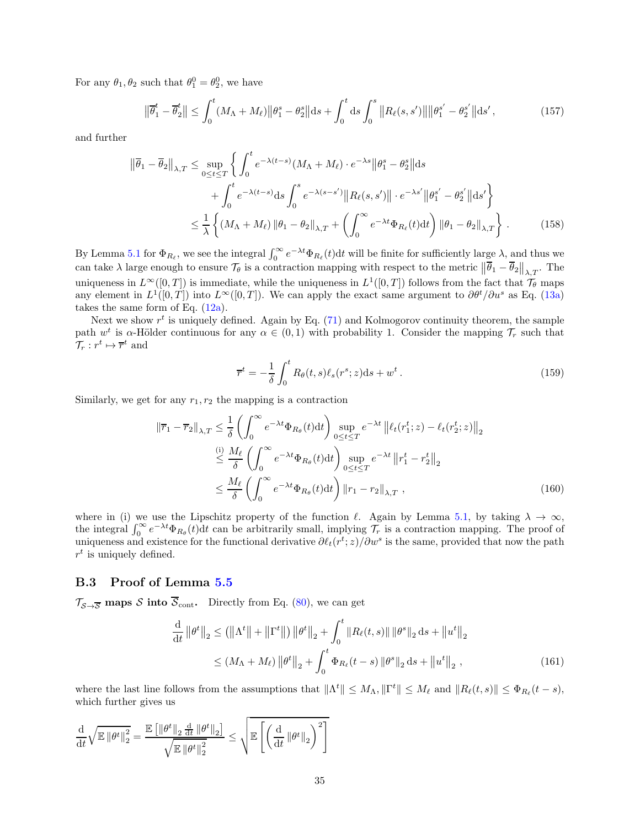For any  $\theta_1, \theta_2$  such that  $\theta_1^0 = \theta_2^0$ , we have

$$
\left\|\overline{\theta}_{1}^{t} - \overline{\theta}_{2}^{t}\right\| \leq \int_{0}^{t} (M_{\Lambda} + M_{\ell}) \left\|\theta_{1}^{s} - \theta_{2}^{s}\right\| \mathrm{d}s + \int_{0}^{t} \mathrm{d}s \int_{0}^{s} \left\|R_{\ell}(s, s')\right\| \left\|\theta_{1}^{s'} - \theta_{2}^{s'}\right\| \mathrm{d}s',\tag{157}
$$

and further

$$
\|\overline{\theta}_{1} - \overline{\theta}_{2}\|_{\lambda,T} \le \sup_{0 \le t \le T} \left\{ \int_{0}^{t} e^{-\lambda(t-s)} (M_{\Lambda} + M_{\ell}) \cdot e^{-\lambda s} \|\theta_{1}^{s} - \theta_{2}^{s}\| ds \right.\quad + \int_{0}^{t} e^{-\lambda(t-s)} ds \int_{0}^{s} e^{-\lambda(s-s')} \|R_{\ell}(s,s')\| \cdot e^{-\lambda s'} \|\theta_{1}^{s'} - \theta_{2}^{s'}\| ds' \right\}\le \frac{1}{\lambda} \left\{ (M_{\Lambda} + M_{\ell}) \|\theta_{1} - \theta_{2}\|_{\lambda,T} + \left( \int_{0}^{\infty} e^{-\lambda t} \Phi_{R_{\ell}}(t) dt \right) \|\theta_{1} - \theta_{2}\|_{\lambda,T} \right\}. \tag{158}
$$

By Lemma [5.1](#page-15-0) for  $\Phi_{R_\ell}$ , we see the integral  $\int_0^\infty e^{-\lambda t} \Phi_{R_\ell}(t) dt$  will be finite for sufficiently large  $\lambda$ , and thus we can take  $\lambda$  large enough to ensure  $\mathcal{T}_{\theta}$  is a contraction mapping with respect to the metric  $\|\overline{\theta}_1 - \overline{\theta}_2\|_{\lambda,T}$ . The uniqueness in  $L^{\infty}([0,T])$  is immediate, while the uniqueness in  $L^1([0,T])$  follows from the fact that  $\mathcal{T}_{\theta}$  maps any element in  $L^1([0,T])$  into  $L^{\infty}([0,T])$ . We can apply the exact same argument to  $\partial \theta^t / \partial u^s$  as Eq. [\(13a\)](#page-6-7) takes the same form of Eq. [\(12a\)](#page-6-5).

Next we show  $r^t$  is uniquely defined. Again by Eq.  $(71)$  and Kolmogorov continuity theorem, the sample path  $w^t$  is  $\alpha$ -Hölder continuous for any  $\alpha \in (0,1)$  with probability 1. Consider the mapping  $\mathcal{T}_r$  such that  $\mathcal{T}_r : r^t \mapsto \overline{r}^t$  and

$$
\overline{r}^t = -\frac{1}{\delta} \int_0^t R_\theta(t, s) \ell_s(r^s; z) \mathrm{d}s + w^t. \tag{159}
$$

Similarly, we get for any  $r_1, r_2$  the mapping is a contraction

$$
\|\overline{r}_{1} - \overline{r}_{2}\|_{\lambda, T} \leq \frac{1}{\delta} \left( \int_{0}^{\infty} e^{-\lambda t} \Phi_{R_{\theta}}(t) dt \right) \sup_{0 \leq t \leq T} e^{-\lambda t} \left\| \ell_{t}(r_{1}^{t}; z) - \ell_{t}(r_{2}^{t}; z) \right\|_{2}
$$
  

$$
\leq \frac{\omega}{\delta} \left( \int_{0}^{\infty} e^{-\lambda t} \Phi_{R_{\theta}}(t) dt \right) \sup_{0 \leq t \leq T} e^{-\lambda t} \left\| r_{1}^{t} - r_{2}^{t} \right\|_{2}
$$
  

$$
\leq \frac{M_{\ell}}{\delta} \left( \int_{0}^{\infty} e^{-\lambda t} \Phi_{R_{\theta}}(t) dt \right) \left\| r_{1} - r_{2} \right\|_{\lambda, T}, \qquad (160)
$$

where in (i) we use the Lipschitz property of the function  $\ell$ . Again by Lemma [5.1,](#page-15-0) by taking  $\lambda \to \infty$ , the integral  $\int_0^\infty e^{-\lambda t} \Phi_{R_\theta}(t) dt$  can be arbitrarily small, implying  $\mathcal{T}_r$  is a contraction mapping. The proof of uniqueness and existence for the functional derivative  $\partial \ell_t(r^t; z)/\partial w^s$  is the same, provided that now the path  $r<sup>t</sup>$  is uniquely defined.

### <span id="page-34-0"></span>B.3 Proof of Lemma [5.5](#page-18-0)

 $\mathcal{T}_{\mathcal{S}\rightarrow\overline{\mathcal{S}}}$  maps  $\mathcal{S}$  into  $\overline{\mathcal{S}}_{\text{cont}}$ . Directly from Eq. [\(80\)](#page-17-5), we can get

$$
\frac{\mathrm{d}}{\mathrm{d}t} ||\theta^t||_2 \leq (||\Lambda^t|| + ||\Gamma^t||) ||\theta^t||_2 + \int_0^t ||R_{\ell}(t,s)|| \|\theta^s\|_2 \, \mathrm{d}s + ||u^t||_2
$$
\n
$$
\leq (M_{\Lambda} + M_{\ell}) ||\theta^t||_2 + \int_0^t \Phi_{R_{\ell}}(t-s) ||\theta^s||_2 \, \mathrm{d}s + ||u^t||_2 \,, \tag{161}
$$

where the last line follows from the assumptions that  $\|\Lambda^t\| \le M_\Lambda, \|\Gamma^t\| \le M_\ell$  and  $\|R_\ell(t,s)\| \le \Phi_{R_\ell}(t-s)$ , which further gives us

$$
\frac{\mathrm{d}}{\mathrm{d}t}\sqrt{\mathbb{E}\left\Vert \theta^t\right\Vert_2^2}=\frac{\mathbb{E}\left[\left\Vert \theta^t\right\Vert_2\frac{\mathrm{d}}{\mathrm{d}t}\left\Vert \theta^t\right\Vert_2\right]}{\sqrt{\mathbb{E}\left\Vert \theta^t\right\Vert_2^2}}\leq\sqrt{\mathbb{E}\left[\left(\frac{\mathrm{d}}{\mathrm{d}t}\left\Vert \theta^t\right\Vert_2\right)^2\right]}
$$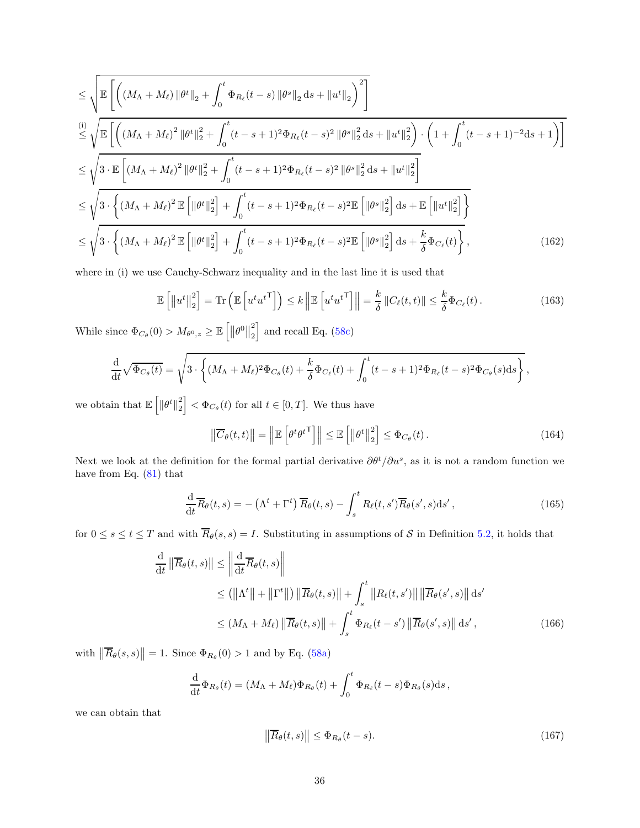$$
\leq \sqrt{\mathbb{E}\left[\left((M_{\Lambda}+M_{\ell})\|\theta^{t}\|_{2}+\int_{0}^{t}\Phi_{R_{\ell}}(t-s)\|\theta^{s}\|_{2}\,\mathrm{d}s+\|u^{t}\|_{2}\right)^{2}\right]}\n\leq \sqrt{\mathbb{E}\left[\left((M_{\Lambda}+M_{\ell})^{2}\|\theta^{t}\|_{2}^{2}+\int_{0}^{t}(t-s+1)^{2}\Phi_{R_{\ell}}(t-s)^{2}\|\theta^{s}\|_{2}^{2}\,\mathrm{d}s+\|u^{t}\|_{2}^{2}\right)\cdot\left(1+\int_{0}^{t}(t-s+1)^{-2}\,\mathrm{d}s+1\right)\right]}\n\leq \sqrt{3\cdot\mathbb{E}\left[(M_{\Lambda}+M_{\ell})^{2}\|\theta^{t}\|_{2}^{2}+\int_{0}^{t}(t-s+1)^{2}\Phi_{R_{\ell}}(t-s)^{2}\|\theta^{s}\|_{2}^{2}\,\mathrm{d}s+\|u^{t}\|_{2}^{2}\right]}\n\leq \sqrt{3\cdot\left\{(M_{\Lambda}+M_{\ell})^{2}\mathbb{E}\left[\|\theta^{t}\|_{2}^{2}\right]+\int_{0}^{t}(t-s+1)^{2}\Phi_{R_{\ell}}(t-s)^{2}\mathbb{E}\left[\|\theta^{s}\|_{2}^{2}\right]\mathrm{d}s+\mathbb{E}\left[\|u^{t}\|_{2}^{2}\right]\right\}}\n\leq \sqrt{3\cdot\left\{(M_{\Lambda}+M_{\ell})^{2}\mathbb{E}\left[\|\theta^{t}\|_{2}^{2}\right]+\int_{0}^{t}(t-s+1)^{2}\Phi_{R_{\ell}}(t-s)^{2}\mathbb{E}\left[\|\theta^{s}\|_{2}^{2}\right]\mathrm{d}s+\frac{k}{\delta}\Phi_{C_{\ell}}(t)\right\}},\n(162)
$$

where in (i) we use Cauchy-Schwarz inequality and in the last line it is used that

$$
\mathbb{E}\left[\left\|u^{t}\right\|_{2}^{2}\right] = \text{Tr}\left(\mathbb{E}\left[u^{t}u^{t\mathsf{T}}\right]\right) \leq k\left\|\mathbb{E}\left[u^{t}u^{t\mathsf{T}}\right]\right\| = \frac{k}{\delta}\left\|C_{\ell}(t,t)\right\| \leq \frac{k}{\delta}\Phi_{C_{\ell}}(t). \tag{163}
$$

While since  $\Phi_{C_{\theta}}(0) > M_{\theta^0, z} \geq \mathbb{E} \left[ \left\| \theta^0 \right\|_2^2 \right]$ 2  $\vert$  and recall Eq. [\(58c\)](#page-15-6)

$$
\frac{\mathrm{d}}{\mathrm{d}t}\sqrt{\Phi_{C_{\theta}}(t)} = \sqrt{3 \cdot \left\{ (M_{\Lambda} + M_{\ell})^2 \Phi_{C_{\theta}}(t) + \frac{k}{\delta} \Phi_{C_{\ell}}(t) + \int_0^t (t - s + 1)^2 \Phi_{R_{\ell}}(t - s)^2 \Phi_{C_{\theta}}(s) \mathrm{d}s \right\}},
$$

we obtain that  $\mathbb{E}\left[\left\Vert \theta^{t}\right\Vert _{2}^{2}\right]$  $\left\{ \frac{2}{2} \right\} < \Phi_{C_{\theta}}(t)$  for all  $t \in [0, T]$ . We thus have

$$
\left\| \overline{C}_{\theta}(t,t) \right\| = \left\| \mathbb{E} \left[ \theta^t \theta^{t \mathsf{T}} \right] \right\| \le \mathbb{E} \left[ \left\| \theta^t \right\|_2^2 \right] \le \Phi_{C_{\theta}}(t). \tag{164}
$$

Next we look at the definition for the formal partial derivative  $\partial \theta^t / \partial u^s$ , as it is not a random function we have from Eq. [\(81\)](#page-18-3) that

$$
\frac{\mathrm{d}}{\mathrm{d}t}\overline{R}_{\theta}(t,s) = -\left(\Lambda^t + \Gamma^t\right)\overline{R}_{\theta}(t,s) - \int_s^t R_{\ell}(t,s')\overline{R}_{\theta}(s',s)\mathrm{d}s',\tag{165}
$$

for  $0 \le s \le t \le T$  and with  $\overline{R}_{\theta}(s, s) = I$ . Substituting in assumptions of S in Definition [5.2,](#page-15-3) it holds that

$$
\frac{\mathrm{d}}{\mathrm{d}t} \left\| \overline{R}_{\theta}(t,s) \right\| \leq \left\| \frac{\mathrm{d}}{\mathrm{d}t} \overline{R}_{\theta}(t,s) \right\|
$$
\n
$$
\leq \left( \left\| \Lambda^t \right\| + \left\| \Gamma^t \right\| \right) \left\| \overline{R}_{\theta}(t,s) \right\| + \int_s^t \left\| R_{\ell}(t,s') \right\| \left\| \overline{R}_{\theta}(s',s) \right\| \mathrm{d}s'
$$
\n
$$
\leq \left( M_{\Lambda} + M_{\ell} \right) \left\| \overline{R}_{\theta}(t,s) \right\| + \int_s^t \Phi_{R_{\ell}}(t-s') \left\| \overline{R}_{\theta}(s',s) \right\| \mathrm{d}s', \tag{166}
$$

with  $\left\|\overline{R}_{\theta}(s,s)\right\|=1$ . Since  $\Phi_{R_{\theta}}(0) > 1$  and by Eq. [\(58a\)](#page-15-7)

$$
\frac{\mathrm{d}}{\mathrm{d}t}\Phi_{R_{\theta}}(t)=(M_{\Lambda}+M_{\ell})\Phi_{R_{\theta}}(t)+\int_0^t\Phi_{R_{\ell}}(t-s)\Phi_{R_{\theta}}(s)\mathrm{d}s\,,
$$

we can obtain that

$$
\left\|\overline{R}_{\theta}(t,s)\right\| \leq \Phi_{R_{\theta}}(t-s). \tag{167}
$$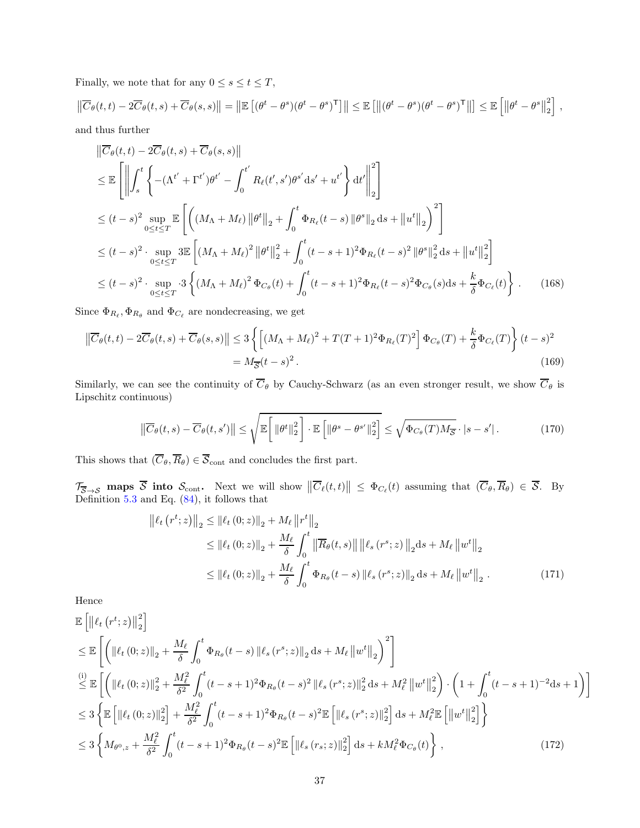Finally, we note that for any  $0 \leq s \leq t \leq T$ ,

$$
\left\| \overline{C}_{\theta}(t,t) - 2\overline{C}_{\theta}(t,s) + \overline{C}_{\theta}(s,s) \right\| = \left\| \mathbb{E} \left[ (\theta^t - \theta^s)(\theta^t - \theta^s)^{\mathsf{T}} \right] \right\| \leq \mathbb{E} \left[ \left\| (\theta^t - \theta^s)(\theta^t - \theta^s)^{\mathsf{T}} \right\| \right] \leq \mathbb{E} \left[ \left\| \theta^t - \theta^s \right\|_2^2 \right],
$$

and thus further

$$
\|\overline{C}_{\theta}(t,t) - 2\overline{C}_{\theta}(t,s) + \overline{C}_{\theta}(s,s)\| \n\leq \mathbb{E}\left[\left\|\int_{s}^{t} \left\{-(\Lambda^{t'} + \Gamma^{t'})\theta^{t'} - \int_{0}^{t'} R_{\ell}(t',s')\theta^{s'}ds' + u^{t'}\right\}dt'\right\|_{2}^{2}\right] \n\leq (t-s)^{2} \sup_{0\leq t\leq T} \mathbb{E}\left[\left((M_{\Lambda} + M_{\ell})\|\theta^{t}\|_{2} + \int_{0}^{t} \Phi_{R_{\ell}}(t-s)\|\theta^{s}\|_{2}ds + \|u^{t}\|_{2}\right)^{2}\right] \n\leq (t-s)^{2} \cdot \sup_{0\leq t\leq T} 3\mathbb{E}\left[(M_{\Lambda} + M_{\ell})^{2}\|\theta^{t}\|_{2}^{2} + \int_{0}^{t} (t-s+1)^{2}\Phi_{R_{\ell}}(t-s)^{2}\|\theta^{s}\|_{2}^{2}ds + \|u^{t}\|_{2}^{2}\right] \n\leq (t-s)^{2} \cdot \sup_{0\leq t\leq T} 3\left\{(M_{\Lambda} + M_{\ell})^{2}\Phi_{C_{\theta}}(t) + \int_{0}^{t} (t-s+1)^{2}\Phi_{R_{\ell}}(t-s)^{2}\Phi_{C_{\theta}}(s)ds + \frac{k}{\delta}\Phi_{C_{\ell}}(t)\right\}.
$$
\n(168)

Since  $\Phi_{R_{\ell}}, \Phi_{R_{\theta}}$  and  $\Phi_{C_{\ell}}$  are nondecreasing, we get

$$
\left\| \overline{C}_{\theta}(t,t) - 2\overline{C}_{\theta}(t,s) + \overline{C}_{\theta}(s,s) \right\| \le 3 \left\{ \left[ (M_{\Lambda} + M_{\ell})^2 + T(T+1)^2 \Phi_{R_{\ell}}(T)^2 \right] \Phi_{C_{\theta}}(T) + \frac{k}{\delta} \Phi_{C_{\ell}}(T) \right\} (t-s)^2
$$
  
=  $M_{\overline{S}}(t-s)^2$ . (169)

Similarly, we can see the continuity of  $\overline{C}_{\theta}$  by Cauchy-Schwarz (as an even stronger result, we show  $\overline{C}_{\theta}$  is Lipschitz continuous)

$$
\left\| \overline{C}_{\theta}(t,s) - \overline{C}_{\theta}(t,s') \right\| \leq \sqrt{\mathbb{E}\left[ \left\| \theta^t \right\|_2^2 \right] \cdot \mathbb{E}\left[ \left\| \theta^s - \theta^{s'} \right\|_2^2 \right]} \leq \sqrt{\Phi_{C_{\theta}}(T) M_{\overline{S}} \cdot |s - s'|}. \tag{170}
$$

This shows that  $(\overline{C}_{\theta}, \overline{R}_{\theta}) \in \overline{S}_{\text{cont}}$  and concludes the first part.

 $\mathcal{T}_{\overline{S}\to S}$  maps  $\overline{S}$  into  $S_{\text{cont}}$ . Next we will show  $\|\overline{C}_{\ell}(t,t)\| \leq \Phi_{C_{\ell}}(t)$  assuming that  $(\overline{C}_{\theta}, \overline{R}_{\theta}) \in \overline{S}$ . By Definition [5.3](#page-16-0) and Eq. [\(84\)](#page-18-0), it follows that

<span id="page-36-0"></span>
$$
\begin{split} \left\| \ell_t \left( r^t; z \right) \right\|_2 &\leq \left\| \ell_t \left( 0; z \right) \right\|_2 + M_\ell \left\| r^t \right\|_2 \\ &\leq \left\| \ell_t \left( 0; z \right) \right\|_2 + \frac{M_\ell}{\delta} \int_0^t \left\| \overline{R}_\theta(t, s) \right\| \left\| \ell_s \left( r^s; z \right) \right\|_2 \mathrm{d}s + M_\ell \left\| w^t \right\|_2 \\ &\leq \left\| \ell_t \left( 0; z \right) \right\|_2 + \frac{M_\ell}{\delta} \int_0^t \Phi_{R_\theta}(t - s) \left\| \ell_s \left( r^s; z \right) \right\|_2 \mathrm{d}s + M_\ell \left\| w^t \right\|_2. \end{split} \tag{171}
$$

Hence

$$
\mathbb{E}\left[\left\|\ell_{t}\left(r^{t};z\right)\right\|_{2}^{2}\right] \leq \mathbb{E}\left[\left(\left\|\ell_{t}\left(0;z\right)\right\|_{2}+\frac{M_{\ell}}{\delta}\int_{0}^{t}\Phi_{R_{\theta}}(t-s)\left\|\ell_{s}\left(r^{s};z\right)\right\|_{2}\,\mathrm{d}s+M_{\ell}\left\|w^{t}\right\|_{2}\right)^{2}\right] \n\overset{(i)}{\leq} \mathbb{E}\left[\left(\left\|\ell_{t}\left(0;z\right)\right\|_{2}^{2}+\frac{M_{\ell}^{2}}{\delta^{2}}\int_{0}^{t}(t-s+1)^{2}\Phi_{R_{\theta}}(t-s)^{2}\left\|\ell_{s}\left(r^{s};z\right)\right\|_{2}^{2}\,\mathrm{d}s+M_{\ell}^{2}\left\|w^{t}\right\|_{2}^{2}\right)\cdot\left(1+\int_{0}^{t}(t-s+1)^{-2}\mathrm{d}s+1\right)\right] \n\leq 3\left\{\mathbb{E}\left[\left\|\ell_{t}\left(0;z\right)\right\|_{2}^{2}\right]+\frac{M_{\ell}^{2}}{\delta^{2}}\int_{0}^{t}(t-s+1)^{2}\Phi_{R_{\theta}}(t-s)^{2}\mathbb{E}\left[\left\|\ell_{s}\left(r^{s};z\right)\right\|_{2}^{2}\right]\mathrm{d}s+M_{\ell}^{2}\mathbb{E}\left[\left\|w^{t}\right\|_{2}^{2}\right]\right\} \n\leq 3\left\{M_{\theta^{0},z}+\frac{M_{\ell}^{2}}{\delta^{2}}\int_{0}^{t}(t-s+1)^{2}\Phi_{R_{\theta}}(t-s)^{2}\mathbb{E}\left[\left\|\ell_{s}\left(r_{s};z\right)\right\|_{2}^{2}\right]\mathrm{d}s+kM_{\ell}^{2}\Phi_{C_{\theta}}(t)\right\},\n\tag{172}
$$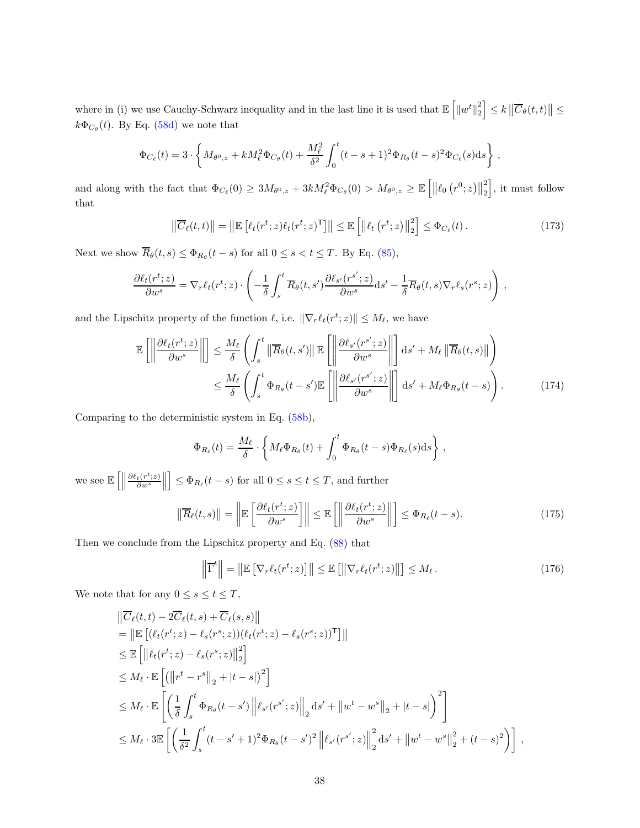where in (i) we use Cauchy-Schwarz inequality and in the last line it is used that  $\mathbb{E}\left[\Vert w^t\Vert_2^2\right]$  $\left|\frac{2}{2}\right| \leq k \left|\left|\overline{C}_{\theta}(t,t)\right|\right| \leq$  $k\Phi_{C_{\theta}}(t)$ . By Eq. [\(58d\)](#page-15-0) we note that

$$
\Phi_{C_{\ell}}(t) = 3 \cdot \left\{ M_{\theta^0, z} + k M_{\ell}^2 \Phi_{C_{\theta}}(t) + \frac{M_{\ell}^2}{\delta^2} \int_0^t (t - s + 1)^2 \Phi_{R_{\theta}}(t - s)^2 \Phi_{C_{\ell}}(s) \, ds \right\} \,,
$$

and along with the fact that  $\Phi_{C_{\ell}}(0) \geq 3M_{\theta^0,z} + 3kM_{\ell}^2 \Phi_{C_{\theta}}(0) > M_{\theta^0,z} \geq \mathbb{E}\left[\left\|\ell_0\left(r^0;z\right)\right\|_2^2\right]$ 2 i , it must follow that

$$
\left\| \overline{C}_{\ell}(t,t) \right\| = \left\| \mathbb{E} \left[ \ell_t(r^t; z) \ell_t(r^t; z)^{\mathsf{T}} \right] \right\| \leq \mathbb{E} \left[ \left\| \ell_t\left(r^t; z\right) \right\|_2^2 \right] \leq \Phi_{C_{\ell}}(t). \tag{173}
$$

Next we show  $R_{\theta}(t, s) \leq \Phi_{R_{\theta}}(t - s)$  for all  $0 \leq s < t \leq T$ . By Eq. [\(85\)](#page-18-1),

$$
\frac{\partial \ell_t(r^t; z)}{\partial w^s} = \nabla_r \ell_t(r^t; z) \cdot \left( -\frac{1}{\delta} \int_s^t \overline{R}_{\theta}(t, s') \frac{\partial \ell_{s'}(r^{s'}; z)}{\partial w^s} ds' - \frac{1}{\delta} \overline{R}_{\theta}(t, s) \nabla_r \ell_s(r^s; z) \right),
$$

and the Lipschitz property of the function  $\ell$ , i.e.  $\|\nabla_r \ell_t(r^t; z)\| \leq M_\ell$ , we have

$$
\mathbb{E}\left[\left\|\frac{\partial \ell_t(r^t; z)}{\partial w^s}\right\|\right] \leq \frac{M_\ell}{\delta} \left(\int_s^t \left\|\overline{R}_\theta(t, s')\right\| \mathbb{E}\left[\left\|\frac{\partial \ell_{s'}(r^{s'}; z)}{\partial w^s}\right\|\right] ds' + M_\ell \left\|\overline{R}_\theta(t, s)\right\|\right) \leq \frac{M_\ell}{\delta} \left(\int_s^t \Phi_{R_\theta}(t - s') \mathbb{E}\left[\left\|\frac{\partial \ell_{s'}(r^{s'}; z)}{\partial w^s}\right\|\right] ds' + M_\ell \Phi_{R_\theta}(t - s)\right).
$$
\n(174)

Comparing to the deterministic system in Eq. [\(58b\)](#page-15-1),

$$
\Phi_{R_{\ell}}(t) = \frac{M_{\ell}}{\delta} \cdot \left\{ M_{\ell} \Phi_{R_{\theta}}(t) + \int_0^t \Phi_{R_{\theta}}(t-s) \Phi_{R_{\ell}}(s) \mathrm{d}s \right\},\,
$$

we see  $\mathbb{E}\left[ \left\Vert \right. \right.$  $\frac{\partial \ell_t(r^t; z)}{\partial w^s}$  $\biggl\| \biggr.$  $\Big] \leq \Phi_{R_{\ell}}(t-s)$  for all  $0 \leq s \leq t \leq T$ , and further

$$
\left\| \overline{R}_{\ell}(t,s) \right\| = \left\| \mathbb{E} \left[ \frac{\partial \ell_t(r^t; z)}{\partial w^s} \right] \right\| \le \mathbb{E} \left[ \left\| \frac{\partial \ell_t(r^t; z)}{\partial w^s} \right\| \right] \le \Phi_{R_{\ell}}(t-s). \tag{175}
$$

Then we conclude from the Lipschitz property and Eq. [\(88\)](#page-18-2) that

$$
\left\| \overline{\Gamma}^t \right\| = \left\| \mathbb{E} \left[ \nabla_r \ell_t(r^t; z) \right] \right\| \leq \mathbb{E} \left[ \left\| \nabla_r \ell_t(r^t; z) \right\| \right] \leq M_\ell. \tag{176}
$$

We note that for any  $0 \leq s \leq t \leq T$ ,

$$
\|\overline{C}_{\ell}(t,t) - 2\overline{C}_{\ell}(t,s) + \overline{C}_{\ell}(s,s)\| \n= \|\mathbb{E}\left[ (\ell_{t}(r^{t}; z) - \ell_{s}(r^{s}; z))(\ell_{t}(r^{t}; z) - \ell_{s}(r^{s}; z))^{\mathsf{T}} \right] \| \n\leq \mathbb{E}\left[ \|\ell_{t}(r^{t}; z) - \ell_{s}(r^{s}; z)\|_{2}^{2} \right] \n\leq M_{\ell} \cdot \mathbb{E}\left[ (\|r^{t} - r^{s}\|_{2} + |t - s|)^{2} \right] \n\leq M_{\ell} \cdot \mathbb{E}\left[ \left( \frac{1}{\delta} \int_{s}^{t} \Phi_{R_{\theta}}(t - s') \left\| \ell_{s'}(r^{s'}; z) \right\|_{2} ds' + \|w^{t} - w^{s}\|_{2} + |t - s| \right)^{2} \right] \n\leq M_{\ell} \cdot 3 \mathbb{E}\left[ \left( \frac{1}{\delta^{2}} \int_{s}^{t} (t - s' + 1)^{2} \Phi_{R_{\theta}}(t - s')^{2} \left\| \ell_{s'}(r^{s'}; z) \right\|_{2}^{2} ds' + \|w^{t} - w^{s}\|_{2}^{2} + (t - s)^{2} \right) \right],
$$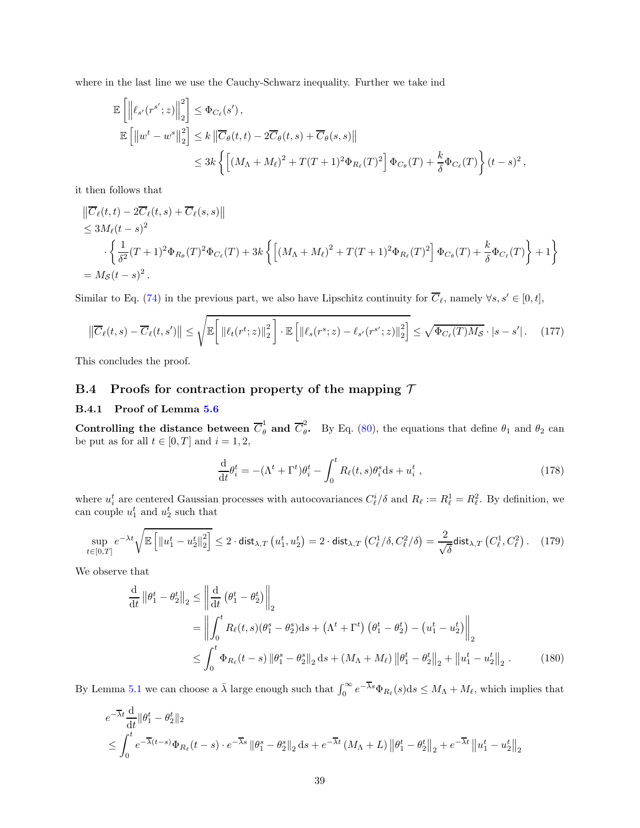where in the last line we use the Cauchy-Schwarz inequality. Further we take ind

$$
\label{eq:11} \begin{split} \mathbb{E}\left[\left\|\ell_{s'}(r^{s'};z)\right\|_2^2\right] &\leq \Phi_{C_{\ell}}(s')\,,\\ \mathbb{E}\left[\left\|w^t-w^s\right\|_2^2\right] &\leq k\left\|\overline{C}_{\theta}(t,t)-2\overline{C}_{\theta}(t,s)+\overline{C}_{\theta}(s,s)\right\|\\ &\leq 3k\left\{\left[(M_{\Lambda}+M_{\ell})^2+T(T+1)^2\Phi_{R_{\ell}}(T)^2\right]\Phi_{C_{\theta}}(T)+\frac{k}{\delta}\Phi_{C_{\ell}}(T)\right\}(t-s)^2\,, \end{split}
$$

it then follows that

$$
\|\overline{C}_{\ell}(t,t) - 2\overline{C}_{\ell}(t,s) + \overline{C}_{\ell}(s,s)\|
$$
  
\n
$$
\leq 3M_{\ell}(t-s)^{2}
$$
  
\n
$$
\cdot \left\{\frac{1}{\delta^{2}}(T+1)^{2}\Phi_{R_{\theta}}(T)^{2}\Phi_{C_{\ell}}(T) + 3k\left\{\left[(M_{\Lambda}+M_{\ell})^{2} + T(T+1)^{2}\Phi_{R_{\ell}}(T)^{2}\right]\Phi_{C_{\theta}}(T) + \frac{k}{\delta}\Phi_{C_{\ell}}(T)\right\} + 1\right\}
$$
  
\n=  $M_{\mathcal{S}}(t-s)^{2}$ .

Similar to Eq. [\(74\)](#page-17-0) in the previous part, we also have Lipschitz continuity for  $\overline{C}_{\ell}$ , namely  $\forall s, s' \in [0, t]$ ,

$$
\left\| \overline{C}_{\ell}(t,s) - \overline{C}_{\ell}(t,s') \right\| \leq \sqrt{\mathbb{E}\left[ \left\| \ell_t(r^t; z) \right\|_2^2 \right] \cdot \mathbb{E}\left[ \left\| \ell_s(r^s; z) - \ell_{s'}(r^{s'}; z) \right\|_2^2 \right]} \leq \sqrt{\Phi_{C_{\ell}}(T) M_{\mathcal{S}}} \cdot |s - s'|. \tag{177}
$$

This concludes the proof.

## <span id="page-38-0"></span>B.4 Proofs for contraction property of the mapping  $\mathcal T$

#### B.4.1 Proof of Lemma [5.6](#page-18-3)

Controlling the distance between  $\overline{C}_{\theta}^1$  and  $\overline{C}_{\theta}^2$  $\theta$ . By Eq. [\(80\)](#page-17-1), the equations that define  $\theta_1$  and  $\theta_2$  can be put as for all  $t \in [0, T]$  and  $i = 1, 2$ ,

$$
\frac{\mathrm{d}}{\mathrm{d}t}\theta_i^t = -(\Lambda^t + \Gamma^t)\theta_i^t - \int_0^t R_\ell(t,s)\theta_i^s \mathrm{d}s + u_i^t , \qquad (178)
$$

where  $u_i^t$  are centered Gaussian processes with autocovariances  $C_{\ell}^i/\delta$  and  $R_{\ell} := R_{\ell}^1 = R_{\ell}^2$ . By definition, we can couple  $u_1^t$  and  $u_2^t$  such that

$$
\sup_{t \in [0,T]} e^{-\lambda t} \sqrt{\mathbb{E}\left[\left\|u_1^t - u_2^t\right\|_2^2\right]} \le 2 \cdot \text{dist}_{\lambda,T}\left(u_1^t, u_2^t\right) = 2 \cdot \text{dist}_{\lambda,T}\left(C_\ell^1/\delta, C_\ell^2/\delta\right) = \frac{2}{\sqrt{\delta}} \text{dist}_{\lambda,T}\left(C_\ell^1, C_\ell^2\right). \tag{179}
$$

We observe that

$$
\frac{d}{dt} ||\theta_1^t - \theta_2^t||_2 \le \left\| \frac{d}{dt} (\theta_1^t - \theta_2^t) \right\|_2
$$
\n
$$
= \left\| \int_0^t R_\ell(t, s) (\theta_1^s - \theta_2^s) ds + (\Lambda^t + \Gamma^t) (\theta_1^t - \theta_2^t) - (u_1^t - u_2^t) \right\|_2
$$
\n
$$
\le \int_0^t \Phi_{R_\ell}(t - s) ||\theta_1^s - \theta_2^s||_2 ds + (M_\Lambda + M_\ell) ||\theta_1^t - \theta_2^t||_2 + ||u_1^t - u_2^t||_2. \tag{180}
$$

By Lemma [5.1](#page-15-2) we can choose a  $\bar{\lambda}$  large enough such that  $\int_0^\infty e^{-\bar{\lambda}s}\Phi_{R_\ell}(s)ds \leq M_\Lambda + M_\ell$ , which implies that

$$
e^{-\overline{\lambda}t} \frac{d}{dt} \|\theta_1^t - \theta_2^t\|_2
$$
  
\$\leq \int\_0^t e^{-\overline{\lambda}(t-s)} \Phi\_{R\_\ell}(t-s) \cdot e^{-\overline{\lambda}s} \|\theta\_1^s - \theta\_2^s\|\_2 ds + e^{-\overline{\lambda}t} (M\_\Lambda + L) \|\theta\_1^t - \theta\_2^t\|\_2 + e^{-\overline{\lambda}t} \|u\_1^t - u\_2^t\|\_2\$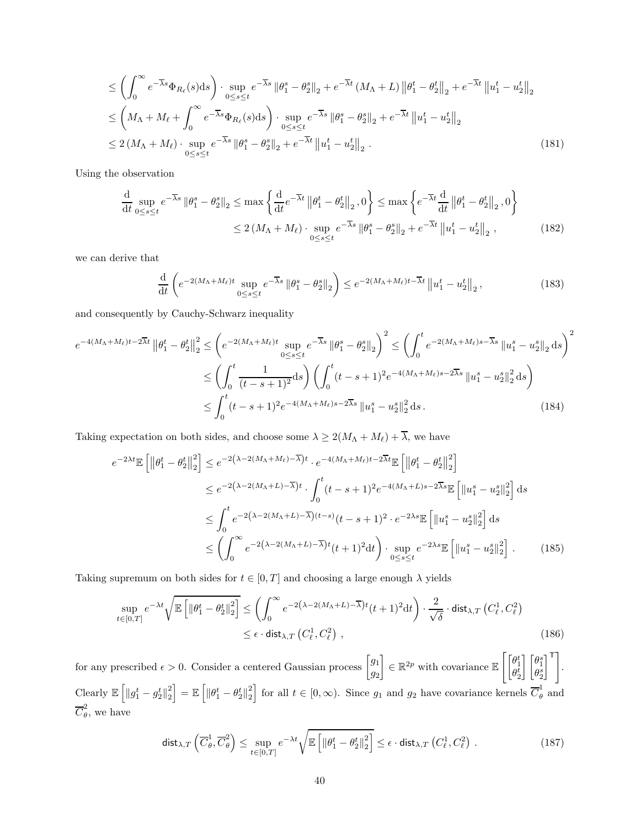$$
\leq \left(\int_0^\infty e^{-\overline{\lambda}s} \Phi_{R_\ell}(s)ds\right) \cdot \sup_{0\leq s\leq t} e^{-\overline{\lambda}s} \left\|\theta_1^s - \theta_2^s\right\|_2 + e^{-\overline{\lambda}t} \left(M_\Lambda + L\right) \left\|\theta_1^t - \theta_2^t\right\|_2 + e^{-\overline{\lambda}t} \left\|u_1^t - u_2^t\right\|_2
$$
  
\n
$$
\leq \left(M_\Lambda + M_\ell + \int_0^\infty e^{-\overline{\lambda}s} \Phi_{R_\ell}(s)ds\right) \cdot \sup_{0\leq s\leq t} e^{-\overline{\lambda}s} \left\|\theta_1^s - \theta_2^s\right\|_2 + e^{-\overline{\lambda}t} \left\|u_1^t - u_2^t\right\|_2
$$
  
\n
$$
\leq 2\left(M_\Lambda + M_\ell\right) \cdot \sup_{0\leq s\leq t} e^{-\overline{\lambda}s} \left\|\theta_1^s - \theta_2^s\right\|_2 + e^{-\overline{\lambda}t} \left\|u_1^t - u_2^t\right\|_2.
$$
 (181)

Using the observation

$$
\frac{\mathrm{d}}{\mathrm{d}t} \sup_{0 \le s \le t} e^{-\overline{\lambda}s} \left\| \theta_1^s - \theta_2^s \right\|_2 \le \max \left\{ \frac{\mathrm{d}}{\mathrm{d}t} e^{-\overline{\lambda}t} \left\| \theta_1^t - \theta_2^t \right\|_2, 0 \right\} \le \max \left\{ e^{-\overline{\lambda}t} \frac{\mathrm{d}}{\mathrm{d}t} \left\| \theta_1^t - \theta_2^t \right\|_2, 0 \right\}
$$
\n
$$
\le 2 \left( M_\Lambda + M_\ell \right) \cdot \sup_{0 \le s \le t} e^{-\overline{\lambda}s} \left\| \theta_1^s - \theta_2^s \right\|_2 + e^{-\overline{\lambda}t} \left\| u_1^t - u_2^t \right\|_2, \tag{182}
$$

we can derive that

<span id="page-39-2"></span><span id="page-39-1"></span><span id="page-39-0"></span>
$$
\frac{\mathrm{d}}{\mathrm{d}t}\left(e^{-2\left(M_{\Lambda}+M_{\ell}\right)t}\sup_{0\leq s\leq t}e^{-\overline{\lambda}s}\left\|\theta_{1}^{s}-\theta_{2}^{s}\right\|_{2}\right)\leq e^{-2\left(M_{\Lambda}+M_{\ell}\right)t-\overline{\lambda}t}\left\|u_{1}^{t}-u_{2}^{t}\right\|_{2},\tag{183}
$$

and consequently by Cauchy-Schwarz inequality

$$
e^{-4(M_{\Lambda}+M_{\ell})t-2\overline{\lambda}t} \left\|\theta_{1}^{t} - \theta_{2}^{t}\right\|_{2}^{2} \leq \left(e^{-2(M_{\Lambda}+M_{\ell})t} \sup_{0 \leq s \leq t} e^{-\overline{\lambda}s} \left\|\theta_{1}^{s} - \theta_{2}^{s}\right\|_{2}\right)^{2} \leq \left(\int_{0}^{t} e^{-2(M_{\Lambda}+M_{\ell})s-\overline{\lambda}s} \left\|u_{1}^{s} - u_{2}^{s}\right\|_{2} \mathrm{d}s\right)^{2} \leq \left(\int_{0}^{t} \frac{1}{(t-s+1)^{2}} \mathrm{d}s\right) \left(\int_{0}^{t} (t-s+1)^{2} e^{-4(M_{\Lambda}+M_{\ell})s-2\overline{\lambda}s} \left\|u_{1}^{s} - u_{2}^{s}\right\|_{2}^{2} \mathrm{d}s\right)^{2} \leq \int_{0}^{t} (t-s+1)^{2} e^{-4(M_{\Lambda}+M_{\ell})s-2\overline{\lambda}s} \left\|u_{1}^{s} - u_{2}^{s}\right\|_{2}^{2} \mathrm{d}s. \tag{184}
$$

Taking expectation on both sides, and choose some  $\lambda \ge 2(M_{\Lambda} + M_{\ell}) + \overline{\lambda}$ , we have

$$
e^{-2\lambda t} \mathbb{E} \left[ \left\| \theta_{1}^{t} - \theta_{2}^{t} \right\|_{2}^{2} \right] \leq e^{-2(\lambda - 2(M_{\Lambda} + M_{\ell}) - \overline{\lambda})t} \cdot e^{-4(M_{\Lambda} + M_{\ell})t - 2\overline{\lambda}t} \mathbb{E} \left[ \left\| \theta_{1}^{t} - \theta_{2}^{t} \right\|_{2}^{2} \right]
$$
  
\n
$$
\leq e^{-2(\lambda - 2(M_{\Lambda} + L) - \overline{\lambda})t} \cdot \int_{0}^{t} (t - s + 1)^{2} e^{-4(M_{\Lambda} + L)s - 2\overline{\lambda}s} \mathbb{E} \left[ \left\| u_{1}^{s} - u_{2}^{s} \right\|_{2}^{2} \right] ds
$$
  
\n
$$
\leq \int_{0}^{t} e^{-2(\lambda - 2(M_{\Lambda} + L) - \overline{\lambda})(t - s)} (t - s + 1)^{2} \cdot e^{-2\lambda s} \mathbb{E} \left[ \left\| u_{1}^{s} - u_{2}^{s} \right\|_{2}^{2} \right] ds
$$
  
\n
$$
\leq \left( \int_{0}^{\infty} e^{-2(\lambda - 2(M_{\Lambda} + L) - \overline{\lambda})t} (t + 1)^{2} dt \right) \cdot \sup_{0 \leq s \leq t} e^{-2\lambda s} \mathbb{E} \left[ \left\| u_{1}^{s} - u_{2}^{s} \right\|_{2}^{2} \right].
$$
 (185)

Taking supremum on both sides for  $t \in [0, T]$  and choosing a large enough  $\lambda$  yields

$$
\sup_{t \in [0,T]} e^{-\lambda t} \sqrt{\mathbb{E}\left[ \left\| \theta_1^t - \theta_2^t \right\|_2^2 \right]} \leq \left( \int_0^\infty e^{-2\left(\lambda - 2\left(M_\Lambda + L\right) - \overline{\lambda}\right)t} (t+1)^2 \mathrm{d}t \right) \cdot \frac{2}{\sqrt{\delta}} \cdot \text{dist}_{\lambda,T} \left( C_\ell^1, C_\ell^2 \right) \leq \epsilon \cdot \text{dist}_{\lambda,T} \left( C_\ell^1, C_\ell^2 \right) ,\tag{186}
$$

for any prescribed  $\epsilon > 0$ . Consider a centered Gaussian process  $\begin{bmatrix} g_1 \\ g_2 \end{bmatrix}$  $\overline{g}_2$ 1  $\in \mathbb{R}^{2p}$  with covariance E  $\begin{bmatrix} \theta_1^t \\ \theta_2^t \end{bmatrix}$  $\begin{bmatrix} \theta_1^s \\ \theta_2^s \end{bmatrix}$  $\mathsf{I}^{\mathsf{T}}$ . Clearly  $\mathbb{E} \left[ \left\| g_1^t - g_2^t \right\|_2^2 \right]$  $\begin{bmatrix} 2 \ 2 \end{bmatrix} = \mathbb{E} \left[ \lVert \theta_1^t - \theta_2^t \rVert_2^2 \right]$  $\left[\frac{2}{2}\right]$  for all  $t \in [0, \infty)$ . Since  $g_1$  and  $g_2$  have covariance kernels  $\overline{C}_{\theta}^1$  $\frac{1}{\theta}$  and  $\overline{C}_{\theta}^2$  $\frac{1}{\theta}$ , we have

$$
\operatorname{dist}_{\lambda,T}\left(\overline{C}_{\theta}^{1},\overline{C}_{\theta}^{2}\right) \leq \sup_{t \in [0,T]} e^{-\lambda t} \sqrt{\mathbb{E}\left[\left\|\theta_{1}^{t} - \theta_{2}^{t}\right\|_{2}^{2}\right]} \leq \epsilon \cdot \operatorname{dist}_{\lambda,T}\left(C_{\ell}^{1},C_{\ell}^{2}\right). \tag{187}
$$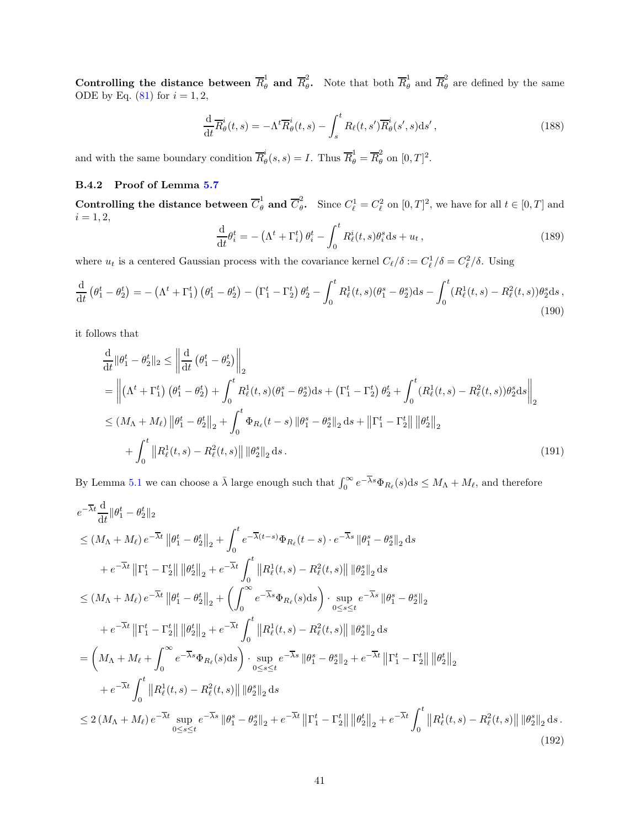Controlling the distance between  $\overline{R}_{\theta}^1$  and  $\overline{R}_{\theta}^2$ <sup>2</sup><sub>θ</sub>. Note that both  $\overline{R}_{\theta}^1$  $\frac{1}{\theta}$  and  $\overline{R}_{\theta}^2$  $\theta$  are defined by the same ODE by Eq.  $(81)$  for  $i = 1, 2$ ,

$$
\frac{\mathrm{d}}{\mathrm{d}t}\overline{R}_{\theta}^{i}(t,s) = -\Lambda^{t}\overline{R}_{\theta}^{i}(t,s) - \int_{s}^{t} R_{\ell}(t,s')\overline{R}_{\theta}^{i}(s',s) \mathrm{d}s',\tag{188}
$$

and with the same boundary condition  $\overline{R}_{\theta}^{i}$  $\overline{R}_{\theta}^{i}(s,s) = I$ . Thus  $\overline{R}_{\theta}^{1} = \overline{R}_{\theta}^{2}$  $_{\theta}^2$  on  $[0,T]^2$ .

## B.4.2 Proof of Lemma [5.7](#page-18-5)

Controlling the distance between  $\overline{C}_{\theta}^1$  and  $\overline{C}_{\theta}^2$ <sup>2</sup><sub> $\theta$ </sub>. Since  $C_{\ell}^1 = C_{\ell}^2$  on  $[0, T]^2$ , we have for all  $t \in [0, T]$  and  $i = 1, 2,$ 

$$
\frac{\mathrm{d}}{\mathrm{d}t}\theta_i^t = -\left(\Lambda^t + \Gamma_i^t\right)\theta_i^t - \int_0^t R_\ell^i(t,s)\theta_i^s \mathrm{d}s + u_t,\tag{189}
$$

where  $u_t$  is a centered Gaussian process with the covariance kernel  $C_{\ell}/\delta := C_{\ell}^1/\delta = C_{\ell}^2/\delta$ . Using

$$
\frac{\mathrm{d}}{\mathrm{d}t} \left( \theta_1^t - \theta_2^t \right) = - \left( \Lambda^t + \Gamma_1^t \right) \left( \theta_1^t - \theta_2^t \right) - \left( \Gamma_1^t - \Gamma_2^t \right) \theta_2^t - \int_0^t R_\ell^1(t, s) (\theta_1^s - \theta_2^s) \mathrm{d}s - \int_0^t (R_\ell^1(t, s) - R_\ell^2(t, s)) \theta_2^s \mathrm{d}s \,,\tag{190}
$$

it follows that

$$
\frac{d}{dt} ||\theta_1^t - \theta_2^t ||_2 \le ||\frac{d}{dt} (\theta_1^t - \theta_2^t) ||_2
$$
\n
$$
= ||(\Lambda^t + \Gamma_1^t) (\theta_1^t - \theta_2^t) + \int_0^t R_\ell^1(t, s) (\theta_1^s - \theta_2^s) ds + (\Gamma_1^t - \Gamma_2^t) \theta_2^t + \int_0^t (R_\ell^1(t, s) - R_\ell^2(t, s)) \theta_2^s ds ||_2
$$
\n
$$
\le (M_\Lambda + M_\ell) ||\theta_1^t - \theta_2^t||_2 + \int_0^t \Phi_{R_\ell}(t - s) ||\theta_1^s - \theta_2^s||_2 ds + ||\Gamma_1^t - \Gamma_2^t|| ||\theta_2^t||_2
$$
\n
$$
+ \int_0^t ||R_\ell^1(t, s) - R_\ell^2(t, s)|| ||\theta_2^s||_2 ds. \tag{191}
$$

By Lemma [5.1](#page-15-2) we can choose a  $\bar{\lambda}$  large enough such that  $\int_0^\infty e^{-\overline{\lambda}s} \Phi_{R_\ell}(s) ds \leq M_\Lambda + M_\ell$ , and therefore

$$
e^{-\overline{\lambda}t} \frac{d}{dt} ||\theta_{1}^{t} - \theta_{2}^{t} ||_{2}
$$
\n
$$
\leq (M_{\Lambda} + M_{\ell}) e^{-\overline{\lambda}t} ||\theta_{1}^{t} - \theta_{2}^{t} ||_{2} + \int_{0}^{t} e^{-\overline{\lambda}(t-s)} \Phi_{R_{\ell}}(t-s) \cdot e^{-\overline{\lambda}s} ||\theta_{1}^{s} - \theta_{2}^{s} ||_{2} ds
$$
\n
$$
+ e^{-\overline{\lambda}t} ||\Gamma_{1}^{t} - \Gamma_{2}^{t} || ||\theta_{2}^{t} ||_{2} + e^{-\overline{\lambda}t} \int_{0}^{t} ||R_{\ell}^{1}(t,s) - R_{\ell}^{2}(t,s)|| ||\theta_{2}^{s} ||_{2} ds
$$
\n
$$
\leq (M_{\Lambda} + M_{\ell}) e^{-\overline{\lambda}t} ||\theta_{1}^{t} - \theta_{2}^{t} ||_{2} + \left( \int_{0}^{\infty} e^{-\overline{\lambda}s} \Phi_{R_{\ell}}(s) ds \right) \cdot \sup_{0 \leq s \leq t} e^{-\overline{\lambda}s} ||\theta_{1}^{s} - \theta_{2}^{s} ||_{2}
$$
\n
$$
+ e^{-\overline{\lambda}t} ||\Gamma_{1}^{t} - \Gamma_{2}^{t} || ||\theta_{2}^{t} ||_{2} + e^{-\overline{\lambda}t} \int_{0}^{t} ||R_{\ell}^{1}(t,s) - R_{\ell}^{2}(t,s)|| ||\theta_{2}^{s} ||_{2} ds
$$
\n
$$
= \left( M_{\Lambda} + M_{\ell} + \int_{0}^{\infty} e^{-\overline{\lambda}s} \Phi_{R_{\ell}}(s) ds \right) \cdot \sup_{0 \leq s \leq t} e^{-\overline{\lambda}s} ||\theta_{1}^{s} - \theta_{2}^{s} ||_{2} + e^{-\overline{\lambda}t} ||\Gamma_{1}^{t} - \Gamma_{2}^{t} || ||\theta_{2}^{t} ||_{2}
$$
\n
$$
+ e^{-\overline{\lambda}t} \int_{0}^{t} ||R_{\ell}^{1}(t,s) - R_{\ell}^{2}(t,s)|| ||\theta_{2}^{s} ||_{2} ds
$$
\n
$$
\leq 2 (M_{\Lambda} + M_{\ell
$$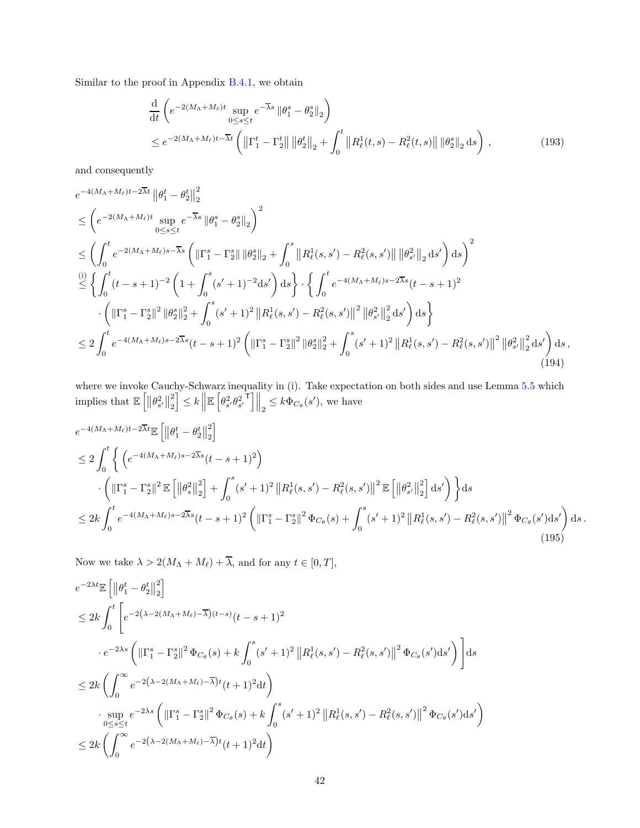Similar to the proof in Appendix [B.4.1,](#page-38-0) we obtain

$$
\frac{d}{dt} \left( e^{-2(M_{\Lambda} + M_{\ell})t} \sup_{0 \le s \le t} e^{-\overline{\lambda}s} \left\| \theta_1^s - \theta_2^s \right\|_2 \right) \n\le e^{-2(M_{\Lambda} + M_{\ell})t - \overline{\lambda}t} \left( \left\| \Gamma_1^t - \Gamma_2^t \right\| \left\| \theta_2^t \right\|_2 + \int_0^t \left\| R_{\ell}^1(t, s) - R_{\ell}^2(t, s) \right\| \left\| \theta_2^s \right\|_2 ds \right),
$$
\n(193)

and consequently

$$
e^{-4(M_{\Lambda}+M_{\ell})t-2\overline{\lambda}t} \|\theta_{1}^{t} - \theta_{2}^{t}\|_{2}^{2}
$$
\n
$$
\leq \left(e^{-2(M_{\Lambda}+M_{\ell})t} \sup_{0\leq s\leq t} e^{-\overline{\lambda}s} \|\theta_{1}^{s} - \theta_{2}^{s}\|_{2}\right)^{2}
$$
\n
$$
\leq \left(\int_{0}^{t} e^{-2(M_{\Lambda}+M_{\ell})s-\overline{\lambda}s} \left(\|\Gamma_{1}^{s}-\Gamma_{2}^{s}\| \|\theta_{2}^{s}\|_{2} + \int_{0}^{s} \|R_{\ell}^{1}(s,s') - R_{\ell}^{2}(s,s')\| \|\theta_{s'}^{2}\|_{2} ds'\right) ds\right)^{2}
$$
\n
$$
\stackrel{(i)}{\leq} \left\{\int_{0}^{t} (t-s+1)^{-2} \left(1+\int_{0}^{s} (s'+1)^{-2} ds'\right) ds\right\} \cdot \left\{\int_{0}^{t} e^{-4(M_{\Lambda}+M_{\ell})s-2\overline{\lambda}s}(t-s+1)^{2} \right. \\ \cdot \left(\|\Gamma_{1}^{s}-\Gamma_{2}^{s}\|^{2} \|\theta_{2}^{s}\|_{2}^{2} + \int_{0}^{s} (s'+1)^{2} \|R_{\ell}^{1}(s,s') - R_{\ell}^{2}(s,s')\|^{2} \|\theta_{s'}^{2}\|_{2}^{2} ds'\right) ds\right\}
$$
\n
$$
\leq 2 \int_{0}^{t} e^{-4(M_{\Lambda}+M_{\ell})s-2\overline{\lambda}s}(t-s+1)^{2} \left(\|\Gamma_{1}^{s}-\Gamma_{2}^{s}\|^{2} \|\theta_{2}^{s}\|_{2}^{2} + \int_{0}^{s} (s'+1)^{2} \|R_{\ell}^{1}(s,s') - R_{\ell}^{2}(s,s')\|^{2} \|\theta_{s'}^{2}\|_{2}^{2} ds'\right) ds,
$$
\n(194)

where we invoke Cauchy-Schwarz inequality in (i). Take expectation on both sides and use Lemma [5.5](#page-18-6) which implies that  $\mathbb{E} \left[ \left\| \theta_{s'}^2 \right\|_2^2 \right]$ 2  $\left|\sum_{s'} k\right| \mathbb{E}\left[\theta_{s'}^2 \theta_{s'}^2\right]$  $\mathbb{E}\left[\left\Vert \frac{1}{2} \leq k \Phi_{C_{\theta}}(s'), \right.\right]$  we have

$$
e^{-4(M_{\Lambda}+M_{\ell})t-2\overline{\lambda}t}\mathbb{E}\left[\left\|\theta_{1}^{t}-\theta_{2}^{t}\right\|_{2}^{2}\right]
$$
  
\n
$$
\leq 2\int_{0}^{t}\left\{\left(e^{-4(M_{\Lambda}+M_{\ell})s-2\overline{\lambda}s}(t-s+1)^{2}\right) \right\}\cdot\left(\left\|\Gamma_{1}^{s}-\Gamma_{2}^{s}\right\|^{2}\mathbb{E}\left[\left\|\theta_{s}^{2}\right\|_{2}^{2}\right]+\int_{0}^{s}(s'+1)^{2}\left\|R_{\ell}^{1}(s,s')-R_{\ell}^{2}(s,s')\right\|^{2}\mathbb{E}\left[\left\|\theta_{s'}^{2}\right\|_{2}^{2}\right]ds'\right)\right\}ds\n
$$
\leq 2k\int_{0}^{t}e^{-4(M_{\Lambda}+M_{\ell})s-2\overline{\lambda}s}(t-s+1)^{2}\left(\left\|\Gamma_{1}^{s}-\Gamma_{2}^{s}\right\|^{2}\Phi_{C_{\theta}}(s)+\int_{0}^{s}(s'+1)^{2}\left\|R_{\ell}^{1}(s,s')-R_{\ell}^{2}(s,s')\right\|^{2}\Phi_{C_{\theta}}(s')ds'\right)ds.
$$
\n(195)
$$

Now we take  $\lambda > 2(M_{\Lambda} + M_{\ell}) + \overline{\lambda}$ , and for any  $t \in [0, T]$ ,

$$
e^{-2\lambda t} \mathbb{E} \left[ \left\| \theta_{1}^{t} - \theta_{2}^{t} \right\|_{2}^{2} \right]
$$
  
\n
$$
\leq 2k \int_{0}^{t} \left[ e^{-2(\lambda - 2(M_{\Lambda} + M_{\ell}) - \overline{\lambda})(t - s)} (t - s + 1)^{2} \right. \cdot e^{-2\lambda s} \left( \left\| \Gamma_{1}^{s} - \Gamma_{2}^{s} \right\|^{2} \Phi_{C_{\theta}}(s) + k \int_{0}^{s} (s' + 1)^{2} \left\| R_{\ell}^{1}(s, s') - R_{\ell}^{2}(s, s') \right\|^{2} \Phi_{C_{\theta}}(s') ds' \right) \right] ds
$$
  
\n
$$
\leq 2k \left( \int_{0}^{\infty} e^{-2(\lambda - 2(M_{\Lambda} + M_{\ell}) - \overline{\lambda})} t(t + 1)^{2} dt \right)
$$
  
\n
$$
\cdot \sup_{0 \leq s \leq t} e^{-2\lambda s} \left( \left\| \Gamma_{1}^{s} - \Gamma_{2}^{s} \right\|^{2} \Phi_{C_{\theta}}(s) + k \int_{0}^{s} (s' + 1)^{2} \left\| R_{\ell}^{1}(s, s') - R_{\ell}^{2}(s, s') \right\|^{2} \Phi_{C_{\theta}}(s') ds' \right)
$$
  
\n
$$
\leq 2k \left( \int_{0}^{\infty} e^{-2(\lambda - 2(M_{\Lambda} + M_{\ell}) - \overline{\lambda})} t(t + 1)^{2} dt \right)
$$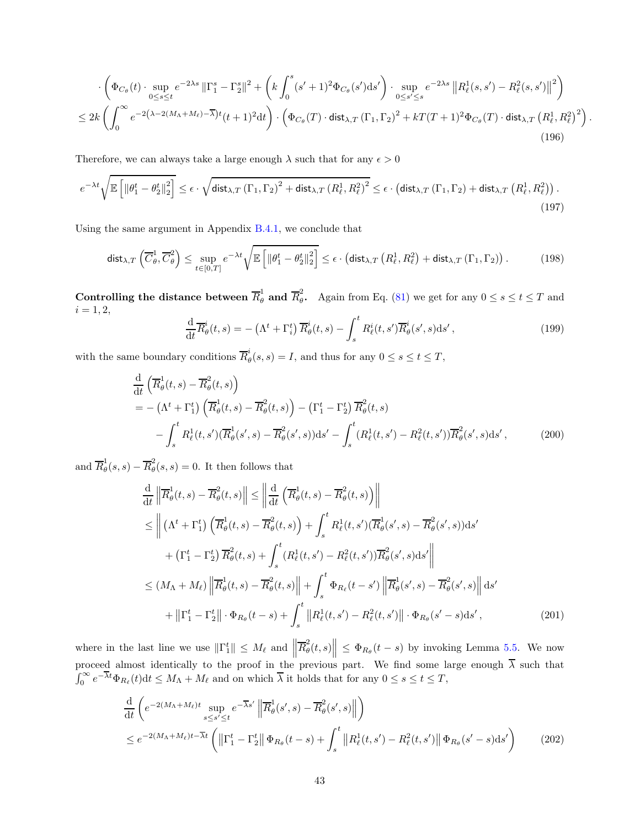$$
\cdot \left( \Phi_{C_{\theta}}(t) \cdot \sup_{0 \le s \le t} e^{-2\lambda s} \left\| \Gamma_1^s - \Gamma_2^s \right\|^2 + \left( k \int_0^s (s'+1)^2 \Phi_{C_{\theta}}(s') ds' \right) \cdot \sup_{0 \le s' \le s} e^{-2\lambda s} \left\| R_\ell^1(s, s') - R_\ell^2(s, s') \right\|^2 \right)
$$
  

$$
\le 2k \left( \int_0^\infty e^{-2\left(\lambda - 2(M_\Lambda + M_\ell) - \overline{\lambda}\right)t} (t+1)^2 dt \right) \cdot \left( \Phi_{C_{\theta}}(T) \cdot \text{dist}_{\lambda, T} \left( \Gamma_1, \Gamma_2 \right)^2 + kT(T+1)^2 \Phi_{C_{\theta}}(T) \cdot \text{dist}_{\lambda, T} \left( R_\ell^1, R_\ell^2 \right)^2 \right)
$$
(196)

Therefore, we can always take a large enough  $\lambda$  such that for any  $\epsilon > 0$ 

$$
e^{-\lambda t} \sqrt{\mathbb{E}\left[\left\|\theta_1^t - \theta_2^t\right\|_2^2\right]} \leq \epsilon \cdot \sqrt{\text{dist}_{\lambda, T}\left(\Gamma_1, \Gamma_2\right)^2 + \text{dist}_{\lambda, T}\left(R_\ell^1, R_\ell^2\right)^2} \leq \epsilon \cdot \left(\text{dist}_{\lambda, T}\left(\Gamma_1, \Gamma_2\right) + \text{dist}_{\lambda, T}\left(R_\ell^1, R_\ell^2\right)\right). \tag{197}
$$

Using the same argument in Appendix [B.4.1,](#page-38-0) we conclude that

$$
\operatorname{dist}_{\lambda,T}\left(\overline{C}_{\theta}^{1},\overline{C}_{\theta}^{2}\right) \leq \sup_{t\in[0,T]}e^{-\lambda t}\sqrt{\mathbb{E}\left[\left\|\theta_{1}^{t}-\theta_{2}^{t}\right\|_{2}^{2}\right]} \leq \epsilon \cdot \left(\operatorname{dist}_{\lambda,T}\left(R_{\ell}^{1},R_{\ell}^{2}\right)+\operatorname{dist}_{\lambda,T}\left(\Gamma_{1},\Gamma_{2}\right)\right). \tag{198}
$$

Controlling the distance between  $\overline{R}_{\theta}^1$  and  $\overline{R}_{\theta}^2$  $\frac{2}{\theta}$ . Again from Eq. [\(81\)](#page-18-4) we get for any  $0 \le s \le t \le T$  and  $i = 1, 2,$ 

$$
\frac{\mathrm{d}}{\mathrm{d}t}\overline{R}^i_\theta(t,s) = -\left(\Lambda^t + \Gamma^t_i\right)\overline{R}^i_\theta(t,s) - \int_s^t R^i_\ell(t,s')\overline{R}^i_\theta(s',s)\mathrm{d}s',\tag{199}
$$

.

with the same boundary conditions  $\overline{R}_{\theta}^{i}$  $\theta_{\theta}(s, s) = I$ , and thus for any  $0 \leq s \leq t \leq T$ ,

$$
\frac{\mathrm{d}}{\mathrm{d}t} \left( \overline{R}_{\theta}^{1}(t,s) - \overline{R}_{\theta}^{2}(t,s) \right)
$$
\n
$$
= - \left( \Lambda^{t} + \Gamma_{1}^{t} \right) \left( \overline{R}_{\theta}^{1}(t,s) - \overline{R}_{\theta}^{2}(t,s) \right) - \left( \Gamma_{1}^{t} - \Gamma_{2}^{t} \right) \overline{R}_{\theta}^{2}(t,s)
$$
\n
$$
- \int_{s}^{t} R_{\ell}^{1}(t,s') \left( \overline{R}_{\theta}^{1}(s',s) - \overline{R}_{\theta}^{2}(s',s) \right) \mathrm{d}s' - \int_{s}^{t} (R_{\ell}^{1}(t,s') - R_{\ell}^{2}(t,s')) \overline{R}_{\theta}^{2}(s',s) \mathrm{d}s', \tag{200}
$$

and  $\overline{R}^1_\theta$  $\frac{1}{\theta}(s,s) - \overline{R}_{\theta}^2$  $\tilde{\theta}(s,s) = 0$ . It then follows that

$$
\frac{\mathrm{d}}{\mathrm{d}t} \left\| \overline{R}^{1}_{\theta}(t,s) - \overline{R}^{2}_{\theta}(t,s) \right\| \leq \left\| \frac{\mathrm{d}}{\mathrm{d}t} \left( \overline{R}^{1}_{\theta}(t,s) - \overline{R}^{2}_{\theta}(t,s) \right) \right\|
$$
\n
$$
\leq \left\| \left( \Lambda^{t} + \Gamma^{t}_{1} \right) \left( \overline{R}^{1}_{\theta}(t,s) - \overline{R}^{2}_{\theta}(t,s) \right) + \int_{s}^{t} R^{1}_{\ell}(t,s') (\overline{R}^{1}_{\theta}(s',s) - \overline{R}^{2}_{\theta}(s',s)) \mathrm{d}s' \right\|
$$
\n
$$
+ \left( \Gamma^{t}_{1} - \Gamma^{t}_{2} \right) \overline{R}^{2}_{\theta}(t,s) + \int_{s}^{t} (R^{1}_{\ell}(t,s') - R^{2}_{\ell}(t,s')) \overline{R}^{2}_{\theta}(s',s) \mathrm{d}s' \right\|
$$
\n
$$
\leq (M_{\Lambda} + M_{\ell}) \left\| \overline{R}^{1}_{\theta}(t,s) - \overline{R}^{2}_{\theta}(t,s) \right\| + \int_{s}^{t} \Phi_{R_{\ell}}(t-s') \left\| \overline{R}^{1}_{\theta}(s',s) - \overline{R}^{2}_{\theta}(s',s) \right\| \mathrm{d}s' + \left\| \Gamma^{t}_{1} - \Gamma^{t}_{2} \right\| \cdot \Phi_{R_{\theta}}(t-s) + \int_{s}^{t} \left\| R^{1}_{\ell}(t,s') - R^{2}_{\ell}(t,s') \right\| \cdot \Phi_{R_{\theta}}(s'-s) \mathrm{d}s', \tag{201}
$$

where in the last line we use  $\|\Gamma_1^t\| \leq M_\ell$  and  $\left\|\overline{R}_{\theta}^2\right\|$  $\left\| \left( \theta(t, s) \right) \right\| \leq \Phi_{R_{\theta}}(t - s)$  by invoking Lemma [5.5.](#page-18-6) We now proceed almost identically to the proof in the previous part. We find some large enough  $\overline{\lambda}$  such that  $\int_0^\infty e^{-\overline{\lambda}t}\Phi_{R_\ell}(t)dt \leq M_\Lambda + M_\ell$  and on which  $\overline{\lambda}$  it holds that for any  $0 \leq s \leq t \leq T$ ,

$$
\frac{\mathrm{d}}{\mathrm{d}t} \left( e^{-2(M_{\Lambda}+M_{\ell})t} \sup_{s\leq s'\leq t} e^{-\overline{\lambda}s'} \left\| \overline{R}^1_{\theta}(s',s) - \overline{R}^2_{\theta}(s',s) \right\| \right) \n\leq e^{-2(M_{\Lambda}+M_{\ell})t-\overline{\lambda}t} \left( \left\| \Gamma^t_1 - \Gamma^t_2 \right\| \Phi_{R_{\theta}}(t-s) + \int_s^t \left\| R^1_{\ell}(t,s') - R^2_{\ell}(t,s') \right\| \Phi_{R_{\theta}}(s'-s) \mathrm{d}s' \right)
$$
\n(202)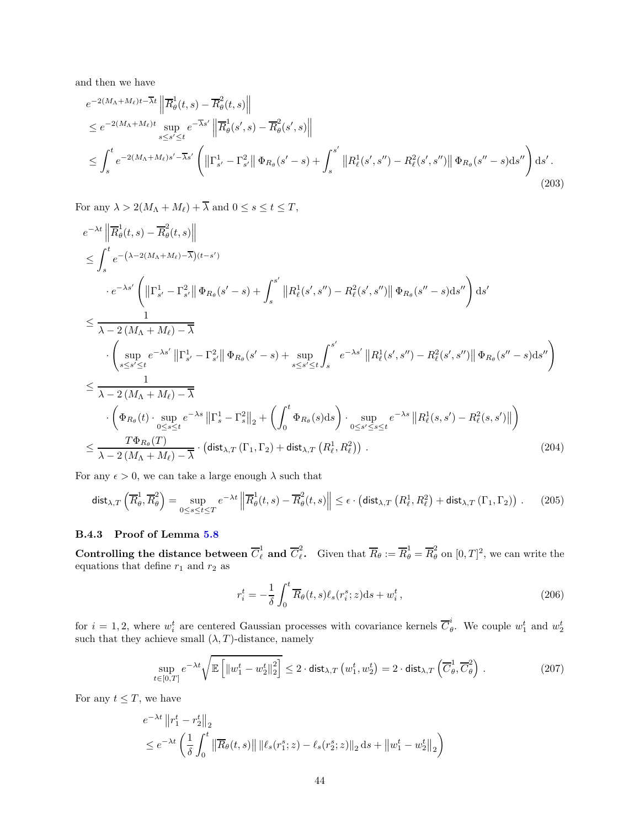and then we have

$$
e^{-2(M_{\Lambda}+M_{\ell})t-\overline{\lambda}t} \left\| \overline{R}^{1}_{\theta}(t,s) - \overline{R}^{2}_{\theta}(t,s) \right\|
$$
  
\n
$$
\leq e^{-2(M_{\Lambda}+M_{\ell})t} \sup_{s \leq s' \leq t} e^{-\overline{\lambda}s'} \left\| \overline{R}^{1}_{\theta}(s',s) - \overline{R}^{2}_{\theta}(s',s) \right\|
$$
  
\n
$$
\leq \int_{s}^{t} e^{-2(M_{\Lambda}+M_{\ell})s'-\overline{\lambda}s'} \left( \left\| \Gamma^{1}_{s'} - \Gamma^{2}_{s'} \right\| \Phi_{R_{\theta}}(s'-s) + \int_{s}^{s'} \left\| R^{1}_{\ell}(s',s'') - R^{2}_{\ell}(s',s'') \right\| \Phi_{R_{\theta}}(s''-s) \, ds'' \right) \, ds'.
$$
\n(203)

For any  $\lambda > 2(M_{\Lambda} + M_{\ell}) + \overline{\lambda}$  and  $0 \leq s \leq t \leq T$ ,

$$
e^{-\lambda t} \left\| \overline{R}^{1}_{\theta}(t,s) - \overline{R}^{2}_{\theta}(t,s) \right\|
$$
  
\n
$$
\leq \int_{s}^{t} e^{-\left(\lambda - 2(M_{\Lambda} + M_{\ell}) - \overline{\lambda}\right)(t-s')} \cdot e^{-\lambda s'} \left( \left\| \Gamma^{1}_{s'} - \Gamma^{2}_{s'} \right\| \Phi_{R_{\theta}}(s' - s) + \int_{s}^{s'} \left\| R^{1}_{\ell}(s',s'') - R^{2}_{\ell}(s',s'') \right\| \Phi_{R_{\theta}}(s'' - s) ds'' \right) ds'
$$
  
\n
$$
\leq \frac{1}{\lambda - 2(M_{\Lambda} + M_{\ell}) - \overline{\lambda}} \cdot \left( \sup_{s \leq s' \leq t} e^{-\lambda s'} \left\| \Gamma^{1}_{s'} - \Gamma^{2}_{s'} \right\| \Phi_{R_{\theta}}(s' - s) + \sup_{s \leq s' \leq t} \int_{s}^{s'} e^{-\lambda s'} \left\| R^{1}_{\ell}(s',s'') - R^{2}_{\ell}(s',s'') \right\| \Phi_{R_{\theta}}(s'' - s) ds'' \right)
$$
  
\n
$$
\leq \frac{1}{\lambda - 2(M_{\Lambda} + M_{\ell}) - \overline{\lambda}} \cdot \left( \Phi_{R_{\theta}}(t) \cdot \sup_{0 \leq s \leq t} e^{-\lambda s} \left\| \Gamma^{1}_{s} - \Gamma^{2}_{s} \right\|_{2} + \left( \int_{0}^{t} \Phi_{R_{\theta}}(s) ds \right) \cdot \sup_{0 \leq s' \leq s \leq t} e^{-\lambda s} \left\| R^{1}_{\ell}(s, s') - R^{2}_{\ell}(s, s') \right\| \right)
$$
  
\n
$$
\leq \frac{T\Phi_{R_{\theta}}(T)}{\lambda - 2(M_{\Lambda} + M_{\ell}) - \overline{\lambda}} \cdot \left( \text{dist}_{\lambda, T} \left( \Gamma_{1}, \Gamma_{2} \right) + \text{dist}_{\lambda, T} \left( R^{1}_{\ell}, R^{2}_{\ell} \right) \right) . \tag{204}
$$

For any  $\epsilon > 0$ , we can take a large enough  $\lambda$  such that

$$
\operatorname{dist}_{\lambda,T}\left(\overline{R}_{\theta}^{1},\overline{R}_{\theta}^{2}\right)=\sup_{0\leq s\leq t\leq T}e^{-\lambda t}\left\|\overline{R}_{\theta}^{1}(t,s)-\overline{R}_{\theta}^{2}(t,s)\right\|\leq \epsilon\cdot\left(\operatorname{dist}_{\lambda,T}\left(R_{\ell}^{1},R_{\ell}^{2}\right)+\operatorname{dist}_{\lambda,T}\left(\Gamma_{1},\Gamma_{2}\right)\right). \tag{205}
$$

## B.4.3 Proof of Lemma [5.8](#page-19-0)

Controlling the distance between  $\overline C^1_\ell$  and  $\overline C^2_\ell$ <sup>2</sup>. Given that  $\overline{R}_{\theta} := \overline{R}_{\theta}^1 = \overline{R}_{\theta}^2$  on  $[0, T]^2$ , we can write the equations that define  $r_1$  and  $r_2$  as

$$
r_i^t = -\frac{1}{\delta} \int_0^t \overline{R}_{\theta}(t, s) \ell_s(r_i^s; z) \mathrm{d}s + w_i^t, \qquad (206)
$$

for  $i = 1, 2$ , where  $w_i^t$  are centered Gaussian processes with covariance kernels  $\overline{C}_\theta^i$  $\theta$ . We couple  $w_1^t$  and  $w_2^t$ such that they achieve small  $(\lambda, T)$ -distance, namely

$$
\sup_{t \in [0,T]} e^{-\lambda t} \sqrt{\mathbb{E}\left[\left\|w_1^t - w_2^t\right\|_2^2\right]} \le 2 \cdot \text{dist}_{\lambda,T}\left(w_1^t, w_2^t\right) = 2 \cdot \text{dist}_{\lambda,T}\left(\overline{C}_{\theta}^1, \overline{C}_{\theta}^2\right). \tag{207}
$$

For any  $t \leq T$ , we have

$$
e^{-\lambda t} \|r_1^t - r_2^t\|_2
$$
  
\n
$$
\leq e^{-\lambda t} \left( \frac{1}{\delta} \int_0^t \left\| \overline{R}_{\theta}(t,s) \right\| \left\| \ell_s(r_1^s; z) - \ell_s(r_2^s; z) \right\|_2 ds + \left\| w_1^t - w_2^t \right\|_2 \right)
$$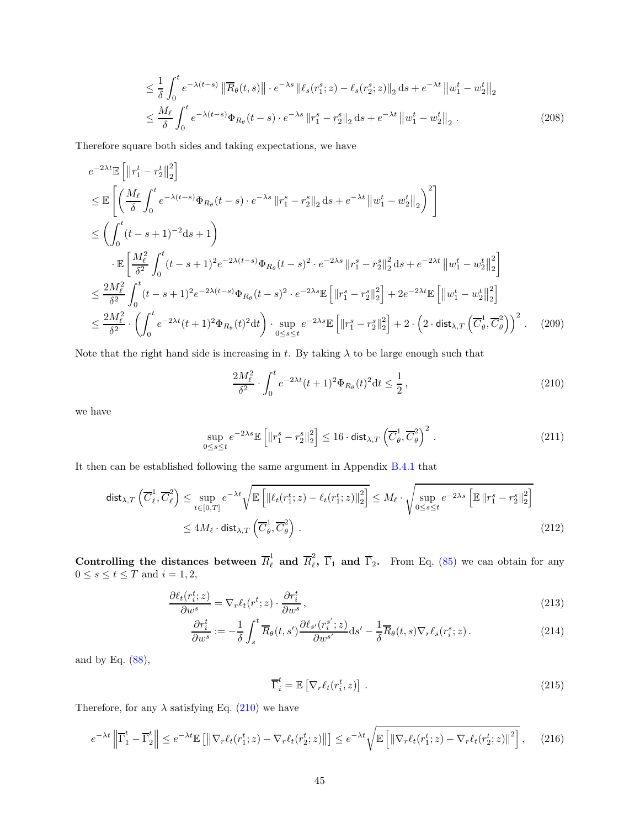$$
\leq \frac{1}{\delta} \int_0^t e^{-\lambda(t-s)} \left\| \overline{R}_{\theta}(t,s) \right\| \cdot e^{-\lambda s} \left\| \ell_s(r_1^s; z) - \ell_s(r_2^s; z) \right\|_2 \mathrm{d}s + e^{-\lambda t} \left\| w_1^t - w_2^t \right\|_2
$$
  

$$
\leq \frac{M_\ell}{\delta} \int_0^t e^{-\lambda(t-s)} \Phi_{R_{\theta}}(t-s) \cdot e^{-\lambda s} \left\| r_1^s - r_2^s \right\|_2 \mathrm{d}s + e^{-\lambda t} \left\| w_1^t - w_2^t \right\|_2 . \tag{208}
$$

Therefore square both sides and taking expectations, we have

$$
e^{-2\lambda t} \mathbb{E} \left[ \left\| r_1^t - r_2^t \right\|_2^2 \right]
$$
  
\n
$$
\leq \mathbb{E} \left[ \left( \frac{M_\ell}{\delta} \int_0^t e^{-\lambda(t-s)} \Phi_{R_\theta}(t-s) \cdot e^{-\lambda s} \left\| r_1^s - r_2^s \right\|_2 ds + e^{-\lambda t} \left\| w_1^t - w_2^t \right\|_2 \right)^2 \right]
$$
  
\n
$$
\leq \left( \int_0^t (t-s+1)^{-2} ds + 1 \right)
$$
  
\n
$$
\cdot \mathbb{E} \left[ \frac{M_\ell^2}{\delta^2} \int_0^t (t-s+1)^2 e^{-2\lambda(t-s)} \Phi_{R_\theta}(t-s)^2 \cdot e^{-2\lambda s} \left\| r_1^s - r_2^s \right\|_2^2 ds + e^{-2\lambda t} \left\| w_1^t - w_2^t \right\|_2^2 \right]
$$
  
\n
$$
\leq \frac{2M_\ell^2}{\delta^2} \int_0^t (t-s+1)^2 e^{-2\lambda(t-s)} \Phi_{R_\theta}(t-s)^2 \cdot e^{-2\lambda s} \mathbb{E} \left[ \left\| r_1^s - r_2^s \right\|_2^2 \right] + 2e^{-2\lambda t} \mathbb{E} \left[ \left\| w_1^t - w_2^t \right\|_2^2 \right]
$$
  
\n
$$
\leq \frac{2M_\ell^2}{\delta^2} \cdot \left( \int_0^t e^{-2\lambda t} (t+1)^2 \Phi_{R_\theta}(t)^2 dt \right) \cdot \sup_{0 \leq s \leq t} e^{-2\lambda s} \mathbb{E} \left[ \left\| r_1^s - r_2^s \right\|_2^2 \right] + 2 \cdot \left( 2 \cdot \text{dist}_{\lambda, T} \left( \overline{C_\theta^1}, \overline{C_\theta^2} \right) \right)^2. \tag{209}
$$

Note that the right hand side is increasing in t. By taking  $\lambda$  to be large enough such that

<span id="page-44-1"></span><span id="page-44-0"></span>
$$
\frac{2M_{\ell}^2}{\delta^2} \cdot \int_0^t e^{-2\lambda t} (t+1)^2 \Phi_{R_{\theta}}(t)^2 dt \le \frac{1}{2},\tag{210}
$$

we have

$$
\sup_{0 \le s \le t} e^{-2\lambda s} \mathbb{E} \left[ \|r_1^s - r_2^s\|_2^2 \right] \le 16 \cdot \text{dist}_{\lambda, T} \left( \overline{C}_{\theta}^1, \overline{C}_{\theta}^2 \right)^2. \tag{211}
$$

It then can be established following the same argument in Appendix [B.4.1](#page-38-0) that

$$
\text{dist}_{\lambda,T}\left(\overline{C}_{\ell}^{1},\overline{C}_{\ell}^{2}\right) \leq \sup_{t\in[0,T]} e^{-\lambda t} \sqrt{\mathbb{E}\left[\left\|\ell_{t}(r_{1}^{t};z) - \ell_{t}(r_{1}^{t};z)\right\|_{2}^{2}\right]} \leq M_{\ell} \cdot \sqrt{\sup_{0\leq s\leq t} e^{-2\lambda s} \left[\mathbb{E}\left\|r_{1}^{s} - r_{2}^{s}\right\|_{2}^{2}\right]}
$$
  
 
$$
\leq 4M_{\ell} \cdot \text{dist}_{\lambda,T}\left(\overline{C}_{\theta}^{1},\overline{C}_{\theta}^{2}\right).
$$
 (212)

Controlling the distances between  $\overline{R}_{\ell}^1$  and  $\overline{R}_{\ell}^2$  $\overline{\ell}_\ell$ ,  $\overline{\Gamma}_1$  and  $\overline{\Gamma}_2$ . From Eq. [\(85\)](#page-18-1) we can obtain for any  $0 \leq s \leq t \leq T$  and  $i = 1, 2$ ,

$$
\frac{\partial \ell_t(r_i^t; z)}{\partial w^s} = \nabla_r \ell_t(r^t; z) \cdot \frac{\partial r_i^t}{\partial w^s},\tag{213}
$$

$$
\frac{\partial r_i^t}{\partial w^s} := -\frac{1}{\delta} \int_s^t \overline{R}_{\theta}(t, s') \frac{\partial \ell_{s'}(r_i^{s'}; z)}{\partial w^{s'}} ds' - \frac{1}{\delta} \overline{R}_{\theta}(t, s) \nabla_r \ell_s(r_i^s; z).
$$
\n(214)

and by Eq. [\(88\)](#page-18-2),

<span id="page-44-2"></span>
$$
\overline{\Gamma}_i^t = \mathbb{E}\left[\nabla_r \ell_t(r_i^t, z)\right].\tag{215}
$$

Therefore, for any  $\lambda$  satisfying Eq. [\(210\)](#page-44-0) we have

$$
e^{-\lambda t} \left\| \overline{\Gamma}_1^t - \overline{\Gamma}_2^t \right\| \leq e^{-\lambda t} \mathbb{E} \left[ \left\| \nabla_r \ell_t(r_1^t; z) - \nabla_r \ell_t(r_2^t; z) \right\| \right] \leq e^{-\lambda t} \sqrt{\mathbb{E} \left[ \left\| \nabla_r \ell_t(r_1^t; z) - \nabla_r \ell_t(r_2^t; z) \right\|^2 \right]},\tag{216}
$$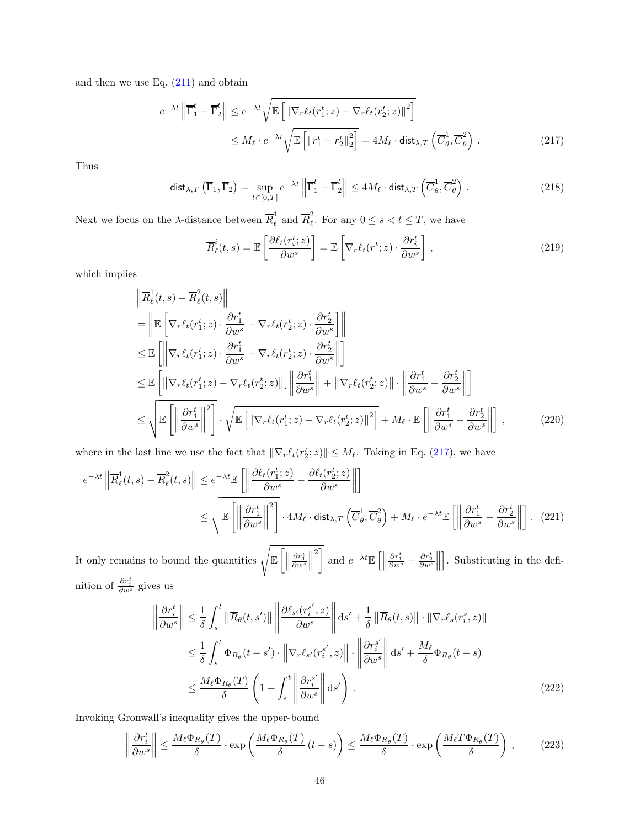and then we use Eq.  $(211)$  and obtain

$$
e^{-\lambda t} \left\| \overline{\Gamma}_1^t - \overline{\Gamma}_2^t \right\| \leq e^{-\lambda t} \sqrt{\mathbb{E} \left[ \left\| \nabla_r \ell_t(r_1^t; z) - \nabla_r \ell_t(r_2^t; z) \right\|^2 \right]}
$$
  
 
$$
\leq M_\ell \cdot e^{-\lambda t} \sqrt{\mathbb{E} \left[ \left\| r_1^t - r_2^t \right\|_2^2 \right]} = 4M_\ell \cdot \text{dist}_{\lambda, T} \left( \overline{C}_\theta^1, \overline{C}_\theta^2 \right).
$$
 (217)

Thus

$$
\operatorname{dist}_{\lambda,T}(\overline{\Gamma}_1,\overline{\Gamma}_2) = \sup_{t \in [0,T]} e^{-\lambda t} \left\| \overline{\Gamma}_1^t - \overline{\Gamma}_2^t \right\| \le 4M_\ell \cdot \operatorname{dist}_{\lambda,T}(\overline{C}_\theta^1,\overline{C}_\theta^2).
$$
 (218)

Next we focus on the  $\lambda$ -distance between  $\overline{R}_{\ell}^1$  and  $\overline{R}_{\ell}^2$  $\tilde{e}$ . For any  $0 \leq s < t \leq T$ , we have

<span id="page-45-0"></span>
$$
\overline{R}_{\ell}^{i}(t,s) = \mathbb{E}\left[\frac{\partial \ell_{t}(r_{i}^{t};z)}{\partial w^{s}}\right] = \mathbb{E}\left[\nabla_{r}\ell_{t}(r^{t};z)\cdot\frac{\partial r_{i}^{t}}{\partial w^{s}}\right],\tag{219}
$$

which implies

$$
\begin{split}\n&\left\|\overline{R}_{\ell}^{1}(t,s)-\overline{R}_{\ell}^{2}(t,s)\right\| \\
&=\left\|\mathbb{E}\left[\nabla_{r}\ell_{t}(r_{1}^{t};z)\cdot\frac{\partial r_{1}^{t}}{\partial w^{s}}-\nabla_{r}\ell_{t}(r_{2}^{t};z)\cdot\frac{\partial r_{2}^{t}}{\partial w^{s}}\right]\right\| \\
&\leq\mathbb{E}\left[\left\|\nabla_{r}\ell_{t}(r_{1}^{t};z)\cdot\frac{\partial r_{1}^{t}}{\partial w^{s}}-\nabla_{r}\ell_{t}(r_{2}^{t};z)\cdot\frac{\partial r_{2}^{t}}{\partial w^{s}}\right\|\right] \\
&\leq\mathbb{E}\left[\left\|\nabla_{r}\ell_{t}(r_{1}^{t};z)-\nabla_{r}\ell_{t}(r_{2}^{t};z)\right\|.\left\|\frac{\partial r_{1}^{t}}{\partial w^{s}}\right\|+\left\|\nabla_{r}\ell_{t}(r_{2}^{t};z)\right\|.\left\|\frac{\partial r_{1}^{t}}{\partial w^{s}}-\frac{\partial r_{2}^{t}}{\partial w^{s}}\right\|\right] \\
&\leq\sqrt{\mathbb{E}\left[\left\|\frac{\partial r_{1}^{t}}{\partial w^{s}}\right\|^{2}\right]}.\sqrt{\mathbb{E}\left[\left\|\nabla_{r}\ell_{t}(r_{1}^{t};z)-\nabla_{r}\ell_{t}(r_{2}^{t};z)\right\|^{2}\right]}+M_{\ell}\cdot\mathbb{E}\left[\left\|\frac{\partial r_{1}^{t}}{\partial w^{s}}-\frac{\partial r_{2}^{t}}{\partial w^{s}}\right\|\right],\n\end{split} \tag{220}
$$

where in the last line we use the fact that  $\|\nabla_r \ell_t(r_2^t; z)\| \leq M_\ell$ . Taking in Eq. [\(217\)](#page-45-0), we have

$$
e^{-\lambda t} \left\| \overline{R}_{\ell}^{1}(t,s) - \overline{R}_{\ell}^{2}(t,s) \right\| \leq e^{-\lambda t} \mathbb{E} \left[ \left\| \frac{\partial \ell_{t}(r_{1}^{t};z)}{\partial w^{s}} - \frac{\partial \ell_{t}(r_{2}^{t};z)}{\partial w^{s}} \right\| \right]
$$
  

$$
\leq \sqrt{\mathbb{E} \left[ \left\| \frac{\partial r_{1}^{t}}{\partial w^{s}} \right\|^{2} \right] \cdot 4M_{\ell} \cdot \text{dist}_{\lambda,T} \left( \overline{C}_{\theta}^{1}, \overline{C}_{\theta}^{2} \right) + M_{\ell} \cdot e^{-\lambda t} \mathbb{E} \left[ \left\| \frac{\partial r_{1}^{t}}{\partial w^{s}} - \frac{\partial r_{2}^{t}}{\partial w^{s}} \right\| \right]. \tag{221}
$$

It only remains to bound the quantities  $\sqrt{\mathbb{E}\left[\left\|\right\|}$  $\frac{\partial r^t_1}{\partial w^s}$  $\biggl\| \biggr\|$ 2] and  $e^{-\lambda t}\mathbb{E}\left[\Big\|\right]$  $\frac{\partial r_1^t}{\partial w^s}-\frac{\partial r_2^t}{\partial w^s}$  $\biggl\}$ . Substituting in the definition of  $\frac{\partial r_i^t}{\partial w^s}$  gives us

<span id="page-45-2"></span><span id="page-45-1"></span>
$$
\left\|\frac{\partial r_i^t}{\partial w^s}\right\| \leq \frac{1}{\delta} \int_s^t \left\|\overline{R}_{\theta}(t, s')\right\| \left\|\frac{\partial \ell_{s'}(r_i^{s'}, z)}{\partial w^s}\right\| \mathrm{d}s' + \frac{1}{\delta} \left\|\overline{R}_{\theta}(t, s)\right\| \cdot \left\|\nabla_r \ell_s(r_i^s, z)\right\| \n\leq \frac{1}{\delta} \int_s^t \Phi_{R_{\theta}}(t - s') \cdot \left\|\nabla_r \ell_{s'}(r_i^{s'}, z)\right\| \cdot \left\|\frac{\partial r_i^{s'}}{\partial w^s}\right\| \mathrm{d}s' + \frac{M_\ell}{\delta} \Phi_{R_{\theta}}(t - s) \n\leq \frac{M_\ell \Phi_{R_{\theta}}(T)}{\delta} \left(1 + \int_s^t \left\|\frac{\partial r_i^{s'}}{\partial w^s}\right\| \mathrm{d}s'\right). \tag{222}
$$

Invoking Gronwall's inequality gives the upper-bound

$$
\left\|\frac{\partial r_i^t}{\partial w^s}\right\| \le \frac{M_\ell \Phi_{R_\theta}(T)}{\delta} \cdot \exp\left(\frac{M_\ell \Phi_{R_\theta}(T)}{\delta} (t-s)\right) \le \frac{M_\ell \Phi_{R_\theta}(T)}{\delta} \cdot \exp\left(\frac{M_\ell T \Phi_{R_\theta}(T)}{\delta}\right),\tag{223}
$$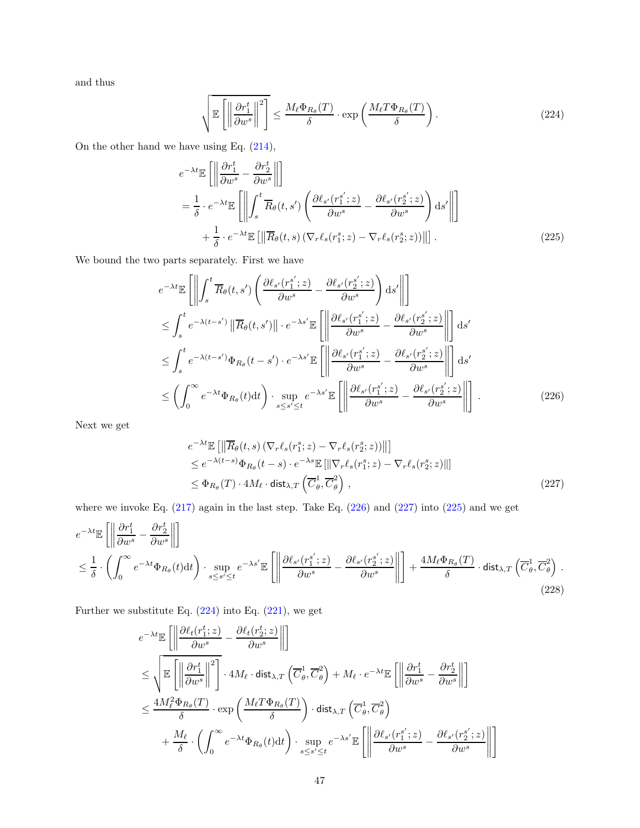and thus

<span id="page-46-3"></span><span id="page-46-2"></span>
$$
\sqrt{\mathbb{E}\left[\left\|\frac{\partial r_1^t}{\partial w^s}\right\|^2\right]} \le \frac{M_\ell \Phi_{R_\theta}(T)}{\delta} \cdot \exp\left(\frac{M_\ell T \Phi_{R_\theta}(T)}{\delta}\right). \tag{224}
$$

On the other hand we have using Eq. [\(214\)](#page-44-2),

$$
e^{-\lambda t} \mathbb{E} \left[ \left\| \frac{\partial r_1^t}{\partial w^s} - \frac{\partial r_2^t}{\partial w^s} \right\| \right]
$$
  
=  $\frac{1}{\delta} \cdot e^{-\lambda t} \mathbb{E} \left[ \left\| \int_s^t \overline{R}_{\theta}(t, s') \left( \frac{\partial \ell_{s'}(r_1^{s'}; z)}{\partial w^s} - \frac{\partial \ell_{s'}(r_2^{s'}; z)}{\partial w^s} \right) ds' \right\| \right]$   
+  $\frac{1}{\delta} \cdot e^{-\lambda t} \mathbb{E} \left[ \left\| \overline{R}_{\theta}(t, s) \left( \nabla_r \ell_s(r_1^{s}; z) - \nabla_r \ell_s(r_2^{s}; z) \right) \right\| \right].$  (225)

We bound the two parts separately. First we have

$$
e^{-\lambda t} \mathbb{E} \left[ \left\| \int_{s}^{t} \overline{R}_{\theta}(t, s') \left( \frac{\partial \ell_{s'}(r_{1}^{s'}; z)}{\partial w^{s}} - \frac{\partial \ell_{s'}(r_{2}^{s'}; z)}{\partial w^{s}} \right) ds' \right\| \right]
$$
  
\n
$$
\leq \int_{s}^{t} e^{-\lambda(t - s')} \left\| \overline{R}_{\theta}(t, s') \right\| \cdot e^{-\lambda s'} \mathbb{E} \left[ \left\| \frac{\partial \ell_{s'}(r_{1}^{s'}; z)}{\partial w^{s}} - \frac{\partial \ell_{s'}(r_{2}^{s'}; z)}{\partial w^{s}} \right\| \right] ds'
$$
  
\n
$$
\leq \int_{s}^{t} e^{-\lambda(t - s')} \Phi_{R_{\theta}}(t - s') \cdot e^{-\lambda s'} \mathbb{E} \left[ \left\| \frac{\partial \ell_{s'}(r_{1}^{s'}; z)}{\partial w^{s}} - \frac{\partial \ell_{s'}(r_{2}^{s'}; z)}{\partial w^{s}} \right\| \right] ds'
$$
  
\n
$$
\leq \left( \int_{0}^{\infty} e^{-\lambda t} \Phi_{R_{\theta}}(t) dt \right) \cdot \sup_{s \leq s' \leq t} e^{-\lambda s'} \mathbb{E} \left[ \left\| \frac{\partial \ell_{s'}(r_{1}^{s'}; z)}{\partial w^{s}} - \frac{\partial \ell_{s'}(r_{2}^{s'}; z)}{\partial w^{s}} \right\| \right].
$$
 (226)

Next we get

<span id="page-46-1"></span><span id="page-46-0"></span>
$$
e^{-\lambda t} \mathbb{E} \left[ \left\| \overline{R}_{\theta}(t,s) \left( \nabla_{r} \ell_{s}(r_{1}^{s}; z) - \nabla_{r} \ell_{s}(r_{2}^{s}; z) \right) \right\| \right] \leq e^{-\lambda (t-s)} \Phi_{R_{\theta}}(t-s) \cdot e^{-\lambda s} \mathbb{E} \left[ \left\| \nabla_{r} \ell_{s}(r_{1}^{s}; z) - \nabla_{r} \ell_{s}(r_{2}^{s}; z) \right\| \right] \leq \Phi_{R_{\theta}}(T) \cdot 4M_{\ell} \cdot \text{dist}_{\lambda, T} \left( \overline{C}_{\theta}^{1}, \overline{C}_{\theta}^{2} \right), \tag{227}
$$

where we invoke Eq. [\(217\)](#page-45-0) again in the last step. Take Eq. [\(226\)](#page-46-0) and [\(227\)](#page-46-1) into [\(225\)](#page-46-2) and we get

$$
e^{-\lambda t} \mathbb{E}\left[\left\|\frac{\partial r_1^t}{\partial w^s} - \frac{\partial r_2^t}{\partial w^s}\right\|\right] \le \frac{1}{\delta} \cdot \left(\int_0^\infty e^{-\lambda t} \Phi_{R_\theta}(t) dt\right) \cdot \sup_{s \le s' \le t} e^{-\lambda s'} \mathbb{E}\left[\left\|\frac{\partial \ell_{s'}(r_1^{s'}; z)}{\partial w^s} - \frac{\partial \ell_{s'}(r_2^{s'}; z)}{\partial w^s}\right\|\right] + \frac{4M_\ell \Phi_{R_\theta}(T)}{\delta} \cdot \text{dist}_{\lambda, T}\left(\overline{C}^1_\theta, \overline{C}^2_\theta\right). \tag{228}
$$

Further we substitute Eq. [\(224\)](#page-46-3) into Eq. [\(221\)](#page-45-1), we get

$$
e^{-\lambda t} \mathbb{E}\left[\left\|\frac{\partial \ell_t(r_1^t; z)}{\partial w^s} - \frac{\partial \ell_t(r_2^t; z)}{\partial w^s}\right\|\right]
$$
  
\n
$$
\leq \sqrt{\mathbb{E}\left[\left\|\frac{\partial r_1^t}{\partial w^s}\right\|^2\right]} \cdot 4M_\ell \cdot \text{dist}_{\lambda, T}\left(\overline{C}^1_\theta, \overline{C}^2_\theta\right) + M_\ell \cdot e^{-\lambda t} \mathbb{E}\left[\left\|\frac{\partial r_1^t}{\partial w^s} - \frac{\partial r_2^t}{\partial w^s}\right\|\right]
$$
  
\n
$$
\leq \frac{4M_\ell^2 \Phi_{R_\theta}(T)}{\delta} \cdot \exp\left(\frac{M_\ell T \Phi_{R_\theta}(T)}{\delta}\right) \cdot \text{dist}_{\lambda, T}\left(\overline{C}^1_\theta, \overline{C}^2_\theta\right)
$$
  
\n
$$
+ \frac{M_\ell}{\delta} \cdot \left(\int_0^\infty e^{-\lambda t} \Phi_{R_\theta}(t) dt\right) \cdot \sup_{s \leq s' \leq t} e^{-\lambda s'} \mathbb{E}\left[\left\|\frac{\partial \ell_{s'}(r_1^{s'}; z)}{\partial w^s} - \frac{\partial \ell_{s'}(r_2^{s'}; z)}{\partial w^s}\right\|\right]
$$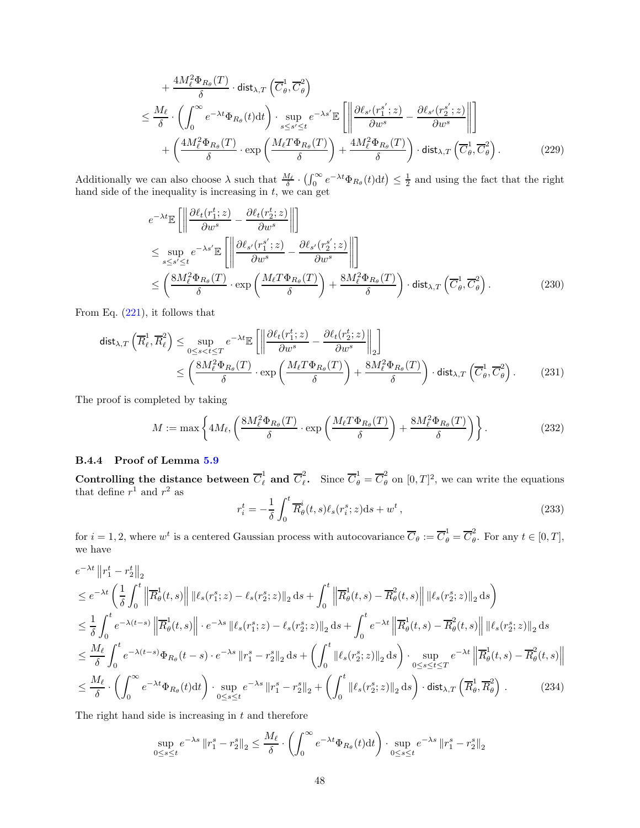$$
+\frac{4M_{\ell}^{2}\Phi_{R_{\theta}}(T)}{\delta} \cdot \text{dist}_{\lambda,T} \left(\overline{C}^{1}_{\theta}, \overline{C}^{2}_{\theta}\right)
$$
  

$$
\leq \frac{M_{\ell}}{\delta} \cdot \left(\int_{0}^{\infty} e^{-\lambda t} \Phi_{R_{\theta}}(t) dt\right) \cdot \sup_{s \leq s' \leq t} e^{-\lambda s'} \mathbb{E} \left[ \left\|\frac{\partial \ell_{s'}(r_{1}^{s'}; z)}{\partial w^{s}} - \frac{\partial \ell_{s'}(r_{2}^{s'}; z)}{\partial w^{s}}\right\| \right]
$$

$$
+\left(\frac{4M_{\ell}^{2}\Phi_{R_{\theta}}(T)}{\delta} \cdot \exp\left(\frac{M_{\ell}T\Phi_{R_{\theta}}(T)}{\delta}\right) + \frac{4M_{\ell}^{2}\Phi_{R_{\theta}}(T)}{\delta}\right) \cdot \text{dist}_{\lambda,T} \left(\overline{C}^{1}_{\theta}, \overline{C}^{2}_{\theta}\right). \tag{229}
$$

Additionally we can also choose  $\lambda$  such that  $\frac{M_{\ell}}{\delta} \cdot \left(\int_0^{\infty} e^{-\lambda t} \Phi_{R_{\theta}}(t) dt\right) \leq \frac{1}{2}$  and using the fact that the right hand side of the inequality is increasing in  $t$ , we can get

$$
e^{-\lambda t} \mathbb{E}\left[\left\|\frac{\partial \ell_t(r_1^t; z)}{\partial w^s} - \frac{\partial \ell_t(r_2^t; z)}{\partial w^s}\right\|\right]
$$
  
\n
$$
\leq \sup_{s \leq s' \leq t} e^{-\lambda s'} \mathbb{E}\left[\left\|\frac{\partial \ell_{s'}(r_1^{s'}; z)}{\partial w^s} - \frac{\partial \ell_{s'}(r_2^{s'}; z)}{\partial w^s}\right\|\right]
$$
  
\n
$$
\leq \left(\frac{8M_{\ell}^2 \Phi_{R_{\theta}}(T)}{\delta} \cdot \exp\left(\frac{M_{\ell} T \Phi_{R_{\theta}}(T)}{\delta}\right) + \frac{8M_{\ell}^2 \Phi_{R_{\theta}}(T)}{\delta}\right) \cdot \text{dist}_{\lambda, T}\left(\overline{C}_{\theta}^1, \overline{C}_{\theta}^2\right).
$$
 (230)

From Eq. [\(221\)](#page-45-1), it follows that

$$
\text{dist}_{\lambda,T}\left(\overline{R}_{\ell}^{1},\overline{R}_{\ell}^{2}\right) \leq \sup_{0 \leq s < t \leq T} e^{-\lambda t} \mathbb{E}\left[\left\|\frac{\partial \ell_{t}(r_{1}^{t};z)}{\partial w^{s}} - \frac{\partial \ell_{t}(r_{2}^{t};z)}{\partial w^{s}}\right\|_{2}\right]
$$
\n
$$
\leq \left(\frac{8M_{\ell}^{2}\Phi_{R_{\theta}}(T)}{\delta} \cdot \exp\left(\frac{M_{\ell}T\Phi_{R_{\theta}}(T)}{\delta}\right) + \frac{8M_{\ell}^{2}\Phi_{R_{\theta}}(T)}{\delta}\right) \cdot \text{dist}_{\lambda,T}\left(\overline{C}_{\theta}^{1},\overline{C}_{\theta}^{2}\right). \tag{231}
$$

The proof is completed by taking

$$
M := \max\left\{ 4M_{\ell}, \left( \frac{8M_{\ell}^{2} \Phi_{R_{\theta}}(T)}{\delta} \cdot \exp\left(\frac{M_{\ell} T \Phi_{R_{\theta}}(T)}{\delta}\right) + \frac{8M_{\ell}^{2} \Phi_{R_{\theta}}(T)}{\delta} \right) \right\}.
$$
 (232)

## B.4.4 Proof of Lemma [5.9](#page-19-1)

Controlling the distance between  $\overline{C}_{\ell}^1$  and  $\overline{C}_{\ell}^2$ <sup>2</sup><sub> $\ell$ </sub>. Since  $\overline{C}_{\theta}^1 = \overline{C}_{\theta}^2$  on  $[0, T]^2$ , we can write the equations that define  $r^1$  and  $r^2$  as

$$
r_i^t = -\frac{1}{\delta} \int_0^t \overline{R}_{\theta}^i(t, s) \ell_s(r_i^s; z) \mathrm{d}s + w^t,
$$
\n(233)

for  $i = 1, 2$ , where  $w^t$  is a centered Gaussian process with autocovariance  $\overline{C}_{\theta} := \overline{C}_{\theta}^1 = \overline{C}_{\theta}^2$  $\tilde{\theta}$ . For any  $t \in [0, T],$ we have

$$
e^{-\lambda t} \left\| r_1^t - r_2^t \right\|_2
$$
  
\n
$$
\leq e^{-\lambda t} \left( \frac{1}{\delta} \int_0^t \left\| \overline{R}_{\theta}^1(t, s) \right\| \left\| \ell_s(r_1^s; z) - \ell_s(r_2^s; z) \right\|_2 ds + \int_0^t \left\| \overline{R}_{\theta}^1(t, s) - \overline{R}_{\theta}^2(t, s) \right\| \left\| \ell_s(r_2^s; z) \right\|_2 ds \right)
$$
  
\n
$$
\leq \frac{1}{\delta} \int_0^t e^{-\lambda(t - s)} \left\| \overline{R}_{\theta}^1(t, s) \right\| \cdot e^{-\lambda s} \left\| \ell_s(r_1^s; z) - \ell_s(r_2^s; z) \right\|_2 ds + \int_0^t e^{-\lambda t} \left\| \overline{R}_{\theta}^1(t, s) - \overline{R}_{\theta}^2(t, s) \right\| \left\| \ell_s(r_2^s; z) \right\|_2 ds
$$
  
\n
$$
\leq \frac{M_\ell}{\delta} \int_0^t e^{-\lambda(t - s)} \Phi_{R_\theta}(t - s) \cdot e^{-\lambda s} \left\| r_1^s - r_2^s \right\|_2 ds + \left( \int_0^t \left\| \ell_s(r_2^s; z) \right\|_2 ds \right) \cdot \sup_{0 \leq s \leq t \leq T} e^{-\lambda t} \left\| \overline{R}_{\theta}^1(t, s) - \overline{R}_{\theta}^2(t, s) \right\|
$$
  
\n
$$
\leq \frac{M_\ell}{\delta} \cdot \left( \int_0^\infty e^{-\lambda t} \Phi_{R_\theta}(t) dt \right) \cdot \sup_{0 \leq s \leq t} e^{-\lambda s} \left\| r_1^s - r_2^s \right\|_2 + \left( \int_0^t \left\| \ell_s(r_2^s; z) \right\|_2 ds \right) \cdot \text{dist}_{\lambda, T} \left( \overline{R}_{\theta}^1, \overline{R}_{\theta}^2 \right) .
$$
 (234)

The right hand side is increasing in  $t$  and therefore

$$
\sup_{0 \le s \le t} e^{-\lambda s} \|r_1^s - r_2^s\|_2 \le \frac{M_\ell}{\delta} \cdot \left( \int_0^\infty e^{-\lambda t} \Phi_{R_\theta}(t) dt \right) \cdot \sup_{0 \le s \le t} e^{-\lambda s} \|r_1^s - r_2^s\|_2
$$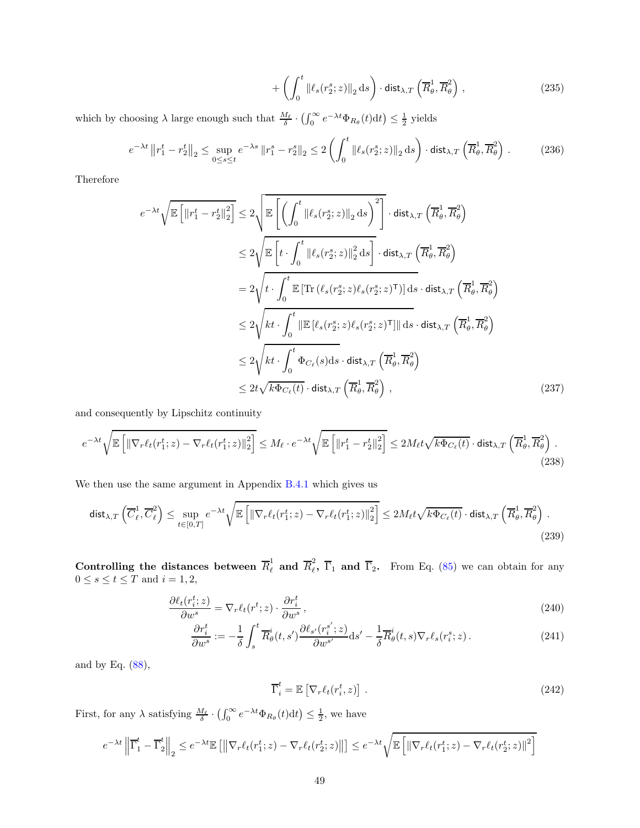$$
+\left(\int_0^t \|\ell_s(r_2^s; z)\|_2 \, \mathrm{d} s\right) \cdot \mathsf{dist}_{\lambda, T}\left(\overline{R}^1_\theta, \overline{R}^2_\theta\right) \,,\tag{235}
$$

which by choosing  $\lambda$  large enough such that  $\frac{M_{\ell}}{\delta} \cdot (\int_0^{\infty} e^{-\lambda t} \Phi_{R_{\theta}}(t) dt) \leq \frac{1}{2}$  yields

$$
e^{-\lambda t} \left\| r_1^t - r_2^t \right\|_2 \le \sup_{0 \le s \le t} e^{-\lambda s} \left\| r_1^s - r_2^s \right\|_2 \le 2 \left( \int_0^t \left\| \ell_s(r_2^s; z) \right\|_2 \, \mathrm{d}s \right) \cdot \mathrm{dist}_{\lambda, T} \left( \overline{R}_{\theta}^1, \overline{R}_{\theta}^2 \right) \,. \tag{236}
$$

Therefore

$$
e^{-\lambda t}\sqrt{\mathbb{E}\left[\left\|r_{1}^{t}-r_{2}^{t}\right\|_{2}^{2}\right]}\leq 2\sqrt{\mathbb{E}\left[\left(\int_{0}^{t}\left\|\ell_{s}(r_{2}^{s};z)\right\|_{2}\mathrm{d}s\right)^{2}\right]}\cdot\mathrm{dist}_{\lambda,T}\left(\overline{R}_{\theta}^{1},\overline{R}_{\theta}^{2}\right)
$$

$$
\leq 2\sqrt{\mathbb{E}\left[t\cdot\int_{0}^{t}\left\|\ell_{s}(r_{2}^{s};z)\right\|_{2}^{2}\mathrm{d}s\right]}\cdot\mathrm{dist}_{\lambda,T}\left(\overline{R}_{\theta}^{1},\overline{R}_{\theta}^{2}\right)
$$

$$
= 2\sqrt{t\cdot\int_{0}^{t}\mathbb{E}\left[\text{Tr}\left(\ell_{s}(r_{2}^{s};z)\ell_{s}(r_{2}^{s};z)^{\mathsf{T}}\right)\right]\mathrm{d}s}\cdot\mathrm{dist}_{\lambda,T}\left(\overline{R}_{\theta}^{1},\overline{R}_{\theta}^{2}\right)
$$

$$
\leq 2\sqrt{kt\cdot\int_{0}^{t}\left\|\mathbb{E}\left[\ell_{s}(r_{2}^{s};z)\ell_{s}(r_{2}^{s};z)^{\mathsf{T}}\right]\right\|\mathrm{d}s}\cdot\mathrm{dist}_{\lambda,T}\left(\overline{R}_{\theta}^{1},\overline{R}_{\theta}^{2}\right)
$$

$$
\leq 2\sqrt{kt\cdot\int_{0}^{t}\Phi_{C_{\ell}}(s)\mathrm{d}s}\cdot\mathrm{dist}_{\lambda,T}\left(\overline{R}_{\theta}^{1},\overline{R}_{\theta}^{2}\right)
$$

$$
\leq 2t\sqrt{k\Phi_{C_{\ell}}(t)}\cdot\mathrm{dist}_{\lambda,T}\left(\overline{R}_{\theta}^{1},\overline{R}_{\theta}^{2}\right), \tag{237}
$$

and consequently by Lipschitz continuity

$$
e^{-\lambda t} \sqrt{\mathbb{E}\left[\left\|\nabla_r \ell_t(r_1^t; z) - \nabla_r \ell_t(r_1^t; z)\right\|_2^2\right]} \le M_\ell \cdot e^{-\lambda t} \sqrt{\mathbb{E}\left[\left\|r_1^t - r_2^t\right\|_2^2\right]} \le 2M_\ell t \sqrt{k \Phi_{C_\ell}(t)} \cdot \text{dist}_{\lambda, T} \left(\overline{R}^1_\theta, \overline{R}^2_\theta\right). \tag{238}
$$

We then use the same argument in Appendix [B.4.1](#page-38-0) which gives us

$$
\operatorname{dist}_{\lambda,T}\left(\overline{C}_{\ell}^{1},\overline{C}_{\ell}^{2}\right) \leq \sup_{t\in[0,T]} e^{-\lambda t} \sqrt{\mathbb{E}\left[\left\|\nabla_{r}\ell_{t}(r_{1}^{t};z) - \nabla_{r}\ell_{t}(r_{1}^{t};z)\right\|_{2}^{2}\right]} \leq 2M_{\ell}t\sqrt{k\Phi_{C_{\ell}}(t)} \cdot \operatorname{dist}_{\lambda,T}\left(\overline{R}_{\theta}^{1},\overline{R}_{\theta}^{2}\right). \tag{239}
$$

Controlling the distances between  $\overline{R}_{\ell}^1$  and  $\overline{R}_{\ell}^2$  $\epsilon$ ,  $\Gamma_1$  and  $\Gamma_2$ . From Eq. [\(85\)](#page-18-1) we can obtain for any  $0 \leq s \leq t \leq T$  and  $i = 1, 2$ ,

$$
\frac{\partial \ell_t(r_i^t; z)}{\partial w^s} = \nabla_r \ell_t(r^t; z) \cdot \frac{\partial r_i^t}{\partial w^s},\tag{240}
$$

$$
\frac{\partial r_i^t}{\partial w^s} := -\frac{1}{\delta} \int_s^t \overline{R}_{\theta}^i(t, s') \frac{\partial \ell_{s'}(r_i^{s'}; z)}{\partial w^{s'}} ds' - \frac{1}{\delta} \overline{R}_{\theta}^i(t, s) \nabla_r \ell_s(r_i^s; z). \tag{241}
$$

and by Eq. [\(88\)](#page-18-2),

<span id="page-48-1"></span><span id="page-48-0"></span>
$$
\overline{\Gamma}_i^t = \mathbb{E}\left[\nabla_r \ell_t(r_i^t, z)\right].\tag{242}
$$

First, for any  $\lambda$  satisfying  $\frac{M_{\ell}}{\delta} \cdot (\int_0^{\infty} e^{-\lambda t} \Phi_{R_{\theta}}(t) dt) \leq \frac{1}{2}$ , we have

$$
e^{-\lambda t} \left\| \overline{\Gamma}_1^t - \overline{\Gamma}_2^t \right\|_2 \leq e^{-\lambda t} \mathbb{E} \left[ \left\| \nabla_r \ell_t(r_1^t; z) - \nabla_r \ell_t(r_2^t; z) \right\| \right] \leq e^{-\lambda t} \sqrt{\mathbb{E} \left[ \left\| \nabla_r \ell_t(r_1^t; z) - \nabla_r \ell_t(r_2^t; z) \right\|^2 \right]}
$$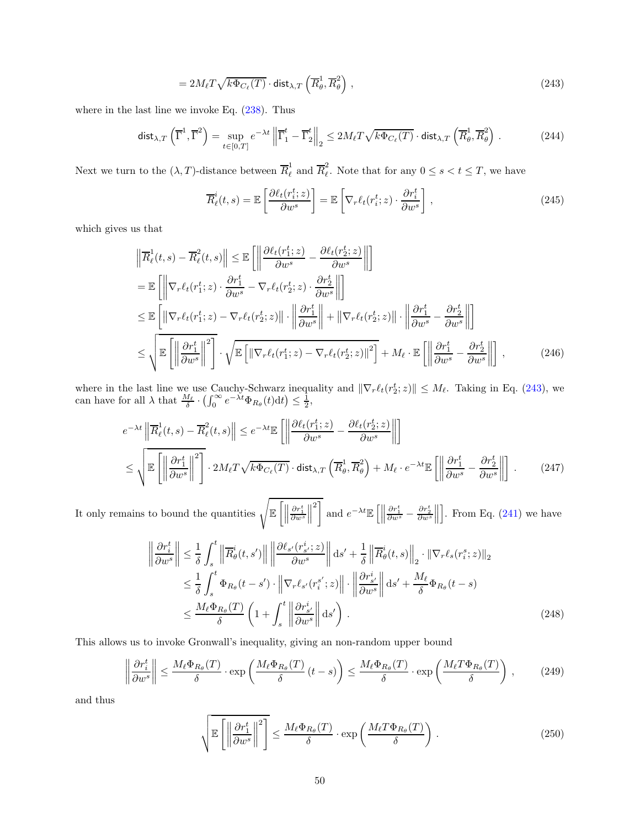$$
=2M_{\ell}T\sqrt{k\Phi_{C_{\ell}}(T)}\cdot\text{dist}_{\lambda,T}\left(\overline{R}^1_{\theta},\overline{R}^2_{\theta}\right),\qquad(243)
$$

where in the last line we invoke Eq. [\(238\)](#page-48-0). Thus

$$
\operatorname{dist}_{\lambda,T}\left(\overline{\Gamma}^1,\overline{\Gamma}^2\right) = \sup_{t \in [0,T]} e^{-\lambda t} \left\| \overline{\Gamma}_1^t - \overline{\Gamma}_2^t \right\|_2 \le 2M_\ell T \sqrt{k \Phi_{C_\ell}(T)} \cdot \operatorname{dist}_{\lambda,T}\left(\overline{R}^1_\theta, \overline{R}^2_\theta\right). \tag{244}
$$

Next we turn to the  $(\lambda, T)$ -distance between  $\overline{R}_{\ell}^1$  and  $\overline{R}_{\ell}^2$  $\frac{2}{\ell}$ . Note that for any  $0 \leq s < t \leq T$ , we have

<span id="page-49-0"></span>
$$
\overline{R}_{\ell}^{i}(t,s) = \mathbb{E}\left[\frac{\partial \ell_{t}(r_{i}^{t};z)}{\partial w^{s}}\right] = \mathbb{E}\left[\nabla_{r}\ell_{t}(r_{i}^{t};z)\cdot\frac{\partial r_{i}^{t}}{\partial w^{s}}\right],\tag{245}
$$

which gives us that

$$
\left\| \overline{R}_{\ell}^{1}(t,s) - \overline{R}_{\ell}^{2}(t,s) \right\| \leq \mathbb{E} \left[ \left\| \frac{\partial \ell_{t}(r_{1}^{t};z)}{\partial w^{s}} - \frac{\partial \ell_{t}(r_{2}^{t};z)}{\partial w^{s}} \right\| \right]
$$
\n
$$
= \mathbb{E} \left[ \left\| \nabla_{r} \ell_{t}(r_{1}^{t};z) \cdot \frac{\partial r_{1}^{t}}{\partial w^{s}} - \nabla_{r} \ell_{t}(r_{2}^{t};z) \cdot \frac{\partial r_{2}^{t}}{\partial w^{s}} \right\| \right]
$$
\n
$$
\leq \mathbb{E} \left[ \left\| \nabla_{r} \ell_{t}(r_{1}^{t};z) - \nabla_{r} \ell_{t}(r_{2}^{t};z) \right\| \cdot \left\| \frac{\partial r_{1}^{t}}{\partial w^{s}} \right\| + \left\| \nabla_{r} \ell_{t}(r_{2}^{t};z) \right\| \cdot \left\| \frac{\partial r_{1}^{t}}{\partial w^{s}} - \frac{\partial r_{2}^{t}}{\partial w^{s}} \right\| \right]
$$
\n
$$
\leq \sqrt{\mathbb{E} \left[ \left\| \frac{\partial r_{1}^{t}}{\partial w^{s}} \right\|^{2} \right] \cdot \sqrt{\mathbb{E} \left[ \left\| \nabla_{r} \ell_{t}(r_{1}^{t};z) - \nabla_{r} \ell_{t}(r_{2}^{t};z) \right\|^{2} \right]} + M_{\ell} \cdot \mathbb{E} \left[ \left\| \frac{\partial r_{1}^{t}}{\partial w^{s}} - \frac{\partial r_{2}^{t}}{\partial w^{s}} \right\| \right], \tag{246}
$$

where in the last line we use Cauchy-Schwarz inequality and  $\|\nabla_r \ell_t(r_2^t; z)\| \leq M_\ell$ . Taking in Eq. [\(243\)](#page-49-0), we can have for all  $\lambda$  that  $\frac{M_{\ell}}{\delta} \cdot (\int_0^{\infty} e^{-\lambda t} \Phi_{R_{\theta}}(t) dt) \leq \frac{1}{2}$ ,

$$
e^{-\lambda t} \left\| \overline{R}_{\ell}^{1}(t,s) - \overline{R}_{\ell}^{2}(t,s) \right\| \leq e^{-\lambda t} \mathbb{E} \left[ \left\| \frac{\partial \ell_{t}(r_{1}^{t};z)}{\partial w^{s}} - \frac{\partial \ell_{t}(r_{2}^{t};z)}{\partial w^{s}} \right\| \right]
$$
  

$$
\leq \sqrt{\mathbb{E} \left[ \left\| \frac{\partial r_{1}^{t}}{\partial w^{s}} \right\|^{2} \right] \cdot 2M_{\ell} T \sqrt{k \Phi_{C_{\ell}}(T)} \cdot \text{dist}_{\lambda,T} \left( \overline{R}_{\theta}^{1}, \overline{R}_{\theta}^{2} \right) + M_{\ell} \cdot e^{-\lambda t} \mathbb{E} \left[ \left\| \frac{\partial r_{1}^{t}}{\partial w^{s}} - \frac{\partial r_{2}^{t}}{\partial w^{s}} \right\| \right]. \tag{247}
$$

It only remains to bound the quantities  $\sqrt{\mathbb{E}\left[\left\|\right\|}$  $\frac{\partial r^t_1}{\partial w^s}$  $\biggl\| \biggr\|$  $2<sup>7</sup>$ and  $e^{-\lambda t}\mathbb{E}\left[\Big\|\right]$  $\frac{\partial r_1^t}{\partial w^s}-\frac{\partial r_2^t}{\partial w^s}$  $\biggl\| \biggr\|$ . From Eq.  $(241)$  we have

<span id="page-49-3"></span>
$$
\left\|\frac{\partial r_i^t}{\partial w^s}\right\| \leq \frac{1}{\delta} \int_s^t \left\|\overline{R}_{\theta}^i(t, s')\right\| \left\|\frac{\partial \ell_{s'}(r_{s'}^i; z)}{\partial w^s}\right\| \mathrm{d}s' + \frac{1}{\delta} \left\|\overline{R}_{\theta}^i(t, s)\right\|_2 \cdot \left\|\nabla_r \ell_s(r_i^s; z)\right\|_2
$$
  

$$
\leq \frac{1}{\delta} \int_s^t \Phi_{R_{\theta}}(t - s') \cdot \left\|\nabla_r \ell_{s'}(r_i^{s'}; z)\right\| \cdot \left\|\frac{\partial r_{s'}^i}{\partial w^s}\right\| \mathrm{d}s' + \frac{M_{\ell}}{\delta} \Phi_{R_{\theta}}(t - s)
$$
  

$$
\leq \frac{M_{\ell} \Phi_{R_{\theta}}(T)}{\delta} \left(1 + \int_s^t \left\|\frac{\partial r_{s'}^i}{\partial w^s}\right\| \mathrm{d}s'\right).
$$
 (248)

This allows us to invoke Gronwall's inequality, giving an non-random upper bound

$$
\left\|\frac{\partial r_i^t}{\partial w^s}\right\| \le \frac{M_\ell \Phi_{R_\theta}(T)}{\delta} \cdot \exp\left(\frac{M_\ell \Phi_{R_\theta}(T)}{\delta} (t-s)\right) \le \frac{M_\ell \Phi_{R_\theta}(T)}{\delta} \cdot \exp\left(\frac{M_\ell T \Phi_{R_\theta}(T)}{\delta}\right),\tag{249}
$$

and thus

<span id="page-49-2"></span><span id="page-49-1"></span>
$$
\sqrt{\mathbb{E}\left[\left\|\frac{\partial r_1^t}{\partial w^s}\right\|^2\right]} \le \frac{M_\ell \Phi_{R_\theta}(T)}{\delta} \cdot \exp\left(\frac{M_\ell T \Phi_{R_\theta}(T)}{\delta}\right). \tag{250}
$$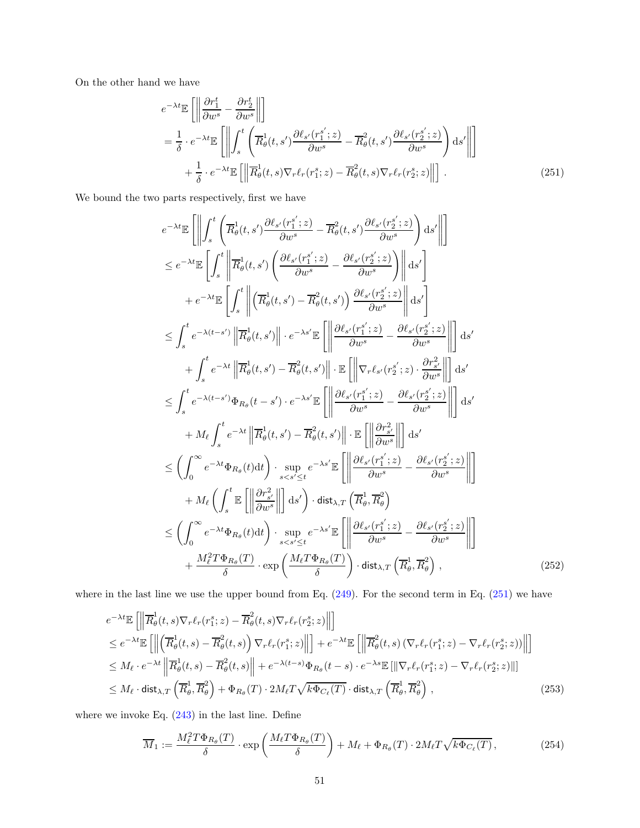On the other hand we have

<span id="page-50-0"></span>
$$
e^{-\lambda t} \mathbb{E} \left[ \left\| \frac{\partial r_1^t}{\partial w^s} - \frac{\partial r_2^t}{\partial w^s} \right\| \right]
$$
  
\n
$$
= \frac{1}{\delta} \cdot e^{-\lambda t} \mathbb{E} \left[ \left\| \int_s^t \left( \overline{R}^1_\theta(t, s') \frac{\partial \ell_{s'}(r_1^{s'}; z)}{\partial w^s} - \overline{R}^2_\theta(t, s') \frac{\partial \ell_{s'}(r_2^{s'}; z)}{\partial w^s} \right) ds' \right\| \right]
$$
  
\n
$$
+ \frac{1}{\delta} \cdot e^{-\lambda t} \mathbb{E} \left[ \left\| \overline{R}^1_\theta(t, s) \nabla_r \ell_r(r_1^s; z) - \overline{R}^2_\theta(t, s) \nabla_r \ell_r(r_2^s; z) \right\| \right].
$$
 (251)

We bound the two parts respectively, first we have

$$
e^{-\lambda t}\mathbb{E}\left[\left\|\int_{s}^{t}\left(\overline{R}^{1}_{\theta}(t,s')\frac{\partial \ell_{s'}(r^{s'}_{1};z)}{\partial w^{s}}-\overline{R}^{2}_{\theta}(t,s')\frac{\partial \ell_{s'}(r^{s'}_{2};z)}{\partial w^{s}}\right)\mathrm{d}s'\right\| \right]
$$
\n
$$
\leq e^{-\lambda t}\mathbb{E}\left[\int_{s}^{t}\left\|\overline{R}^{1}_{\theta}(t,s')\left(\frac{\partial \ell_{s'}(r^{s'}_{1};z)}{\partial w^{s}}-\frac{\partial \ell_{s'}(r^{s'}_{2};z)}{\partial w^{s}}\right)\right\|\mathrm{d}s'\right]
$$
\n
$$
+e^{-\lambda t}\mathbb{E}\left[\int_{s}^{t}\left\|\left(\overline{R}^{1}_{\theta}(t,s')-\overline{R}^{2}_{\theta}(t,s')\right)\frac{\partial \ell_{s'}(r^{s'}_{2};z)}{\partial w^{s}}\right\|\mathrm{d}s'\right]
$$
\n
$$
\leq \int_{s}^{t}e^{-\lambda(t-s')}\left\|\overline{R}^{1}_{\theta}(t,s')\right\| \cdot e^{-\lambda s'}\mathbb{E}\left[\left\|\frac{\partial \ell_{s'}(r^{s'}_{1};z)}{\partial w^{s}}-\frac{\partial \ell_{s'}(r^{s'}_{2};z)}{\partial w^{s}}\right\|\right] \mathrm{d}s'
$$
\n
$$
+ \int_{s}^{t}e^{-\lambda(t-s')}\Phi_{R_{\theta}}(t-s')\cdot\overline{R}^{2}_{\theta}(t,s')\right\|\cdot\mathbb{E}\left[\left\|\nabla_{r}\ell_{s'}(r^{s'}_{2};z)\cdot\frac{\partial r^{2}_{s'}}{\partial w^{s}}\right\|\right] \mathrm{d}s'
$$
\n
$$
+ M_{\ell}\int_{s}^{t}e^{-\lambda t}\left\|\overline{R}^{1}_{\theta}(t,s')-\overline{R}^{2}_{\theta}(t,s')\right\|\cdot\mathbb{E}\left[\left\|\frac{\partial \ell_{s'}(r^{s'}_{1};z)}{\partial w^{s}}-\frac{\partial \ell_{s'}(r^{s'}_{2};z)}{\partial w^{s}}\right\|\right] \mathrm{d}s'
$$
\n
$$
\leq \left(\int_{0}^{\infty}e^{-\lambda t}\Phi_{R_{\theta}}(t)\mathrm{d
$$

where in the last line we use the upper bound from Eq. [\(249\)](#page-49-1). For the second term in Eq. [\(251\)](#page-50-0) we have

$$
e^{-\lambda t} \mathbb{E}\left[\left\|\overline{R}^{1}_{\theta}(t,s)\nabla_{r}\ell_{r}(r_{1}^{s};z)-\overline{R}^{2}_{\theta}(t,s)\nabla_{r}\ell_{r}(r_{2}^{s};z)\right\|\right]
$$
  
\n
$$
\leq e^{-\lambda t} \mathbb{E}\left[\left\|\left(\overline{R}^{1}_{\theta}(t,s)-\overline{R}^{2}_{\theta}(t,s)\right)\nabla_{r}\ell_{r}(r_{1}^{s};z)\right\|\right] + e^{-\lambda t} \mathbb{E}\left[\left\|\overline{R}^{2}_{\theta}(t,s)\left(\nabla_{r}\ell_{r}(r_{1}^{s};z)-\nabla_{r}\ell_{r}(r_{2}^{s};z)\right)\right\|\right]
$$
  
\n
$$
\leq M_{\ell} \cdot e^{-\lambda t} \left\|\overline{R}^{1}_{\theta}(t,s)-\overline{R}^{2}_{\theta}(t,s)\right\| + e^{-\lambda(t-s)} \Phi_{R_{\theta}}(t-s) \cdot e^{-\lambda s} \mathbb{E}\left[\|\nabla_{r}\ell_{r}(r_{1}^{s};z)-\nabla_{r}\ell_{r}(r_{2}^{s};z)\right\|\right]
$$
  
\n
$$
\leq M_{\ell} \cdot \text{dist}_{\lambda,T} \left(\overline{R}^{1}_{\theta}, \overline{R}^{2}_{\theta}\right) + \Phi_{R_{\theta}}(T) \cdot 2M_{\ell}T \sqrt{k \Phi_{C_{\ell}}(T)} \cdot \text{dist}_{\lambda,T} \left(\overline{R}^{1}_{\theta}, \overline{R}^{2}_{\theta}\right), \tag{253}
$$

where we invoke Eq. [\(243\)](#page-49-0) in the last line. Define

<span id="page-50-2"></span><span id="page-50-1"></span>
$$
\overline{M}_1 := \frac{M_\ell^2 T \Phi_{R_\theta}(T)}{\delta} \cdot \exp\left(\frac{M_\ell T \Phi_{R_\theta}(T)}{\delta}\right) + M_\ell + \Phi_{R_\theta}(T) \cdot 2M_\ell T \sqrt{k \Phi_{C_\ell}(T)},\tag{254}
$$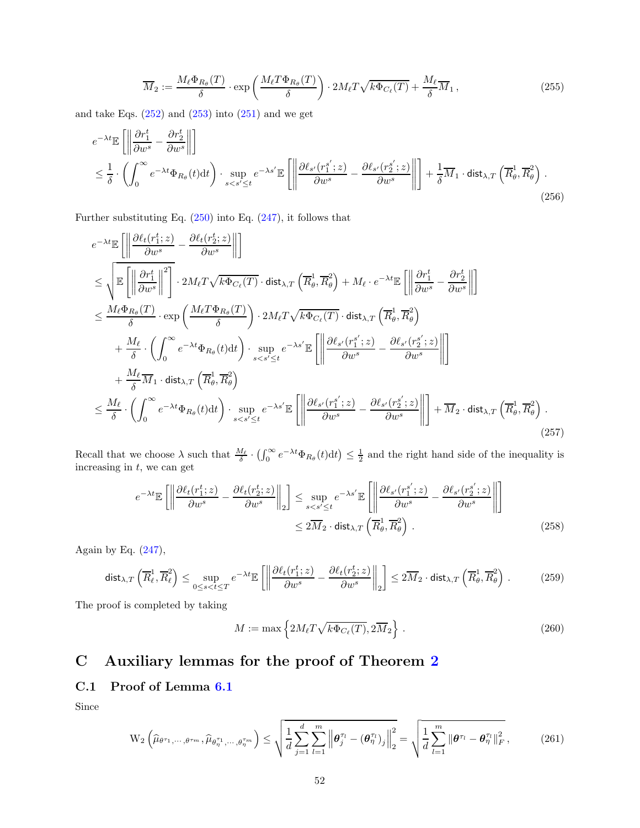$$
\overline{M}_2 := \frac{M_\ell \Phi_{R_\theta}(T)}{\delta} \cdot \exp\left(\frac{M_\ell T \Phi_{R_\theta}(T)}{\delta}\right) \cdot 2M_\ell T \sqrt{k \Phi_{C_\ell}(T)} + \frac{M_\ell}{\delta} \overline{M}_1,
$$
\n(255)

and take Eqs.  $(252)$  and  $(253)$  into  $(251)$  and we get

$$
e^{-\lambda t} \mathbb{E}\left[\left\|\frac{\partial r_1^t}{\partial w^s} - \frac{\partial r_2^t}{\partial w^s}\right\|\right]
$$
  
\n
$$
\leq \frac{1}{\delta} \cdot \left(\int_0^\infty e^{-\lambda t} \Phi_{R_\theta}(t) dt\right) \cdot \sup_{s < s' \leq t} e^{-\lambda s'} \mathbb{E}\left[\left\|\frac{\partial \ell_{s'}(r_1^{s'}; z)}{\partial w^s} - \frac{\partial \ell_{s'}(r_2^{s'}; z)}{\partial w^s}\right\|\right] + \frac{1}{\delta} \overline{M}_1 \cdot \text{dist}_{\lambda, T}\left(\overline{R}^1_\theta, \overline{R}^2_\theta\right). \tag{256}
$$

Further substituting Eq. [\(250\)](#page-49-2) into Eq. [\(247\)](#page-49-3), it follows that

$$
e^{-\lambda t}\mathbb{E}\left[\left\|\frac{\partial \ell_t(r_1^t; z)}{\partial w^s} - \frac{\partial \ell_t(r_2^t; z)}{\partial w^s}\right\|\right]
$$
  
\n
$$
\leq \sqrt{\mathbb{E}\left[\left\|\frac{\partial r_1^t}{\partial w^s}\right\|^2\right]} \cdot 2M_{\ell}T\sqrt{k\Phi_{C_{\ell}}(T)} \cdot \text{dist}_{\lambda, T}\left(\overline{R}_{\theta}^1, \overline{R}_{\theta}^2\right) + M_{\ell} \cdot e^{-\lambda t}\mathbb{E}\left[\left\|\frac{\partial r_1^t}{\partial w^s} - \frac{\partial r_2^t}{\partial w^s}\right\|\right]
$$
  
\n
$$
\leq \frac{M_{\ell}\Phi_{R_{\theta}}(T)}{\delta} \cdot \exp\left(\frac{M_{\ell}T\Phi_{R_{\theta}}(T)}{\delta}\right) \cdot 2M_{\ell}T\sqrt{k\Phi_{C_{\ell}}(T)} \cdot \text{dist}_{\lambda, T}\left(\overline{R}_{\theta}^1, \overline{R}_{\theta}^2\right)
$$
  
\n
$$
+ \frac{M_{\ell}}{\delta} \cdot \left(\int_0^{\infty} e^{-\lambda t} \Phi_{R_{\theta}}(t) dt\right) \cdot \sup_{s < s' \leq t} e^{-\lambda s'}\mathbb{E}\left[\left\|\frac{\partial \ell_{s'}(r_1^{s'}; z)}{\partial w^s} - \frac{\partial \ell_{s'}(r_2^{s'}; z)}{\partial w^s}\right\|\right]
$$
  
\n
$$
+ \frac{M_{\ell}}{\delta} \overline{M}_1 \cdot \text{dist}_{\lambda, T}\left(\overline{R}_{\theta}^1, \overline{R}_{\theta}^2\right)
$$
  
\n
$$
\leq \frac{M_{\ell}}{\delta} \cdot \left(\int_0^{\infty} e^{-\lambda t} \Phi_{R_{\theta}}(t) dt\right) \cdot \sup_{s < s' \leq t} e^{-\lambda s'}\mathbb{E}\left[\left\|\frac{\partial \ell_{s'}(r_1^{s'}; z)}{\partial w^s} - \frac{\partial \ell_{s'}(r_2^{s'}; z)}{\partial w^s}\right\|\right] + \overline{M}_2 \cdot \text{dist}_{\lambda, T}\left(\overline{R}_{\theta}^1, \overline
$$

Recall that we choose  $\lambda$  such that  $\frac{M_{\ell}}{\delta} \cdot (\int_0^{\infty} e^{-\lambda t} \Phi_{R_{\theta}}(t) dt) \leq \frac{1}{2}$  and the right hand side of the inequality is increasing in  $t$ , we can get

$$
e^{-\lambda t} \mathbb{E}\left[\left\|\frac{\partial \ell_t(r_1^t; z)}{\partial w^s} - \frac{\partial \ell_t(r_2^t; z)}{\partial w^s}\right\|_2\right] \le \sup_{s < s' \le t} e^{-\lambda s'} \mathbb{E}\left[\left\|\frac{\partial \ell_{s'}(r_1^{s'}; z)}{\partial w^s} - \frac{\partial \ell_{s'}(r_2^{s'}; z)}{\partial w^s}\right\|\right] \le 2\overline{M}_2 \cdot \text{dist}_{\lambda, T}\left(\overline{R}^1_{\theta}, \overline{R}^2_{\theta}\right). \tag{258}
$$

Again by Eq.  $(247)$ ,

$$
\operatorname{dist}_{\lambda,T}\left(\overline{R}_{\ell}^{1},\overline{R}_{\ell}^{2}\right) \leq \sup_{0 \leq s < t \leq T} e^{-\lambda t} \mathbb{E}\left[\left\|\frac{\partial \ell_{t}(r_{1}^{t}; z)}{\partial w^{s}} - \frac{\partial \ell_{t}(r_{2}^{t}; z)}{\partial w^{s}}\right\|_{2}\right] \leq 2\overline{M}_{2} \cdot \operatorname{dist}_{\lambda,T}\left(\overline{R}_{\theta}^{1}, \overline{R}_{\theta}^{2}\right). \tag{259}
$$

The proof is completed by taking

$$
M := \max\left\{2M_{\ell}T\sqrt{k\Phi_{C_{\ell}}(T)}, 2\overline{M}_2\right\}.
$$
 (260)

# C Auxiliary lemmas for the proof of Theorem [2](#page-7-0)

## C.1 Proof of Lemma [6.1](#page-21-0)

Since

$$
\mathcal{W}_{2}\left(\widehat{\mu}_{\theta^{\tau_{1}},\cdots,\theta^{\tau_{m}}},\widehat{\mu}_{\theta_{\eta}^{\tau_{1}},\cdots,\theta_{\eta}^{\tau_{m}}}\right) \leq \sqrt{\frac{1}{d} \sum_{j=1}^{d} \sum_{l=1}^{m} \left\|\boldsymbol{\theta}_{j}^{\tau_{l}} - (\boldsymbol{\theta}_{\eta}^{\tau_{l}})_{j}\right\|_{2}^{2}} = \sqrt{\frac{1}{d} \sum_{l=1}^{m} \left\|\boldsymbol{\theta}^{\tau_{l}} - \boldsymbol{\theta}_{\eta}^{\tau_{l}}\right\|_{F}^{2}},
$$
(261)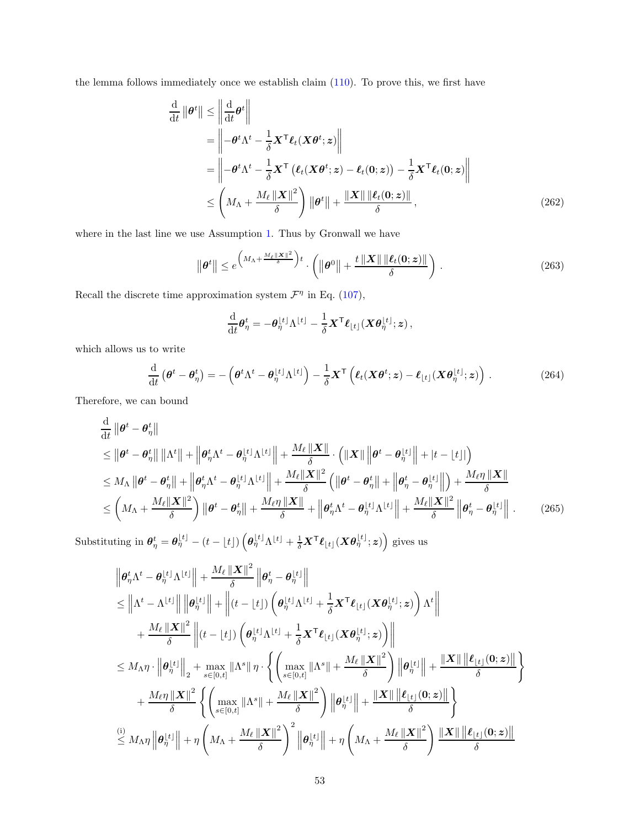the lemma follows immediately once we establish claim [\(110\)](#page-21-1). To prove this, we first have

$$
\frac{\mathrm{d}}{\mathrm{d}t} \|\boldsymbol{\theta}^{t}\| \leq \left\| \frac{\mathrm{d}}{\mathrm{d}t} \boldsymbol{\theta}^{t} \right\|
$$
\n
$$
= \left\| -\boldsymbol{\theta}^{t} \Lambda^{t} - \frac{1}{\delta} \mathbf{X}^{\mathsf{T}} \boldsymbol{\ell}_{t} (\mathbf{X} \boldsymbol{\theta}^{t}; \boldsymbol{z}) \right\|
$$
\n
$$
= \left\| -\boldsymbol{\theta}^{t} \Lambda^{t} - \frac{1}{\delta} \mathbf{X}^{\mathsf{T}} \left( \boldsymbol{\ell}_{t} (\mathbf{X} \boldsymbol{\theta}^{t}; \boldsymbol{z}) - \boldsymbol{\ell}_{t} (\mathbf{0}; \boldsymbol{z}) \right) - \frac{1}{\delta} \mathbf{X}^{\mathsf{T}} \boldsymbol{\ell}_{t} (\mathbf{0}; \boldsymbol{z}) \right\|
$$
\n
$$
\leq \left( M_{\Lambda} + \frac{M_{\ell} \left\| \mathbf{X} \right\|^{2}}{\delta} \right) \left\| \boldsymbol{\theta}^{t} \right\| + \frac{\left\| \mathbf{X} \right\| \left\| \boldsymbol{\ell}_{t} (\mathbf{0}; \boldsymbol{z}) \right\|}{\delta}, \tag{262}
$$

where in the last line we use Assumption [1.](#page-6-0) Thus by Gronwall we have

$$
\|\boldsymbol{\theta}^{t}\| \leq e^{\left(M_{\Lambda} + \frac{M_{\ell} ||\mathbf{X}||^2}{\delta}\right)t} \cdot \left(\|\boldsymbol{\theta}^{0}\| + \frac{t ||\mathbf{X}|| \|\ell_t(\mathbf{0};\mathbf{z})\|}{\delta}\right).
$$
 (263)

Recall the discrete time approximation system  $\mathcal{F}^{\eta}$  in Eq. [\(107\)](#page-21-2),

<span id="page-52-0"></span>
$$
\frac{\mathrm{d}}{\mathrm{d}t}\boldsymbol{\theta}_{\eta}^{t}=-\boldsymbol{\theta}_{\eta}^{\lfloor t \rfloor}\Lambda^{\lfloor t \rfloor}-\frac{1}{\delta}\boldsymbol{X}^{\mathsf{T}}\boldsymbol{\ell}_{\lfloor t \rfloor}(\boldsymbol{X}\boldsymbol{\theta}_{\eta}^{\lfloor t \rfloor};\boldsymbol{z}),
$$

which allows us to write

$$
\frac{\mathrm{d}}{\mathrm{d}t}\left(\boldsymbol{\theta}^{t}-\boldsymbol{\theta}_{\eta}^{t}\right)=-\left(\boldsymbol{\theta}^{t}\Lambda^{t}-\boldsymbol{\theta}_{\eta}^{\lfloor t\rfloor}\Lambda^{\lfloor t\rfloor}\right)-\frac{1}{\delta}\boldsymbol{X}^{\mathsf{T}}\left(\boldsymbol{\ell}_{t}(\boldsymbol{X}\boldsymbol{\theta}^{t};\boldsymbol{z})-\boldsymbol{\ell}_{\lfloor t\rfloor}(\boldsymbol{X}\boldsymbol{\theta}_{\eta}^{\lfloor t\rfloor};\boldsymbol{z})\right).
$$
\n(264)

Therefore, we can bound

$$
\frac{\mathrm{d}}{\mathrm{d}t} \left\| \boldsymbol{\theta}^{t} - \boldsymbol{\theta}_{\eta}^{t} \right\|
$$
\n
$$
\leq \left\| \boldsymbol{\theta}^{t} - \boldsymbol{\theta}_{\eta}^{t} \right\| \left\| \Lambda^{t} \right\| + \left\| \boldsymbol{\theta}_{\eta}^{t} \Lambda^{t} - \boldsymbol{\theta}_{\eta}^{\lfloor t \rfloor} \Lambda^{ \lfloor t \rfloor} \right\| + \frac{M_{\ell} \left\| \mathbf{X} \right\|}{\delta} \cdot \left( \left\| \mathbf{X} \right\| \left\| \boldsymbol{\theta}^{t} - \boldsymbol{\theta}_{\eta}^{\lfloor t \rfloor} \right\| + \left| t - \lfloor t \rfloor \right| \right)
$$
\n
$$
\leq M_{\Lambda} \left\| \boldsymbol{\theta}^{t} - \boldsymbol{\theta}_{\eta}^{t} \right\| + \left\| \boldsymbol{\theta}_{\eta}^{t} \Lambda^{t} - \boldsymbol{\theta}_{\eta}^{\lfloor t \rfloor} \Lambda^{ \lfloor t \rfloor} \right\| + \frac{M_{\ell} \left\| \mathbf{X} \right\|^{2}}{\delta} \left( \left\| \boldsymbol{\theta}^{t} - \boldsymbol{\theta}_{\eta}^{t} \right\| + \left\| \boldsymbol{\theta}_{\eta}^{t} - \boldsymbol{\theta}_{\eta}^{\lfloor t \rfloor} \right\| \right) + \frac{M_{\ell} \eta \left\| \mathbf{X} \right\|}{\delta} \right)
$$
\n
$$
\leq \left( M_{\Lambda} + \frac{M_{\ell} \left\| \mathbf{X} \right\|^{2}}{\delta} \right) \left\| \boldsymbol{\theta}^{t} - \boldsymbol{\theta}_{\eta}^{t} \right\| + \frac{M_{\ell} \eta \left\| \mathbf{X} \right\|}{\delta} + \left\| \boldsymbol{\theta}_{\eta}^{t} \Lambda^{t} - \boldsymbol{\theta}_{\eta}^{\lfloor t \rfloor} \Lambda^{ \lfloor t \rfloor} \right\| + \frac{M_{\ell} \left\| \mathbf{X} \right\|^{2}}{\delta} \left\| \boldsymbol{\theta}_{\eta}^{t} - \boldsymbol{\theta}_{\eta}^{\lfloor t \rfloor} \right\|.
$$
\n(265)

Substituting in  $\boldsymbol{\theta}_{\eta}^{t} = \boldsymbol{\theta}_{\eta}^{\lfloor t \rfloor} - (t - \lfloor t \rfloor) \left( \boldsymbol{\theta}_{\eta}^{\lfloor t \rfloor} \Lambda^{\lfloor t \rfloor} + \frac{1}{\delta} \boldsymbol{X}^{\mathsf{T}} \boldsymbol{\ell}_{\lfloor t \rfloor} (\boldsymbol{X} \boldsymbol{\theta}_{\eta}^{\lfloor t \rfloor}; \boldsymbol{z}) \right)$  gives us

$$
\begin{aligned}\n&\left\|\boldsymbol{\theta}_{\eta}^{t}\boldsymbol{\Lambda}^{t}-\boldsymbol{\theta}_{\eta}^{\lfloor t \rfloor}\boldsymbol{\Lambda}^{\lfloor t \rfloor}\right\|+\frac{M_{\ell}\left\|\boldsymbol{X}\right\|^{2}}{\delta}\left\|\boldsymbol{\theta}_{\eta}^{t}-\boldsymbol{\theta}_{\eta}^{\lfloor t \rfloor}\right\| \\
&\leq\left\|\boldsymbol{\Lambda}^{t}-\boldsymbol{\Lambda}^{\lfloor t \rfloor}\right\|\left\|\boldsymbol{\theta}_{\eta}^{\lfloor t \rfloor}\right\|+\left\|(t-\lfloor t \rfloor)\left(\boldsymbol{\theta}_{\eta}^{\lfloor t \rfloor}\boldsymbol{\Lambda}^{\lfloor t \rfloor}+\frac{1}{\delta}\boldsymbol{X}^{\mathsf{T}}\boldsymbol{\ell}_{\lfloor t \rfloor}(\boldsymbol{X}\boldsymbol{\theta}_{\eta}^{\lfloor t \rfloor};\boldsymbol{z})\right)\boldsymbol{\Lambda}^{t}\right\| \\
&+\frac{M_{\ell}\left\|\boldsymbol{X}\right\|^{2}}{\delta}\left\|\left(t-\lfloor t \rfloor\right)\left(\boldsymbol{\theta}_{\eta}^{\lfloor t \rfloor}\boldsymbol{\Lambda}^{\lfloor t \rfloor}+\frac{1}{\delta}\boldsymbol{X}^{\mathsf{T}}\boldsymbol{\ell}_{\lfloor t \rfloor}(\boldsymbol{X}\boldsymbol{\theta}_{\eta}^{\lfloor t \rfloor};\boldsymbol{z})\right)\right\| \\
&\leq M_{\Lambda}\eta\cdot\left\|\boldsymbol{\theta}_{\eta}^{\lfloor t \rfloor}\right\|_{2}+\max\limits_{s\in[0,t]}\|\boldsymbol{\Lambda}^{s}\|\,\eta\cdot\left\{\left(\max\limits_{s\in[0,t]}\|\boldsymbol{\Lambda}^{s}\|+\frac{M_{\ell}\left\|\boldsymbol{X}\right\|^{2}}{\delta}\right)\left\|\boldsymbol{\theta}_{\eta}^{\lfloor t \rfloor}\right\|+\frac{\left\|\boldsymbol{X}\right\|\left\|\boldsymbol{\ell}_{\lfloor t \rfloor}(\boldsymbol{0};\boldsymbol{z})\right\|}{\delta}\right\} \\
&+\frac{M_{\ell}\eta\left\|\boldsymbol{X}\right\|^{2}}{\delta}\left\{\left(\max\limits_{s\in[0,t]}\|\boldsymbol{\Lambda}^{s}\|+\frac{M_{\ell}\left\|\boldsymbol{X}\right\|^{2}}{\delta}\right)\left\|\boldsymbol{\theta}_{\eta}^{\lfloor t \rfloor}\right\|+\frac{\left\|\boldsymbol
$$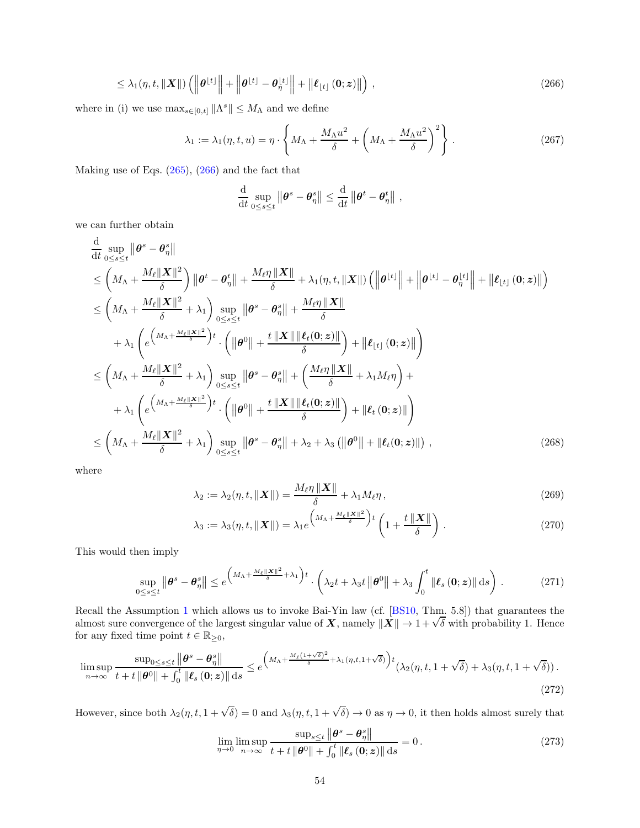$$
\leq \lambda_1(\eta, t, ||\mathbf{X}||) \left( \left\| \boldsymbol{\theta}^{\lfloor t \rfloor} \right\| + \left\| \boldsymbol{\theta}^{\lfloor t \rfloor} - \boldsymbol{\theta}^{\lfloor t \rfloor}_\eta \right\| + \left\| \boldsymbol{\ell}_{\lfloor t \rfloor} \left( \mathbf{0}; \mathbf{z} \right) \right\| \right), \tag{266}
$$

where in (i) we use  $\max_{s \in [0,t]} ||\Lambda^s|| \leq M_\Lambda$  and we define

$$
\lambda_1 := \lambda_1(\eta, t, u) = \eta \cdot \left\{ M_\Lambda + \frac{M_\Lambda u^2}{\delta} + \left( M_\Lambda + \frac{M_\Lambda u^2}{\delta} \right)^2 \right\}.
$$
 (267)

Making use of Eqs. [\(265\)](#page-52-0), [\(266\)](#page-53-0) and the fact that

<span id="page-53-0"></span>
$$
\frac{\mathrm{d}}{\mathrm{d}t}\sup_{0\leq s\leq t}\left\|\boldsymbol{\theta}^{s}-\boldsymbol{\theta}_{\eta}^{s}\right\|\leq \frac{\mathrm{d}}{\mathrm{d}t}\left\|\boldsymbol{\theta}^{t}-\boldsymbol{\theta}_{\eta}^{t}\right\|,
$$

we can further obtain

$$
\frac{d}{dt} \sup_{0 \le s \le t} \left\| \theta^s - \theta^s_{\eta} \right\| \n\le \left( M_{\Lambda} + \frac{M_{\ell} \| X \|^2}{\delta} \right) \left\| \theta^t - \theta^t_{\eta} \right\| + \frac{M_{\ell} \eta \| X \|}{\delta} + \lambda_1 (\eta, t, \| X \|) \left( \left\| \theta^{\lfloor t \rfloor} \right\| + \left\| \theta^{\lfloor t \rfloor} - \theta^{\lfloor t \rfloor} \right\| + \left\| \ell_{\lfloor t \rfloor} (0; z) \right\| \right) \n\le \left( M_{\Lambda} + \frac{M_{\ell} \| X \|^2}{\delta} + \lambda_1 \right) \sup_{0 \le s \le t} \left\| \theta^s - \theta^s_{\eta} \right\| + \frac{M_{\ell} \eta \| X \|}{\delta} \n+ \lambda_1 \left( e \left( M_{\Lambda} + \frac{M_{\ell} \| X \|^2}{\delta} \right) t \cdot \left( \left\| \theta^0 \right\| + \frac{t \| X \| \left\| \ell_t (0; z) \right\|}{\delta} \right) + \left\| \ell_{\lfloor t \rfloor} (0; z) \right\| \right) \n\le \left( M_{\Lambda} + \frac{M_{\ell} \| X \|^2}{\delta} + \lambda_1 \right) \sup_{0 \le s \le t} \left\| \theta^s - \theta^s_{\eta} \right\| + \left( \frac{M_{\ell} \eta \| X \|}{\delta} + \lambda_1 M_{\ell} \eta \right) + \n+ \lambda_1 \left( e \left( M_{\Lambda} + \frac{M_{\ell} \| X \|^2}{\delta} \right) t \cdot \left( \left\| \theta^0 \right\| + \frac{t \| X \| \left\| \ell_t (0; z) \right\|}{\delta} \right) + \left\| \ell_t (0; z) \right\| \right) \n\le \left( M_{\Lambda} + \frac{M_{\ell} \| X \|^2}{\delta} + \lambda_1 \right) \sup_{0 \le s \le t} \left\| \theta^s - \theta^s_{\eta} \right\| + \lambda_2 + \lambda_3 \left( \left\| \theta^0 \right\| + \left\| \ell_t (0; z) \right\| \right
$$

where

$$
\lambda_2 := \lambda_2(\eta, t, ||\boldsymbol{X}||) = \frac{M_\ell \eta ||\boldsymbol{X}||}{\delta} + \lambda_1 M_\ell \eta, \qquad (269)
$$

$$
\lambda_3 := \lambda_3(\eta, t, \|\mathbf{X}\|) = \lambda_1 e^{\left(M_\Lambda + \frac{M_\ell \|\mathbf{X}\|^2}{\delta}\right)t} \left(1 + \frac{t \|\mathbf{X}\|}{\delta}\right).
$$
 (270)

This would then imply

$$
\sup_{0\leq s\leq t} \left\|\boldsymbol{\theta}^{s}-\boldsymbol{\theta}_{\eta}^{s}\right\| \leq e^{\left(M_{\Lambda}+\frac{M_{\ell}\|X\|^{2}}{\delta}+\lambda_{1}\right)t} \cdot \left(\lambda_{2}t+\lambda_{3}t\left\|\boldsymbol{\theta}^{0}\right\|+\lambda_{3}\int_{0}^{t}\left\|\boldsymbol{\ell}_{s}\left(\boldsymbol{0};\boldsymbol{z}\right)\right\|ds\right).
$$
 (271)

Recall the Assumption [1](#page-6-0) which allows us to invoke Bai-Yin law (cf. [\[BS10,](#page-24-0) Thm. 5.8]) that guarantees the almost sure convergence of the largest singular value of  $X$ , namely  $||X|| \to 1 + \sqrt{\delta}$  with probability 1. Hence for any fixed time point  $t \in \mathbb{R}_{\geq 0}$ ,

$$
\limsup_{n \to \infty} \frac{\sup_{0 \le s \le t} \left\| \boldsymbol{\theta}^{s} - \boldsymbol{\theta}_{\eta}^{s} \right\|}{t + t \left\| \boldsymbol{\theta}^{0} \right\| + \int_{0}^{t} \left\| \boldsymbol{\ell}_{s} \left( \boldsymbol{0}; \boldsymbol{z} \right) \right\| \, \mathrm{d}s} \le e^{\left( M_{\Lambda} + \frac{M_{\ell} \left( 1 + \sqrt{\delta} \right)^{2}}{\delta} + \lambda_{1} \left( \eta, t, 1 + \sqrt{\delta} \right) \right)t} \left( \lambda_{2} \left( \eta, t, 1 + \sqrt{\delta} \right) + \lambda_{3} \left( \eta, t, 1 + \sqrt{\delta} \right) \right). \tag{272}
$$

However, since both  $\lambda_2(\eta, t, 1 + \sqrt{\delta}) = 0$  and  $\lambda_3(\eta, t, 1 + \sqrt{\delta}) \to 0$  as  $\eta \to 0$ , it then holds almost surely that

$$
\lim_{\eta \to 0} \limsup_{n \to \infty} \frac{\sup_{s \le t} \left\| \boldsymbol{\theta}^s - \boldsymbol{\theta}^s_{\eta} \right\|}{t + t \left\| \boldsymbol{\theta}^0 \right\| + \int_0^t \left\| \boldsymbol{\ell}_s \left( \mathbf{0}; \boldsymbol{z} \right) \right\| \mathrm{d}s} = 0. \tag{273}
$$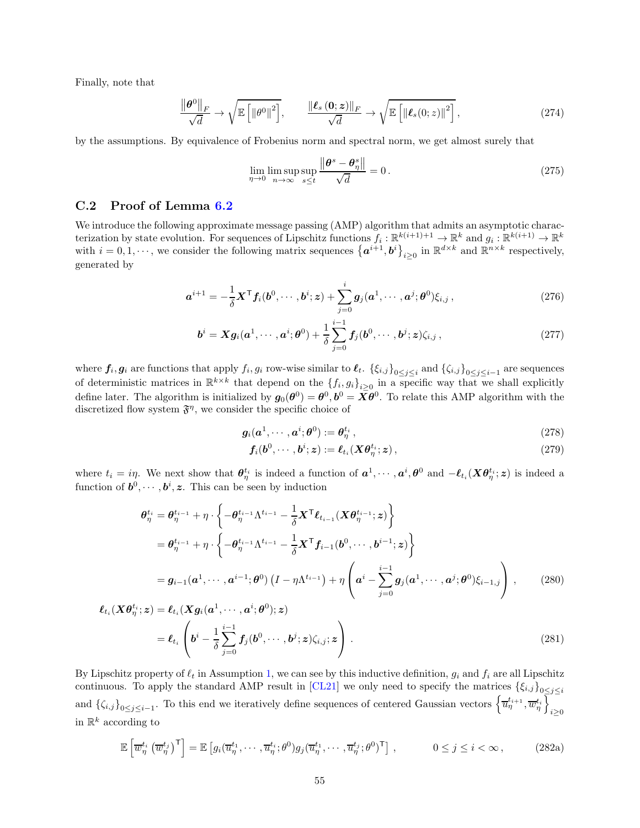Finally, note that

$$
\frac{\left\|\boldsymbol{\theta}^{0}\right\|_{F}}{\sqrt{d}} \to \sqrt{\mathbb{E}\left[\left\|\boldsymbol{\theta}^{0}\right\|^{2}\right]}, \qquad \frac{\left\|\boldsymbol{\ell}_{s}\left(\mathbf{0};\boldsymbol{z}\right)\right\|_{F}}{\sqrt{d}} \to \sqrt{\mathbb{E}\left[\left\|\boldsymbol{\ell}_{s}\left(0;\boldsymbol{z}\right)\right\|^{2}\right]},
$$
\n(274)

by the assumptions. By equivalence of Frobenius norm and spectral norm, we get almost surely that

$$
\lim_{\eta \to 0} \limsup_{n \to \infty} \sup_{s \le t} \frac{\|\boldsymbol{\theta}^s - \boldsymbol{\theta}^s_{\eta}\|}{\sqrt{d}} = 0.
$$
\n(275)

#### C.2 Proof of Lemma [6.2](#page-22-0)

We introduce the following approximate message passing (AMP) algorithm that admits an asymptotic characterization by state evolution. For sequences of Lipschitz functions  $f_i: \mathbb{R}^{k(i+1)+1} \to \mathbb{R}^k$  and  $g_i: \mathbb{R}^{k(i+1)} \to \mathbb{R}^k$ with  $i = 0, 1, \dots$ , we consider the following matrix sequences  $\{a^{i+1}, b^i\}_{i \geq 0}$  in  $\mathbb{R}^{d \times k}$  and  $\mathbb{R}^{n \times k}$  respectively, generated by

$$
\boldsymbol{a}^{i+1} = -\frac{1}{\delta} \boldsymbol{X}^{\mathsf{T}} \boldsymbol{f}_i(\boldsymbol{b}^0, \cdots, \boldsymbol{b}^i; \boldsymbol{z}) + \sum_{j=0}^i \boldsymbol{g}_j(\boldsymbol{a}^1, \cdots, \boldsymbol{a}^j; \boldsymbol{\theta}^0) \xi_{i,j},
$$
\n(276)

$$
\boldsymbol{b}^{i} = \boldsymbol{X} \boldsymbol{g}_{i}(\boldsymbol{a}^{1}, \cdots, \boldsymbol{a}^{i}; \boldsymbol{\theta}^{0}) + \frac{1}{\delta} \sum_{j=0}^{i-1} \boldsymbol{f}_{j}(\boldsymbol{b}^{0}, \cdots, \boldsymbol{b}^{j}; \boldsymbol{z}) \zeta_{i,j},
$$
\n(277)

where  $f_i, g_i$  are functions that apply  $f_i, g_i$  row-wise similar to  $\ell_t$ .  $\{\xi_{i,j}\}_{0 \leq j \leq i}$  and  $\{\zeta_{i,j}\}_{0 \leq j \leq i-1}$  are sequences of deterministic matrices in  $\mathbb{R}^{k \times k}$  that depend on the  $\{f_i, g_i\}_{i \geq 0}$  in a specific way that we shall explicitly define later. The algorithm is initialized by  $g_0(\theta^0) = \theta^0, b^0 = \bar{X}\theta^0$ . To relate this AMP algorithm with the discretized flow system  $\mathfrak{F}^{\eta}$ , we consider the specific choice of

$$
\mathbf{g}_i(\mathbf{a}^1, \cdots, \mathbf{a}^i; \boldsymbol{\theta}^0) := \boldsymbol{\theta}_{\eta}^{t_i},\tag{278}
$$

<span id="page-54-2"></span><span id="page-54-1"></span><span id="page-54-0"></span>
$$
\boldsymbol{f}_i(\boldsymbol{b}^0,\cdots,\boldsymbol{b}^i;\boldsymbol{z}) := \boldsymbol{\ell}_{t_i}(\boldsymbol{X}\boldsymbol{\theta}_{\eta}^{t_i};\boldsymbol{z}),
$$
\n(279)

where  $t_i = i\eta$ . We next show that  $\theta_{\eta}^{t_i}$  is indeed a function of  $a^1, \dots, a^i, \theta^0$  and  $-\ell_{t_i}(X\theta_{\eta}^{t_i}; z)$  is indeed a function of  $\mathbf{b}^0, \cdots, \mathbf{b}^i, \mathbf{z}$ . This can be seen by induction

$$
\theta_{\eta}^{t_i} = \theta_{\eta}^{t_{i-1}} + \eta \cdot \left\{ -\theta_{\eta}^{t_{i-1}} \Lambda^{t_{i-1}} - \frac{1}{\delta} \mathbf{X}^{\mathsf{T}} \boldsymbol{\ell}_{t_{i-1}} (\mathbf{X} \theta_{\eta}^{t_{i-1}}; z) \right\}
$$
\n
$$
= \theta_{\eta}^{t_{i-1}} + \eta \cdot \left\{ -\theta_{\eta}^{t_{i-1}} \Lambda^{t_{i-1}} - \frac{1}{\delta} \mathbf{X}^{\mathsf{T}} \boldsymbol{f}_{i-1} (\boldsymbol{b}^{0}, \cdots, \boldsymbol{b}^{i-1}; z) \right\}
$$
\n
$$
= g_{i-1} (\boldsymbol{a}^{1}, \cdots, \boldsymbol{a}^{i-1}; \boldsymbol{\theta}^{0}) (I - \eta \Lambda^{t_{i-1}}) + \eta \left( \boldsymbol{a}^{i} - \sum_{j=0}^{i-1} g_{j} (\boldsymbol{a}^{1}, \cdots, \boldsymbol{a}^{j}; \boldsymbol{\theta}^{0}) \xi_{i-1, j} \right), \qquad (280)
$$
\n
$$
(\mathbf{X} \boldsymbol{\theta}_{\eta}^{t_i}; z) = \boldsymbol{\ell}_{t_i} (\mathbf{X} g_{i} (\boldsymbol{a}^{1}, \cdots, \boldsymbol{a}^{i}; \boldsymbol{\theta}^{0}); z)
$$

$$
\ell_{t_i}(X\theta_{\eta}^{t_i}; z) = \ell_{t_i}(Xg_i(a^1, \cdots, a^i; \theta^0); z)
$$
  
= 
$$
\ell_{t_i}\left(b^i - \frac{1}{\delta} \sum_{j=0}^{i-1} f_j(b^0, \cdots, b^j; z) \zeta_{i,j}; z\right).
$$
 (281)

By Lipschitz property of  $\ell_t$  in Assumption [1,](#page-6-0) we can see by this inductive definition,  $g_i$  and  $f_i$  are all Lipschitz continuous. To apply the standard AMP result in [\[CL21\]](#page-25-0) we only need to specify the matrices  $\{\xi_{i,j}\}_{0\leq j\leq i}$ and  $\{\zeta_{i,j}\}_{0\leq j\leq i-1}$ . To this end we iteratively define sequences of centered Gaussian vectors  $\left\{\overline{u}_{\eta}^{t_{i+1}}, \overline{w}_{\eta}^{t_i}\right\}$  $i \geq 0$ in  $\mathbb{R}^k$  according to

$$
\mathbb{E}\left[\overline{w}_{\eta}^{t_i}\left(\overline{w}_{\eta}^{t_j}\right)^{\mathsf{T}}\right] = \mathbb{E}\left[g_i(\overline{u}_{\eta}^{t_1},\cdots,\overline{u}_{\eta}^{t_i};\theta^0)g_j(\overline{u}_{\eta}^{t_1},\cdots,\overline{u}_{\eta}^{t_j};\theta^0)^{\mathsf{T}}\right],\qquad 0 \le j \le i < \infty,
$$
\n(282a)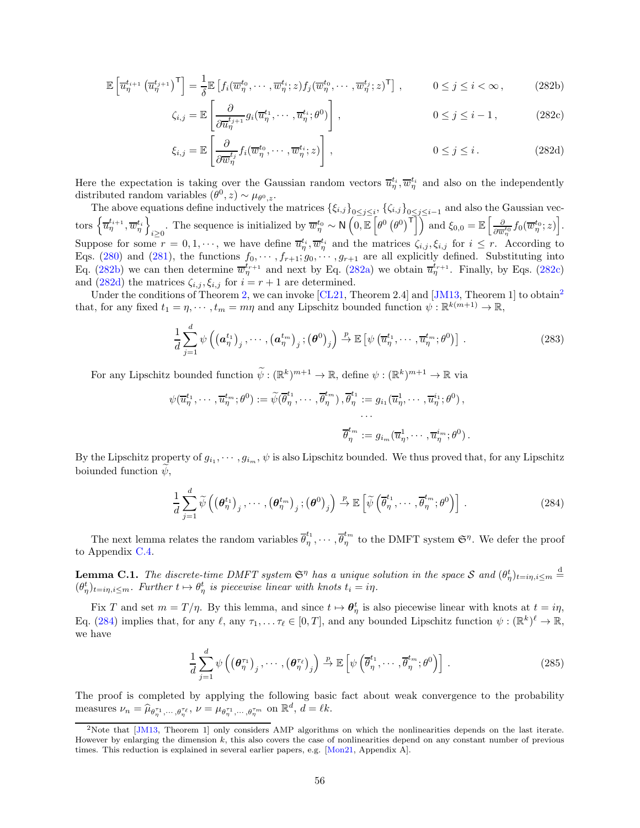$$
\mathbb{E}\left[\overline{u}_{\eta}^{t_{i+1}}\left(\overline{u}_{\eta}^{t_{j+1}}\right)^{\mathsf{T}}\right] = \frac{1}{\delta} \mathbb{E}\left[f_i(\overline{w}_{\eta}^{t_0},\cdots,\overline{w}_{\eta}^{t_i};z)f_j(\overline{w}_{\eta}^{t_0},\cdots,\overline{w}_{\eta}^{t_j};z)^{\mathsf{T}}\right],\qquad 0 \le j \le i < \infty,
$$
\n(282b)

<span id="page-55-1"></span><span id="page-55-0"></span>
$$
\zeta_{i,j} = \mathbb{E}\left[\frac{\partial}{\partial \overline{u}_{\eta}^{t_{j+1}}} g_i(\overline{u}_{\eta}^{t_1}, \cdots, \overline{u}_{\eta}^{t_i}; \theta^0)\right], \qquad 0 \le j \le i-1, \qquad (282c)
$$

<span id="page-55-2"></span>
$$
\xi_{i,j} = \mathbb{E}\left[\frac{\partial}{\partial \overline{w}_{\eta}^{t_j}} f_i(\overline{w}_{\eta}^{t_0}, \cdots, \overline{w}_{\eta}^{t_i}; z)\right], \qquad 0 \le j \le i. \qquad (282d)
$$

Here the expectation is taking over the Gaussian random vectors  $\overline{u}_n^{t_i}, \overline{w}_n^{t_i}$  and also on the independently There the expectation is taking over the Gaussian random vectors  $u_{\eta}$ ,  $w_{\eta}$  distributed random variables  $(\theta^0, z) \sim \mu_{\theta^0, z}$ .

The above equations define inductively the matrices  $\{\xi_{i,j}\}_{0\leq j\leq i}$ ,  $\{\zeta_{i,j}\}_{0\leq j\leq i-1}$  and also the Gaussian vectors  $\left\{\overline{u}_{\eta}^{t_{i+1}}, \overline{w}_{\eta}^{t_i}\right\}$  $i \geq 0$ The sequence is initialized by  $\overline{w}_{\eta}^{t_0} \sim \mathsf{N}\left(\overline{0,\mathbb{E}}\left[\theta^0\left(\theta^0\right)^{\overline{1}}\right]\right)$  and  $\xi_{0,0} = \mathbb{E}\left[\frac{\partial}{\partial \overline{w}_{\eta}}\right]$  $\frac{\partial}{\partial \overline{w}_{\eta}^{t_0}} f_0(\overline{w}_{\eta}^{t_0};z)\Big].$ Suppose for some  $r = 0, 1, \dots$ , we have define  $\overline{u}_{\eta}^{t_i}, \overline{w}_{\eta}^{t_i}$  and the matrices  $\zeta_{i,j}, \xi_{i,j}$  for  $i \leq r$ . According to Eqs. [\(280\)](#page-54-0) and [\(281\)](#page-54-1), the functions  $f_0, \dots, f_{r+1}, g_0, \dots, g_{r+1}$  are all explicitly defined. Substituting into Eq. [\(282b\)](#page-55-0) we can then determine  $\overline{w}_{\eta}^{t_{r+1}}$  and next by Eq. [\(282a\)](#page-54-2) we obtain  $\overline{u}_{\eta}^{t_{r+1}}$ . Finally, by Eqs. [\(282c\)](#page-55-1) and [\(282d\)](#page-55-2) the matrices  $\zeta_{i,j}, \xi_{i,j}$  for  $i = r + 1$  are determined.

Under the conditions of Theorem [2,](#page-7-0) we can invoke [\[CL21,](#page-25-0) Theorem 2.4] and [\[JM13,](#page-25-1) Theorem 1] to obtain<sup>[2](#page-55-3)</sup> that, for any fixed  $t_1 = \eta, \dots, t_m = m\eta$  and any Lipschitz bounded function  $\psi : \mathbb{R}^{k(m+1)} \to \mathbb{R}$ ,

<span id="page-55-5"></span>
$$
\frac{1}{d} \sum_{j=1}^{d} \psi \left( \left( \boldsymbol{a}_{\eta}^{t_1} \right)_j, \cdots, \left( \boldsymbol{a}_{\eta}^{t_m} \right)_j; \left( \boldsymbol{\theta}^0 \right)_j \right) \stackrel{p}{\rightarrow} \mathbb{E} \left[ \psi \left( \overline{u}_{\eta}^{t_1}, \cdots, \overline{u}_{\eta}^{t_m}; \boldsymbol{\theta}^0 \right) \right]. \tag{283}
$$

For any Lipschitz bounded function  $\psi: (\mathbb{R}^k)^{m+1} \to \mathbb{R}$ , define  $\psi: (\mathbb{R}^k)^{m+1} \to \mathbb{R}$  via

$$
\psi(\overline{u}_{\eta}^{t_1}, \cdots, \overline{u}_{\eta}^{t_m}; \theta^0) := \widetilde{\psi}(\overline{\theta}_{\eta}^{t_1}, \cdots, \overline{\theta}_{\eta}^{t_m}), \overline{\theta}_{\eta}^{t_1} := g_{i_1}(\overline{u}_{\eta}^1, \cdots, \overline{u}_{\eta}^{i_1}; \theta^0),
$$
  

$$
\vdots
$$
  

$$
\overline{\theta}_{\eta}^{t_m} := g_{i_m}(\overline{u}_{\eta}^1, \cdots, \overline{u}_{\eta}^{i_m}; \theta^0).
$$

By the Lipschitz property of  $g_{i_1}, \dots, g_{i_m}, \psi$  is also Lipschitz bounded. We thus proved that, for any Lipschitz boiunded function  $\psi$ ,

<span id="page-55-4"></span>
$$
\frac{1}{d} \sum_{j=1}^{d} \widetilde{\psi}\left(\left(\boldsymbol{\theta}_{\eta}^{t_1}\right)_j, \cdots, \left(\boldsymbol{\theta}_{\eta}^{t_m}\right)_j; \left(\boldsymbol{\theta}^0\right)_j\right) \stackrel{p}{\to} \mathbb{E}\left[\widetilde{\psi}\left(\overline{\theta}_{\eta}^{t_1}, \cdots, \overline{\theta}_{\eta}^{t_m}; \theta^0\right)\right].
$$
\n(284)

The next lemma relates the random variables  $\overline{\theta}_n^{t_1}$  $\frac{t_1}{\eta}, \cdots, \overline{\theta}_{\eta}^{t_m}$  $\int_{\eta}^{t_m}$  to the DMFT system  $\mathfrak{S}^{\eta}$ . We defer the proof to Appendix [C.4.](#page-57-0)

<span id="page-55-6"></span>**Lemma C.1.** The discrete-time DMFT system  $\mathfrak{S}^{\eta}$  has a unique solution in the space S and  $(\theta_{\eta}^{t})_{t=i\eta,i\leq m}\stackrel{d}{=}$  $(\theta_{\eta}^{t})_{t=i\eta,i\leq m}$ . Further  $t\mapsto \theta_{\eta}^{t}$  is piecewise linear with knots  $t_{i}=i\eta$ .

Fix T and set  $m = T/\eta$ . By this lemma, and since  $t \mapsto \theta_{\eta}^{t}$  is also piecewise linear with knots at  $t = i\eta$ , Eq. [\(284\)](#page-55-4) implies that, for any  $\ell$ , any  $\tau_1, \ldots, \tau_\ell \in [0, T]$ , and any bounded Lipschitz function  $\psi : (\mathbb{R}^k)^{\ell} \to \mathbb{R}$ , we have

$$
\frac{1}{d} \sum_{j=1}^{d} \psi \left( \left( \boldsymbol{\theta}_{\eta}^{\tau_1} \right)_j, \cdots, \left( \boldsymbol{\theta}_{\eta}^{\tau_\ell} \right)_j \right) \stackrel{p}{\to} \mathbb{E} \left[ \psi \left( \overline{\theta}_{\eta}^{t_1}, \cdots, \overline{\theta}_{\eta}^{t_m}; \theta^0 \right) \right]. \tag{285}
$$

The proof is completed by applying the following basic fact about weak convergence to the probability measures  $\nu_n = \widehat{\mu}_{\theta_n^{\tau_1}, \dots, \theta_n^{\tau_\ell}}, \nu = \mu_{\theta_n^{\tau_1}, \dots, \theta_n^{\tau_m}}$  on  $\mathbb{R}^d, d = \ell k$ .

<span id="page-55-3"></span><sup>&</sup>lt;sup>2</sup>Note that [\[JM13,](#page-25-1) Theorem 1] only considers AMP algorithms on which the nonlinearities depends on the last iterate. However by enlarging the dimension k, this also covers the case of nonlinearities depend on any constant number of previous times. This reduction is explained in several earlier papers, e.g. [\[Mon21,](#page-25-2) Appendix A].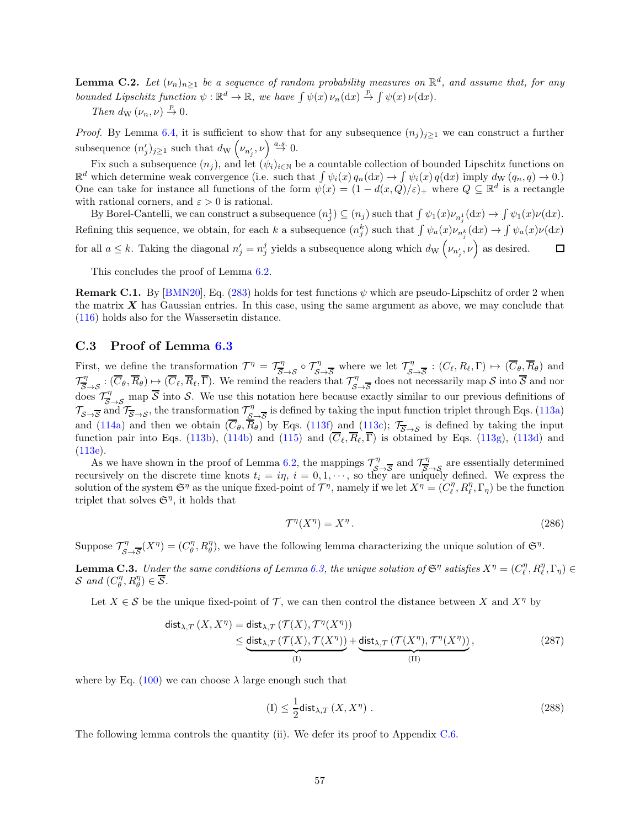**Lemma C.2.** Let  $(\nu_n)_{n\geq 1}$  be a sequence of random probability measures on  $\mathbb{R}^d$ , and assume that, for any bounded Lipschitz function  $\psi : \mathbb{R}^d \to \mathbb{R}$ , we have  $\int \psi(x) \nu_n(\mathrm{d}x) \stackrel{p}{\to} \int \psi(x) \nu(\mathrm{d}x)$ .

Then  $d_{\mathrm{W}}(\nu_n,\nu) \stackrel{p}{\rightarrow} 0$ .

*Proof.* By Lemma [6.4,](#page-23-0) it is sufficient to show that for any subsequence  $(n_j)_{j\geq 1}$  we can construct a further subsequence  $(n'_j)_{j\geq 1}$  such that  $d_{\mathrm{W}}\left(\nu_{n'_j}, \nu\right) \stackrel{a.s.}{\rightarrow} 0$ .

Fix such a subsequence  $(n_j)$ , and let  $(\psi_i)_{i\in\mathbb{N}}$  be a countable collection of bounded Lipschitz functions on  $\mathbb{R}^d$  which determine weak convergence (i.e. such that  $\int \psi_i(x) q_n(\mathrm{d}x) \to \int \psi_i(x) q(\mathrm{d}x)$  imply  $d_{\mathrm{W}}(q_n, q) \to 0$ .) One can take for instance all functions of the form  $\psi(x) = (1 - d(x, Q)/\varepsilon)_+$  where  $Q \subseteq \mathbb{R}^d$  is a rectangle with rational corners, and  $\varepsilon > 0$  is rational.

By Borel-Cantelli, we can construct a subsequence  $(n_j^1) \subseteq (n_j)$  such that  $\int \psi_1(x)\nu_{n_j^1}(\mathrm{d}x) \to \int \psi_1(x)\nu(\mathrm{d}x)$ . Refining this sequence, we obtain, for each k a subsequence  $(n_j^k)$  such that  $\int \psi_a(x)\nu_{n_j^k}(dx) \to \int \psi_a(x)\nu(dx)$ for all  $a \leq k$ . Taking the diagonal  $n'_j = n_j^j$  yields a subsequence along which  $d_{\rm W}(\nu_{n'_j}, \nu)$  as desired.  $\Box$ 

This concludes the proof of Lemma [6.2.](#page-22-0)

**Remark C.1.** By [\[BMN20\]](#page-24-1), Eq. [\(283\)](#page-55-5) holds for test functions  $\psi$  which are pseudo-Lipschitz of order 2 when the matrix  $X$  has Gaussian entries. In this case, using the same argument as above, we may conclude that [\(116\)](#page-22-1) holds also for the Wassersetin distance.

#### C.3 Proof of Lemma [6.3](#page-23-1)

First, we define the transformation  $\mathcal{T}^{\eta} = \mathcal{T}_{\overline{S}\to S}^{\eta} \circ \mathcal{T}_{\overline{S}\to \overline{S}}^{\eta}$  where we let  $\mathcal{T}_{\overline{S}}^{\eta}$  $\overline{S}$  :  $(C_{\ell}, R_{\ell}, \Gamma) \mapsto (C_{\theta}, R_{\theta})$  and  $\mathcal{T}_{\overline{S}\rightarrow S}^{\eta}: (\overline{C}_{\theta}, \overline{R}_{\theta}) \mapsto (\overline{C}_{\ell}, \overline{R}_{\ell}, \overline{\Gamma})$ . We remind the readers that  $\mathcal{T}_{S\rightarrow \overline{S}}^{\eta}$  does not necessarily map S into  $\overline{S}$  and nor  $S \rightarrow S$ <br>does  $\mathcal{T}_{\overline{S} \rightarrow S}^{\eta}$  map  $\overline{S}$  into S. We use this notation here because exactly similar to our previous definitions of  $\mathcal{T}_{\mathcal{S}\rightarrow\overline{\mathcal{S}}}$  and  $\mathcal{T}_{\overline{\mathcal{S}}\rightarrow\mathcal{S}}$ , the transformation  $\mathcal{T}_{\mathcal{S}}^{\eta}$  $\frac{\partial \phi}{\partial s}$  is defined by taking the input function triplet through Eqs. [\(113a\)](#page-21-3) and [\(114a\)](#page-22-2) and then we obtain  $(\overline{C}_{\theta}, \overline{R}_{\theta})$  by Eqs. [\(113f\)](#page-22-3) and [\(113c\)](#page-22-4);  $\mathcal{T}_{\overline{S}\rightarrow S}$  is defined by taking the input function pair into Eqs. [\(113b\)](#page-22-5), [\(114b\)](#page-22-6) and [\(115\)](#page-22-7) and  $(\overline{C}_\ell, \overline{R}_\ell, \overline{\Gamma})$  is obtained by Eqs. [\(113g\)](#page-22-8), [\(113d\)](#page-22-9) and  $(113e).$  $(113e).$ 

As we have shown in the proof of Lemma [6.2,](#page-22-0) the mappings  $\mathcal{T}_{\mathcal{S}}^{\eta}$  $\tau_{\infty}$  and  $\tau_{\infty}$  are essentially determined recursively on the discrete time knots  $t_i = i\eta$ ,  $i = 0, 1, \dots$ , so they are uniquely defined. We express the solution of the system  $\mathfrak{S}^{\eta}$  as the unique fixed-point of  $\mathcal{T}^{\eta}$ , namely if we let  $X^{\eta} = (C_{\ell}^{\eta}, R_{\ell}^{\eta}, \Gamma_{\eta})$  be the function triplet that solves  $\mathfrak{S}^{\eta}$ , it holds that

<span id="page-56-1"></span>
$$
\mathcal{T}^{\eta}(X^{\eta}) = X^{\eta}.
$$
\n<sup>(286)</sup>

Suppose  $\mathcal{T}_{\mathcal{S}}^{\eta}$  $\mathcal{L}_{\mathcal{S}\to\overline{\mathcal{S}}}(X^{\eta})=(C_{\theta}^{\eta},R_{\theta}^{\eta}),$  we have the following lemma characterizing the unique solution of  $\mathfrak{S}^{\eta}.$ 

<span id="page-56-2"></span>**Lemma C.3.** Under the same conditions of Lemma [6.3,](#page-23-1) the unique solution of  $\mathfrak{S}^{\eta}$  satisfies  $X^{\eta} = (C_{\ell}^{\eta}, R_{\ell}^{\eta}, \Gamma_{\eta}) \in$ S and  $(C_{\theta}^{\eta}, R_{\theta}^{\eta}) \in \overline{S}$ .

Let  $X \in \mathcal{S}$  be the unique fixed-point of T, we can then control the distance between X and  $X^{\eta}$  by

$$
\text{dist}_{\lambda,T}(X,X^{\eta}) = \text{dist}_{\lambda,T}(\mathcal{T}(X),\mathcal{T}^{\eta}(X^{\eta}))
$$
  
\n
$$
\leq \underbrace{\text{dist}_{\lambda,T}(\mathcal{T}(X),\mathcal{T}(X^{\eta}))}_{\text{(I)}} + \underbrace{\text{dist}_{\lambda,T}(\mathcal{T}(X^{\eta}),\mathcal{T}^{\eta}(X^{\eta}))}_{\text{(II)}},
$$
\n(287)

where by Eq. [\(100\)](#page-19-2) we can choose  $\lambda$  large enough such that

<span id="page-56-0"></span>
$$
\text{(I)} \le \frac{1}{2} \text{dist}_{\lambda, T} \left( X, X^{\eta} \right) \,. \tag{288}
$$

The following lemma controls the quantity (ii). We defer its proof to Appendix [C.6.](#page-62-0)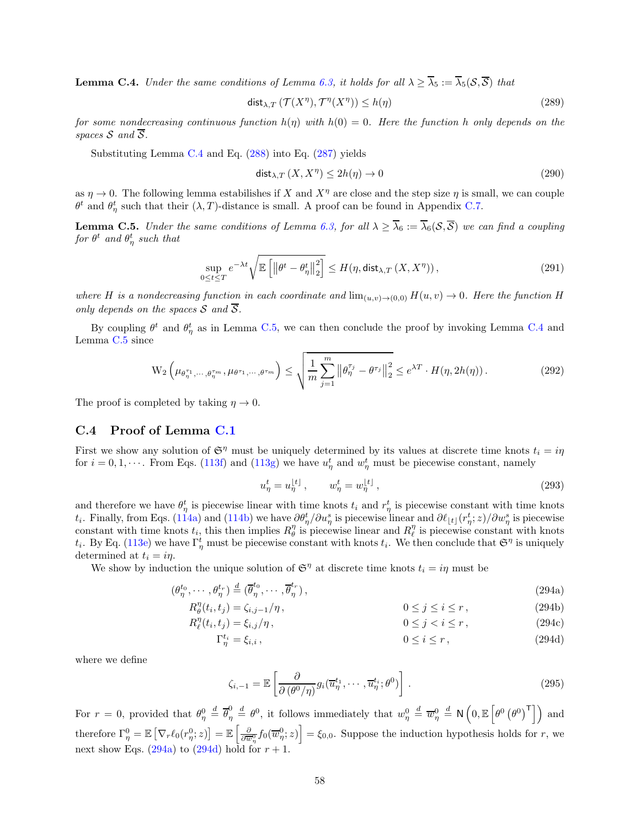<span id="page-57-1"></span>**Lemma C.4.** Under the same conditions of Lemma [6.3,](#page-23-1) it holds for all  $\lambda \geq \overline{\lambda}_5 := \overline{\lambda}_5(\mathcal{S}, \overline{\mathcal{S}})$  that

$$
\operatorname{dist}_{\lambda,T} \left( \mathcal{T}(X^{\eta}), \mathcal{T}^{\eta}(X^{\eta}) \right) \le h(\eta) \tag{289}
$$

for some nondecreasing continuous function  $h(\eta)$  with  $h(0) = 0$ . Here the function h only depends on the spaces  $S$  and  $\overline{S}$ .

Substituting Lemma [C.4](#page-57-1) and Eq. [\(288\)](#page-56-0) into Eq. [\(287\)](#page-56-1) yields

$$
\operatorname{dist}_{\lambda,T}(X,X^{\eta}) \le 2h(\eta) \to 0 \tag{290}
$$

as  $\eta \to 0$ . The following lemma estabilishes if X and  $X^{\eta}$  are close and the step size  $\eta$  is small, we can couple  $\theta^t$  and  $\theta^t_\eta$  such that their  $(\lambda, T)$ -distance is small. A proof can be found in Appendix [C.7.](#page-67-0)

<span id="page-57-2"></span>**Lemma C.5.** Under the same conditions of Lemma [6.3,](#page-23-1) for all  $\lambda \geq \overline{\lambda}_6 := \overline{\lambda}_6(S,\overline{S})$  we can find a coupling for  $\theta^t$  and  $\theta^t_\eta$  such that

$$
\sup_{0 \le t \le T} e^{-\lambda t} \sqrt{\mathbb{E}\left[\left\|\theta^t - \theta^t_{\eta}\right\|_2^2\right]} \le H(\eta, \text{dist}_{\lambda, T}(X, X^{\eta})),\tag{291}
$$

where H is a nondecreasing function in each coordinate and  $\lim_{(u,v)\to(0,0)} H(u, v) \to 0$ . Here the function H only depends on the spaces S and  $\overline{S}$ .

By coupling  $\theta^t$  and  $\theta^t_\eta$  as in Lemma [C.5,](#page-57-2) we can then conclude the proof by invoking Lemma [C.4](#page-57-1) and Lemma [C.5](#page-57-2) since

$$
\mathcal{W}_2\left(\mu_{\theta_{\eta}^{\tau_1},\cdots,\theta_{\eta}^{\tau_m}},\mu_{\theta^{\tau_1},\cdots,\theta^{\tau_m}}\right) \leq \sqrt{\frac{1}{m} \sum_{j=1}^m \left\|\theta_{\eta}^{\tau_j} - \theta^{\tau_j}\right\|_2^2} \leq e^{\lambda T} \cdot H(\eta, 2h(\eta)).
$$
\n(292)

The proof is completed by taking  $\eta \to 0$ .

#### <span id="page-57-0"></span>C.4 Proof of Lemma [C.1](#page-55-6)

First we show any solution of  $\mathfrak{S}^{\eta}$  must be uniquely determined by its values at discrete time knots  $t_i = i\eta$ for  $i = 0, 1, \dots$ . From Eqs. [\(113f\)](#page-22-3) and [\(113g\)](#page-22-8) we have  $u_{\eta}^t$  and  $w_{\eta}^t$  must be piecewise constant, namely

<span id="page-57-6"></span><span id="page-57-5"></span><span id="page-57-3"></span>
$$
u_{\eta}^{t} = u_{\eta}^{[t]}, \qquad w_{\eta}^{t} = w_{\eta}^{[t]}, \qquad (293)
$$

and therefore we have  $\theta_{\eta}^{t}$  is piecewise linear with time knots  $t_i$  and  $r_{\eta}^{t}$  is piecewise constant with time knots t<sub>i</sub>. Finally, from Eqs. [\(114a\)](#page-22-2) and [\(114b\)](#page-22-6) we have  $\partial \theta_{\eta}^{t}/\partial u_{\eta}^{s}$  is piecewise linear and  $\partial \ell_{\lfloor t\rfloor}(r_{\eta}^{t};z)/\partial w_{\eta}^{s}$  is piecewise constant with time knots  $t_i$ , this then implies  $R_{\theta}^{\eta}$  is piecewise linear and  $R_{\ell}^{\eta}$  is piecewise constant with knots  $t_i$ . By Eq. [\(113e\)](#page-22-10) we have  $\Gamma^t_\eta$  must be piecewise constant with knots  $t_i$ . We then conclude that  $\mathfrak{S}^\eta$  is uniquely determined at  $t_i = i\eta$ .

We show by induction the unique solution of  $\mathfrak{S}^{\eta}$  at discrete time knots  $t_i = i\eta$  must be

$$
(\theta_{\eta}^{t_0}, \cdots, \theta_{\eta}^{t_r}) \stackrel{d}{=} (\overline{\theta}_{\eta}^{t_0}, \cdots, \overline{\theta}_{\eta}^{t_r}), \qquad (294a)
$$

$$
R_{\theta}^{\eta}(t_i, t_j) = \zeta_{i,j-1}/\eta, \qquad 0 \le j \le i \le r, \qquad (294b)
$$

$$
R_{\ell}^{\eta}(t_i, t_j) = \xi_{i,j}/\eta, \qquad 0 \le j < i \le r \,, \tag{294c}
$$

$$
\Gamma_{\eta}^{t_i} = \xi_{i,i},\tag{294d}
$$

where we define

<span id="page-57-4"></span>
$$
\zeta_{i,-1} = \mathbb{E}\left[\frac{\partial}{\partial\left(\theta^0/\eta\right)}g_i(\overline{u}_{\eta}^{t_1},\cdots,\overline{u}_{\eta}^{t_i};\theta^0)\right].
$$
\n(295)

For  $r = 0$ , provided that  $\theta_{\eta}^0 \stackrel{d}{=} \overline{\theta}_{\eta}^0$  $\frac{d}{d\eta} \stackrel{d}{=} \theta^0$ , it follows immediately that  $w_\eta^0 \stackrel{d}{=} \overline{w}_\eta^0 \stackrel{d}{=} \mathsf{N}\left(0, \mathbb{E}\left[\theta^0\left(\theta^0\right)^\mathsf{T}\right]\right)$  and therefore  $\Gamma_{\eta}^{0} = \mathbb{E}\left[\nabla_{r}\ell_{0}(r_{\eta}^{0};z)\right] = \mathbb{E}\left[\frac{\partial}{\partial \overline{w}_{\eta}^{0}}f_{0}(\overline{w}_{\eta}^{0};z)\right] = \xi_{0,0}$ . Suppose the induction hypothesis holds for r, we next show Eqs. [\(294a\)](#page-57-3) to [\(294d\)](#page-57-4) hold for  $r + 1$ .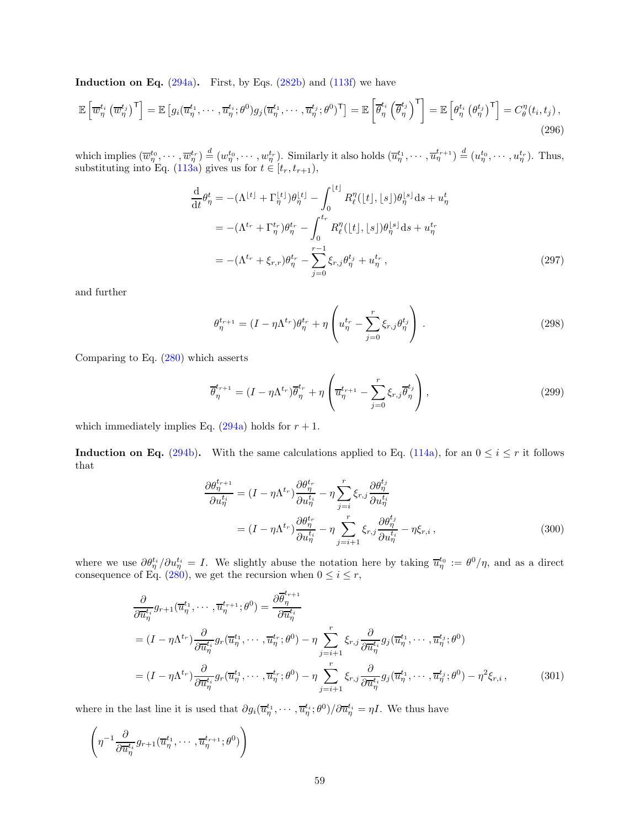**Induction on Eq.**  $(294a)$ . First, by Eqs.  $(282b)$  and  $(113f)$  we have

$$
\mathbb{E}\left[\overline{w}_{\eta}^{t_i}\left(\overline{w}_{\eta}^{t_j}\right)^{\mathsf{T}}\right] = \mathbb{E}\left[g_i(\overline{u}_{\eta}^{t_1},\cdots,\overline{u}_{\eta}^{t_i};\theta^0)g_j(\overline{u}_{\eta}^{t_1},\cdots,\overline{u}_{\eta}^{t_j};\theta^0)^{\mathsf{T}}\right] = \mathbb{E}\left[\overline{\theta}_{\eta}^{t_i}\left(\overline{\theta}_{\eta}^{t_j}\right)^{\mathsf{T}}\right] = \mathbb{E}\left[\theta_{\eta}^{t_i}\left(\theta_{\eta}^{t_j}\right)^{\mathsf{T}}\right] = C_{\theta}^{\eta}(t_i,t_j),\tag{296}
$$

which implies  $(\overline{w}_{\eta}^{t_0}, \dots, \overline{w}_{\eta}^{t_r}) \stackrel{d}{=} (w_{\eta}^{t_0}, \dots, w_{\eta}^{t_r}).$  Similarly it also holds  $(\overline{u}_{\eta}^{t_1}, \dots, \overline{u}_{\eta}^{t_{r+1}}) \stackrel{d}{=} (u_{\eta}^{t_0}, \dots, u_{\eta}^{t_r}).$  Thus, substituting into Eq. [\(113a\)](#page-21-3) gives us for  $t \in [t_r, t_{r+1}),$ 

$$
\frac{d}{dt}\theta_{\eta}^{t} = -(\Lambda^{\lfloor t \rfloor} + \Gamma_{\eta}^{\lfloor t \rfloor})\theta_{\eta}^{\lfloor t \rfloor} - \int_{0}^{\lfloor t \rfloor} R_{\ell}^{\eta}(\lfloor t \rfloor, \lfloor s \rfloor)\theta_{\eta}^{\lfloor s \rfloor} ds + u_{\eta}^{t}
$$
\n
$$
= -(\Lambda^{t_{r}} + \Gamma_{\eta}^{t_{r}})\theta_{\eta}^{t_{r}} - \int_{0}^{t_{r}} R_{\ell}^{\eta}(\lfloor t \rfloor, \lfloor s \rfloor)\theta_{\eta}^{\lfloor s \rfloor} ds + u_{\eta}^{t_{r}}
$$
\n
$$
= -(\Lambda^{t_{r}} + \xi_{r,r})\theta_{\eta}^{t_{r}} - \sum_{j=0}^{r-1} \xi_{r,j}\theta_{\eta}^{t_{j}} + u_{\eta}^{t_{r}},
$$
\n(297)

and further

$$
\theta_{\eta}^{t_{r+1}} = (I - \eta \Lambda^{t_r}) \theta_{\eta}^{t_r} + \eta \left( u_{\eta}^{t_r} - \sum_{j=0}^{r} \xi_{r,j} \theta_{\eta}^{t_j} \right) . \tag{298}
$$

Comparing to Eq. [\(280\)](#page-54-0) which asserts

$$
\overline{\theta}_{\eta}^{t_{r+1}} = (I - \eta \Lambda^{t_r}) \overline{\theta}_{\eta}^{t_r} + \eta \left( \overline{u}_{\eta}^{t_{r+1}} - \sum_{j=0}^{r} \xi_{r,j} \overline{\theta}_{\eta}^{t_j} \right),
$$
\n(299)

which immediately implies Eq. [\(294a\)](#page-57-3) holds for  $r + 1$ .

**Induction on Eq.** [\(294b\)](#page-57-5). With the same calculations applied to Eq. [\(114a\)](#page-22-2), for an  $0 \le i \le r$  it follows that

$$
\frac{\partial \theta_{\eta}^{t_{r+1}}}{\partial u_{\eta}^{t_i}} = (I - \eta \Lambda^{t_r}) \frac{\partial \theta_{\eta}^{t_r}}{\partial u_{\eta}^{t_i}} - \eta \sum_{j=i}^{r} \xi_{r,j} \frac{\partial \theta_{\eta}^{t_j}}{\partial u_{\eta}^{t_i}}
$$

$$
= (I - \eta \Lambda^{t_r}) \frac{\partial \theta_{\eta}^{t_r}}{\partial u_{\eta}^{t_i}} - \eta \sum_{j=i+1}^{r} \xi_{r,j} \frac{\partial \theta_{\eta}^{t_j}}{\partial u_{\eta}^{t_i}} - \eta \xi_{r,i}, \qquad (300)
$$

where we use  $\partial \theta_{\eta}^{t_i}/\partial u_{\eta}^{t_i} = I$ . We slightly abuse the notation here by taking  $\overline{u}_{\eta}^{t_0} := \theta^0/\eta$ , and as a direct consequence of Eq. [\(280\)](#page-54-0), we get the recursion when  $0 \le i \le r$ ,

$$
\frac{\partial}{\partial \overline{u}_{\eta}^{t_i}} g_{r+1}(\overline{u}_{\eta}^{t_1}, \cdots, \overline{u}_{\eta}^{t_{r+1}}; \theta^0) = \frac{\partial \overline{\theta}_{\eta}^{t_{r+1}}}{\partial \overline{u}_{\eta}^{t_i}} \n= (I - \eta \Lambda^{t_r}) \frac{\partial}{\partial \overline{u}_{\eta}^{t_i}} g_r(\overline{u}_{\eta}^{t_1}, \cdots, \overline{u}_{\eta}^{t_r}; \theta^0) - \eta \sum_{j=i+1}^r \xi_{r,j} \frac{\partial}{\partial \overline{u}_{\eta}^{t_i}} g_j(\overline{u}_{\eta}^{t_1}, \cdots, \overline{u}_{\eta}^{t_j}; \theta^0) \n= (I - \eta \Lambda^{t_r}) \frac{\partial}{\partial \overline{u}_{\eta}^{t_i}} g_r(\overline{u}_{\eta}^{t_1}, \cdots, \overline{u}_{\eta}^{t_r}; \theta^0) - \eta \sum_{j=i+1}^r \xi_{r,j} \frac{\partial}{\partial \overline{u}_{\eta}^{t_i}} g_j(\overline{u}_{\eta}^{t_1}, \cdots, \overline{u}_{\eta}^{t_j}; \theta^0) - \eta^2 \xi_{r,i},
$$
\n(301)

where in the last line it is used that  $\partial g_i(\overline{u}_{\eta}^{t_1},\cdots,\overline{u}_{\eta}^{t_i};\theta^0)/\partial \overline{u}_{\eta}^{t_i}=\eta I$ . We thus have

$$
\left(\eta^{-1}\frac{\partial}{\partial \overline{u}_{\eta}^{t_i}}g_{r+1}(\overline{u}_{\eta}^{t_1},\cdots,\overline{u}_{\eta}^{t_{r+1}};\theta^0)\right)
$$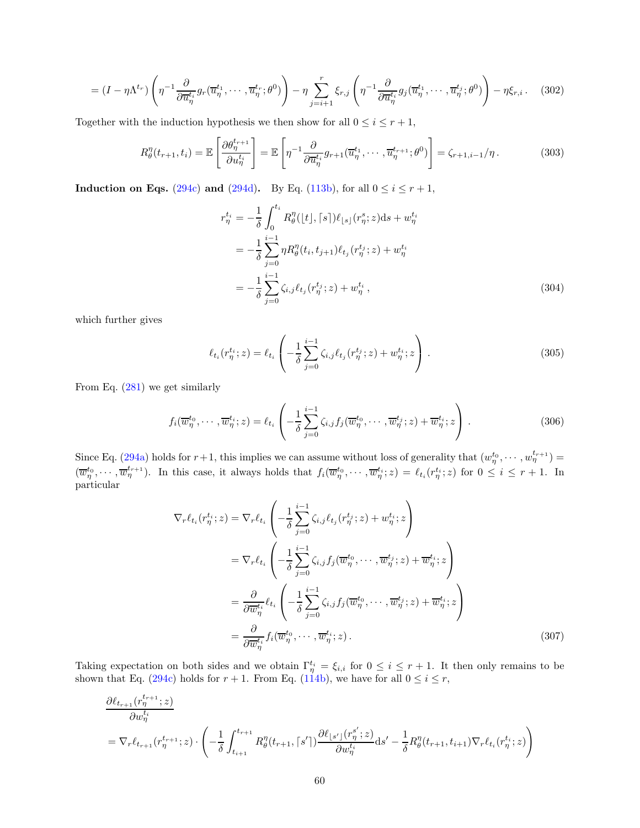$$
= (I - \eta \Lambda^{t_r}) \left( \eta^{-1} \frac{\partial}{\partial \overline{u}_{\eta}^{t_i}} g_r(\overline{u}_{\eta}^{t_1}, \cdots, \overline{u}_{\eta}^{t_r}; \theta^0) \right) - \eta \sum_{j=i+1}^r \xi_{r,j} \left( \eta^{-1} \frac{\partial}{\partial \overline{u}_{\eta}^{t_i}} g_j(\overline{u}_{\eta}^{t_1}, \cdots, \overline{u}_{\eta}^{t_j}; \theta^0) \right) - \eta \xi_{r,i}.
$$
 (302)

Together with the induction hypothesis we then show for all  $0 \le i \le r + 1$ ,

$$
R_{\theta}^{\eta}(t_{r+1}, t_i) = \mathbb{E}\left[\frac{\partial \theta_{\eta}^{t_{r+1}}}{\partial u_{\eta}^{t_i}}\right] = \mathbb{E}\left[\eta^{-1} \frac{\partial}{\partial \overline{u}_{\eta}^{t_i}} g_{r+1}(\overline{u}_{\eta}^{t_1}, \cdots, \overline{u}_{\eta}^{t_{r+1}}; \theta^0)\right] = \zeta_{r+1, i-1}/\eta.
$$
 (303)

Induction on Eqs. [\(294c\)](#page-57-6) and [\(294d\)](#page-57-4). By Eq. [\(113b\)](#page-22-5), for all  $0 \le i \le r+1$ ,

$$
r_{\eta}^{t_i} = -\frac{1}{\delta} \int_0^{t_i} R_{\theta}^{\eta}(|t|, [s]) \ell_{\lfloor s \rfloor}(r_{\eta}^s; z) ds + w_{\eta}^{t_i}
$$
  

$$
= -\frac{1}{\delta} \sum_{j=0}^{i-1} \eta R_{\theta}^{\eta}(t_i, t_{j+1}) \ell_{t_j}(r_{\eta}^{t_j}; z) + w_{\eta}^{t_i}
$$
  

$$
= -\frac{1}{\delta} \sum_{j=0}^{i-1} \zeta_{i,j} \ell_{t_j}(r_{\eta}^{t_j}; z) + w_{\eta}^{t_i}, \qquad (304)
$$

which further gives

$$
\ell_{t_i}(r_{\eta}^{t_i}; z) = \ell_{t_i}\left(-\frac{1}{\delta} \sum_{j=0}^{i-1} \zeta_{i,j} \ell_{t_j}(r_{\eta}^{t_j}; z) + w_{\eta}^{t_i}; z\right).
$$
\n(305)

From Eq. [\(281\)](#page-54-1) we get similarly

$$
f_i(\overline{w}_{\eta}^{t_0}, \cdots, \overline{w}_{\eta}^{t_i}; z) = \ell_{t_i} \left( -\frac{1}{\delta} \sum_{j=0}^{i-1} \zeta_{i,j} f_j(\overline{w}_{\eta}^{t_0}, \cdots, \overline{w}_{\eta}^{t_j}; z) + \overline{w}_{\eta}^{t_i}; z \right).
$$
 (306)

Since Eq. [\(294a\)](#page-57-3) holds for  $r+1$ , this implies we can assume without loss of generality that  $(w_{\eta}^{t_0}, \dots, w_{\eta}^{t_{r+1}})$  $(\overline{w}_{\eta}^{t_0},\dots,\overline{w}_{\eta}^{t_{r+1}})$ . In this case, it always holds that  $f_i(\overline{w}_{\eta}^{t_0},\dots,\overline{w}_{\eta}^{t_i};z)=\ell_{t_i}(r_{\eta}^{t_i};z)$  for  $0\leq i\leq r+1$ . In particular

$$
\nabla_r \ell_{t_i}(r^{t_i}_{\eta}; z) = \nabla_r \ell_{t_i} \left( -\frac{1}{\delta} \sum_{j=0}^{i-1} \zeta_{i,j} \ell_{t_j}(r^{t_j}_{\eta}; z) + w^{t_i}_{\eta}; z \right)
$$
  
\n
$$
= \nabla_r \ell_{t_i} \left( -\frac{1}{\delta} \sum_{j=0}^{i-1} \zeta_{i,j} f_j(\overline{w}^{t_0}_{\eta}, \cdots, \overline{w}^{t_j}_{\eta}; z) + \overline{w}^{t_i}_{\eta}; z \right)
$$
  
\n
$$
= \frac{\partial}{\partial \overline{w}^{t_i}} \ell_{t_i} \left( -\frac{1}{\delta} \sum_{j=0}^{i-1} \zeta_{i,j} f_j(\overline{w}^{t_0}_{\eta}, \cdots, \overline{w}^{t_j}_{\eta}; z) + \overline{w}^{t_i}_{\eta}; z \right)
$$
  
\n
$$
= \frac{\partial}{\partial \overline{w}^{t_i}_{\eta}} f_i(\overline{w}^{t_0}_{\eta}, \cdots, \overline{w}^{t_i}_{\eta}; z).
$$
 (307)

Taking expectation on both sides and we obtain  $\Gamma_{\eta}^{t_i} = \xi_{i,i}$  for  $0 \leq i \leq r+1$ . It then only remains to be shown that Eq. [\(294c\)](#page-57-6) holds for  $r + 1$ . From Eq. [\(114b\)](#page-22-6), we have for all  $0 \le i \le r$ ,

$$
\frac{\partial \ell_{t_{r+1}}(r^{t_{r+1}}_{\eta};z)}{\partial w^{t_i}_{\eta}} = \nabla_r \ell_{t_{r+1}}(r^{t_{r+1}}_{\eta};z) \cdot \left(-\frac{1}{\delta} \int_{t_{i+1}}^{t_{r+1}} R^{\eta}_{\theta}(t_{r+1},\lceil s'\rceil) \frac{\partial \ell_{\lfloor s'\rfloor}(r^{{s'}}_{\eta};z)}{\partial w^{t_i}_{\eta}} ds' - \frac{1}{\delta} R^{\eta}_{\theta}(t_{r+1},t_{i+1}) \nabla_r \ell_{t_i}(r^{t_i}_{\eta};z)\right)
$$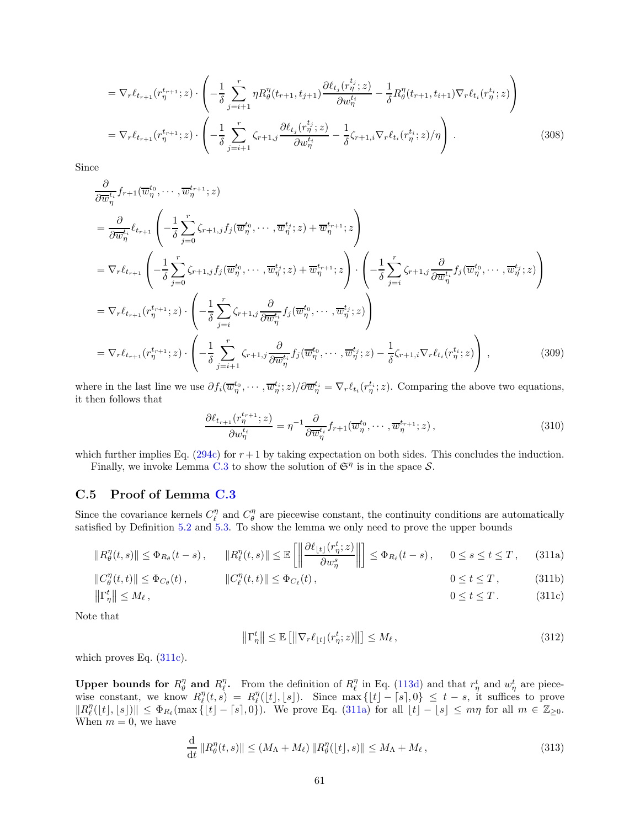$$
= \nabla_r \ell_{t_{r+1}}(r^{t_{r+1}}_{\eta}; z) \cdot \left( -\frac{1}{\delta} \sum_{j=i+1}^r \eta R_{\theta}^{\eta}(t_{r+1}, t_{j+1}) \frac{\partial \ell_{t_j}(r^{t_j}_{\eta}; z)}{\partial w^{t_i}_{\eta}} - \frac{1}{\delta} R_{\theta}^{\eta}(t_{r+1}, t_{i+1}) \nabla_r \ell_{t_i}(r^{t_i}_{\eta}; z) \right)
$$
  

$$
= \nabla_r \ell_{t_{r+1}}(r^{t_{r+1}}_{\eta}; z) \cdot \left( -\frac{1}{\delta} \sum_{j=i+1}^r \zeta_{r+1,j} \frac{\partial \ell_{t_j}(r^{t_j}_{\eta}; z)}{\partial w^{t_i}_{\eta}} - \frac{1}{\delta} \zeta_{r+1,i} \nabla_r \ell_{t_i}(r^{t_i}_{\eta}; z) / \eta \right).
$$
 (308)

Since

$$
\frac{\partial}{\partial \overline{w}_{\eta}^{t_i}} f_{r+1}(\overline{w}_{\eta}^{t_0}, \cdots, \overline{w}_{\eta}^{t_{r+1}}; z)
$$
\n
$$
= \frac{\partial}{\partial \overline{w}_{\eta}^{t_i}} \ell_{t_{r+1}} \left( -\frac{1}{\delta} \sum_{j=0}^r \zeta_{r+1,j} f_j(\overline{w}_{\eta}^{t_0}, \cdots, \overline{w}_{\eta}^{t_j}; z) + \overline{w}_{\eta}^{t_{r+1}}; z \right)
$$
\n
$$
= \nabla_r \ell_{t_{r+1}} \left( -\frac{1}{\delta} \sum_{j=0}^r \zeta_{r+1,j} f_j(\overline{w}_{\eta}^{t_0}, \cdots, \overline{w}_{\eta}^{t_j}; z) + \overline{w}_{\eta}^{t_{r+1}}; z \right) \cdot \left( -\frac{1}{\delta} \sum_{j=i}^r \zeta_{r+1,j} \frac{\partial}{\partial \overline{w}_{\eta}^{t_i}} f_j(\overline{w}_{\eta}^{t_0}, \cdots, \overline{w}_{\eta}^{t_j}; z) \right)
$$
\n
$$
= \nabla_r \ell_{t_{r+1}}(r_{\eta}^{t_{r+1}}; z) \cdot \left( -\frac{1}{\delta} \sum_{j=i}^r \zeta_{r+1,j} \frac{\partial}{\partial \overline{w}_{\eta}^{t_i}} f_j(\overline{w}_{\eta}^{t_0}, \cdots, \overline{w}_{\eta}^{t_j}; z) \right)
$$
\n
$$
= \nabla_r \ell_{t_{r+1}}(r_{\eta}^{t_{r+1}}; z) \cdot \left( -\frac{1}{\delta} \sum_{j=i+1}^r \zeta_{r+1,j} \frac{\partial}{\partial \overline{w}_{\eta}^{t_i}} f_j(\overline{w}_{\eta}^{t_0}, \cdots, \overline{w}_{\eta}^{t_j}; z) - \frac{1}{\delta} \zeta_{r+1,i} \nabla_r \ell_{t_i}(r_{\eta}^{t_i}; z) \right), \qquad (309)
$$

where in the last line we use  $\partial f_i(\overline{w}_{\eta}^{t_0},\cdots,\overline{w}_{\eta}^{t_i};z)/\partial \overline{w}_{\eta}^{t_i} = \nabla_r \ell_{t_i}(r_{\eta}^{t_i};z)$ . Comparing the above two equations, it then follows that

$$
\frac{\partial \ell_{t_{r+1}}(r^{t_{r+1}}_{\eta};z)}{\partial w^{t_i}_{\eta}} = \eta^{-1} \frac{\partial}{\partial \overline{w}^{t_i}_{\eta}} f_{r+1}(\overline{w}^{t_0}_{\eta}, \cdots, \overline{w}^{t_{r+1}}_{\eta}; z), \qquad (310)
$$

which further implies Eq. [\(294c\)](#page-57-6) for  $r+1$  by taking expectation on both sides. This concludes the induction. Finally, we invoke Lemma [C.3](#page-56-2) to show the solution of  $\mathfrak{S}^{\eta}$  is in the space  $S$ .

#### C.5 Proof of Lemma [C.3](#page-56-2)

Since the covariance kernels  $C_{\ell}^{\eta}$  and  $C_{\theta}^{\eta}$  are piecewise constant, the continuity conditions are automatically satisfied by Definition [5.2](#page-15-3) and [5.3.](#page-16-0) To show the lemma we only need to prove the upper bounds

$$
||R_{\theta}^{\eta}(t,s)|| \leq \Phi_{R_{\theta}}(t-s), \qquad ||R_{\ell}^{\eta}(t,s)|| \leq \mathbb{E}\left[\left\|\frac{\partial \ell_{\lfloor t\rfloor}(r_{\eta}^t;z)}{\partial w_{\eta}^s}\right\|\right] \leq \Phi_{R_{\ell}}(t-s), \qquad 0 \leq s \leq t \leq T,
$$
 (311a)

$$
||C_{\theta}^{\eta}(t,t)|| \leq \Phi_{C_{\theta}}(t), \qquad ||C_{\ell}^{\eta}(t,t)|| \leq \Phi_{C_{\ell}}(t), \qquad 0 \leq t \leq T, \qquad (311b)
$$
  

$$
||\Gamma_{\eta}^t|| \leq M_{\ell}, \qquad 0 \leq t \leq T. \qquad (311c)
$$

Note that

<span id="page-60-2"></span><span id="page-60-1"></span><span id="page-60-0"></span>
$$
\left\|\Gamma_{\eta}^{t}\right\| \leq \mathbb{E}\left[\left\|\nabla_{r}\ell_{\lfloor t\rfloor}(r_{\eta}^{t};z)\right\|\right] \leq M_{\ell},\tag{312}
$$

which proves Eq. [\(311c\)](#page-60-0).

Upper bounds for  $R_{\theta}^{\eta}$  and  $R_{\ell}^{\eta}$ . From the definition of  $R_{\ell}^{\eta}$  in Eq. [\(113d\)](#page-22-9) and that  $r_{\eta}^{t}$  and  $w_{\eta}^{t}$  are piecewise constant, we know  $R_{\ell}^{\eta}(t,s) = R_{\ell}^{\eta}([t],[s])$ . Since  $\max\{|t| - |s|,0\} \leq t-s$ , it suffices to prove  $||R_{\ell}^{\eta}([t],[s])|| \leq \Phi_{R_{\ell}}(\max\{|t| - [s],0\}).$  We prove Eq. [\(311a\)](#page-60-1) for all  $|t| - |s| \leq m\eta$  for all  $m \in \mathbb{Z}_{\geq 0}$ . When  $m = 0$ , we have

$$
\frac{\mathrm{d}}{\mathrm{d}t} \|R_{\theta}^{\eta}(t,s)\| \le (M_{\Lambda} + M_{\ell}) \|R_{\theta}^{\eta}(\lfloor t \rfloor, s)\| \le M_{\Lambda} + M_{\ell},\tag{313}
$$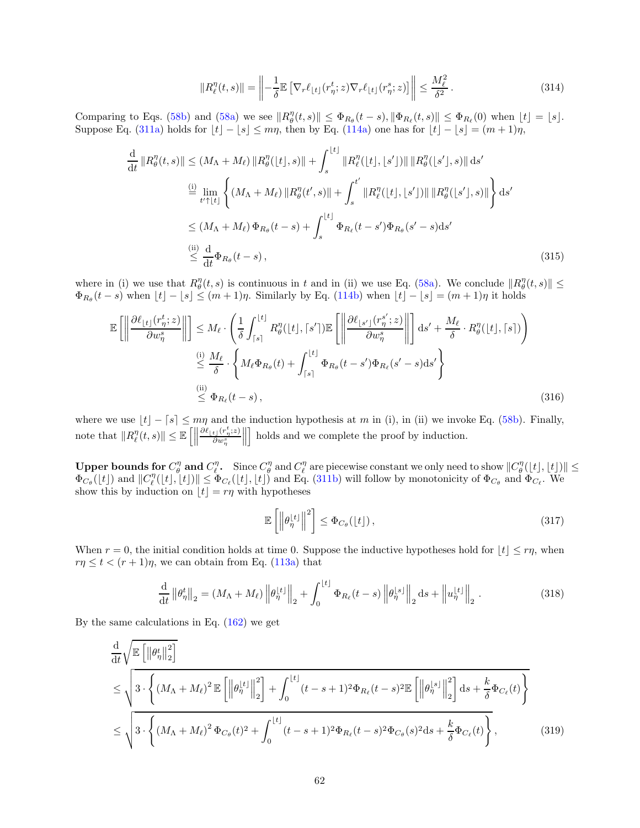$$
||R_{\ell}^{\eta}(t,s)|| = \left\| -\frac{1}{\delta} \mathbb{E} \left[ \nabla_r \ell_{\lfloor t \rfloor} (r_{\eta}^t; z) \nabla_r \ell_{\lfloor t \rfloor} (r_{\eta}^s; z) \right] \right\| \le \frac{M_{\ell}^2}{\delta^2}.
$$
 (314)

Comparing to Eqs. [\(58b\)](#page-15-1) and [\(58a\)](#page-15-4) we see  $||R_{\theta}^{\eta}(t,s)|| \leq \Phi_{R_{\theta}}(t-s), ||\Phi_{R_{\ell}}(t,s)|| \leq \Phi_{R_{\ell}}(0)$  when  $|t| = |s|$ . Suppose Eq. [\(311a\)](#page-60-1) holds for  $\lfloor t \rfloor - \lfloor s \rfloor \leq m\eta$ , then by Eq. [\(114a\)](#page-22-2) one has for  $\lfloor t \rfloor - \lfloor s \rfloor = (m + 1)\eta$ ,

$$
\frac{d}{dt} ||R_{\theta}^{\eta}(t,s)|| \leq (M_{\Lambda} + M_{\ell}) ||R_{\theta}^{\eta}([t],s)|| + \int_{s}^{|t|} ||R_{\ell}^{\eta}([t],[s'])|| ||R_{\theta}^{\eta}([s'],s)|| ds'
$$
\n
$$
\stackrel{\text{(i)}}{=} \lim_{t' \uparrow |t|} \left\{ (M_{\Lambda} + M_{\ell}) ||R_{\theta}^{\eta}(t',s)|| + \int_{s}^{t'} ||R_{\ell}^{\eta}([t],[s'])|| ||R_{\theta}^{\eta}([s'],s)|| \right\} ds'
$$
\n
$$
\leq (M_{\Lambda} + M_{\ell}) \Phi_{R_{\theta}}(t-s) + \int_{s}^{|t|} \Phi_{R_{\ell}}(t-s') \Phi_{R_{\theta}}(s'-s) ds'
$$
\n
$$
\stackrel{\text{(ii)}}{=} \frac{d}{dt} \Phi_{R_{\theta}}(t-s), \tag{315}
$$

where in (i) we use that  $R_{\theta}^{\eta}(t, s)$  is continuous in t and in (ii) we use Eq. [\(58a\)](#page-15-4). We conclude  $||R_{\theta}^{\eta}(t, s)|| \le$  $\Phi_{R_{\theta}}(t-s)$  when  $\lfloor t \rfloor - \lfloor s \rfloor \leq (m+1)\eta$ . Similarly by Eq. [\(114b\)](#page-22-6) when  $\lfloor t \rfloor - \lfloor s \rfloor = (m+1)\eta$  it holds

$$
\mathbb{E}\left[\left\|\frac{\partial \ell_{\lfloor t\rfloor}(r_{\eta}^{t};z)}{\partial w_{\eta}^{s}}\right\|\right] \leq M_{\ell} \cdot \left(\frac{1}{\delta} \int_{\lceil s\rceil}^{\lfloor t\rfloor} R_{\theta}^{\eta}(\lfloor t\rfloor, \lceil s'\rceil) \mathbb{E}\left[\left\|\frac{\partial \ell_{\lfloor s'\rfloor}(r_{\eta}^{s'};z)}{\partial w_{\eta}^{s}}\right\|\right] ds' + \frac{M_{\ell}}{\delta} \cdot R_{\theta}^{\eta}(\lfloor t\rfloor, \lceil s\rceil)\right)
$$
\n
$$
\stackrel{\text{(i)}}{\leq} \frac{M_{\ell}}{\delta} \cdot \left\{M_{\ell} \Phi_{R_{\theta}}(t) + \int_{\lceil s\rceil}^{\lfloor t\rfloor} \Phi_{R_{\theta}}(t-s') \Phi_{R_{\ell}}(s'-s) \, ds'\right\}
$$
\n
$$
\stackrel{\text{(ii)}}{\leq} \Phi_{R_{\ell}}(t-s),\tag{316}
$$

where we use  $\lfloor t \rfloor - \lceil s \rceil \leq m\eta$  and the induction hypothesis at m in (i), in (ii) we invoke Eq. [\(58b\)](#page-15-1). Finally, note that  $||R_{\ell}^{\eta}(t, s)|| \leq \mathbb{E} \left[ \left\| \right.$  $\partial \ell_{\lfloor t \rfloor}(r^t_{\eta}; z)$  $\partial w^s_\eta$  $\biggl\} \biggl[$ I holds and we complete the proof by induction.

Upper bounds for  $C_{\theta}^{\eta}$  and  $C_{\ell}^{\eta}$ . Since  $C_{\theta}^{\eta}$  and  $C_{\ell}^{\eta}$  are piecewise constant we only need to show  $||C_{\theta}^{\eta}(|t|, |t|)|| \le$ **Spectrum** by the bounds for  $C_{\theta}$  and  $C_{\ell}$ . Since  $C_{\theta}$  and  $C_{\ell}$  are preceduse constant we only need to show  $||C_{\theta}$  ([t], [t])  $\Phi_{C_{\theta}}(t_1)$ , [t]) and  $||C_{\ell}^{\theta}(t_1,t_1)|| \leq \Phi_{C_{\ell}}(t_1,t_1)$  and Eq. [\(311b\)](#page-60-2) show this by induction on  $[t] = r\eta$  with hypotheses

$$
\mathbb{E}\left[\left\|\theta_{\eta}^{[t]}\right\|^2\right] \leq \Phi_{C_{\theta}}([t]),\tag{317}
$$

When  $r = 0$ , the initial condition holds at time 0. Suppose the inductive hypotheses hold for  $\lfloor t \rfloor \leq r\eta$ , when  $r\eta \leq t < (r+1)\eta$ , we can obtain from Eq. [\(113a\)](#page-21-3) that

$$
\frac{\mathrm{d}}{\mathrm{d}t} \left\| \theta_{\eta}^{t} \right\|_{2} = \left( M_{\Lambda} + M_{\ell} \right) \left\| \theta_{\eta}^{\lfloor t \rfloor} \right\|_{2} + \int_{0}^{\lfloor t \rfloor} \Phi_{R_{\ell}}(t-s) \left\| \theta_{\eta}^{\lfloor s \rfloor} \right\|_{2} \mathrm{d}s + \left\| u_{\eta}^{\lfloor t \rfloor} \right\|_{2} . \tag{318}
$$

By the same calculations in Eq. [\(162\)](#page-35-0) we get

$$
\frac{\mathrm{d}}{\mathrm{d}t} \sqrt{\mathbb{E}\left[\left\|\theta_{\eta}^{t}\right\|_{2}^{2}\right]}
$$
\n
$$
\leq \sqrt{3 \cdot \left\{\left(M_{\Lambda} + M_{\ell}\right)^{2} \mathbb{E}\left[\left\|\theta_{\eta}^{t_{1}}\right\|_{2}^{2}\right] + \int_{0}^{t_{1}} (t-s+1)^{2} \Phi_{R_{\ell}}(t-s)^{2} \mathbb{E}\left[\left\|\theta_{\eta}^{s_{1}}\right\|_{2}^{2}\right] ds + \frac{k}{\delta} \Phi_{C_{\ell}}(t)\right\}}
$$
\n
$$
\leq \sqrt{3 \cdot \left\{\left(M_{\Lambda} + M_{\ell}\right)^{2} \Phi_{C_{\theta}}(t)^{2} + \int_{0}^{t_{1}} (t-s+1)^{2} \Phi_{R_{\ell}}(t-s)^{2} \Phi_{C_{\theta}}(s)^{2} ds + \frac{k}{\delta} \Phi_{C_{\ell}}(t)\right\}},
$$
\n(319)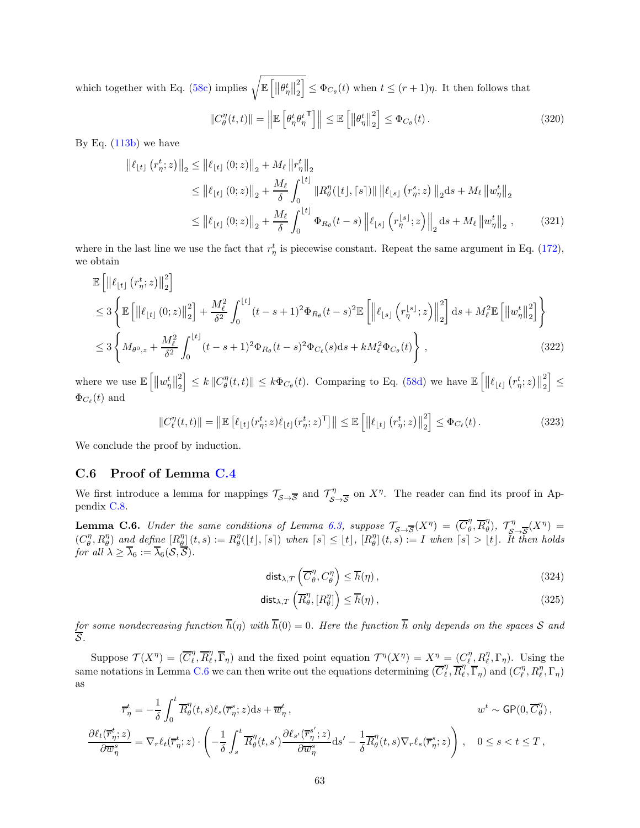which together with Eq. [\(58c\)](#page-15-5) implies  $\sqrt{\mathbb{E}\left[\left\|\theta_{\eta}^{t}\right\|_{2}^{2}\right]}$ 2  $\left| \leq \Phi_{C_{\theta}}(t) \right|$  when  $t \leq (r+1)\eta$ . It then follows that

$$
||C_{\theta}^{\eta}(t,t)|| = \left\| \mathbb{E}\left[\theta_{\eta}^{t} \theta_{\eta}^{t}^{\mathsf{T}}\right] \right\| \leq \mathbb{E}\left[\left\|\theta_{\eta}^{t}\right\|_{2}^{2}\right] \leq \Phi_{C_{\theta}}(t).
$$
\n(320)

By Eq.  $(113b)$  we have

$$
\begin{split} \left\| \ell_{\lfloor t \rfloor} (r_{\eta}^{t}; z) \right\|_{2} &\leq \left\| \ell_{\lfloor t \rfloor} (0; z) \right\|_{2} + M_{\ell} \left\| r_{\eta}^{t} \right\|_{2} \\ &\leq \left\| \ell_{\lfloor t \rfloor} (0; z) \right\|_{2} + \frac{M_{\ell}}{\delta} \int_{0}^{\lfloor t \rfloor} \left\| R_{\theta}^{\eta} (\lfloor t \rfloor, \lceil s \rceil) \right\| \left\| \ell_{\lfloor s \rfloor} (r_{\eta}^{s}; z) \right\|_{2} \mathrm{d}s + M_{\ell} \left\| w_{\eta}^{t} \right\|_{2} \\ &\leq \left\| \ell_{\lfloor t \rfloor} (0; z) \right\|_{2} + \frac{M_{\ell}}{\delta} \int_{0}^{\lfloor t \rfloor} \Phi_{R_{\theta}} (t - s) \left\| \ell_{\lfloor s \rfloor} \left( r_{\eta}^{\lfloor s \rfloor}; z \right) \right\|_{2} \mathrm{d}s + M_{\ell} \left\| w_{\eta}^{t} \right\|_{2} , \end{split} \tag{321}
$$

where in the last line we use the fact that  $r_{\eta}^{t}$  is piecewise constant. Repeat the same argument in Eq. [\(172\)](#page-36-0), we obtain

$$
\mathbb{E}\left[\left\|\ell_{\lfloor t\rfloor}\left(r_{\eta}^{t};z\right)\right\|_{2}^{2}\right] \n\leq 3 \left\{\mathbb{E}\left[\left\|\ell_{\lfloor t\rfloor}\left(0;z\right)\right\|_{2}^{2}\right] + \frac{M_{\ell}^{2}}{\delta^{2}} \int_{0}^{\lfloor t\rfloor} (t-s+1)^{2} \Phi_{R_{\theta}}(t-s)^{2} \mathbb{E}\left[\left\|\ell_{\lfloor s\rfloor}\left(r_{\eta}^{\lfloor s\rfloor};z\right)\right\|_{2}^{2}\right] ds + M_{\ell}^{2} \mathbb{E}\left[\left\|w_{\eta}^{t}\right\|_{2}^{2}\right] \right\} \n\leq 3 \left\{M_{\theta^{0},z} + \frac{M_{\ell}^{2}}{\delta^{2}} \int_{0}^{\lfloor t\rfloor} (t-s+1)^{2} \Phi_{R_{\theta}}(t-s)^{2} \Phi_{C_{\ell}}(s) ds + k M_{\ell}^{2} \Phi_{C_{\theta}}(t) \right\},
$$
\n(322)

where we use  $\mathbb{E} \left[ \left\| w_{\eta}^{t} \right\|_{2}^{2} \right]$ 2  $\left| \leq k \left\| C_{\theta}^{\eta}(t,t) \right\| \leq k \Phi_{C_{\theta}}(t)$ . Comparing to Eq. [\(58d\)](#page-15-0) we have  $\mathbb{E} \left[ \left\| \ell_{\lfloor t \rfloor} (r_{\eta}^{t}; z) \right\| \right]$ 2 i ≤  $\Phi_{C_{\ell}}(t)$  and

$$
||C_{\ell}^{\eta}(t,t)|| = ||\mathbb{E}\left[\ell_{\lfloor t\rfloor}(r_{\eta}^t; z)\ell_{\lfloor t\rfloor}(r_{\eta}^t; z)^{\mathsf{T}}\right]|| \leq \mathbb{E}\left[\left\|\ell_{\lfloor t\rfloor}\left(r_{\eta}^t; z\right)\right\|_{2}^{2}\right] \leq \Phi_{C_{\ell}}(t).
$$
\n(323)

We conclude the proof by induction.

#### <span id="page-62-0"></span>C.6 Proof of Lemma [C.4](#page-57-1)

We first introduce a lemma for mappings  $\mathcal{T}_{\mathcal{S}\to\overline{\mathcal{S}}}$  and  $\mathcal{T}_{\mathcal{S}}^{\eta}$  $\frac{\partial \eta}{\partial S \to \overline{S}}$  on  $X^{\eta}$ . The reader can find its proof in Appendix [C.8.](#page-70-0)

<span id="page-62-1"></span>**Lemma C.6.** Under the same conditions of Lemma [6.3,](#page-23-1) suppose  $\mathcal{T}_{\mathcal{S}\to\mathcal{S}}(X^{\eta}) = (\overline{C}_{\theta}^{\eta})$  $\eta$ <sub>θ</sub>,  $\overline{R}$  $\eta$  $\mathcal{T}_{\beta}^{\eta}$ ),  $\mathcal{T}_{\mathcal{S}_{\eta}}^{\eta}$  $\frac{\sigma}{\mathcal{S} \rightarrow \overline{\mathcal{S}}}(X^{\eta}) =$  $(C_{\theta}^{\eta}, R_{\theta}^{\eta})$  and define  $[R_{\theta}^{\eta}](t,s) := R_{\theta}^{\eta}((t), \lceil s \rceil)$  when  $\lceil s \rceil \leq \lfloor t \rfloor$ ,  $[R_{\theta}^{\eta}](t,s) := I$  when  $\lceil s \rceil > \lfloor t \rfloor$ . It then holds for all  $\lambda \geq \lambda_6 := \lambda_6(\mathcal{S}, \mathcal{S}).$ 

$$
\operatorname{dist}_{\lambda,T}\left(\overline{C}_{\theta}^{\eta}, C_{\theta}^{\eta}\right) \le \overline{h}(\eta),\tag{324}
$$

$$
\operatorname{dist}_{\lambda,T}\left(\overline{R}_{\theta}^{\eta}, [R_{\theta}^{\eta}]\right) \leq \overline{h}(\eta),\tag{325}
$$

for some nondecreasing function  $h(\eta)$  with  $h(0) = 0$ . Here the function h only depends on the spaces S and S.

Suppose  $\mathcal{T}(X^{\eta}) = (\overline{C}_{\ell}^{\eta})$  $\frac{\eta}{\ell}, \overline{R}^{\eta}_{\ell}$  $(\overline{\mathcal{L}}_l, \overline{\Gamma}_\eta)$  and the fixed point equation  $\mathcal{T}^\eta(X^\eta) = X^\eta = (C^\eta_{\ell}, R^\eta_{\ell}, \Gamma_\eta)$ . Using the same notations in Lemma [C.6](#page-62-1) we can then write out the equations determining  $(\overline{C}_{\ell}^{\eta})$  $_{\ell}^{\eta}, \overline{R}_{\ell}^{\eta}$  $\overline{P}_{\ell}, \overline{P}_{\eta}$  and  $(C_{\ell}^{\eta}, R_{\ell}^{\eta}, \Gamma_{\eta})$ as

$$
\overline{r}_{\eta}^{t} = -\frac{1}{\delta} \int_{0}^{t} \overline{R}_{\theta}^{\eta}(t,s) \ell_{s}(\overline{r}_{\eta}^{s};z) ds + \overline{w}_{\eta}^{t}, \qquad w^{t} \sim \mathsf{GP}(0, \overline{C}_{\theta}^{\eta}),
$$

$$
\frac{\partial \ell_t(\overline{r}_{\eta}^t; z)}{\partial \overline{w}_{\eta}^s} = \nabla_r \ell_t(\overline{r}_{\eta}^t; z) \cdot \left( -\frac{1}{\delta} \int_s^t \overline{R}_{\theta}^{\eta}(t, s') \frac{\partial \ell_{s'}(\overline{r}_{\eta}^{s'}; z)}{\partial \overline{w}_{\eta}^s} ds' - \frac{1}{\delta} \overline{R}_{\theta}^{\eta}(t, s) \nabla_r \ell_s(\overline{r}_{\eta}^s; z) \right), \quad 0 \le s < t \le T,
$$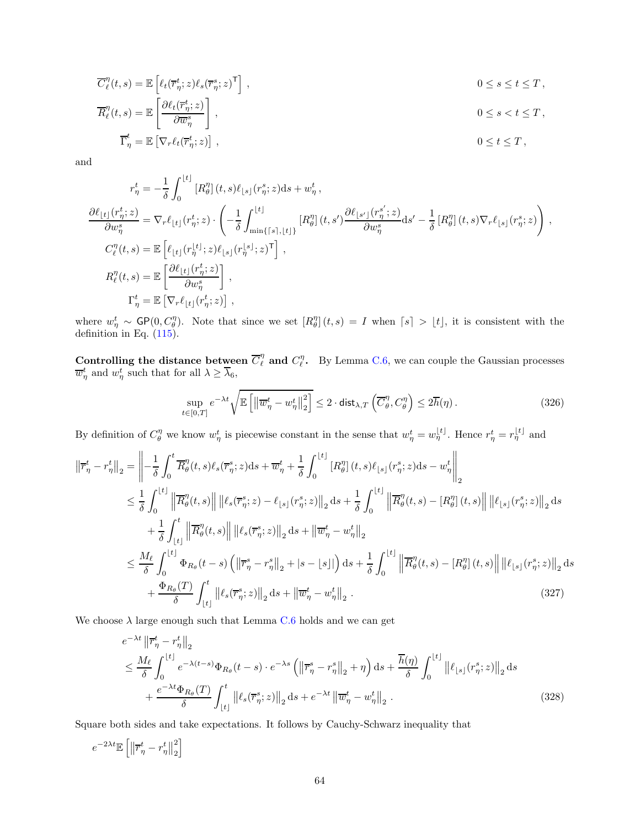$$
\overline{C}_{\ell}^{\eta}(t,s) = \mathbb{E}\left[\ell_t(\overline{r}_{\eta}^t; z)\ell_s(\overline{r}_{\eta}^s; z)^{\mathsf{T}}\right],
$$
\n
$$
0 \le s \le t \le T,
$$
\n
$$
\overline{R}_{\ell}^{\eta}(t,s) = \mathbb{E}\left[\frac{\partial \ell_t(\overline{r}_{\eta}^t; z)}{\partial \overline{w}_{\eta}^s}\right],
$$
\n
$$
0 \le s < t \le T,
$$
\n
$$
0 \le s < t \le T,
$$

$$
\overline{\Gamma}_{\eta}^{t} = \mathbb{E}\left[\nabla_{r}\ell_{t}(\overline{r}_{\eta}^{t}; z)\right],
$$
\n
$$
0 \leq t \leq T,
$$

and

$$
\begin{split} r^t_\eta&=-\frac{1}{\delta}\int_0^{\lfloor t\rfloor}\left[R^\eta_\theta\right](t,s)\ell_{\lfloor s\rfloor}(r^s_\eta;z)\mathrm{d} s+w^t_\eta\,,\\ \frac{\partial\ell_{\lfloor t\rfloor}(r^t_\eta;z)}{\partial w^s_\eta}&=\nabla_r\ell_{\lfloor t\rfloor}(r^t_\eta;z)\cdot\left(-\frac{1}{\delta}\int_{\min\{\lceil s\rfloor,\lfloor t\rfloor\}}^{\lfloor t\rfloor}\left[R^\eta_\theta\right](t,s')\frac{\partial\ell_{\lfloor s'\rfloor}(r^s_\eta;z)}{\partial w^s_\eta}\mathrm{d} s'-\frac{1}{\delta}\left[R^\eta_\theta\right](t,s)\nabla_r\ell_{\lfloor s\rfloor}(r^s_\eta;z)\right)\,,\\ C^\eta_\ell(t,s)&=\mathbb{E}\left[\ell_{\lfloor t\rfloor}(r^t_\eta;z)\ell_{\lfloor s\rfloor}(r^{\lfloor s\rfloor}_\eta;z)^\mathsf{T}\right]\,,\\ R^\eta_\ell(t,s)&=\mathbb{E}\left[\frac{\partial\ell_{\lfloor t\rfloor}(r^t_\eta;z)}{\partial w^s_\eta}\right]\,,\\ \Gamma^\ell_\eta&=\mathbb{E}\left[\nabla_r\ell_{\lfloor t\rfloor}(r^t_\eta;z)\right]\,, \end{split}
$$

where  $w_{\eta}^t \sim \mathsf{GP}(0, C_{\theta}^{\eta})$ . Note that since we set  $[R_{\theta}^{\eta}](t, s) = I$  when  $\lceil s \rceil > \lfloor t \rfloor$ , it is consistent with the definition in Eq.  $(115)$ .

Controlling the distance between  $\overline{C}_{\ell}^{\eta}$  and  $C_{\ell}^{\eta}$ . By Lemma [C.6,](#page-62-1) we can couple the Gaussian processes  $\overline{w}_{\eta}^{t}$  and  $w_{\eta}^{t}$  such that for all  $\lambda \geq \overline{\lambda}_{6}$ ,

<span id="page-63-0"></span>
$$
\sup_{t \in [0,T]} e^{-\lambda t} \sqrt{\mathbb{E}\left[\left\|\overline{w}^t_{\eta} - w^t_{\eta}\right\|^2_2\right]} \le 2 \cdot \text{dist}_{\lambda,T} \left(\overline{C}_{\theta}^{\eta}, C_{\theta}^{\eta}\right) \le 2\overline{h}(\eta). \tag{326}
$$

By definition of  $C_{\theta}^{\eta}$  we know  $w_{\eta}^{t}$  is piecewise constant in the sense that  $w_{\eta}^{t} = w_{\eta}^{|t|}$ . Hence  $r_{\eta}^{t} = r_{\eta}^{|t|}$  and

$$
\begin{split}\n\left\|\overline{r}_{\eta}^{t} - r_{\eta}^{t}\right\|_{2} &= \left\|\overline{-\frac{1}{\delta}} \int_{0}^{t} \overline{R}_{\theta}^{\eta}(t,s) \ell_{s}(\overline{r}_{\eta}^{s};z) \mathrm{d}s + \overline{w}_{\eta}^{t} + \frac{1}{\delta} \int_{0}^{\lfloor t \rfloor} \left[R_{\theta}^{\eta}(t,s) \ell_{\lfloor s \rfloor}(r_{\eta}^{s};z) \mathrm{d}s - w_{\eta}^{t}\right]\right]_{2} \\
&\leq \frac{1}{\delta} \int_{0}^{\lfloor t \rfloor} \left\|\overline{R}_{\theta}^{\eta}(t,s)\right\| \left\|\ell_{s}(\overline{r}_{\eta}^{s};z) - \ell_{\lfloor s \rfloor}(r_{\eta}^{s};z)\right\|_{2} \mathrm{d}s + \frac{1}{\delta} \int_{0}^{\lfloor t \rfloor} \left\|\overline{R}_{\theta}^{\eta}(t,s) - \left[R_{\theta}^{\eta}(t,s)\right] \right\| \left\|\ell_{\lfloor s \rfloor}(r_{\eta}^{s};z)\right\|_{2} \mathrm{d}s \\
&+ \frac{1}{\delta} \int_{\lfloor t \rfloor}^t \left\|\overline{R}_{\theta}^{\eta}(t,s)\right\| \left\|\ell_{s}(\overline{r}_{\eta}^{s};z)\right\|_{2} \mathrm{d}s + \left\|\overline{w}_{\eta}^{t} - w_{\eta}^{t}\right\|_{2} \\
&\leq \frac{M_{\ell}}{\delta} \int_{0}^{\lfloor t \rfloor} \Phi_{R_{\theta}}(t-s) \left(\left\|\overline{r}_{\eta}^{s} - r_{\eta}^{s}\right\|_{2} + |s - \lfloor s \rfloor|\right) \mathrm{d}s + \frac{1}{\delta} \int_{0}^{\lfloor t \rfloor} \left\|\overline{R}_{\theta}^{\eta}(t,s) - \left[R_{\theta}^{\eta}(t,s)\right] \right\| \left\|\ell_{\lfloor s \rfloor}(r_{\eta}^{s};z)\right\|_{2} \mathrm{d}s \\
&+ \frac{\Phi_{R_{\theta}}(T)}{\delta} \int_{\lfloor t \rfloor}^t \left\|\ell_{s}(\overline{r}_{\eta}^{s};z)\right\|_{2}
$$

We choose  $\lambda$  large enough such that Lemma [C.6](#page-62-1) holds and we can get

$$
e^{-\lambda t} \left\| \overline{r}_{\eta}^{t} - r_{\eta}^{t} \right\|_{2}
$$
  
\n
$$
\leq \frac{M_{\ell}}{\delta} \int_{0}^{\lfloor t \rfloor} e^{-\lambda(t-s)} \Phi_{R_{\theta}}(t-s) \cdot e^{-\lambda s} \left( \left\| \overline{r}_{\eta}^{s} - r_{\eta}^{s} \right\|_{2} + \eta \right) ds + \frac{\overline{h}(\eta)}{\delta} \int_{0}^{\lfloor t \rfloor} \left\| \ell_{\lfloor s \rfloor}(r_{\eta}^{s}; z) \right\|_{2} ds
$$
  
\n
$$
+ \frac{e^{-\lambda t} \Phi_{R_{\theta}}(T)}{\delta} \int_{\lfloor t \rfloor}^{t} \left\| \ell_{s}(\overline{r}_{\eta}^{s}; z) \right\|_{2} ds + e^{-\lambda t} \left\| \overline{w}_{\eta}^{t} - w_{\eta}^{t} \right\|_{2} .
$$
\n(328)

Square both sides and take expectations. It follows by Cauchy-Schwarz inequality that

$$
e^{-2\lambda t}\mathbb{E}\left[\left\Vert \overline{r}_{\eta}^{t}-r_{\eta}^{t}\right\Vert _{2}^{2}\right]
$$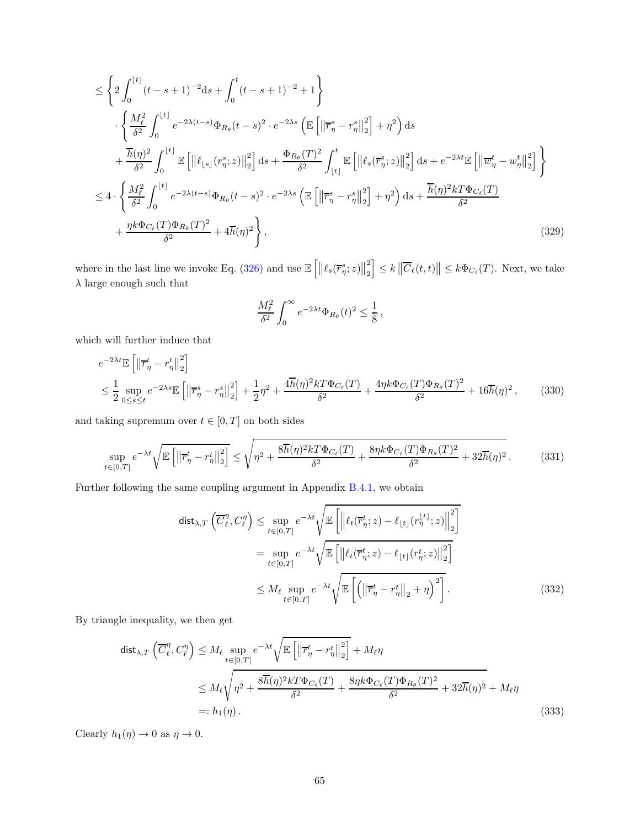$$
\leq \left\{ 2 \int_0^{\lfloor t \rfloor} (t-s+1)^{-2} ds + \int_0^t (t-s+1)^{-2} + 1 \right\} \n\cdot \left\{ \frac{M_\ell^2}{\delta^2} \int_0^{\lfloor t \rfloor} e^{-2\lambda(t-s)} \Phi_{R_\theta}(t-s)^2 \cdot e^{-2\lambda s} \left( \mathbb{E} \left[ \left\| \overline{r}_\eta^s - r_\eta^s \right\|_2^2 \right] + \eta^2 \right) ds \n+ \frac{\overline{h}(\eta)^2}{\delta^2} \int_0^{\lfloor t \rfloor} \mathbb{E} \left[ \left\| \ell_{\lfloor s \rfloor} (r_\eta^s; z) \right\|_2^2 \right] ds + \frac{\Phi_{R_\theta}(T)^2}{\delta^2} \int_{\lfloor t \rfloor}^t \mathbb{E} \left[ \left\| \ell_s(\overline{r}_\eta^s; z) \right\|_2^2 \right] ds + e^{-2\lambda t} \mathbb{E} \left[ \left\| \overline{w}_\eta^t - w_\eta^t \right\|_2^2 \right] \right\} \n\leq 4 \cdot \left\{ \frac{M_\ell^2}{\delta^2} \int_0^{\lfloor t \rfloor} e^{-2\lambda(t-s)} \Phi_{R_\theta}(t-s)^2 \cdot e^{-2\lambda s} \left( \mathbb{E} \left[ \left\| \overline{r}_\eta^s - r_\eta^s \right\|_2^2 \right] + \eta^2 \right) ds + \frac{\overline{h}(\eta)^2 k T \Phi_{C_\ell}(T)}{\delta^2} \n+ \frac{\eta k \Phi_{C_\ell}(T) \Phi_{R_\theta}(T)^2}{\delta^2} + 4 \overline{h}(\eta)^2 \right\},
$$
\n(329)

where in the last line we invoke Eq. [\(326\)](#page-63-0) and use  $\mathbb{E}\left[\left\|\ell_s(\overline{r}^s_{\eta};z)\right\|^2_2\right]$ 2  $\left\|\leq k\left\|\overline{C}_{\ell}(t,t)\right\| \leq k \Phi_{C_{\ell}}(T)$ . Next, we take  $\lambda$  large enough such that

$$
\frac{M_{\ell}^2}{\delta^2} \int_0^{\infty} e^{-2\lambda t} \Phi_{R_{\theta}}(t)^2 \leq \frac{1}{8},
$$

which will further induce that

$$
e^{-2\lambda t} \mathbb{E}\left[\left\|\overline{r}_{\eta}^{t} - r_{\eta}^{t}\right\|_{2}^{2}\right]
$$
  
\n
$$
\leq \frac{1}{2} \sup_{0 \leq s \leq t} e^{-2\lambda s} \mathbb{E}\left[\left\|\overline{r}_{\eta}^{s} - r_{\eta}^{s}\right\|_{2}^{2}\right] + \frac{1}{2}\eta^{2} + \frac{4\overline{h}(\eta)^{2}kT\Phi_{C_{\ell}}(T)}{\delta^{2}} + \frac{4\eta k\Phi_{C_{\ell}}(T)\Phi_{R_{\theta}}(T)^{2}}{\delta^{2}} + 16\overline{h}(\eta)^{2}, \qquad (330)
$$

and taking supremum over  $t \in [0, T]$  on both sides

$$
\sup_{t\in[0,T]} e^{-\lambda t} \sqrt{\mathbb{E}\left[\left\|\overline{r}_{\eta}^t - r_{\eta}^t\right\|_2^2\right]} \le \sqrt{\eta^2 + \frac{8\overline{h}(\eta)^2 k T \Phi_{C_{\ell}}(T)}{\delta^2} + \frac{8\eta k \Phi_{C_{\ell}}(T) \Phi_{R_{\theta}}(T)^2}{\delta^2} + 32\overline{h}(\eta)^2}.
$$
(331)

Further following the same coupling argument in Appendix [B.4.1,](#page-38-0) we obtain

<span id="page-64-0"></span>
$$
\text{dist}_{\lambda,T} \left( \overline{C}_{\ell}^{\eta}, C_{\ell}^{\eta} \right) \leq \sup_{t \in [0,T]} e^{-\lambda t} \sqrt{\mathbb{E} \left[ \left\| \ell_t(\overline{r}_{\eta}^t; z) - \ell_{\lfloor t \rfloor} (r_{\eta}^{\lfloor t \rfloor}; z) \right\|_2^2 \right]}
$$
\n
$$
= \sup_{t \in [0,T]} e^{-\lambda t} \sqrt{\mathbb{E} \left[ \left\| \ell_t(\overline{r}_{\eta}^t; z) - \ell_{\lfloor t \rfloor} (r_{\eta}^t; z) \right\|_2^2 \right]}
$$
\n
$$
\leq M_{\ell} \sup_{t \in [0,T]} e^{-\lambda t} \sqrt{\mathbb{E} \left[ \left( \left\| \overline{r}_{\eta}^t - r_{\eta}^t \right\|_2 + \eta \right)^2 \right]}.
$$
\n(332)

By triangle inequality, we then get

$$
\begin{split} \text{dist}_{\lambda,T} \left( \overline{C}_{\ell}^{\eta}, C_{\ell}^{\eta} \right) &\leq M_{\ell} \sup_{t \in [0,T]} e^{-\lambda t} \sqrt{\mathbb{E} \left[ \left\| \overline{r}_{\eta}^{t} - r_{\eta}^{t} \right\|_{2}^{2} \right]} + M_{\ell} \eta \\ &\leq M_{\ell} \sqrt{\eta^{2} + \frac{8\overline{h}(\eta)^{2} k T \Phi_{C_{\ell}}(T)}{\delta^{2}} + \frac{8\eta k \Phi_{C_{\ell}}(T) \Phi_{R_{\theta}}(T)^{2}}{\delta^{2}} + 32\overline{h}(\eta)^{2} + M_{\ell} \eta \\ &=: h_{1}(\eta). \end{split} \tag{333}
$$

Clearly  $h_1(\eta) \to 0$  as  $\eta \to 0$ .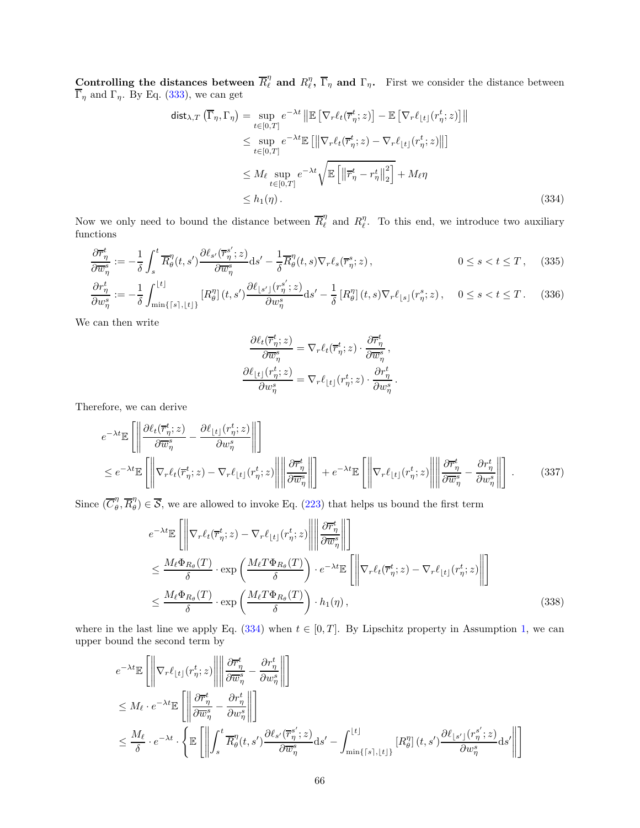Controlling the distances between  $\overline{R}_{\ell}^{\eta}$  and  $R_{\ell}^{\eta}$ ,  $\overline{\Gamma}_{\eta}$  and  $\Gamma_{\eta}$ . First we consider the distance between  $\Gamma_{\eta}$  and  $\Gamma_{\eta}$ . By Eq. [\(333\)](#page-64-0), we can get

$$
\begin{split}\n\text{dist}_{\lambda,T} \left( \overline{\Gamma}_{\eta}, \Gamma_{\eta} \right) &= \sup_{t \in [0,T]} e^{-\lambda t} \left\| \mathbb{E} \left[ \nabla_{r} \ell_{t}(\overline{r}_{\eta}^{t}; z) \right] - \mathbb{E} \left[ \nabla_{r} \ell_{\lfloor t \rfloor}(r_{\eta}^{t}; z) \right] \right\| \\
&\leq \sup_{t \in [0,T]} e^{-\lambda t} \mathbb{E} \left[ \left\| \nabla_{r} \ell_{t}(\overline{r}_{\eta}^{t}; z) - \nabla_{r} \ell_{\lfloor t \rfloor}(r_{\eta}^{t}; z) \right\| \right] \\
&\leq M_{\ell} \sup_{t \in [0,T]} e^{-\lambda t} \sqrt{\mathbb{E} \left[ \left\| \overline{r}_{\eta}^{t} - r_{\eta}^{t} \right\|_{2}^{2}} \right] + M_{\ell} \eta \\
&\leq h_{1}(\eta). \n\end{split} \tag{334}
$$

Now we only need to bound the distance between  $\overline{R}_{\ell}^{\eta}$  $\ell$ <sup>n</sup> and  $R_{\ell}^{\eta}$ . To this end, we introduce two auxiliary functions

$$
\frac{\partial \overline{r}_{\eta}^{t}}{\partial \overline{w}_{\eta}^{s}} := -\frac{1}{\delta} \int_{s}^{t} \overline{R}_{\theta}^{\eta}(t, s') \frac{\partial \ell_{s'}(\overline{r}_{\eta}^{s'}; z)}{\partial \overline{w}_{\eta}^{s}} ds' - \frac{1}{\delta} \overline{R}_{\theta}^{\eta}(t, s) \nabla_{r} \ell_{s}(\overline{r}_{\eta}^{s}; z), \qquad 0 \le s < t \le T, \quad (335)
$$

$$
\frac{\partial r_{\eta}^{t}}{\partial w_{\eta}^{s}} := -\frac{1}{\delta} \int_{\min\{ \lceil s \rceil, \lfloor t \rfloor \}}^{\lfloor t \rfloor} \left[ R_{\theta}^{\eta} \right] (t, s') \frac{\partial \ell_{\lfloor s' \rfloor}(r_{\eta}^{s'}; z)}{\partial w_{\eta}^{s}} ds' - \frac{1}{\delta} \left[ R_{\theta}^{\eta} \right] (t, s) \nabla_{r} \ell_{\lfloor s \rfloor}(r_{\eta}^{s}; z), \quad 0 \le s < t \le T. \tag{336}
$$

We can then write

<span id="page-65-2"></span><span id="page-65-1"></span><span id="page-65-0"></span>
$$
\begin{split} \frac{\partial \ell_t(\overline{r}^t_{\eta};z)}{\partial \overline{w}^s_{\eta}} &= \nabla_r \ell_t(\overline{r}^t_{\eta};z) \cdot \frac{\partial \overline{r}^t_{\eta}}{\partial \overline{w}^s_{\eta}}\,,\\ \frac{\partial \ell_{\lfloor t \rfloor}(r^t_{\eta};z)}{\partial w^s_{\eta}} &= \nabla_r \ell_{\lfloor t \rfloor}(r^t_{\eta};z) \cdot \frac{\partial r^t_{\eta}}{\partial w^s_{\eta}}\,. \end{split}
$$

Therefore, we can derive

$$
e^{-\lambda t} \mathbb{E}\left[\left\|\frac{\partial \ell_t(\overline{r}_{\eta}^t; z)}{\partial \overline{w}_{\eta}^s} - \frac{\partial \ell_{\lfloor t \rfloor}(r_{\eta}^t; z)}{\partial w_{\eta}^s}\right\|\right] \n\leq e^{-\lambda t} \mathbb{E}\left[\left\|\nabla_r \ell_t(\overline{r}_{\eta}^t; z) - \nabla_r \ell_{\lfloor t \rfloor}(r_{\eta}^t; z)\right\|\right\|\frac{\partial \overline{r}_{\eta}^t}{\partial \overline{w}_{\eta}^s}\right\| + e^{-\lambda t} \mathbb{E}\left[\left\|\nabla_r \ell_{\lfloor t \rfloor}(r_{\eta}^t; z)\right\|\right\|\frac{\partial \overline{r}_{\eta}^t}{\partial \overline{w}_{\eta}^s} - \frac{\partial r_{\eta}^t}{\partial w_{\eta}^s}\right\| \right].
$$
\n(337)

Since  $(\overline{C}_{\theta}^{\eta})$  $\eta$ <sub>θ</sub>,  $\overline{R}$  $\eta$  $\mathcal{B}_{\theta}^{(n)} \in \mathcal{S}$ , we are allowed to invoke Eq. [\(223\)](#page-45-2) that helps us bound the first term

$$
e^{-\lambda t} \mathbb{E}\left[\left\|\nabla_r \ell_t(\overline{r}_{\eta}^t; z) - \nabla_r \ell_{\lfloor t \rfloor}(r_{\eta}^t; z)\right\| \left\|\frac{\partial \overline{r}_{\eta}^t}{\partial \overline{w}_{\eta}^s}\right\| \right]
$$
  
\n
$$
\leq \frac{M_{\ell} \Phi_{R_{\theta}}(T)}{\delta} \cdot \exp\left(\frac{M_{\ell} T \Phi_{R_{\theta}}(T)}{\delta}\right) \cdot e^{-\lambda t} \mathbb{E}\left[\left\|\nabla_r \ell_t(\overline{r}_{\eta}^t; z) - \nabla_r \ell_{\lfloor t \rfloor}(r_{\eta}^t; z)\right\| \right]
$$
  
\n
$$
\leq \frac{M_{\ell} \Phi_{R_{\theta}}(T)}{\delta} \cdot \exp\left(\frac{M_{\ell} T \Phi_{R_{\theta}}(T)}{\delta}\right) \cdot h_1(\eta), \qquad (338)
$$

where in the last line we apply Eq. [\(334\)](#page-65-0) when  $t \in [0, T]$ . By Lipschitz property in Assumption [1,](#page-6-0) we can upper bound the second term by

$$
\begin{split} &e^{-\lambda t}\mathbb{E}\left[\left\|\nabla_r \ell_{\lfloor t \rfloor}(r_{\eta}^t;z)\right\| \left\|\frac{\partial \overline{r}_{\eta}^t}{\partial \overline{w}_{\eta}^s}-\frac{\partial r_{\eta}^t}{\partial w_{\eta}^s}\right\|\right] \\ &\leq M_\ell\cdot e^{-\lambda t}\mathbb{E}\left[\left\|\frac{\partial \overline{r}_{\eta}^t}{\partial \overline{w}_{\eta}^s}-\frac{\partial r_{\eta}^t}{\partial w_{\eta}^s}\right\|\right] \\ &\leq \frac{M_\ell}{\delta}\cdot e^{-\lambda t}\cdot\left\{\mathbb{E}\left[\left\|\int_s^t \overline{R}_{\theta}^{\eta}(t,s')\frac{\partial \ell_{s'}(\overline{r}_{\eta}^{s'};z)}{\partial \overline{w}_{\eta}^s}\mathrm{d} s'-\int_{\min\{\lceil s\rceil,\lfloor t\rfloor\}}^{\lfloor t\rfloor}\left[R_{\theta}^{\eta}\right](t,s')\frac{\partial \ell_{\lfloor s'\rfloor}(r_{\eta}^{s'};z)}{\partial w_{\eta}^s}\mathrm{d} s'\right\|\right] \end{split}
$$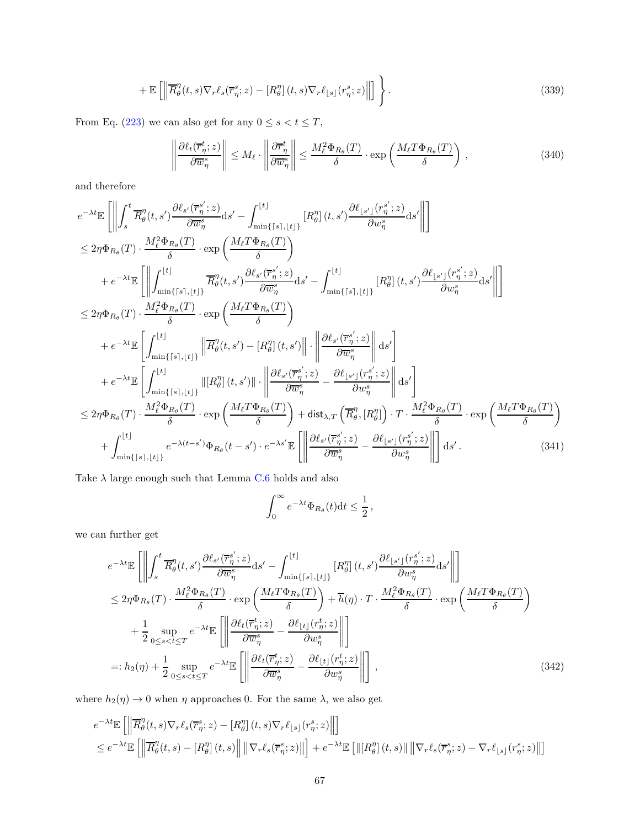$$
+ \mathbb{E}\left[\left\|\overline{R}_{\theta}^{\eta}(t,s)\nabla_{r}\ell_{s}(\overline{r}_{\eta}^{s};z) - [R_{\theta}^{\eta}](t,s)\nabla_{r}\ell_{\lfloor s\rfloor}(r_{\eta}^{s};z)\right\|\right]\Bigg\}.
$$
\n(339)

From Eq. [\(223\)](#page-45-2) we can also get for any  $0\leq s < t \leq T,$ 

<span id="page-66-1"></span>
$$
\left\| \frac{\partial \ell_t(\overline{r}_{\eta}^t; z)}{\partial \overline{w}_{\eta}^s} \right\| \le M_\ell \cdot \left\| \frac{\partial \overline{r}_{\eta}^t}{\partial \overline{w}_{\eta}^s} \right\| \le \frac{M_\ell^2 \Phi_{R_\theta}(T)}{\delta} \cdot \exp\left(\frac{M_\ell T \Phi_{R_\theta}(T)}{\delta}\right),\tag{340}
$$

and therefore

$$
e^{-\lambda t}\mathbb{E}\left[\left\|\int_{s}^{t}\overline{R}_{\theta}^{\eta}(t,s')\frac{\partial \ell_{s'}(\overline{r}_{\eta}^{s'};z)}{\partial \overline{w}_{\eta}^{s}}ds'\right]-\int_{\min\{[s],[t]\}}^{\infty}[R_{\theta}^{\eta}](t,s')\frac{\partial \ell_{[s']}(r_{\eta}^{s'};z)}{\partial w_{\eta}^{s}}ds'\right\|\right] \n\leq 2\eta\Phi_{R_{\theta}}(T)\cdot\frac{M_{\ell}^{2}\Phi_{R_{\theta}}(T)}{\delta}\cdot \exp\left(\frac{M_{\ell}T\Phi_{R_{\theta}}(T)}{\delta}\right) \n+e^{-\lambda t}\mathbb{E}\left[\left\|\int_{\min\{[s],[t]\}}^{\infty}[R_{\theta}^{\eta}(t,s')\frac{\partial \ell_{s'}(\overline{r}_{\eta}^{s'};z)}{\partial \overline{w}_{\eta}^{s}}ds'\right]-\int_{\min\{[s],[t]\}}^{\infty}[R_{\theta}^{\eta}](t,s')\frac{\partial \ell_{[s']}(r_{\eta}^{s'};z)}{\partial w_{\eta}^{s}}ds'\right\|\right] \n\leq 2\eta\Phi_{R_{\theta}}(T)\cdot\frac{M_{\ell}^{2}\Phi_{R_{\theta}}(T)}{\delta}\cdot \exp\left(\frac{M_{\ell}T\Phi_{R_{\theta}}(T)}{\delta}\right) \n+e^{-\lambda t}\mathbb{E}\left[\int_{\min\{[s],[t]\}}^{\infty}[R_{\theta}^{\eta}(t,s')-[R_{\theta}^{\eta}](t,s')\right]\cdot\left\|\frac{\partial \ell_{s'}(\overline{r}_{\eta}^{s'};z)}{\partial w_{\eta}^{s}}\right\|ds'\right] \n+e^{-\lambda t}\mathbb{E}\left[\int_{\min\{[s],[t]\}}^{\infty}[R_{\theta}^{\eta}(t,s')]\cdot\left\|\frac{\partial \ell_{s'}(\overline{r}_{\eta}^{s'};z)}{\partial w_{\eta}^{s}}-\frac{\partial \ell_{[s']}(r_{\eta}^{s'};z)}{\partial w_{\eta}^{s}}\right\|ds'\right] \n\leq 2\eta\Phi_{R_{\theta}}(T)\cdot\frac{M_{\ell}^{2}\Phi_{R_{\theta}}(T)}{\delta}\cdot \exp\left(\frac{M_{
$$

Take  $\lambda$  large enough such that Lemma [C.6](#page-62-1) holds and also

<span id="page-66-0"></span>
$$
\int_0^\infty e^{-\lambda t} \Phi_{R_\theta}(t) dt \leq \frac{1}{2},
$$

we can further get

$$
e^{-\lambda t} \mathbb{E} \left[ \left\| \int_{s}^{t} \overline{R}_{\theta}^{\eta}(t,s') \frac{\partial \ell_{s'}(\overline{r}_{\eta}^{s'};z)}{\partial \overline{w}_{\eta}^{s}} ds' - \int_{\min\{[s],\lfloor t\rfloor\}}^{\lfloor t\rfloor} [R_{\theta}^{\eta}](t,s') \frac{\partial \ell_{\lfloor s'\rfloor}(r_{\eta}^{s'};z)}{\partial w_{\eta}^{s}} ds' \right\| \right]
$$
  
\n
$$
\leq 2\eta \Phi_{R_{\theta}}(T) \cdot \frac{M_{\ell}^{2} \Phi_{R_{\theta}}(T)}{\delta} \cdot \exp\left(\frac{M_{\ell} T \Phi_{R_{\theta}}(T)}{\delta}\right) + \overline{h}(\eta) \cdot T \cdot \frac{M_{\ell}^{2} \Phi_{R_{\theta}}(T)}{\delta} \cdot \exp\left(\frac{M_{\ell} T \Phi_{R_{\theta}}(T)}{\delta}\right)
$$
  
\n
$$
+ \frac{1}{2} \sup_{0 \leq s < t \leq T} e^{-\lambda t} \mathbb{E} \left[ \left\| \frac{\partial \ell_{t}(\overline{r}_{\eta}^{t};z)}{\partial \overline{w}_{\eta}^{s}} - \frac{\partial \ell_{\lfloor t\rfloor}(r_{\eta}^{t};z)}{\partial w_{\eta}^{s}} \right\| \right]
$$
  
\n
$$
=: h_{2}(\eta) + \frac{1}{2} \sup_{0 \leq s < t \leq T} e^{-\lambda t} \mathbb{E} \left[ \left\| \frac{\partial \ell_{t}(\overline{r}_{\eta}^{t};z)}{\partial \overline{w}_{\eta}^{s}} - \frac{\partial \ell_{\lfloor t\rfloor}(r_{\eta}^{t};z)}{\partial w_{\eta}^{s}} \right\| \right], \qquad (342)
$$

where  $h_2(\eta) \to 0$  when  $\eta$  approaches 0. For the same  $\lambda,$  we also get

$$
e^{-\lambda t} \mathbb{E}\left[\left\|\overline{R}_{\theta}^{\eta}(t,s)\nabla_{r}\ell_{s}(\overline{r}_{\eta}^{s};z)-[R_{\theta}^{\eta}](t,s)\nabla_{r}\ell_{\lfloor s\rfloor}(r_{\eta}^{s};z)\right\|\right]
$$
  

$$
\leq e^{-\lambda t} \mathbb{E}\left[\left\|\overline{R}_{\theta}^{\eta}(t,s)-[R_{\theta}^{\eta}](t,s)\right\| \left\|\nabla_{r}\ell_{s}(\overline{r}_{\eta}^{s};z)\right\|\right] + e^{-\lambda t} \mathbb{E}\left[\left\|\left[R_{\theta}^{\eta}](t,s\right)\right\| \left\|\nabla_{r}\ell_{s}(\overline{r}_{\eta}^{s};z)-\nabla_{r}\ell_{\lfloor s\rfloor}(r_{\eta}^{s};z)\right\|\right]
$$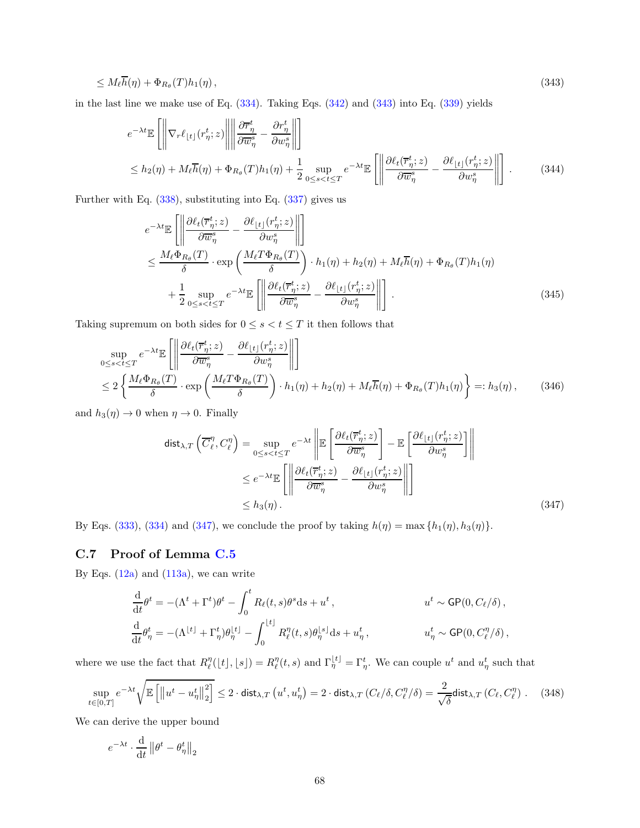$$
\leq M_{\ell} \overline{h}(\eta) + \Phi_{R_{\theta}}(T) h_1(\eta) , \qquad (343)
$$

in the last line we make use of Eq.  $(334)$ . Taking Eqs.  $(342)$  and  $(343)$  into Eq.  $(339)$  yields

<span id="page-67-1"></span>
$$
e^{-\lambda t} \mathbb{E}\left[\left\|\nabla_r \ell_{\lfloor t \rfloor}(r_{\eta}^t; z)\right\| \left\|\frac{\partial \overline{r}_{\eta}^t}{\partial \overline{w}_{\eta}^s} - \frac{\partial r_{\eta}^t}{\partial w_{\eta}^s}\right\|\right] \leq h_2(\eta) + M_{\ell} \overline{h}(\eta) + \Phi_{R_{\theta}}(T)h_1(\eta) + \frac{1}{2} \sup_{0 \leq s < t \leq T} e^{-\lambda t} \mathbb{E}\left[\left\|\frac{\partial \ell_t(\overline{r}_{\eta}^t; z)}{\partial \overline{w}_{\eta}^s} - \frac{\partial \ell_{\lfloor t \rfloor}(r_{\eta}^t; z)}{\partial w_{\eta}^s}\right\|\right].
$$
\n(344)

Further with Eq. [\(338\)](#page-65-1), substituting into Eq. [\(337\)](#page-65-2) gives us

$$
e^{-\lambda t} \mathbb{E} \left[ \left\| \frac{\partial \ell_t(\overline{r}_{\eta}^t; z)}{\partial \overline{w}_{\eta}^s} - \frac{\partial \ell_{\lfloor t \rfloor}(r_{\eta}^t; z)}{\partial w_{\eta}^s} \right\| \right]
$$
  
\n
$$
\leq \frac{M_{\ell} \Phi_{R_{\theta}}(T)}{\delta} \cdot \exp \left( \frac{M_{\ell} T \Phi_{R_{\theta}}(T)}{\delta} \right) \cdot h_1(\eta) + h_2(\eta) + M_{\ell} \overline{h}(\eta) + \Phi_{R_{\theta}}(T) h_1(\eta)
$$
  
\n
$$
+ \frac{1}{2} \sup_{0 \leq s < t \leq T} e^{-\lambda t} \mathbb{E} \left[ \left\| \frac{\partial \ell_t(\overline{r}_{\eta}^t; z)}{\partial \overline{w}_{\eta}^s} - \frac{\partial \ell_{\lfloor t \rfloor}(r_{\eta}^t; z)}{\partial w_{\eta}^s} \right\| \right].
$$
\n(345)

Taking supremum on both sides for  $0\leq s < t \leq T$  it then follows that

$$
\sup_{0 \le s < t \le T} e^{-\lambda t} \mathbb{E} \left[ \left\| \frac{\partial \ell_t(\overline{r}_{\eta}^t; z)}{\partial \overline{w}_{\eta}^s} - \frac{\partial \ell_{\lfloor t \rfloor}(r_{\eta}^t; z)}{\partial w_{\eta}^s} \right\| \right] \n\le 2 \left\{ \frac{M_\ell \Phi_{R_\theta}(T)}{\delta} \cdot \exp \left( \frac{M_\ell T \Phi_{R_\theta}(T)}{\delta} \right) \cdot h_1(\eta) + h_2(\eta) + M_\ell \overline{h}(\eta) + \Phi_{R_\theta}(T) h_1(\eta) \right\} =: h_3(\eta), \quad (346)
$$

and  $h_3(\eta) \to 0$  when  $\eta \to 0$ . Finally

<span id="page-67-2"></span>
$$
\begin{split} \text{dist}_{\lambda, T} \left( \overline{C}_{\ell}^{\eta}, C_{\ell}^{\eta} \right) &= \sup_{0 \le s < t \le T} e^{-\lambda t} \left\| \mathbb{E} \left[ \frac{\partial \ell_t(\overline{r}_{\eta}^t; z)}{\partial \overline{w}_{\eta}^s} \right] - \mathbb{E} \left[ \frac{\partial \ell_{\lfloor t \rfloor}(r_{\eta}^t; z)}{\partial w_{\eta}^s} \right] \right\| \\ &\le e^{-\lambda t} \mathbb{E} \left[ \left\| \frac{\partial \ell_t(\overline{r}_{\eta}^t; z)}{\partial \overline{w}_{\eta}^s} - \frac{\partial \ell_{\lfloor t \rfloor}(r_{\eta}^t; z)}{\partial w_{\eta}^s} \right\| \right] \\ &\le h_3(\eta). \end{split} \tag{347}
$$

By Eqs. [\(333\)](#page-64-0), [\(334\)](#page-65-0) and [\(347\)](#page-67-2), we conclude the proof by taking  $h(\eta) = \max\{h_1(\eta), h_3(\eta)\}.$ 

## <span id="page-67-0"></span>C.7 Proof of Lemma [C.5](#page-57-2)

By Eqs.  $(12a)$  and  $(113a)$ , we can write

<span id="page-67-3"></span>
$$
\frac{\mathrm{d}}{\mathrm{d}t}\theta^t = -(\Lambda^t + \Gamma^t)\theta^t - \int_0^t R_\ell(t, s)\theta^s \mathrm{d}s + u^t, \qquad u^t \sim \mathsf{GP}(0, C_\ell/\delta),
$$
\n
$$
\frac{\mathrm{d}}{\mathrm{d}t}\theta_\eta^t = -(\Lambda^{\lfloor t \rfloor} + \Gamma_\eta^t)\theta_\eta^{\lfloor t \rfloor} - \int_0^{\lfloor t \rfloor} R_\ell^\eta(t, s)\theta_\eta^{\lfloor s \rfloor} \mathrm{d}s + u_\eta^t, \qquad u_\eta^t \sim \mathsf{GP}(0, C_\ell^\eta/\delta),
$$

where we use the fact that  $R_{\ell}^{\eta}([t],[s]) = R_{\ell}^{\eta}(t,s)$  and  $\Gamma_{\eta}^{[t]} = \Gamma_{\eta}^{t}$ . We can couple  $u^{t}$  and  $u_{\eta}^{t}$  such that

$$
\sup_{t \in [0,T]} e^{-\lambda t} \sqrt{\mathbb{E}\left[ \left\| u^t - u^t_{\eta} \right\|_2^2 \right]} \le 2 \cdot \text{dist}_{\lambda,T} \left( u^t, u^t_{\eta} \right) = 2 \cdot \text{dist}_{\lambda,T} \left( C_{\ell} / \delta, C_{\ell}^{\eta} / \delta \right) = \frac{2}{\sqrt{\delta}} \text{dist}_{\lambda,T} \left( C_{\ell}, C_{\ell}^{\eta} \right). \tag{348}
$$

We can derive the upper bound

$$
e^{-\lambda t} \cdot \frac{\mathrm{d}}{\mathrm{d}t} \left\| \theta^t - \theta^t_{\eta} \right\|_2
$$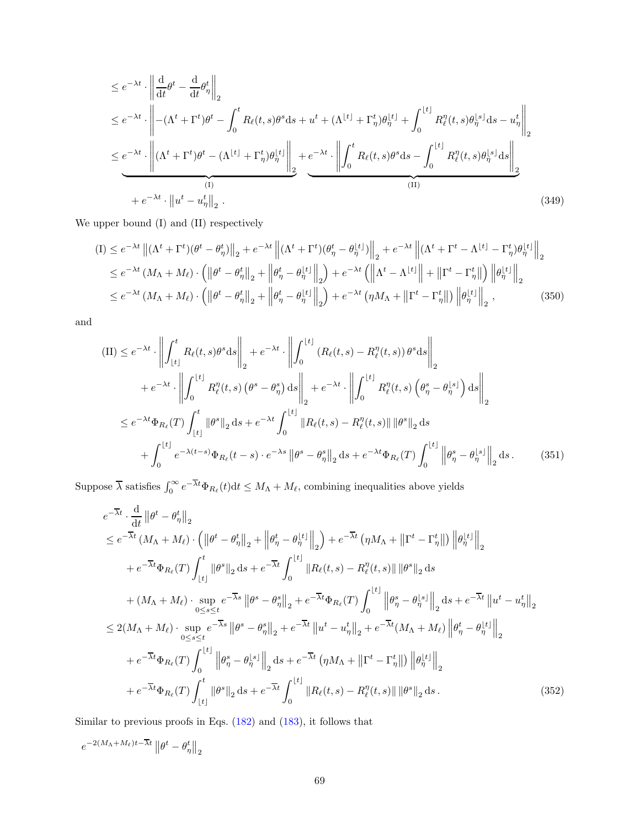$$
\leq e^{-\lambda t} \cdot \left\| \frac{\mathrm{d}}{\mathrm{d}t} \theta^{t} - \frac{\mathrm{d}}{\mathrm{d}t} \theta_{\eta}^{t} \right\|_{2}
$$
\n
$$
\leq e^{-\lambda t} \cdot \left\| - (\Lambda^{t} + \Gamma^{t}) \theta^{t} - \int_{0}^{t} R_{\ell}(t, s) \theta^{s} \mathrm{d}s + u^{t} + (\Lambda^{[t]} + \Gamma_{\eta}^{t}) \theta_{\eta}^{[t]} + \int_{0}^{[t]} R_{\ell}^{\eta}(t, s) \theta_{\eta}^{[s]} \mathrm{d}s - u_{\eta}^{t} \right\|_{2}
$$
\n
$$
\leq e^{-\lambda t} \cdot \left\| (\Lambda^{t} + \Gamma^{t}) \theta^{t} - (\Lambda^{[t]} + \Gamma_{\eta}^{t}) \theta_{\eta}^{[t]} \right\|_{2} + e^{-\lambda t} \cdot \left\| \int_{0}^{t} R_{\ell}(t, s) \theta^{s} \mathrm{d}s - \int_{0}^{[t]} R_{\ell}^{\eta}(t, s) \theta_{\eta}^{[s]} \mathrm{d}s \right\|_{2}
$$
\n
$$
+ e^{-\lambda t} \cdot \left\| u^{t} - u_{\eta}^{t} \right\|_{2} . \tag{349}
$$

We upper bound (I) and (II) respectively

$$
(I) \leq e^{-\lambda t} \left\| (\Lambda^t + \Gamma^t)(\theta^t - \theta^t_\eta) \right\|_2 + e^{-\lambda t} \left\| (\Lambda^t + \Gamma^t)(\theta^t_\eta - \theta^{ \lfloor t \rfloor}_\eta) \right\|_2 + e^{-\lambda t} \left\| (\Lambda^t + \Gamma^t - \Lambda^{ \lfloor t \rfloor} - \Gamma^t_\eta) \theta^{ \lfloor t \rfloor}_\eta \right\|_2
$$
  
\n
$$
\leq e^{-\lambda t} \left( M_\Lambda + M_\ell \right) \cdot \left( \left\| \theta^t - \theta^t_\eta \right\|_2 + \left\| \theta^t_\eta - \theta^{ \lfloor t \rfloor}_\eta \right\|_2 \right) + e^{-\lambda t} \left( \left\| \Lambda^t - \Lambda^{ \lfloor t \rfloor} \right\| + \left\| \Gamma^t - \Gamma^t_\eta \right\| \right) \left\| \theta^{ \lfloor t \rfloor}_\eta \right\|_2
$$
  
\n
$$
\leq e^{-\lambda t} \left( M_\Lambda + M_\ell \right) \cdot \left( \left\| \theta^t - \theta^t_\eta \right\|_2 + \left\| \theta^t_\eta - \theta^{ \lfloor t \rfloor}_\eta \right\|_2 \right) + e^{-\lambda t} \left( \eta M_\Lambda + \left\| \Gamma^t - \Gamma^t_\eta \right\| \right) \left\| \theta^{ \lfloor t \rfloor}_\eta \right\|_2 , \tag{350}
$$

and

$$
\begin{split}\n(\text{II}) &\leq e^{-\lambda t} \cdot \left\| \int_{\lfloor t \rfloor}^{t} R_{\ell}(t,s) \theta^{s} \, \mathrm{d}s \right\|_{2} + e^{-\lambda t} \cdot \left\| \int_{0}^{\lfloor t \rfloor} \left( R_{\ell}(t,s) - R_{\ell}^{\eta}(t,s) \right) \theta^{s} \, \mathrm{d}s \right\|_{2} \\
&\quad + e^{-\lambda t} \cdot \left\| \int_{0}^{\lfloor t \rfloor} R_{\ell}^{\eta}(t,s) \left( \theta^{s} - \theta_{\eta}^{s} \right) \, \mathrm{d}s \right\|_{2} + e^{-\lambda t} \cdot \left\| \int_{0}^{\lfloor t \rfloor} R_{\ell}^{\eta}(t,s) \left( \theta_{\eta}^{s} - \theta_{\eta}^{\lfloor s \rfloor} \right) \, \mathrm{d}s \right\|_{2} \\
&\leq e^{-\lambda t} \Phi_{R_{\ell}}(T) \int_{\lfloor t \rfloor}^{t} \left\| \theta^{s} \right\|_{2} \, \mathrm{d}s + e^{-\lambda t} \int_{0}^{\lfloor t \rfloor} \left\| R_{\ell}(t,s) - R_{\ell}^{\eta}(t,s) \right\| \left\| \theta^{s} \right\|_{2} \, \mathrm{d}s \\
&\quad + \int_{0}^{\lfloor t \rfloor} e^{-\lambda(t-s)} \Phi_{R_{\ell}}(t-s) \cdot e^{-\lambda s} \left\| \theta^{s} - \theta_{\eta}^{s} \right\|_{2} \, \mathrm{d}s + e^{-\lambda t} \Phi_{R_{\ell}}(T) \int_{0}^{\lfloor t \rfloor} \left\| \theta_{\eta}^{s} - \theta_{\eta}^{\lfloor s \rfloor} \right\|_{2} \, \mathrm{d}s. \end{split} \tag{351}
$$

Suppose  $\overline{\lambda}$  satisfies  $\int_0^\infty e^{-\overline{\lambda}t}\Phi_{R_\ell}(t)dt \leq M_\Lambda + M_\ell$ , combining inequalities above yields

$$
e^{-\overline{\lambda}t} \cdot \frac{d}{dt} ||\theta^{t} - \theta_{\eta}^{t}||_{2}
$$
\n
$$
\leq e^{-\overline{\lambda}t} (M_{\Lambda} + M_{\ell}) \cdot (||\theta^{t} - \theta_{\eta}^{t}||_{2} + ||\theta_{\eta}^{t} - \theta_{\eta}^{t}||_{2}) + e^{-\overline{\lambda}t} (\eta M_{\Lambda} + ||\Gamma^{t} - \Gamma_{\eta}^{t}||) ||\theta_{\eta}^{t}||_{2}
$$
\n
$$
+ e^{-\overline{\lambda}t} \Phi_{R_{\ell}}(T) \int_{\lfloor t \rfloor}^{t} ||\theta^{s}||_{2} ds + e^{-\overline{\lambda}t} \int_{0}^{\lfloor t \rfloor} ||R_{\ell}(t,s) - R_{\ell}^{\eta}(t,s)||\theta^{s}||_{2} ds
$$
\n
$$
+ (M_{\Lambda} + M_{\ell}) \cdot \sup_{0 \leq s \leq t} e^{-\overline{\lambda}s} ||\theta^{s} - \theta_{\eta}^{s}||_{2} + e^{-\overline{\lambda}t} \Phi_{R_{\ell}}(T) \int_{0}^{\lfloor t \rfloor} ||\theta_{\eta}^{s} - \theta_{\eta}^{t}||_{2} ds + e^{-\overline{\lambda}t} ||u^{t} - u_{\eta}^{t}||_{2}
$$
\n
$$
\leq 2(M_{\Lambda} + M_{\ell}) \cdot \sup_{0 \leq s \leq t} e^{-\overline{\lambda}s} ||\theta^{s} - \theta_{\eta}^{s}||_{2} + e^{-\overline{\lambda}t} ||u^{t} - u_{\eta}^{t}||_{2} + e^{-\overline{\lambda}t} (M_{\Lambda} + M_{\ell}) ||\theta_{\eta}^{t} - \theta_{\eta}^{t}||_{2}
$$
\n
$$
+ e^{-\overline{\lambda}t} \Phi_{R_{\ell}}(T) \int_{0}^{\lfloor t \rfloor} ||\theta_{\eta}^{s} - \theta_{\eta}^{t}||_{2} ds + e^{-\overline{\lambda}t} (\eta M_{\Lambda} + ||\Gamma^{t} - \Gamma_{\eta}^{t}||) ||\theta_{\eta}^{t}||_{2}
$$
\n
$$
+ e^{-\overline{\lambda}t} \Phi_{R_{\ell}}(T) \int_{\lfloor t \rfloor}^{t} ||\theta^{s}||_{
$$

Similar to previous proofs in Eqs. [\(182\)](#page-39-0) and [\(183\)](#page-39-1), it follows that

$$
e^{-2(M_{\Lambda}+M_{\ell})t-\overline{\lambda}t}\left\Vert \theta^{t}-\theta_{\eta}^{t}\right\Vert _{2}
$$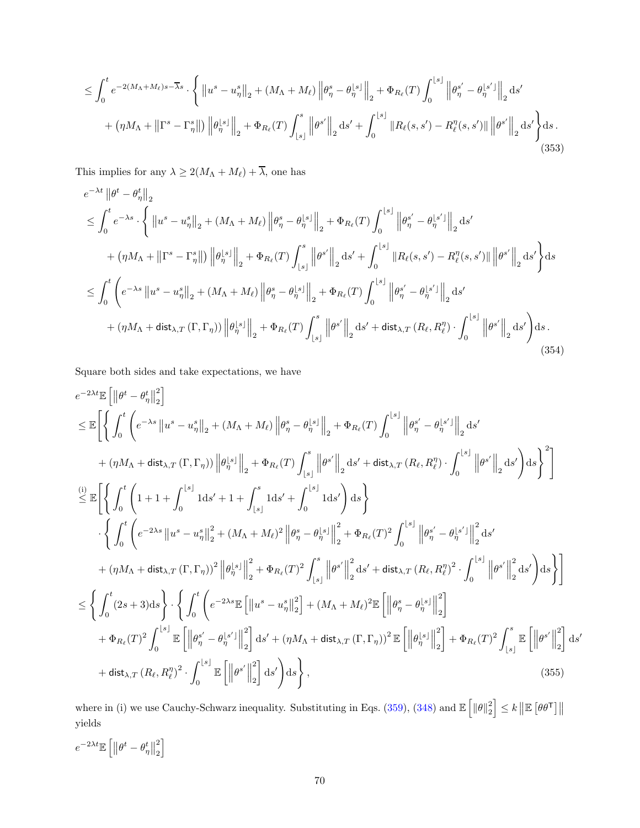$$
\leq \int_0^t e^{-2(M_\Lambda+M_\ell)s-\overline{\lambda}s} \cdot \left\{ \left\|u^s - u_\eta^s\right\|_2 + (M_\Lambda+M_\ell) \left\|\theta_\eta^s - \theta_\eta^{\lfloor s\rfloor}\right\|_2 + \Phi_{R_\ell}(T) \int_0^{\lfloor s\rfloor} \left\|\theta_\eta^{s'} - \theta_\eta^{\lfloor s'\rfloor}\right\|_2 ds' \right\}+ \left(\eta M_\Lambda + \left\|\Gamma^s - \Gamma_\eta^s\right\|\right) \left\|\theta_\eta^{\lfloor s\rfloor}\right\|_2 + \Phi_{R_\ell}(T) \int_{\lfloor s\rfloor}^s \left\|\theta^{s'}\right\|_2 ds' + \int_0^{\lfloor s\rfloor} \left\|R_\ell(s, s') - R_\ell^\eta(s, s')\right\| \left\|\theta^{s'}\right\|_2 ds' \right\} ds.
$$
\n(353)

This implies for any  $\lambda \geq 2(M_{\Lambda}+M_{\ell})+ \overline{\lambda},$  one has

$$
e^{-\lambda t} \left\| \theta^{t} - \theta_{\eta}^{t} \right\|_{2} \n\leq \int_{0}^{t} e^{-\lambda s} \cdot \left\{ \left\| u^{s} - u_{\eta}^{s} \right\|_{2} + (M_{\Lambda} + M_{\ell}) \left\| \theta_{\eta}^{s} - \theta_{\eta}^{\lfloor s \rfloor} \right\|_{2} + \Phi_{R_{\ell}}(T) \int_{0}^{\lfloor s \rfloor} \left\| \theta_{\eta}^{s'} - \theta_{\eta}^{\lfloor s' \rfloor} \right\|_{2} ds' \n+ (\eta M_{\Lambda} + \left\| \Gamma^{s} - \Gamma_{\eta}^{s} \right\|) \left\| \theta_{\eta}^{\lfloor s \rfloor} \right\|_{2} + \Phi_{R_{\ell}}(T) \int_{\lfloor s \rfloor}^{s} \left\| \theta^{s'} \right\|_{2} ds' + \int_{0}^{\lfloor s \rfloor} \left\| R_{\ell}(s, s') - R_{\ell}^{\eta}(s, s') \right\| \left\| \theta^{s'} \right\|_{2} ds' \right\} ds \n\leq \int_{0}^{t} \left( e^{-\lambda s} \left\| u^{s} - u_{\eta}^{s} \right\|_{2} + (M_{\Lambda} + M_{\ell}) \left\| \theta_{\eta}^{s} - \theta_{\eta}^{\lfloor s \rfloor} \right\|_{2} + \Phi_{R_{\ell}}(T) \int_{0}^{\lfloor s \rfloor} \left\| \theta_{\eta}^{s'} - \theta_{\eta}^{\lfloor s' \rfloor} \right\|_{2} ds' \n+ (\eta M_{\Lambda} + \text{dist}_{\lambda, T}(\Gamma, \Gamma_{\eta})) \left\| \theta_{\eta}^{\lfloor s \rfloor} \right\|_{2} + \Phi_{R_{\ell}}(T) \int_{\lfloor s \rfloor}^{s} \left\| \theta^{s'} \right\|_{2} ds' + \text{dist}_{\lambda, T} (R_{\ell}, R_{\ell}^{\eta}) \cdot \int_{0}^{\lfloor s \rfloor} \left\| \theta^{s'} \right\|_{2} ds' \right) ds.
$$
\n(354)

Square both sides and take expectations, we have

$$
e^{-2\lambda t}\mathbb{E}\left[\left\|\theta^{t}-\theta_{\eta}^{t}\right\|_{2}^{2}\right]
$$
\n
$$
\leq \mathbb{E}\left[\left\{\int_{0}^{t}\left(e^{-\lambda s}\left\|u^{s}-u_{\eta}^{s}\right\|_{2}+\left(M_{\Lambda}+M_{\ell}\right)\left\|\theta_{\eta}^{s}-\theta_{\eta}^{s s}\right\|_{2}+\Phi_{R_{\ell}}(T)\int_{0}^{\lfloor s\rfloor}\left\|\theta_{\eta}^{s'}-\theta_{\eta}^{s' s'}\right\|_{2}\mathrm{d}s'\right.\right.\left. +\left(\eta M_{\Lambda}+\text{dist}_{\lambda,T}\left(\Gamma,\Gamma_{\eta}\right)\right)\left\|\theta_{\eta}^{s s}\right\|_{2}+\Phi_{R_{\ell}}(T)\int_{\lfloor s\rfloor}^{s}\left\|\theta^{s'}\right\|_{2}\mathrm{d}s'+\text{dist}_{\lambda,T}\left(R_{\ell},R_{\ell}^{\eta}\right)\cdot\int_{0}^{\lfloor s\rfloor}\left\|\theta^{s'}\right\|_{2}\mathrm{d}s'\right)\mathrm{d}s\right\}^{2}\right]
$$
\n
$$
\stackrel{(i)}{\leq} \mathbb{E}\left[\left\{\int_{0}^{t}\left(1+1+\int_{0}^{\lfloor s\rfloor}\text{1d}s'+1+\int_{\lfloor s\rfloor}^{s}\text{1d}s'+\int_{0}^{\lfloor s\rfloor}\text{1d}s'\right)\mathrm{d}s\right\}
$$
\n
$$
\cdot\left\{\int_{0}^{t}\left(e^{-2\lambda s}\left\|u^{s}-u_{\eta}^{s}\right\|_{2}^{2}+\left(M_{\Lambda}+M_{\ell}\right)^{2}\left\|\theta_{\eta}^{s}-\theta_{\eta}^{s s}\right\|_{2}^{2}+\Phi_{R_{\ell}}(T)^{2}\int_{0}^{\lfloor s\rfloor}\left\|\theta_{\eta}^{s'}-\theta_{\eta}^{s s'}\right\|_{2}^{2}\mathrm{d}s'\right.\right.\left. +\left(\eta M_{\Lambda}+\text{dist}_{\lambda,T}\left(\Gamma,\Gamma_{\eta}\right)\right)^{2}\left\|\theta_{\eta}^{s s}\right\|_{2}^{2}+\Phi_{R_{\ell}}(T)^{2}\int_{\lfloor s\rfloor}^{s}\left\|\theta^{s'}\right\|_{2}^{2}\mathrm
$$

where in (i) we use Cauchy-Schwarz inequality. Substituting in Eqs. [\(359\)](#page-71-0), [\(348\)](#page-67-3) and  $\mathbb{E} \left[ \|\theta\|_2^2 \right] \leq k \left\| \mathbb{E} \left[ \theta \theta^{\mathsf{T}} \right] \right\|$ yields

$$
e^{-2\lambda t}\mathbb{E}\left[\left\Vert \theta^{t}-\theta_{\eta}^{t}\right\Vert _{2}^{2}\right]
$$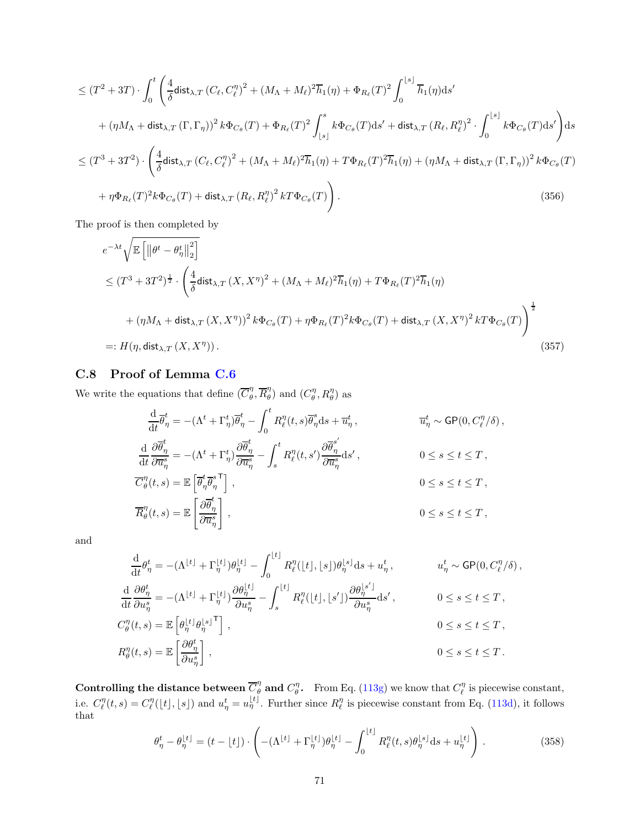$$
\leq (T^2 + 3T) \cdot \int_0^t \left( \frac{4}{\delta} \operatorname{dist}_{\lambda, T} \left( C_\ell, C_\ell^{\eta} \right)^2 + (M_\Lambda + M_\ell)^2 \overline{h}_1(\eta) + \Phi_{R_\ell}(T)^2 \int_0^{\lfloor s \rfloor} \overline{h}_1(\eta) \mathrm{d}s' \right. \\
\left. + (\eta M_\Lambda + \operatorname{dist}_{\lambda, T} (\Gamma, \Gamma_\eta))^2 \, k \Phi_{C_\theta}(T) + \Phi_{R_\ell}(T)^2 \int_{\lfloor s \rfloor}^s k \Phi_{C_\theta}(T) \mathrm{d}s' + \operatorname{dist}_{\lambda, T} \left( R_\ell, R_\ell^{\eta} \right)^2 \cdot \int_0^{\lfloor s \rfloor} k \Phi_{C_\theta}(T) \mathrm{d}s' \right) \mathrm{d}s
$$
\n
$$
\leq (T^3 + 3T^2) \cdot \left( \frac{4}{\delta} \operatorname{dist}_{\lambda, T} \left( C_\ell, C_\ell^{\eta} \right)^2 + (M_\Lambda + M_\ell)^2 \overline{h}_1(\eta) + T \Phi_{R_\ell}(T)^2 \overline{h}_1(\eta) + (\eta M_\Lambda + \operatorname{dist}_{\lambda, T} (\Gamma, \Gamma_\eta))^2 \, k \Phi_{C_\theta}(T) \right. \\
\left. + \eta \Phi_{R_\ell}(T)^2 k \Phi_{C_\theta}(T) + \operatorname{dist}_{\lambda, T} \left( R_\ell, R_\ell^{\eta} \right)^2 k T \Phi_{C_\theta}(T) \right). \tag{356}
$$

The proof is then completed by

$$
e^{-\lambda t} \sqrt{\mathbb{E}\left[\left\|\theta^{t} - \theta_{\eta}^{t}\right\|_{2}^{2}\right]}
$$
  
\n
$$
\leq (T^{3} + 3T^{2})^{\frac{1}{2}} \cdot \left(\frac{4}{\delta} \text{dist}_{\lambda, T} \left(X, X^{\eta}\right)^{2} + (M_{\Lambda} + M_{\ell})^{2} \overline{h}_{1}(\eta) + T\Phi_{R_{\ell}}(T)^{2} \overline{h}_{1}(\eta)
$$
  
\n
$$
+ (\eta M_{\Lambda} + \text{dist}_{\lambda, T} \left(X, X^{\eta}\right))^{2} k\Phi_{C_{\theta}}(T) + \eta \Phi_{R_{\ell}}(T)^{2} k\Phi_{C_{\theta}}(T) + \text{dist}_{\lambda, T} \left(X, X^{\eta}\right)^{2} kT\Phi_{C_{\theta}}(T)\right)^{\frac{1}{2}}
$$
  
\n
$$
=: H(\eta, \text{dist}_{\lambda, T} \left(X, X^{\eta}\right)). \tag{357}
$$

## <span id="page-70-0"></span>C.8 Proof of Lemma [C.6](#page-62-1)

We write the equations that define  $(\overline{C}_{\theta}^{\eta})$  $\frac{\eta}{\theta}, \overline{R}_{\theta}^{\eta}$  $\binom{\eta}{\theta}$  and  $(C_{\theta}^{\eta}, R_{\theta}^{\eta})$  as

$$
\frac{\mathrm{d}}{\mathrm{d}t} \overline{\theta}_{\eta}^{t} = -(\Lambda^{t} + \Gamma_{\eta}^{t}) \overline{\theta}_{\eta}^{t} - \int_{0}^{t} R_{\ell}^{\eta}(t, s) \overline{\theta}_{\eta}^{s} \mathrm{d}s + \overline{u}_{\eta}^{t}, \qquad \overline{u}_{\eta}^{t} \sim \mathsf{GP}(0, C_{\ell}^{\eta}/\delta),
$$
  

$$
\frac{\mathrm{d}}{\mathrm{d}t} \frac{\partial \overline{\theta}_{\eta}^{t}}{\partial \overline{u}_{\eta}^{s}} = -(\Lambda^{t} + \Gamma_{\eta}^{t}) \frac{\partial \overline{\theta}_{\eta}^{t}}{\partial \overline{u}_{\eta}^{s}} - \int_{s}^{t} R_{\ell}^{\eta}(t, s') \frac{\partial \overline{\theta}_{\eta}^{s'}}{\partial \overline{u}_{\eta}^{s}} \mathrm{d}s', \qquad 0 \le s \le t \le T,
$$
  

$$
\overline{C}_{\theta}^{\eta}(t, s) = \mathbb{E} \left[ \overline{\theta}_{\eta}^{t} \overline{\theta}_{\eta}^{s}^{\mathsf{T}} \right], \qquad 0 \le s \le t \le T,
$$
  

$$
\overline{R}_{\theta}^{\eta}(t, s) = \mathbb{E} \left[ \frac{\partial \overline{\theta}_{\eta}^{t}}{\partial \overline{u}_{\eta}^{s}} \right], \qquad 0 \le s \le t \le T,
$$

and

$$
\frac{\mathrm{d}}{\mathrm{d}t}\theta_{\eta}^{t} = -(\Lambda^{\lfloor t \rfloor} + \Gamma_{\eta}^{\lfloor t \rfloor})\theta_{\eta}^{\lfloor t \rfloor} - \int_{0}^{\lfloor t \rfloor} R_{\ell}^{\eta}(\lfloor t \rfloor, \lfloor s \rfloor)\theta_{\eta}^{\lfloor s \rfloor} \mathrm{d}s + u_{\eta}^{t}, \qquad u_{\eta}^{t} \sim \mathsf{GP}(0, C_{\ell}^{\eta}/\delta),
$$
\n
$$
\frac{\mathrm{d}}{\mathrm{d}t}\frac{\partial \theta_{\eta}^{t}}{\partial u_{\eta}^{s}} = -(\Lambda^{\lfloor t \rfloor} + \Gamma_{\eta}^{\lfloor t \rfloor})\frac{\partial \theta_{\eta}^{\lfloor t \rfloor}}{\partial u_{\eta}^{s}} - \int_{s}^{\lfloor t \rfloor} R_{\ell}^{\eta}(\lfloor t \rfloor, \lfloor s' \rfloor) \frac{\partial \theta_{\eta}^{\lfloor s' \rfloor}}{\partial u_{\eta}^{s}} \mathrm{d}s', \qquad 0 \le s \le t \le T,
$$
\n
$$
C_{\theta}^{\eta}(t,s) = \mathbb{E}\left[\theta_{\eta}^{\lfloor t \rfloor}\theta_{\eta}^{\lfloor s \rfloor}\right], \qquad 0 \le s \le t \le T,
$$
\n
$$
R_{\theta}^{\eta}(t,s) = \mathbb{E}\left[\frac{\partial \theta_{\eta}^{t}}{\partial u_{\eta}^{s}}\right], \qquad 0 \le s \le t \le T.
$$

Controlling the distance between  $\overline{C}_{\theta}^{\eta}$  and  $C_{\theta}^{\eta}$ . From Eq. [\(113g\)](#page-22-8) we know that  $C_{\ell}^{\eta}$  is piecewise constant, i.e.  $C_{\ell}^{\eta}(t,s) = C_{\ell}^{\eta}([t], [s])$  and  $u_{\eta}^{t} = u_{\eta}^{[t]}$ . Further since  $R_{\ell}^{\eta}$  is piecewise constant from Eq. [\(113d\)](#page-22-9), it follows that

$$
\theta_{\eta}^{t} - \theta_{\eta}^{\lfloor t \rfloor} = (t - \lfloor t \rfloor) \cdot \left( -(\Lambda^{\lfloor t \rfloor} + \Gamma_{\eta}^{\lfloor t \rfloor}) \theta_{\eta}^{\lfloor t \rfloor} - \int_{0}^{\lfloor t \rfloor} R_{\ell}^{\eta}(t, s) \theta_{\eta}^{\lfloor s \rfloor} \mathrm{d}s + u_{\eta}^{\lfloor t \rfloor} \right). \tag{358}
$$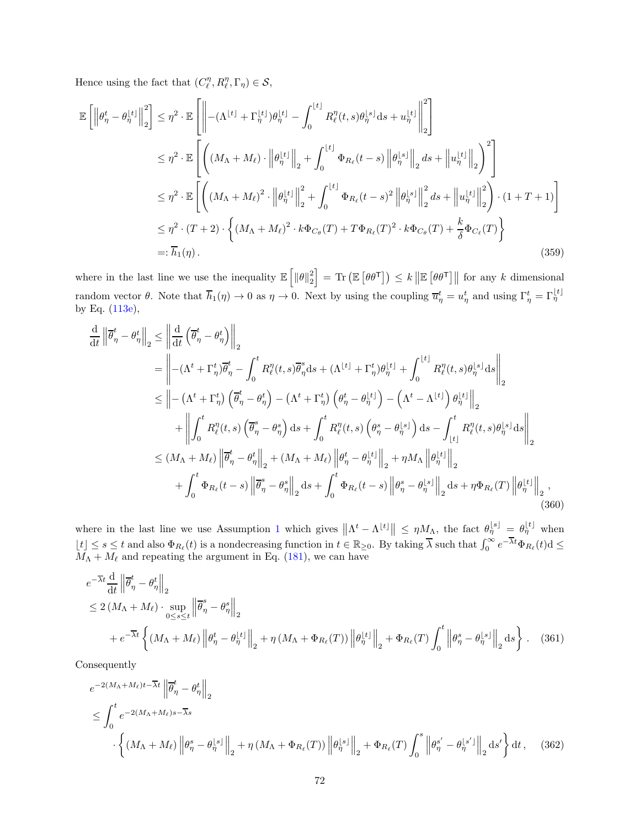Hence using the fact that  $(C_{\ell}^{\eta}, R_{\ell}^{\eta}, \Gamma_{\eta}) \in \mathcal{S}$ ,

$$
\mathbb{E}\left[\left\|\theta_{\eta}^{t} - \theta_{\eta}^{[t]}\right\|_{2}^{2}\right] \leq \eta^{2} \cdot \mathbb{E}\left[\left\|-(\Lambda^{\lfloor t \rfloor} + \Gamma_{\eta}^{[t]})\theta_{\eta}^{[t]} - \int_{0}^{\lfloor t \rfloor} R_{\ell}^{\eta}(t,s)\theta_{\eta}^{[s]}ds + u_{\eta}^{[t]}\right\|_{2}^{2}\right]
$$
\n
$$
\leq \eta^{2} \cdot \mathbb{E}\left[\left((M_{\Lambda} + M_{\ell}) \cdot \left\|\theta_{\eta}^{[t]}\right\|_{2} + \int_{0}^{\lfloor t \rfloor} \Phi_{R_{\ell}}(t-s) \left\|\theta_{\eta}^{[s]}\right\|_{2} ds + \left\|u_{\eta}^{[t]}\right\|_{2}\right)^{2}\right]
$$
\n
$$
\leq \eta^{2} \cdot \mathbb{E}\left[\left((M_{\Lambda} + M_{\ell})^{2} \cdot \left\|\theta_{\eta}^{[t]}\right\|_{2}^{2} + \int_{0}^{\lfloor t \rfloor} \Phi_{R_{\ell}}(t-s) \left\|\theta_{\eta}^{[s]}\right\|_{2}^{2} ds + \left\|u_{\eta}^{[t]}\right\|_{2}^{2}\right) \cdot (1+T+1)\right]
$$
\n
$$
\leq \eta^{2} \cdot (T+2) \cdot \left\{(M_{\Lambda} + M_{\ell})^{2} \cdot k\Phi_{C_{\theta}}(T) + T\Phi_{R_{\ell}}(T)^{2} \cdot k\Phi_{C_{\theta}}(T) + \frac{k}{\delta}\Phi_{C_{\ell}}(T)\right\}
$$
\n
$$
=:\overline{h}_{1}(\eta). \tag{359}
$$

where in the last line we use the inequality  $\mathbb{E}\left[\|\theta\|_2^2\right] = \text{Tr}\left(\mathbb{E}\left[\theta\theta^{\mathsf{T}}\right]\right) \leq k \|\mathbb{E}\left[\theta\theta^{\mathsf{T}}\right]\|$  for any k dimensional random vector  $\theta$ . Note that  $\overline{h}_1(\eta) \to 0$  as  $\eta \to 0$ . Next by using the coupling  $\overline{u}_\eta^t = u_\eta^t$  and using  $\Gamma_\eta^t = \Gamma_\eta^{\lfloor t \rfloor}$ by Eq. [\(113e\)](#page-22-10),

<span id="page-71-0"></span>
$$
\frac{d}{dt} \left\| \overline{\theta}_{\eta}^{t} - \theta_{\eta}^{t} \right\|_{2} \leq \left\| \frac{d}{dt} \left( \overline{\theta}_{\eta}^{t} - \theta_{\eta}^{t} \right) \right\|_{2} \n= \left\| - (\Lambda^{t} + \Gamma_{\eta}^{t}) \overline{\theta}_{\eta}^{t} - \int_{0}^{t} R_{\ell}^{\eta}(t, s) \overline{\theta}_{\eta}^{s} ds + (\Lambda^{[t]} + \Gamma_{\eta}^{t}) \theta_{\eta}^{[t]} + \int_{0}^{[t]} R_{\ell}^{\eta}(t, s) \theta_{\eta}^{[s]} ds \right\|_{2} \n\leq \left\| - (\Lambda^{t} + \Gamma_{\eta}^{t}) \left( \overline{\theta}_{\eta}^{t} - \theta_{\eta}^{t} \right) - (\Lambda^{t} + \Gamma_{\eta}^{t}) \left( \theta_{\eta}^{t} - \theta_{\eta}^{[t]} \right) - (\Lambda^{t} - \Lambda^{[t]}) \theta_{\eta}^{[t]} \right\|_{2} \n+ \left\| \int_{0}^{t} R_{\ell}^{\eta}(t, s) \left( \overline{\theta}_{\eta}^{s} - \theta_{\eta}^{s} \right) ds + \int_{0}^{t} R_{\ell}^{\eta}(t, s) \left( \theta_{\eta}^{s} - \theta_{\eta}^{[s]} \right) ds - \int_{[t]}^{t} R_{\ell}^{\eta}(t, s) \theta_{\eta}^{[s]} ds \right\|_{2} \n\leq (M_{\Lambda} + M_{\ell}) \left\| \overline{\theta}_{\eta}^{t} - \theta_{\eta}^{t} \right\|_{2} + (M_{\Lambda} + M_{\ell}) \left\| \theta_{\eta}^{t} - \theta_{\eta}^{[t]} \right\|_{2} + \eta M_{\Lambda} \left\| \theta_{\eta}^{[t]} \right\|_{2} \n+ \int_{0}^{t} \Phi_{R_{\ell}}(t - s) \left\| \overline{\theta}_{\eta}^{s} - \theta_{\eta}^{s} \right\|_{2} ds + \int_{0}^{t} \Phi_{R_{\ell}}(t - s) \left\| \theta_{\eta}^{s} - \theta_{\eta}^{[s]} \right\|_{2} ds + \eta \Phi_{R_{\ell}}(T) \
$$

where in the last line we use Assumption [1](#page-6-0) which gives  $\|\Lambda^t - \Lambda^{\lfloor t\rfloor}\| \leq \eta M_\Lambda$ , the fact  $\theta_{\eta}^{\lfloor s\rfloor} = \theta_{\eta}^{\lfloor t\rfloor}$  when  $\lfloor t \rfloor \leq s \leq t$  and also  $\Phi_{R_{\ell}}(t)$  is a nondecreasing function in  $t \in \mathbb{R}_{\geq 0}$ . By taking  $\overline{\lambda}$  such that  $\int_0^\infty e^{-\overline{\lambda}t} \Phi_{R_{\ell}}(t) \, \mathrm{d} \leq$  $M_{\Lambda} + M_{\ell}$  and repeating the argument in Eq. [\(181\)](#page-39-2), we can have

$$
e^{-\overline{\lambda}t} \frac{d}{dt} \left\| \overline{\theta}_{\eta}^{t} - \theta_{\eta}^{t} \right\|_{2}
$$
  
\n
$$
\leq 2 \left( M_{\Lambda} + M_{\ell} \right) \cdot \sup_{0 \leq s \leq t} \left\| \overline{\theta}_{\eta}^{s} - \theta_{\eta}^{s} \right\|_{2}
$$
  
\n
$$
+ e^{-\overline{\lambda}t} \left\{ \left( M_{\Lambda} + M_{\ell} \right) \left\| \theta_{\eta}^{t} - \theta_{\eta}^{t} \right\|_{2} + \eta \left( M_{\Lambda} + \Phi_{R_{\ell}}(T) \right) \left\| \theta_{\eta}^{t} \right\|_{2} + \Phi_{R_{\ell}}(T) \int_{0}^{t} \left\| \theta_{\eta}^{s} - \theta_{\eta}^{s} \right\|_{2} ds \right\}.
$$
 (361)

Consequently

$$
e^{-2(M_{\Lambda}+M_{\ell})t-\overline{\lambda}t}\left\|\overline{\theta}_{\eta}^{t}-\theta_{\eta}^{t}\right\|_{2}
$$
  
\n
$$
\leq \int_{0}^{t} e^{-2(M_{\Lambda}+M_{\ell})s-\overline{\lambda}s}\cdot \left\{(M_{\Lambda}+M_{\ell})\left\|\theta_{\eta}^{s}-\theta_{\eta}^{s}\right\|\right\|_{2}+\eta\left(M_{\Lambda}+\Phi_{R_{\ell}}(T)\right)\left\|\theta_{\eta}^{s}\right\|_{2}+\Phi_{R_{\ell}}(T)\int_{0}^{s}\left\|\theta_{\eta}^{s'}-\theta_{\eta}^{s'}\right\|_{2}\mathrm{d}s'\right\}\mathrm{d}t, \quad (362)
$$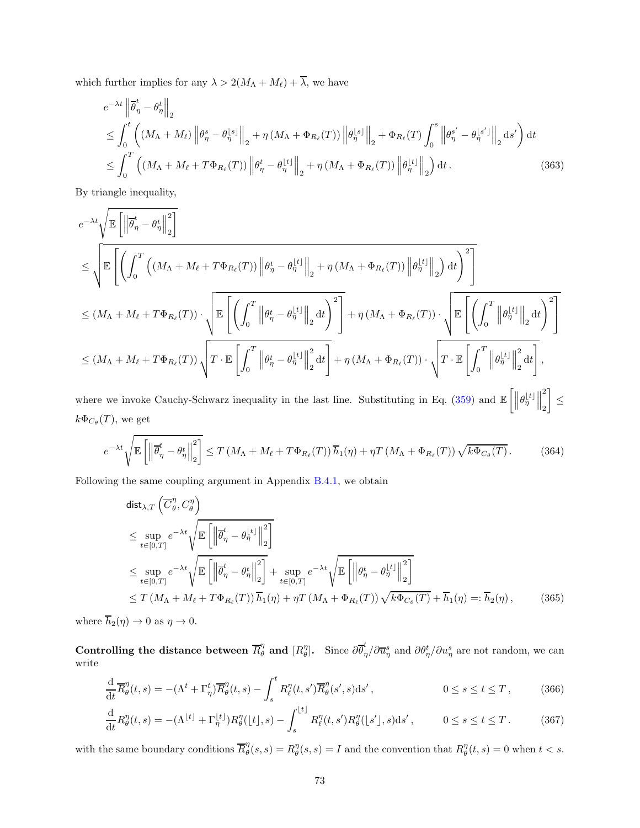which further implies for any  $\lambda > 2(M_\Lambda + M_\ell) + \overline{\lambda}$ , we have

$$
e^{-\lambda t} \left\| \overline{\theta}_{\eta}^{t} - \theta_{\eta}^{t} \right\|_{2}
$$
  
\n
$$
\leq \int_{0}^{t} \left( \left( M_{\Lambda} + M_{\ell} \right) \left\| \theta_{\eta}^{s} - \theta_{\eta}^{s} \right\|_{2} + \eta \left( M_{\Lambda} + \Phi_{R_{\ell}}(T) \right) \left\| \theta_{\eta}^{s} \right\|_{2} + \Phi_{R_{\ell}}(T) \int_{0}^{s} \left\| \theta_{\eta}^{s'} - \theta_{\eta}^{s'} \right\|_{2} ds' \right) dt
$$
  
\n
$$
\leq \int_{0}^{T} \left( \left( M_{\Lambda} + M_{\ell} + T\Phi_{R_{\ell}}(T) \right) \left\| \theta_{\eta}^{t} - \theta_{\eta}^{t} \right\|_{2} + \eta \left( M_{\Lambda} + \Phi_{R_{\ell}}(T) \right) \left\| \theta_{\eta}^{t} \right\|_{2} \right) dt.
$$
\n(363)

By triangle inequality,

$$
e^{-\lambda t} \sqrt{\mathbb{E}\left[\left\|\overline{\theta}_{\eta}^{t} - \theta_{\eta}^{t}\right\|_{2}^{2}\right]}
$$
  
\n
$$
\leq \sqrt{\mathbb{E}\left[\left(\int_{0}^{T}\left((M_{\Lambda} + M_{\ell} + T\Phi_{R_{\ell}}(T))\left\|\theta_{\eta}^{t} - \theta_{\eta}^{t_{1}}\right\|_{2} + \eta\left(M_{\Lambda} + \Phi_{R_{\ell}}(T)\right)\left\|\theta_{\eta}^{t_{1}}\right\|_{2}\right)dt\right)^{2}\right]}
$$
  
\n
$$
\leq (M_{\Lambda} + M_{\ell} + T\Phi_{R_{\ell}}(T)) \cdot \sqrt{\mathbb{E}\left[\left(\int_{0}^{T}\left\|\theta_{\eta}^{t} - \theta_{\eta}^{t_{1}}\right\|_{2}dt\right)^{2}\right]} + \eta\left(M_{\Lambda} + \Phi_{R_{\ell}}(T)\right) \cdot \sqrt{\mathbb{E}\left[\left(\int_{0}^{T}\left\|\theta_{\eta}^{t_{1}}\right\|_{2}dt\right)^{2}\right]}
$$
  
\n
$$
\leq (M_{\Lambda} + M_{\ell} + T\Phi_{R_{\ell}}(T)) \cdot \sqrt{T \cdot \mathbb{E}\left[\int_{0}^{T}\left\|\theta_{\eta}^{t} - \theta_{\eta}^{t_{1}}\right\|_{2}^{2}dt\right]} + \eta\left(M_{\Lambda} + \Phi_{R_{\ell}}(T)\right) \cdot \sqrt{T \cdot \mathbb{E}\left[\int_{0}^{T}\left\|\theta_{\eta}^{t_{1}}\right\|_{2}^{2}dt\right]},
$$

where we invoke Cauchy-Schwarz inequality in the last line. Substituting in Eq. [\(359\)](#page-71-0) and  $\mathbb{E}\left[\left\|\theta_{\eta}^{[t]}\right\|\right]$ 2 2 T ≤  $k\Phi_{C_{\theta}}(T)$ , we get

$$
e^{-\lambda t} \sqrt{\mathbb{E}\left[\left\|\overline{\theta}_{\eta}^{t} - \theta_{\eta}^{t}\right\|_{2}^{2}\right]} \leq T\left(M_{\Lambda} + M_{\ell} + T\Phi_{R_{\ell}}(T)\right)\overline{h}_{1}(\eta) + \eta T\left(M_{\Lambda} + \Phi_{R_{\ell}}(T)\right)\sqrt{k\Phi_{C_{\theta}}(T)}.
$$
 (364)

Following the same coupling argument in Appendix [B.4.1,](#page-38-0) we obtain

$$
\begin{split}\n\text{dist}_{\lambda,T} \left( \overline{C}_{\theta}^{\eta}, C_{\theta}^{\eta} \right) \\
&\leq \sup_{t \in [0,T]} e^{-\lambda t} \sqrt{\mathbb{E} \left[ \left\| \overline{\theta}_{\eta}^{t} - \theta_{\eta}^{t} \right\|_{2}^{2} \right]} \\
&\leq \sup_{t \in [0,T]} e^{-\lambda t} \sqrt{\mathbb{E} \left[ \left\| \overline{\theta}_{\eta}^{t} - \theta_{\eta}^{t} \right\|_{2}^{2} \right]} + \sup_{t \in [0,T]} e^{-\lambda t} \sqrt{\mathbb{E} \left[ \left\| \theta_{\eta}^{t} - \theta_{\eta}^{t} \right\|_{2}^{2} \right]} \\
&\leq T \left( M_{\Lambda} + M_{\ell} + T \Phi_{R_{\ell}}(T) \right) \overline{h}_{1}(\eta) + \eta T \left( M_{\Lambda} + \Phi_{R_{\ell}}(T) \right) \sqrt{k \Phi_{C_{\theta}}(T)} + \overline{h}_{1}(\eta) =: \overline{h}_{2}(\eta),\n\end{split} \tag{365}
$$

where  $\overline{h}_2(\eta) \to 0$  as  $\eta \to 0$ .

Controlling the distance between  $\overline{R}_{\theta}^{\eta}$  and  $[R_{\theta}^{\eta}].$  Since  $\partial \overline{\theta}^t_{\eta}$  $\frac{d}{d\eta}/\partial \overline{u}_{\eta}^s$  and  $\partial \theta_{\eta}^t/\partial u_{\eta}^s$  are not random, we can write

$$
\frac{\mathrm{d}}{\mathrm{d}t}\overline{R}_{\theta}^{\eta}(t,s) = -(\Lambda^t + \Gamma_{\eta}^t)\overline{R}_{\theta}^{\eta}(t,s) - \int_{s}^t R_{\ell}^{\eta}(t,s')\overline{R}_{\theta}^{\eta}(s',s)\mathrm{d}s', \qquad 0 \le s \le t \le T,
$$
\n(366)

$$
\frac{\mathrm{d}}{\mathrm{d}t}R_{\theta}^{\eta}(t,s) = -(\Lambda^{\lfloor t \rfloor} + \Gamma_{\eta}^{\lfloor t \rfloor})R_{\theta}^{\eta}(\lfloor t \rfloor, s) - \int_{s}^{\lfloor t \rfloor} R_{\ell}^{\eta}(t,s')R_{\theta}^{\eta}(\lfloor s' \rfloor, s) \mathrm{d}s', \qquad 0 \le s \le t \le T. \tag{367}
$$

with the same boundary conditions  $\overline{R}_{\theta}^{\eta}$  $\mathcal{H}_{\theta}^{\eta}(s,s) = R_{\theta}^{\eta}(s,s) = I$  and the convention that  $R_{\theta}^{\eta}(t,s) = 0$  when  $t < s$ .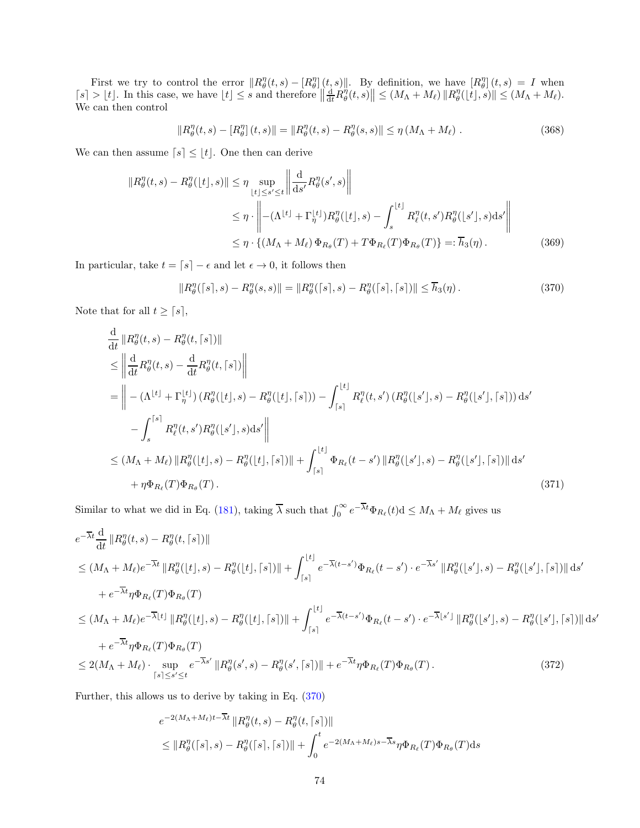First we try to control the error  $||R_{\theta}^{\eta}(t,s) - [R_{\theta}^{\eta}](t,s)||$ . By definition, we have  $[R_{\theta}^{\eta}](t,s) = I$  when  $[s] > \lfloor t \rfloor$ . In this case, we have  $\lfloor t \rfloor \leq s$  and therefore  $\left\| \frac{d}{dt} R^{\eta}_{\theta}(t, s) \right\| \leq (M_{\Lambda} + M_{\ell}) \left\| R^{\eta}_{\theta}(\lfloor t \rfloor, s) \right\| \leq (M_{\Lambda} + M_{\ell})$ . We can then control

<span id="page-73-1"></span>
$$
||R_{\theta}^{\eta}(t,s) - [R_{\theta}^{\eta}](t,s)|| = ||R_{\theta}^{\eta}(t,s) - R_{\theta}^{\eta}(s,s)|| \leq \eta \left(M_{\Lambda} + M_{\ell}\right).
$$
 (368)

We can then assume  $[s] \leq [t]$ . One then can derive

$$
||R_{\theta}^{\eta}(t,s) - R_{\theta}^{\eta}(|t|,s)|| \leq \eta \sup_{\lfloor t \rfloor \leq s' \leq t} \left\| \frac{d}{ds'} R_{\theta}^{\eta}(s',s) \right\|
$$
  
\n
$$
\leq \eta \cdot \left\| - (\Lambda^{\lfloor t \rfloor} + \Gamma_{\eta}^{\lfloor t \rfloor}) R_{\theta}^{\eta}(|t|,s) - \int_{s}^{\lfloor t \rfloor} R_{\ell}^{\eta}(t,s') R_{\theta}^{\eta}(|s'|,s) ds' \right\|
$$
  
\n
$$
\leq \eta \cdot \left\{ (M_{\Lambda} + M_{\ell}) \Phi_{R_{\theta}}(T) + T \Phi_{R_{\ell}}(T) \Phi_{R_{\theta}}(T) \right\} =: \overline{h}_{3}(\eta).
$$
 (369)

In particular, take  $t = \lceil s \rceil - \epsilon$  and let  $\epsilon \to 0$ , it follows then

<span id="page-73-2"></span><span id="page-73-0"></span>
$$
||R_{\theta}^{\eta}([s],s) - R_{\theta}^{\eta}(s,s)|| = ||R_{\theta}^{\eta}([s],s) - R_{\theta}^{\eta}([s],[s])|| \le \overline{h}_{3}(\eta).
$$
 (370)

Note that for all  $t \geq \lceil s \rceil$ ,

$$
\frac{d}{dt} ||R_{\theta}^{\eta}(t,s) - R_{\theta}^{\eta}(t,[s])||
$$
\n
$$
\leq \left\| \frac{d}{dt} R_{\theta}^{\eta}(t,s) - \frac{d}{dt} R_{\theta}^{\eta}(t,[s]) \right\|
$$
\n
$$
= \left\| - (\Lambda^{\lfloor t \rfloor} + \Gamma_{\eta}^{\lfloor t \rfloor}) (R_{\theta}^{\eta}(\lfloor t \rfloor,s) - R_{\theta}^{\eta}(\lfloor t \rfloor,[s])) - \int_{[s]}^{\lfloor t \rfloor} R_{\ell}^{\eta}(t,s') (R_{\theta}^{\eta}(\lfloor s' \rfloor,s) - R_{\theta}^{\eta}(\lfloor s' \rfloor,[s])) ds' - \int_{s}^{\lfloor s \rfloor} R_{\ell}^{\eta}(t,s') R_{\theta}^{\eta}(\lfloor s' \rfloor,s) ds' \right\|
$$
\n
$$
\leq (M_{\Lambda} + M_{\ell}) ||R_{\theta}^{\eta}(\lfloor t \rfloor,s) - R_{\theta}^{\eta}(\lfloor t \rfloor,[s])|| + \int_{[s]}^{\lfloor t \rfloor} \Phi_{R_{\ell}}(t-s') ||R_{\theta}^{\eta}(\lfloor s' \rfloor,s) - R_{\theta}^{\eta}(\lfloor s' \rfloor,[s])|| ds' + \eta \Phi_{R_{\ell}}(T) \Phi_{R_{\theta}}(T).
$$
\n(371)

Similar to what we did in Eq. [\(181\)](#page-39-0), taking  $\overline{\lambda}$  such that  $\int_0^\infty e^{-\overline{\lambda}t} \Phi_{R_\ell}(t) \, \mathrm{d} \leq M_\Lambda + M_\ell$  gives us

$$
e^{-\overline{\lambda}t} \frac{d}{dt} ||R_{\theta}^{\eta}(t,s) - R_{\theta}^{\eta}(t,[s])||
$$
  
\n
$$
\leq (M_{\Lambda} + M_{\ell})e^{-\overline{\lambda}t} ||R_{\theta}^{\eta}(|t|,s) - R_{\theta}^{\eta}(|t|, [s])|| + \int_{[s]}^{|t|} e^{-\overline{\lambda}(t-s')} \Phi_{R_{\ell}}(t-s') \cdot e^{-\overline{\lambda}s'} ||R_{\theta}^{\eta}(|s'|,s) - R_{\theta}^{\eta}(|s'|, [s])|| ds'
$$
  
\n
$$
+ e^{-\overline{\lambda}t} \eta \Phi_{R_{\ell}}(T) \Phi_{R_{\theta}}(T)
$$
  
\n
$$
\leq (M_{\Lambda} + M_{\ell})e^{-\overline{\lambda}|t|} ||R_{\theta}^{\eta}(|t|,s) - R_{\theta}^{\eta}(|t|, [s])|| + \int_{[s]}^{|t|} e^{-\overline{\lambda}(t-s')} \Phi_{R_{\ell}}(t-s') \cdot e^{-\overline{\lambda}|s'|} ||R_{\theta}^{\eta}(|s'|,s) - R_{\theta}^{\eta}(|s'|, [s])|| ds'
$$
  
\n
$$
+ e^{-\overline{\lambda}t} \eta \Phi_{R_{\ell}}(T) \Phi_{R_{\theta}}(T)
$$
  
\n
$$
\leq 2(M_{\Lambda} + M_{\ell}) \cdot \sup_{[s] \leq s' \leq t} e^{-\overline{\lambda}s'} ||R_{\theta}^{\eta}(s',s) - R_{\theta}^{\eta}(s', [s])|| + e^{-\overline{\lambda}t} \eta \Phi_{R_{\ell}}(T) \Phi_{R_{\theta}}(T).
$$
 (372)

Further, this allows us to derive by taking in Eq. [\(370\)](#page-73-0)

$$
e^{-2(M_{\Lambda}+M_{\ell})t-\overline{\lambda}t} \|R_{\theta}^{\eta}(t,s) - R_{\theta}^{\eta}(t,\lceil s \rceil) \|
$$
  
\$\leq \|R\_{\theta}^{\eta}(\lceil s \rceil, s) - R\_{\theta}^{\eta}(\lceil s \rceil, \lceil s \rceil) \| + \int\_{0}^{t} e^{-2(M\_{\Lambda}+M\_{\ell})s-\overline{\lambda}s} \eta \Phi\_{R\_{\ell}}(T) \Phi\_{R\_{\theta}}(T) ds\$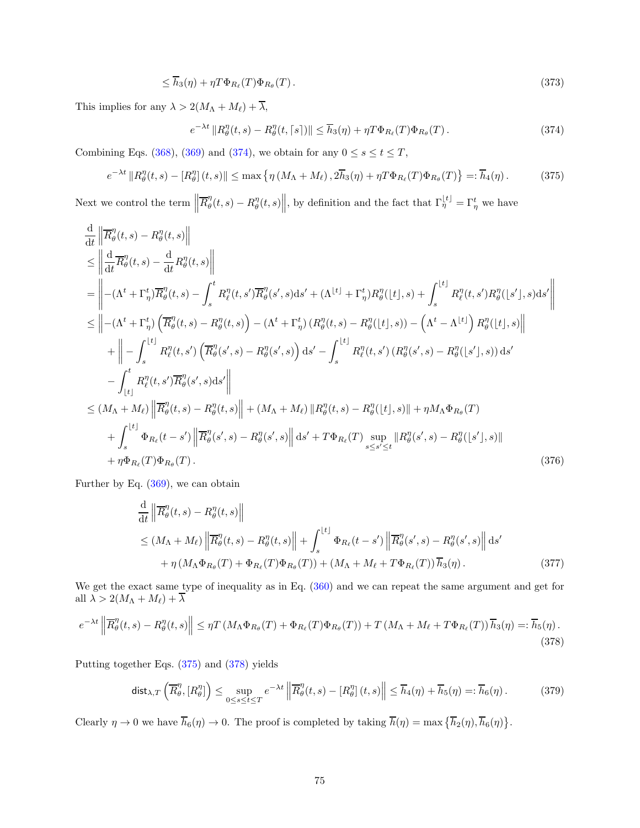$$
\leq \overline{h}_3(\eta) + \eta T \Phi_{R_{\ell}}(T) \Phi_{R_{\theta}}(T). \tag{373}
$$

This implies for any  $\lambda > 2(M_\Lambda + M_\ell) + \overline{\lambda},$ 

<span id="page-74-1"></span><span id="page-74-0"></span>
$$
e^{-\lambda t} \|R_{\theta}^{\eta}(t,s) - R_{\theta}^{\eta}(t,\lceil s \rceil) \| \leq \overline{h}_3(\eta) + \eta T \Phi_{R_{\ell}}(T) \Phi_{R_{\theta}}(T). \tag{374}
$$

Combining Eqs. [\(368\)](#page-73-1), [\(369\)](#page-73-2) and [\(374\)](#page-74-0), we obtain for any  $0 \le s \le t \le T$ ,

$$
e^{-\lambda t} \|R^{\eta}_{\theta}(t,s) - [R^{\eta}_{\theta}](t,s)\| \le \max \left\{ \eta \left( M_{\Lambda} + M_{\ell} \right), 2\overline{h}_{3}(\eta) + \eta T \Phi_{R_{\ell}}(T) \Phi_{R_{\theta}}(T) \right\} =: \overline{h}_{4}(\eta). \tag{375}
$$

Next we control the term  $\left\|\overline{R}_{\theta}^{\eta}\right\|$  $\mathcal{L}^{\eta}_{\theta}(t,s) - R^{\eta}_{\theta}(t,s)$ , by definition and the fact that  $\Gamma^{[t]}_{\eta} = \Gamma^{t}_{\eta}$  we have

$$
\frac{d}{dt} \left\| \overline{R}_{\theta}^{\eta}(t,s) - R_{\theta}^{\eta}(t,s) \right\| \leq \left\| \frac{d}{dt} \overline{R}_{\theta}^{\eta}(t,s) - \frac{d}{dt} R_{\theta}^{\eta}(t,s) \right\| \n= \left\| - (\Lambda^{t} + \Gamma_{\eta}^{t}) \overline{R}_{\theta}^{\eta}(t,s) - \int_{s}^{t} R_{\ell}^{\eta}(t,s') \overline{R}_{\theta}^{\eta}(s',s) ds' + (\Lambda^{[t]} + \Gamma_{\eta}^{t}) R_{\theta}^{\eta}([t],s) + \int_{s}^{[t]} R_{\ell}^{\eta}(t,s') R_{\theta}^{\eta}([s'],s) ds' \right\| \n\leq \left\| - (\Lambda^{t} + \Gamma_{\eta}^{t}) \left( \overline{R}_{\theta}^{\eta}(t,s) - R_{\theta}^{\eta}(t,s) \right) - (\Lambda^{t} + \Gamma_{\eta}^{t}) (R_{\theta}^{\eta}(t,s) - R_{\theta}^{\eta}([t],s)) - (\Lambda^{t} - \Lambda^{[t]}) R_{\theta}^{\eta}([t],s) \right\| \n+ \left\| - \int_{s}^{[t]} R_{\ell}^{\eta}(t,s') \left( \overline{R}_{\theta}^{\eta}(s',s) - R_{\theta}^{\eta}(s',s) \right) ds' - \int_{s}^{[t]} R_{\ell}^{\eta}(t,s') (R_{\theta}^{\eta}(s',s) - R_{\theta}^{\eta}([s'],s)) ds' \n- \int_{[t]}^{t} R_{\ell}^{\eta}(t,s') \overline{R}_{\theta}^{\eta}(s',s) ds' \right\| \n\leq (M_{\Lambda} + M_{\ell}) \left\| \overline{R}_{\theta}^{\eta}(t,s) - R_{\theta}^{\eta}(t,s) \right\| + (M_{\Lambda} + M_{\ell}) \left\| R_{\theta}^{\eta}(t,s) - R_{\theta}^{\eta}([t],s) \right\| + \eta M_{\Lambda} \Phi_{R_{\theta}}(T) \n+ \int_{s}^{[t]} \Phi_{R_{\ell}}(t-s') \left\| \overline{R}_{\theta}^{\eta}(s',s) - R_{\theta}^{\eta}(s',s) \right\| ds' + T \Phi_{R_{\
$$

Further by Eq. [\(369\)](#page-73-2), we can obtain

$$
\frac{\mathrm{d}}{\mathrm{d}t} \left\| \overline{R}_{\theta}^{\eta}(t,s) - R_{\theta}^{\eta}(t,s) \right\|
$$
\n
$$
\leq (M_{\Lambda} + M_{\ell}) \left\| \overline{R}_{\theta}^{\eta}(t,s) - R_{\theta}^{\eta}(t,s) \right\| + \int_{s}^{\lfloor t \rfloor} \Phi_{R_{\ell}}(t-s') \left\| \overline{R}_{\theta}^{\eta}(s',s) - R_{\theta}^{\eta}(s',s) \right\| \mathrm{d}s'
$$
\n
$$
+ \eta \left( M_{\Lambda} \Phi_{R_{\theta}}(T) + \Phi_{R_{\ell}}(T) \Phi_{R_{\theta}}(T) \right) + \left( M_{\Lambda} + M_{\ell} + T \Phi_{R_{\ell}}(T) \right) \overline{h}_{3}(\eta). \tag{377}
$$

We get the exact same type of inequality as in Eq. [\(360\)](#page-71-1) and we can repeat the same argument and get for all  $\lambda > 2(M_\Lambda + M_\ell) + \lambda$ 

$$
e^{-\lambda t} \left\| \overline{R}_{\theta}^{\eta}(t,s) - R_{\theta}^{\eta}(t,s) \right\| \leq \eta T \left( M_{\Lambda} \Phi_{R_{\theta}}(T) + \Phi_{R_{\ell}}(T) \Phi_{R_{\theta}}(T) \right) + T \left( M_{\Lambda} + M_{\ell} + T \Phi_{R_{\ell}}(T) \right) \overline{h}_{3}(\eta) =: \overline{h}_{5}(\eta). \tag{378}
$$

Putting together Eqs. [\(375\)](#page-74-1) and [\(378\)](#page-74-2) yields

<span id="page-74-2"></span>
$$
\operatorname{dist}_{\lambda,T}\left(\overline{R}_{\theta}^{\eta}, [R_{\theta}^{\eta}]\right) \le \sup_{0 \le s \le t \le T} e^{-\lambda t} \left\| \overline{R}_{\theta}^{\eta}(t,s) - [R_{\theta}^{\eta}](t,s) \right\| \le \overline{h}_{4}(\eta) + \overline{h}_{5}(\eta) =: \overline{h}_{6}(\eta). \tag{379}
$$

Clearly  $\eta \to 0$  we have  $\overline{h}_6(\eta) \to 0$ . The proof is completed by taking  $\overline{h}(\eta) = \max \{ \overline{h}_2(\eta), \overline{h}_6(\eta) \}.$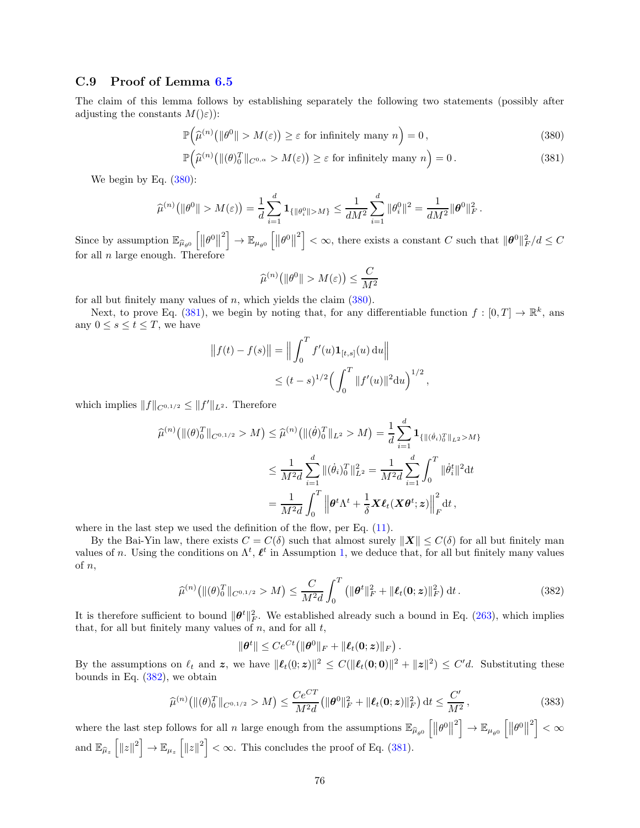### C.9 Proof of Lemma [6.5](#page-23-0)

The claim of this lemma follows by establishing separately the following two statements (possibly after adjusting the constants  $M(\varepsilon)$ :

$$
\mathbb{P}\left(\widehat{\mu}^{(n)}\big(\|\theta^0\| > M(\varepsilon)\big) \ge \varepsilon \text{ for infinitely many } n\right) = 0,
$$
\n(380)

$$
\mathbb{P}\left(\widehat{\mu}^{(n)}\left(\left\|\left(\theta\right)_{0}^{T}\right\|_{C^{0,\alpha}} > M(\varepsilon)\right) \geq \varepsilon \text{ for infinitely many } n\right) = 0. \tag{381}
$$

We begin by Eq.  $(380)$ :

$$
\widehat{\mu}^{(n)}(\|\theta^0\| > M(\varepsilon)) = \frac{1}{d} \sum_{i=1}^d \mathbf{1}_{\{\|\theta_i^0\| > M\}} \le \frac{1}{dM^2} \sum_{i=1}^d \|\theta_i^0\|^2 = \frac{1}{dM^2} \|\theta^0\|_F^2.
$$

Since by assumption  $\mathbb{E}_{\widehat{\mu}_{\theta^0}} \left[ \left\Vert \theta^0 \right\Vert^2 \right] \to \mathbb{E}_{\mu_{\theta^0}} \left[ \left\Vert \theta^0 \right\Vert^2 \right] < \infty$ , there exists a constant C such that  $\Vert \theta^0 \Vert_F^2 / d \leq C$ for all  $n$  large enough. Therefore

<span id="page-75-1"></span><span id="page-75-0"></span>
$$
\widehat{\mu}^{(n)}\big(\|\theta^0\| > M(\varepsilon)\big) \le \frac{C}{M^2}
$$

for all but finitely many values of n, which yields the claim  $(380)$ .

Next, to prove Eq. [\(381\)](#page-75-1), we begin by noting that, for any differentiable function  $f : [0, T] \to \mathbb{R}^k$ , ans any  $0 \leq s \leq t \leq T$ , we have

$$
|| f(t) - f(s)|| = || \int_0^T f'(u) \mathbf{1}_{[t,s]}(u) du ||
$$
  

$$
\leq (t-s)^{1/2} \Big( \int_0^T ||f'(u)||^2 du \Big)^{1/2},
$$

which implies  $||f||_{C^{0,1/2}} \leq ||f'||_{L^2}$ . Therefore

$$
\widehat{\mu}^{(n)}(\|(\theta)_0^T\|_{C^{0,1/2}} > M) \leq \widehat{\mu}^{(n)}(\|(\dot{\theta})_0^T\|_{L^2} > M) = \frac{1}{d} \sum_{i=1}^d \mathbf{1}_{\{\|(\dot{\theta}_i)_{0}^T\|_{L^2} > M\}}
$$

$$
\leq \frac{1}{M^2 d} \sum_{i=1}^d \|(\dot{\theta}_i)_0^T\|_{L^2}^2 = \frac{1}{M^2 d} \sum_{i=1}^d \int_0^T \|\dot{\theta}_i^t\|^2 dt
$$

$$
= \frac{1}{M^2 d} \int_0^T \left\|\theta^t \Lambda^t + \frac{1}{\delta} \mathbf{X} \ell_t(\mathbf{X} \theta^t; \mathbf{z})\right\|_F^2 dt,
$$

where in the last step we used the definition of the flow, per Eq.  $(11)$ .

By the Bai-Yin law, there exists  $C = C(\delta)$  such that almost surely  $||\mathbf{X}|| \leq C(\delta)$  for all but finitely man values of n. Using the conditions on  $\Lambda^t$ ,  $\ell^t$  in Assumption [1,](#page-6-0) we deduce that, for all but finitely many values of n,

$$
\widehat{\mu}^{(n)}(\|(\theta)_0^T\|_{C^{0,1/2}} > M) \le \frac{C}{M^2 d} \int_0^T \left(\|\theta^t\|_F^2 + \|\ell_t(\mathbf{0}; z)\|_F^2\right) dt. \tag{382}
$$

It is therefore sufficient to bound  $\|\theta^t\|_F^2$ . We established already such a bound in Eq. [\(263\)](#page-52-0), which implies that, for all but finitely many values of  $n$ , and for all  $t$ ,

<span id="page-75-2"></span>
$$
\|\boldsymbol{\theta}^t\| \leq Ce^{Ct} \big(\|\boldsymbol{\theta}^0\|_F + \|\boldsymbol{\ell}_t(\mathbf{0};\boldsymbol{z})\|_F\big).
$$

By the assumptions on  $\ell_t$  and  $\mathbf{z}$ , we have  $\|\boldsymbol{\ell}_t(0;\mathbf{z})\|^2 \leq C(\|\boldsymbol{\ell}_t(0;\mathbf{0})\|^2 + \|\mathbf{z}\|^2) \leq C'd$ . Substituting these bounds in Eq. [\(382\)](#page-75-2), we obtain

$$
\widehat{\mu}^{(n)}(\|(\theta)_0^T\|_{C^{0,1/2}} > M) \le \frac{Ce^{CT}}{M^2d}(\|\theta^0\|_F^2 + \|\ell_t(\mathbf{0};\mathbf{z})\|_F^2) dt \le \frac{C'}{M^2},
$$
\n(383)

where the last step follows for all n large enough from the assumptions  $\mathbb{E}_{\widehat{\mu}_{\theta^0}}\left[\left\|\theta^0\right\|^2\right] \to \mathbb{E}_{\mu_{\theta^0}}\left[\left\|\theta^0\right\|^2\right] < \infty$ and  $\mathbb{E}_{\widehat{\mu}_z} \left[ \Vert z \Vert^2 \right] \to \mathbb{E}_{\mu_z} \left[ \Vert z \Vert^2 \right] < \infty$ . This concludes the proof of Eq. [\(381\)](#page-75-1).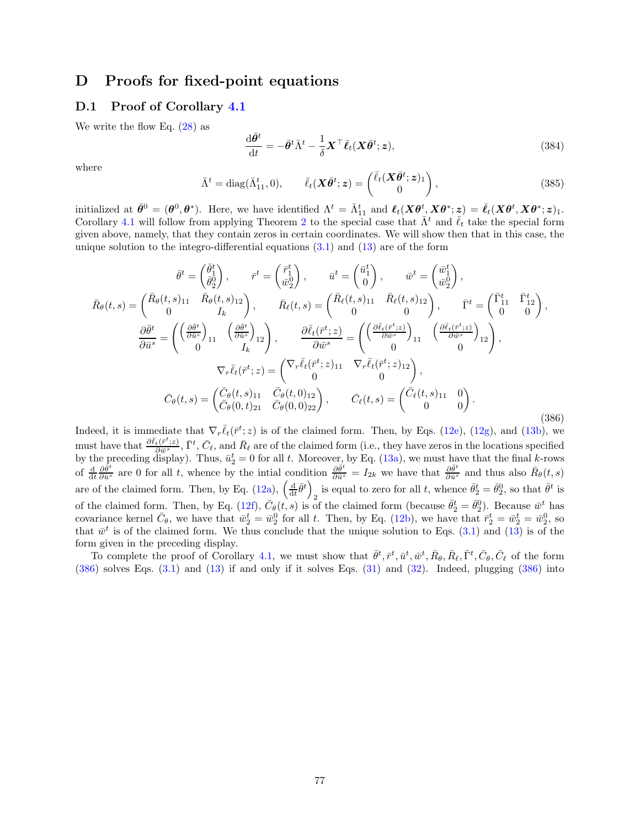# D Proofs for fixed-point equations

## D.1 Proof of Corollary [4.1](#page-10-0)

We write the flow Eq.  $(28)$  as

$$
\frac{\mathrm{d}\bar{\theta}^t}{\mathrm{d}t} = -\bar{\theta}^t \bar{\Lambda}^t - \frac{1}{\delta} \mathbf{X}^\top \bar{\ell}_t (\mathbf{X}\bar{\theta}^t; \mathbf{z}),\tag{384}
$$

where

<span id="page-76-1"></span>
$$
\bar{\Lambda}^t = \text{diag}(\bar{\Lambda}_{11}^t, 0), \qquad \bar{\ell}_t(\boldsymbol{X}\bar{\boldsymbol{\theta}}^t; \boldsymbol{z}) = \begin{pmatrix} \bar{\ell}_t(\boldsymbol{X}\bar{\boldsymbol{\theta}}^t; \boldsymbol{z})_1 \\ 0 \end{pmatrix}, \tag{385}
$$

initialized at  $\bar{\theta}^0 = (\theta^0, \theta^*)$ . Here, we have identified  $\Lambda^t = \bar{\Lambda}^t_{11}$  and  $\ell_t(X\theta^t, X\theta^*; z) = \bar{\ell}_t(X\theta^t, X\theta^*; z)_1$ . Corollary [4.1](#page-10-0) will follow from applying Theorem [2](#page-7-0) to the special case that  $\bar{\Lambda}^t$  and  $\bar{\ell}_t$  take the special form given above, namely, that they contain zeros in certain coordinates. We will show then that in this case, the unique solution to the integro-differential equations  $(3.1)$  and  $(13)$  are of the form

<span id="page-76-0"></span>
$$
\bar{\theta}^{t} = \begin{pmatrix} \bar{\theta}_{1}^{t} \\ \bar{\theta}_{2}^{0} \end{pmatrix}, \qquad \bar{r}^{t} = \begin{pmatrix} \bar{r}_{1}^{t} \\ \bar{w}_{2}^{0} \end{pmatrix}, \qquad \bar{w}^{t} = \begin{pmatrix} \bar{w}_{1}^{t} \\ \bar{w}_{2}^{0} \end{pmatrix},
$$
\n
$$
\bar{R}_{\theta}(t,s) = \begin{pmatrix} \bar{R}_{\theta}(t,s)_{11} & \bar{R}_{\theta}(t,s)_{12} \\ 0 & I_{k} \end{pmatrix}, \qquad \bar{R}_{\ell}(t,s) = \begin{pmatrix} \bar{R}_{\ell}(t,s)_{11} & \bar{R}_{\ell}(t,s)_{12} \\ 0 & 0 \end{pmatrix}, \qquad \bar{\Gamma}^{t} = \begin{pmatrix} \bar{\Gamma}_{11}^{t} & \bar{\Gamma}_{12}^{t} \\ 0 & 0 \end{pmatrix},
$$
\n
$$
\frac{\partial \bar{\theta}^{t}}{\partial \bar{u}^{s}} = \begin{pmatrix} \left(\frac{\partial \bar{\theta}^{t}}{\partial \bar{u}^{s}}\right)_{11} & \left(\frac{\partial \bar{\theta}^{t}}{\partial \bar{u}^{s}}\right)_{12} \\ 0 & I_{k} \end{pmatrix}, \qquad \frac{\partial \bar{\ell}_{t}(\bar{r}^{t}; z)}{\partial \bar{w}^{s}} = \begin{pmatrix} \left(\frac{\partial \bar{\ell}_{t}(\bar{r}^{t}; z)}{\partial \bar{w}^{s}}\right)_{11} & \left(\frac{\partial \bar{\ell}_{t}(\bar{r}^{t}; z)}{\partial \bar{w}^{s}}\right)_{12} \\ 0 & 0 \end{pmatrix},
$$
\n
$$
\nabla_{r}\bar{\ell}_{t}(\bar{r}^{t}; z) = \begin{pmatrix} \nabla_{r}\bar{\ell}_{t}(\bar{r}^{t}; z)_{11} & \nabla_{r}\bar{\ell}_{t}(\bar{r}^{t}; z)_{12} \\ 0 & 0 \end{pmatrix},
$$
\n
$$
\bar{C}_{\theta}(t, s) = \begin{pmatrix} \bar{C}_{\theta}(t, s)_{11} & \bar{C}_{\theta}(t, 0)
$$

Indeed, it is immediate that  $\nabla_r \bar{\ell}_t(\bar{r}^t; z)$  is of the claimed form. Then, by Eqs. [\(12e\)](#page-6-2), [\(12g\)](#page-6-3), and [\(13b\)](#page-6-4), we must have that  $\frac{\partial \bar{\ell}_t(\bar{r}^t; z)}{\partial \bar{w}^s}$ ,  $\bar{\Gamma}^t$ ,  $\bar{C}_{\ell}$ , and  $\bar{R}_{\ell}$  are of the claimed form (i.e., they have zeros in the locations specified by the preceding display). Thus,  $\bar{u}_2^t = 0$  for all t. Moreover, by Eq. [\(13a\)](#page-6-5), we must have that the final k-rows of  $\frac{d}{dt} \frac{\partial \bar{\theta}^t}{\partial \bar{u}^s}$  are 0 for all t, whence by the intial condition  $\frac{\partial \bar{\theta}^t}{\partial \bar{u}^s} = I_{2k}$  we have that  $\frac{\partial \bar{\theta}^t}{\partial \bar{u}^s}$  and thus also  $\bar{R}_{\theta}(t, s)$ are of the claimed form. Then, by Eq. [\(12a\)](#page-6-6),  $\left(\frac{d}{dt}\bar{\theta}^t\right)$ is equal to zero for all t, whence  $\bar{\theta}_2^t = \bar{\theta}_2^0$ , so that  $\bar{\theta}^t$  is of the claimed form. Then, by Eq. [\(12f\)](#page-6-7),  $\bar{C}_{\theta}(t, s)$  is of the claimed form (because  $\bar{\theta}_2^t = \bar{\theta}_2^0$ ). Because  $\bar{w}^t$  has covariance kernel  $\bar{C}_{\theta}$ , we have that  $\bar{w}_2^t = \bar{w}_2^0$  for all t. Then, by Eq. [\(12b\)](#page-6-8), we have that  $\bar{r}_2^t = \bar{w}_2^t = \bar{w}_2^0$ , so that  $\bar{w}^t$  is of the claimed form. We thus conclude that the unique solution to Eqs. [\(3.1\)](#page-5-1) and [\(13\)](#page-6-1) is of the form given in the preceding display.

To complete the proof of Corollary [4.1,](#page-10-0) we must show that  $\bar{\theta}^t, \bar{r}^t, \bar{u}^t, \bar{w}^t, \bar{R}_{\theta}, \bar{R}_{\ell}, \bar{\Gamma}^t, \bar{C}_{\theta}, \bar{C}_{\ell}$  of the form [\(386\)](#page-76-0) solves Eqs. [\(3.1\)](#page-5-1) and [\(13\)](#page-6-1) if and only if it solves Eqs. [\(31\)](#page-9-1) and [\(32\)](#page-10-1). Indeed, plugging [\(386\)](#page-76-0) into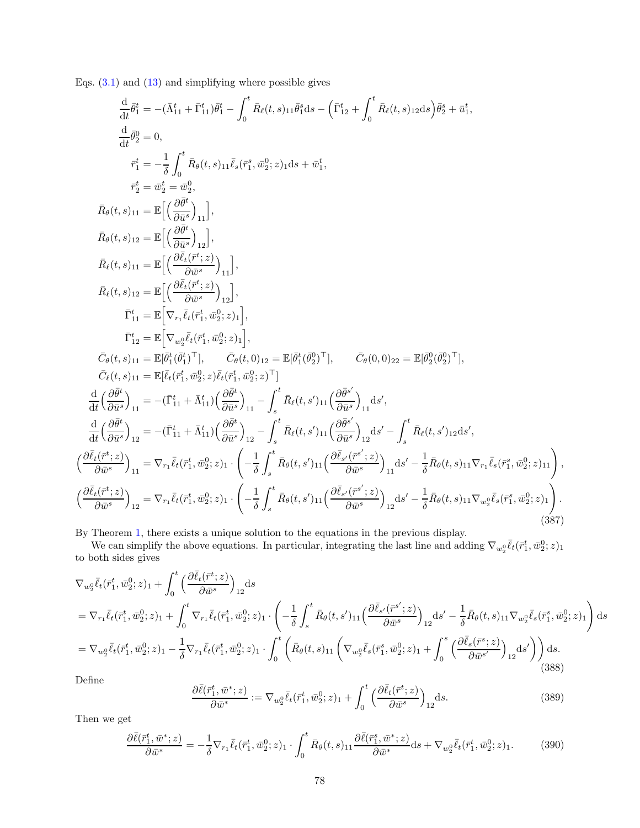Eqs.  $(3.1)$  and  $(13)$  and simplifying where possible gives

<span id="page-77-0"></span>
$$
\frac{d}{dt}\bar{\theta}_{1}^{i} = -(\bar{\Lambda}_{11}^{t} + \bar{\Gamma}_{11}^{t})\bar{\theta}_{1}^{t} - \int_{0}^{t}\bar{R}_{\ell}(t,s)_{11}\bar{\theta}_{1}^{s}\mathrm{d}s - (\bar{\Gamma}_{12}^{t} + \int_{0}^{t}\bar{R}_{\ell}(t,s)_{12}\mathrm{d}s)\bar{\theta}_{2}^{s} + \bar{u}_{1}^{t},
$$
\n
$$
\frac{d}{dt}\bar{\theta}_{2}^{0} = 0,
$$
\n
$$
\bar{r}_{1}^{t} = -\frac{1}{\delta}\int_{0}^{t}\bar{R}_{\theta}(t,s)_{11}\bar{\ell}_{s}(\bar{r}_{1}^{s},\bar{w}_{2}^{0};z)_{1}\mathrm{d}s + \bar{w}_{1}^{t},
$$
\n
$$
\bar{r}_{2}^{t} = \bar{w}_{2}^{t} = \bar{w}_{2}^{0},
$$
\n
$$
\bar{R}_{\theta}(t,s)_{11} = \mathbb{E}\Big[\Big(\frac{\partial\bar{\theta}^{t}}{\partial\bar{u}^{s}}\Big)_{11}\Big],
$$
\n
$$
\bar{R}_{\theta}(t,s)_{12} = \mathbb{E}\Big[\Big(\frac{\partial\bar{\ell}_{t}(\bar{r}_{1}^{t};z)}{\partial\bar{u}^{s}}\Big)_{12}\Big],
$$
\n
$$
\bar{R}_{\ell}(t,s)_{11} = \mathbb{E}\Big[\Big(\frac{\partial\bar{\ell}_{t}(\bar{r}_{1}^{t};z)}{\partial\bar{u}^{s}}\Big)_{12}\Big],
$$
\n
$$
\bar{\Gamma}_{11}^{t} = \mathbb{E}\Big[\nabla_{w_{2}^{\theta}}\bar{\ell}_{t}(\bar{r}_{1}^{t};\bar{w}_{2}^{0};z)_{1}\Big],
$$
\n
$$
\bar{\Gamma}_{12}^{t} = \mathbb{E}\Big[\nabla_{w_{2}^{\theta}}\bar{\ell}_{t}(\bar{r}_{1}^{t};\bar{w}_{2}^{0};z)_{1}\Big],
$$
\n
$$
\bar{C}_{\ell}(t,s)_{11} = \mathbb{E}[\bar{\theta}_{1}^{t}(\bar{\theta}_{1}^{t})\top], \quad \bar{C}_{\theta}(t,0)_{12} = \mathbb{E}[\bar
$$

By Theorem [1,](#page-7-1) there exists a unique solution to the equations in the previous display.

We can simplify the above equations. In particular, integrating the last line and adding  $\nabla_{w_2^0} \bar{\ell}_t(\bar{r}_1^t, \bar{w}_2^0; z)_1$ to both sides gives

<span id="page-77-1"></span>
$$
\nabla_{w_{2}^{0}}\bar{\ell}_{t}(\bar{r}_{1}^{t},\bar{w}_{2}^{0};z)_{1} + \int_{0}^{t} \left(\frac{\partial\bar{\ell}_{t}(\bar{r}^{t};z)}{\partial\bar{w}^{s}}\right)_{12}ds
$$
\n
$$
= \nabla_{r_{1}}\bar{\ell}_{t}(\bar{r}_{1}^{t},\bar{w}_{2}^{0};z)_{1} + \int_{0}^{t} \nabla_{r_{1}}\bar{\ell}_{t}(\bar{r}_{1}^{t},\bar{w}_{2}^{0};z)_{1} \cdot \left(-\frac{1}{\delta}\int_{s}^{t} \bar{R}_{\theta}(t,s')_{11}\left(\frac{\partial\bar{\ell}_{s'}(\bar{r}^{s'};z)}{\partial\bar{w}^{s}}\right)_{12}ds' - \frac{1}{\delta}\bar{R}_{\theta}(t,s)_{11}\nabla_{w_{2}^{0}}\bar{\ell}_{s}(\bar{r}_{1}^{s},\bar{w}_{2}^{0};z)_{1}\right)ds
$$
\n
$$
= \nabla_{w_{2}^{0}}\bar{\ell}_{t}(\bar{r}_{1}^{t},\bar{w}_{2}^{0};z)_{1} - \frac{1}{\delta}\nabla_{r_{1}}\bar{\ell}_{t}(\bar{r}_{1}^{t},\bar{w}_{2}^{0};z)_{1} \cdot \int_{0}^{t} \left(\bar{R}_{\theta}(t,s)_{11}\left(\nabla_{w_{2}^{0}}\bar{\ell}_{s}(\bar{r}_{1}^{s},\bar{w}_{2}^{0};z)_{1} + \int_{0}^{s}\left(\frac{\partial\bar{\ell}_{s}(\bar{r}^{s};z)}{\partial\bar{w}^{s'}}\right)_{12}ds'\right)\right)ds.
$$
\n(388)

Define

$$
\frac{\partial \bar{\ell}(\bar{r}_1^t, \bar{w}^*; z)}{\partial \bar{w}^*} := \nabla_{w_2^0} \bar{\ell}_t(\bar{r}_1^t, \bar{w}_2^0; z)_1 + \int_0^t \left( \frac{\partial \bar{\ell}_t(\bar{r}^t; z)}{\partial \bar{w}^s} \right)_{12} ds. \tag{389}
$$

Then we get

$$
\frac{\partial \bar{\ell}(\bar{r}_1^t, \bar{w}^*; z)}{\partial \bar{w}^*} = -\frac{1}{\delta} \nabla_{r_1} \bar{\ell}_t(\bar{r}_1^t, \bar{w}_2^0; z)_1 \cdot \int_0^t \bar{R}_{\theta}(t, s)_{11} \frac{\partial \bar{\ell}(\bar{r}_1^s, \bar{w}^*; z)}{\partial \bar{w}^*} ds + \nabla_{w_2^0} \bar{\ell}_t(\bar{r}_1^t, \bar{w}_2^0; z)_1. \tag{390}
$$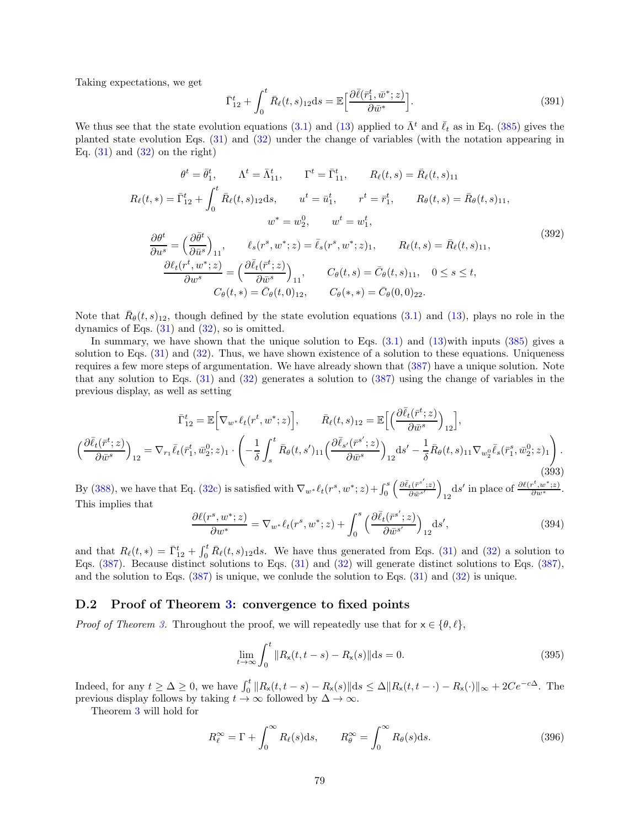Taking expectations, we get

$$
\bar{\Gamma}_{12}^t + \int_0^t \bar{R}_{\ell}(t,s)_{12} \, \mathrm{d}s = \mathbb{E} \left[ \frac{\partial \bar{\ell}(\bar{r}_1^t, \bar{w}^*; z)}{\partial \bar{w}^*} \right]. \tag{391}
$$

We thus see that the state evolution equations [\(3.1\)](#page-5-1) and [\(13\)](#page-6-1) applied to  $\bar{\Lambda}^t$  and  $\bar{\ell}_t$  as in Eq. [\(385\)](#page-76-1) gives the planted state evolution Eqs. [\(31\)](#page-9-1) and [\(32\)](#page-10-1) under the change of variables (with the notation appearing in Eq.  $(31)$  and  $(32)$  on the right)

$$
\theta^{t} = \bar{\theta}_{1}^{t}, \qquad \Lambda^{t} = \bar{\Lambda}_{11}^{t}, \qquad \Gamma^{t} = \bar{\Gamma}_{11}^{t}, \qquad R_{\ell}(t,s) = \bar{R}_{\ell}(t,s)_{11}
$$
  
\n
$$
R_{\ell}(t,*) = \bar{\Gamma}_{12}^{t} + \int_{0}^{t} \bar{R}_{\ell}(t,s)_{12} \, ds, \qquad u^{t} = \bar{u}_{1}^{t}, \qquad r^{t} = \bar{r}_{1}^{t}, \qquad R_{\theta}(t,s) = \bar{R}_{\theta}(t,s)_{11},
$$
  
\n
$$
w^{*} = w_{2}^{0}, \qquad w^{t} = w_{1}^{t},
$$
  
\n
$$
\frac{\partial \theta^{t}}{\partial u^{s}} = \left(\frac{\partial \bar{\theta}^{t}}{\partial \bar{u}^{s}}\right)_{11}, \qquad \ell_{s}(r^{s}, w^{*}; z) = \bar{\ell}_{s}(r^{s}, w^{*}; z)_{1}, \qquad R_{\ell}(t,s) = \bar{R}_{\ell}(t,s)_{11},
$$
  
\n
$$
\frac{\partial \ell_{t}(r^{t}, w^{*}; z)}{\partial w^{s}} = \left(\frac{\partial \bar{\ell}_{t}(\bar{r}^{t}; z)}{\partial \bar{w}^{s}}\right)_{11}, \qquad C_{\theta}(t,s) = \bar{C}_{\theta}(t,s)_{11}, \qquad 0 \le s \le t,
$$
  
\n
$$
C_{\theta}(t,*) = \bar{C}_{\theta}(t, 0)_{12}, \qquad C_{\theta}(s,*) = \bar{C}_{\theta}(0, 0)_{22}.
$$
  
\n(392)

Note that  $\bar{R}_{\theta}(t,s)_{12}$ , though defined by the state evolution equations [\(3.1\)](#page-5-1) and [\(13\)](#page-6-1), plays no role in the dynamics of Eqs.  $(31)$  and  $(32)$ , so is omitted.

In summary, we have shown that the unique solution to Eqs.  $(3.1)$  and  $(13)$ with inputs  $(385)$  gives a solution to Eqs.  $(31)$  and  $(32)$ . Thus, we have shown existence of a solution to these equations. Uniqueness requires a few more steps of argumentation. We have already shown that [\(387\)](#page-77-0) have a unique solution. Note that any solution to Eqs. [\(31\)](#page-9-1) and [\(32\)](#page-10-1) generates a solution to [\(387\)](#page-77-0) using the change of variables in the previous display, as well as setting

$$
\bar{\Gamma}_{12}^{t} = \mathbb{E}\Big[\nabla_{w^*}\ell_t(r^t, w^*; z)\Big], \qquad \bar{R}_{\ell}(t, s)_{12} = \mathbb{E}\Big[\Big(\frac{\partial \bar{\ell}_t(\bar{r}^t; z)}{\partial \bar{w}^s}\Big)_{12}\Big],
$$
\n
$$
\Big(\frac{\partial \bar{\ell}_t(\bar{r}^t; z)}{\partial \bar{w}^s}\Big)_{12} = \nabla_{r_1}\bar{\ell}_t(\bar{r}^t_1, \bar{w}^0_2; z)_1 \cdot \left(-\frac{1}{\delta} \int_s^t \bar{R}_{\theta}(t, s')_{11}\Big(\frac{\partial \bar{\ell}_{s'}(\bar{r}^{s'}; z)}{\partial \bar{w}^s}\Big)_{12} \mathrm{d}s' - \frac{1}{\delta} \bar{R}_{\theta}(t, s)_{11} \nabla_{w_2^0} \bar{\ell}_s(\bar{r}^s_1, \bar{w}^0_2; z)_1\Big).
$$
\n(393)

By [\(388\)](#page-77-1), we have that Eq. [\(32c\)](#page-10-2) is satisfied with  $\nabla_{w^*} \ell_t(r^s, w^*; z) + \int_0^s$  $\int \frac{\partial \bar{\ell}_t(\bar{r}^{s'};z)}{\partial \bar{\ell}_t(\bar{r}^{s'};z)}$  $\frac{t\left(\bar{r}^{s^{\prime}};z\right)}{\partial \bar{w}^{s^{\prime}}}\bigg)$ ds' in place of  $\frac{\partial \ell(r^t, w^*; z)}{\partial w^*}$ . This implies that

$$
\frac{\partial \ell(r^s, w^*; z)}{\partial w^*} = \nabla_{w^*} \ell_t(r^s, w^*; z) + \int_0^s \left( \frac{\partial \bar{\ell}_t(\bar{r}^{s'}; z)}{\partial \bar{w}^{s'}} \right)_{12} \mathrm{d}s',\tag{394}
$$

and that  $R_{\ell}(t,*) = \bar{\Gamma}_{12}^{t} + \int_{0}^{t} \bar{R}_{\ell}(t,s)_{12}ds$ . We have thus generated from Eqs. [\(31\)](#page-9-1) and [\(32\)](#page-10-1) a solution to Eqs. [\(387\)](#page-77-0). Because distinct solutions to Eqs. [\(31\)](#page-9-1) and [\(32\)](#page-10-1) will generate distinct solutions to Eqs. [\(387\)](#page-77-0), and the solution to Eqs.  $(387)$  is unique, we conlude the solution to Eqs.  $(31)$  and  $(32)$  is unique.

#### D.2 Proof of Theorem [3:](#page-11-0) convergence to fixed points

*Proof of Theorem [3.](#page-11-0)* Throughout the proof, we will repeatedly use that for  $x \in \{\theta, \ell\},\$ 

$$
\lim_{t \to \infty} \int_0^t \|R_{\mathbf{x}}(t, t - s) - R_{\mathbf{x}}(s)\| \, \mathrm{d}s = 0. \tag{395}
$$

Indeed, for any  $t \geq \Delta \geq 0$ , we have  $\int_0^t \|R_{\mathsf{x}}(t, t-s) - R_{\mathsf{x}}(s)\| \mathrm{d}s \leq \Delta \|R_{\mathsf{x}}(t, t-\cdot) - R_{\mathsf{x}}(\cdot)\|_{\infty} + 2Ce^{-c\Delta}$ . The previous display follows by taking  $t \to \infty$  followed by  $\Delta \to \infty$ .

Theorem [3](#page-11-0) will hold for

<span id="page-78-0"></span>
$$
R_{\ell}^{\infty} = \Gamma + \int_0^{\infty} R_{\ell}(s) \, \mathrm{d}s, \qquad R_{\theta}^{\infty} = \int_0^{\infty} R_{\theta}(s) \, \mathrm{d}s. \tag{396}
$$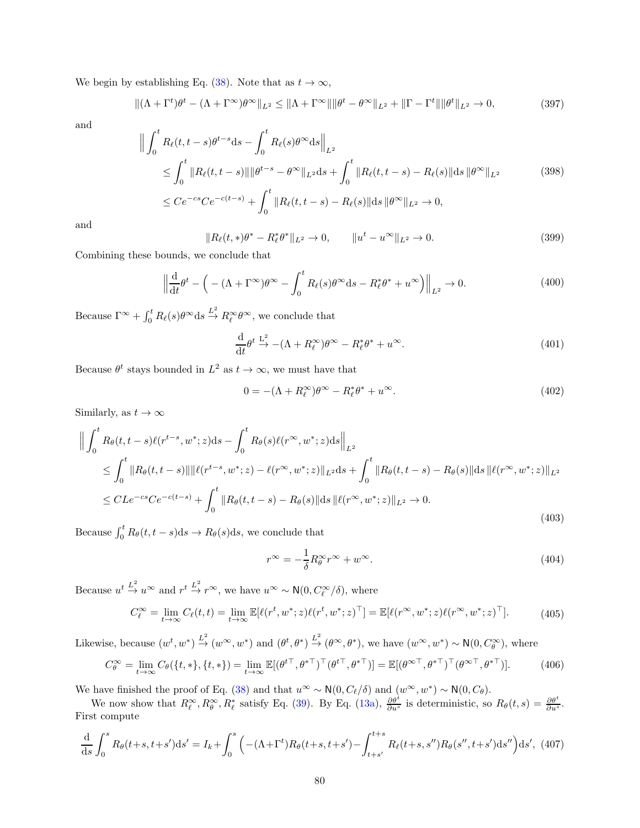We begin by establishing Eq. [\(38\)](#page-11-1). Note that as  $t \to \infty$ ,

$$
\|(\Lambda + \Gamma^t)\theta^t - (\Lambda + \Gamma^\infty)\theta^\infty\|_{L^2} \le \|\Lambda + \Gamma^\infty\| \|\theta^t - \theta^\infty\|_{L^2} + \|\Gamma - \Gamma^t\| \|\theta^t\|_{L^2} \to 0,
$$
\n(397)

and

$$
\left\| \int_{0}^{t} R_{\ell}(t, t - s) \theta^{t - s} \, ds - \int_{0}^{t} R_{\ell}(s) \theta^{\infty} \, ds \right\|_{L^{2}} \n\leq \int_{0}^{t} \| R_{\ell}(t, t - s) \| \, \|\theta^{t - s} - \theta^{\infty} \|_{L^{2}} \, ds + \int_{0}^{t} \| R_{\ell}(t, t - s) - R_{\ell}(s) \| \, ds \, \|\theta^{\infty} \|_{L^{2}} \n\leq C e^{-cs} C e^{-c(t - s)} + \int_{0}^{t} \| R_{\ell}(t, t - s) - R_{\ell}(s) \| \, ds \, \|\theta^{\infty} \|_{L^{2}} \to 0,
$$
\n(398)

and

$$
||R_{\ell}(t,*)\theta^* - R_{\ell}^*\theta^*||_{L^2} \to 0, \qquad ||u^t - u^{\infty}||_{L^2} \to 0.
$$
 (399)

Combining these bounds, we conclude that

$$
\left\| \frac{\mathrm{d}}{\mathrm{d}t} \theta^t - \left( -(\Lambda + \Gamma^\infty) \theta^\infty - \int_0^t R_\ell(s) \theta^\infty \mathrm{d}s - R_\ell^* \theta^* + u^\infty \right) \right\|_{L^2} \to 0. \tag{400}
$$

Because  $\Gamma^{\infty} + \int_0^t R_{\ell}(s) \theta^{\infty} ds \stackrel{L^2}{\rightarrow} R_{\ell}^{\infty} \theta^{\infty}$ , we conclude that

$$
\frac{\mathrm{d}}{\mathrm{d}t}\theta^t \stackrel{\mathrm{L}^2}{\rightarrow} -(\Lambda + R_\ell^{\infty})\theta^{\infty} - R_\ell^*\theta^* + u^{\infty}.\tag{401}
$$

Because  $\theta^t$  stays bounded in  $L^2$  as  $t \to \infty$ , we must have that

$$
0 = -(\Lambda + R_{\ell}^{\infty})\theta^{\infty} - R_{\ell}^{*}\theta^{*} + u^{\infty}.
$$
\n(402)

Similarly, as  $t \to \infty$ 

$$
\left\| \int_{0}^{t} R_{\theta}(t, t-s) \ell(r^{t-s}, w^*; z) ds - \int_{0}^{t} R_{\theta}(s) \ell(r^{\infty}, w^*; z) ds \right\|_{L^{2}} \n\leq \int_{0}^{t} \|R_{\theta}(t, t-s)\| \|\ell(r^{t-s}, w^*; z) - \ell(r^{\infty}, w^*; z)\|_{L^{2}} ds + \int_{0}^{t} \|R_{\theta}(t, t-s) - R_{\theta}(s)\| ds \|\ell(r^{\infty}, w^*; z)\|_{L^{2}} \n\leq CLe^{-cs}Ce^{-c(t-s)} + \int_{0}^{t} \|R_{\theta}(t, t-s) - R_{\theta}(s)\| ds \|\ell(r^{\infty}, w^*; z)\|_{L^{2}} \to 0.
$$
\n(403)

Because  $\int_0^t R_\theta(t, t - s) ds \to R_\theta(s) ds$ , we conclude that

$$
r^{\infty} = -\frac{1}{\delta} R^{\infty}_{\theta} r^{\infty} + w^{\infty}.
$$
\n(404)

Because  $u^t \stackrel{L^2}{\to} u^{\infty}$  and  $r^t \stackrel{L^2}{\to} r^{\infty}$ , we have  $u^{\infty} \sim N(0, C_{\ell}^{\infty}/\delta)$ , where

$$
C_{\ell}^{\infty} = \lim_{t \to \infty} C_{\ell}(t, t) = \lim_{t \to \infty} \mathbb{E}[\ell(r^t, w^*; z)\ell(r^t, w^*; z)^{\top}] = \mathbb{E}[\ell(r^{\infty}, w^*; z)\ell(r^{\infty}, w^*; z)^{\top}].
$$
 (405)

Likewise, because  $(w^t, w^*) \stackrel{L^2}{\rightarrow} (w^\infty, w^*)$  and  $(\theta^t, \theta^*) \stackrel{L^2}{\rightarrow} (\theta^\infty, \theta^*)$ , we have  $(w^\infty, w^*) \sim \mathsf{N}(0, C_\theta^\infty)$ , where

$$
C_{\theta}^{\infty} = \lim_{t \to \infty} C_{\theta}(\{t, *\}, \{t, *\}) = \lim_{t \to \infty} \mathbb{E}[(\theta^{t\top}, \theta^{*\top})^{\top}(\theta^{t\top}, \theta^{*\top})] = \mathbb{E}[(\theta^{\infty\top}, \theta^{*\top})^{\top}(\theta^{\infty\top}, \theta^{*\top})].
$$
 (406)

We have finished the proof of Eq. [\(38\)](#page-11-1) and that  $u^{\infty} \sim \mathsf{N}(0, C_{\ell}/\delta)$  and  $(w^{\infty}, w^*) \sim \mathsf{N}(0, C_{\theta})$ .

We now show that  $R^{\infty}_{\ell}, R^{\infty}_{\theta}, R^*_{\ell}$  satisfy Eq. [\(39\)](#page-11-2). By Eq. [\(13a\)](#page-6-5),  $\frac{\partial \theta^t}{\partial u^s}$  is deterministic, so  $R_{\theta}(t, s) = \frac{\partial \theta^t}{\partial u^s}$ . First compute

$$
\frac{d}{ds} \int_0^s R_\theta(t+s, t+s')ds' = I_k + \int_0^s \left( -(\Lambda + \Gamma^t)R_\theta(t+s, t+s') - \int_{t+s'}^{t+s} R_\ell(t+s, s'')R_\theta(s'', t+s')ds'' \right) ds', \tag{407}
$$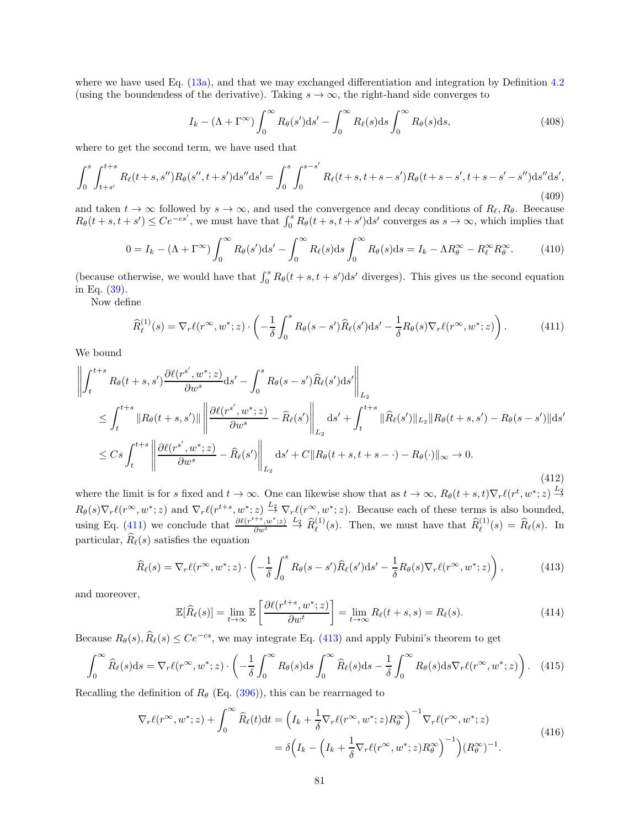where we have used Eq.  $(13a)$ , and that we may exchanged differentiation and integration by Definition [4.2](#page-11-3) (using the boundendess of the derivative). Taking  $s \to \infty$ , the right-hand side converges to

$$
I_k - (\Lambda + \Gamma^{\infty}) \int_0^{\infty} R_{\theta}(s') ds' - \int_0^{\infty} R_{\ell}(s) ds \int_0^{\infty} R_{\theta}(s) ds,
$$
\n(408)

where to get the second term, we have used that

$$
\int_0^s \int_{t+s'}^{t+s} R_\ell(t+s,s'') R_\theta(s'',t+s') \mathrm{d}s'' \mathrm{d}s' = \int_0^s \int_0^{s-s'} R_\ell(t+s,t+s-s') R_\theta(t+s-s',t+s-s'-s'') \mathrm{d}s'' \mathrm{d}s',\tag{409}
$$

and taken  $t \to \infty$  followed by  $s \to \infty$ , and used the convergence and decay conditions of  $R_{\ell}, R_{\theta}$ . Beecause  $R_{\theta}(t+s,t+s') \leq Ce^{-cs'}$ , we must have that  $\int_0^s R_{\theta}(t+s,t+s')ds'$  converges as  $s \to \infty$ , which implies that

$$
0 = I_k - (\Lambda + \Gamma^{\infty}) \int_0^{\infty} R_{\theta}(s') ds' - \int_0^{\infty} R_{\ell}(s) ds \int_0^{\infty} R_{\theta}(s) ds = I_k - \Lambda R_{\theta}^{\infty} - R_{\ell}^{\infty} R_{\theta}^{\infty}.
$$
 (410)

(because otherwise, we would have that  $\int_0^s R_\theta(t + s, t + s')ds'$  diverges). This gives us the second equation in Eq. [\(39\)](#page-11-2).

Now define

<span id="page-80-0"></span>
$$
\widehat{R}_{\ell}^{(1)}(s) = \nabla_r \ell(r^{\infty}, w^*; z) \cdot \left( -\frac{1}{\delta} \int_0^s R_{\theta}(s - s') \widehat{R}_{\ell}(s') \mathrm{d}s' - \frac{1}{\delta} R_{\theta}(s) \nabla_r \ell(r^{\infty}, w^*; z) \right). \tag{411}
$$

We bound

$$
\left\| \int_{t}^{t+s} R_{\theta}(t+s,s') \frac{\partial \ell(r^{s'},w^{*};z)}{\partial w^{s}} ds' - \int_{0}^{s} R_{\theta}(s-s') \widehat{R}_{\ell}(s') ds' \right\|_{L_{2}}\n\leq \int_{t}^{t+s} \left\| R_{\theta}(t+s,s') \right\| \left\| \frac{\partial \ell(r^{s'},w^{*};z)}{\partial w^{s}} - \widehat{R}_{\ell}(s') \right\|_{L_{2}} ds' + \int_{t}^{t+s} \|\widehat{R}_{\ell}(s')\|_{L_{2}} \|R_{\theta}(t+s,s') - R_{\theta}(s-s')\| ds' \n\leq Cs \int_{t}^{t+s} \left\| \frac{\partial \ell(r^{s'},w^{*};z)}{\partial w^{s}} - \widehat{R}_{\ell}(s') \right\|_{L_{2}} ds' + C \|R_{\theta}(t+s,t+s- \cdot) - R_{\theta}(\cdot) \|_{\infty} \to 0.
$$
\n(412)

where the limit is for s fixed and  $t \to \infty$ . One can likewise show that as  $t \to \infty$ ,  $R_{\theta}(t+s,t)\nabla_r \ell(r^t,w^*;z) \stackrel{L_2}{\to}$  $R_{\theta}(s)\nabla_r \ell(r^{\infty}, w^*; z)$  and  $\nabla_r \ell(r^{t+s}, w^*; z) \stackrel{L_2}{\rightarrow} \nabla_r \ell(r^{\infty}, w^*; z)$ . Because each of these terms is also bounded, using Eq. [\(411\)](#page-80-0) we conclude that  $\frac{\partial \ell(r^{t+s}, w^*; z)}{\partial w^t} \stackrel{L_2}{\rightarrow} \hat{R}_{\ell}^{(1)}(s)$ . Then, we must have that  $\hat{R}_{\ell}^{(1)}(s) = \hat{R}_{\ell}(s)$ . In particular,  $\widehat{R}_{\ell}(s)$  satisfies the equation

<span id="page-80-1"></span>
$$
\widehat{R}_{\ell}(s) = \nabla_r \ell(r^{\infty}, w^*; z) \cdot \left( -\frac{1}{\delta} \int_0^s R_{\theta}(s - s') \widehat{R}_{\ell}(s') \mathrm{d}s' - \frac{1}{\delta} R_{\theta}(s) \nabla_r \ell(r^{\infty}, w^*; z) \right),\tag{413}
$$

and moreover,

$$
\mathbb{E}[\widehat{R}_{\ell}(s)] = \lim_{t \to \infty} \mathbb{E}\left[\frac{\partial \ell(r^{t+s}, w^*; z)}{\partial w^t}\right] = \lim_{t \to \infty} R_{\ell}(t+s, s) = R_{\ell}(s). \tag{414}
$$

Because  $R_{\theta}(s), \widehat{R}_{\ell}(s) \leq Ce^{-cs}$ , we may integrate Eq. [\(413\)](#page-80-1) and apply Fubini's theorem to get

$$
\int_0^\infty \widehat{R}_{\ell}(s)ds = \nabla_r \ell(r^{\infty}, w^*; z) \cdot \left(-\frac{1}{\delta} \int_0^\infty R_{\ell}(s)ds \int_0^\infty \widehat{R}_{\ell}(s)ds - \frac{1}{\delta} \int_0^\infty R_{\ell}(s)ds \nabla_r \ell(r^{\infty}, w^*; z)\right). \tag{415}
$$

Recalling the definition of  $R_\theta$  (Eq. [\(396\)](#page-78-0)), this can be rearrnaged to

$$
\nabla_r \ell(r^{\infty}, w^*; z) + \int_0^{\infty} \widehat{R}_{\ell}(t) dt = \left( I_k + \frac{1}{\delta} \nabla_r \ell(r^{\infty}, w^*; z) R_{\theta}^{\infty} \right)^{-1} \nabla_r \ell(r^{\infty}, w^*; z)
$$
  

$$
= \delta \left( I_k - \left( I_k + \frac{1}{\delta} \nabla_r \ell(r^{\infty}, w^*; z) R_{\theta}^{\infty} \right)^{-1} \right) (R_{\theta}^{\infty})^{-1}.
$$
 (416)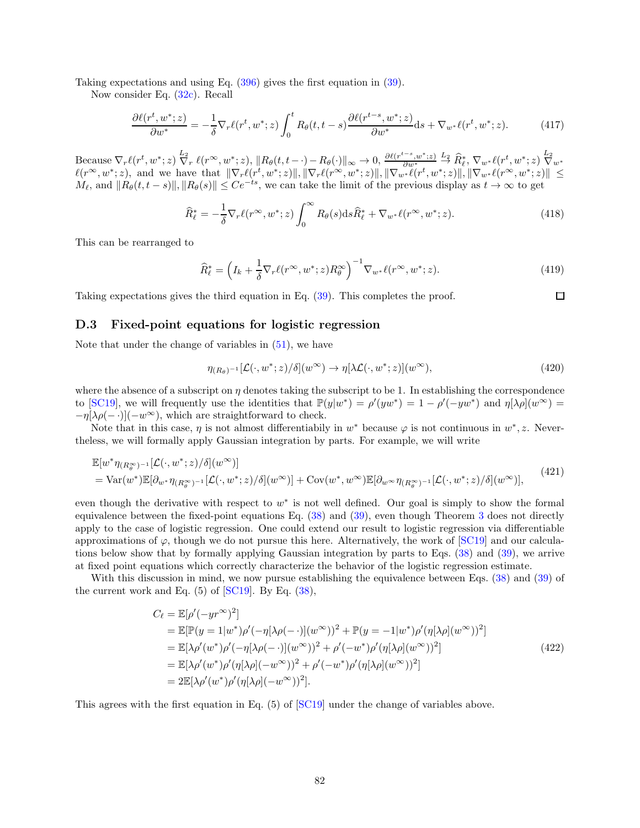Taking expectations and using Eq. [\(396\)](#page-78-0) gives the first equation in [\(39\)](#page-11-2).

Now consider Eq. [\(32c\)](#page-10-2). Recall

$$
\frac{\partial \ell(r^t, w^*; z)}{\partial w^*} = -\frac{1}{\delta} \nabla_r \ell(r^t, w^*; z) \int_0^t R_\theta(t, t - s) \frac{\partial \ell(r^{t - s}, w^*; z)}{\partial w^*} ds + \nabla_{w^*} \ell(r^t, w^*; z). \tag{417}
$$

 $\text{Because } \nabla_r \ell(r^t, w^*; z) \overset{L_2}{\nabla_r} \ell(r^\infty, w^*; z), \|R_\theta(t, t-\cdot) - R_\theta(\cdot)\|_\infty \to 0, \frac{\partial \ell(r^{t-s}, w^*; z)}{\partial w^*} \overset{L_2}{\to} \widehat{R}_\ell^*, \nabla_{w^*} \ell(r^t, w^*; z) \overset{L_2}{\nabla_{w^*}}$ Because  $V_r \ell(r^*, w^*; z) V_r \ell(r^*, w^*; z)$ ,  $||R_{\theta}(t, t - \cdot) - R_{\theta}(\cdot)||_{\infty} \to 0$ ,  $\frac{\partial w^*}{\partial w^*} \to R_{\ell}$ ,  $V_w * \ell(r^*, w^*; z) V_w *$ <br>  $\ell(r^{\infty}, w^*; z)$ , and we have that  $||\nabla_r \ell(r^*, w^*; z)||$ ,  $||\nabla_r \ell(r^{\infty}, w^*; z)||$ ,  $||\nabla_w * \ell(r^*, w^*; z)||$ ,  $M_{\ell}$ , and  $||R_{\theta}(t, t - s)||, ||R_{\theta}(s)|| \leq Ce^{-ts}$ , we can take the limit of the previous display as  $t \to \infty$  to get

$$
\widehat{R}_{\ell}^* = -\frac{1}{\delta} \nabla_r \ell(r^{\infty}, w^*; z) \int_0^{\infty} R_{\theta}(s) \mathrm{d}s \widehat{R}_{\ell}^* + \nabla_{w^*} \ell(r^{\infty}, w^*; z). \tag{418}
$$

This can be rearranged to

$$
\widehat{R}_{\ell}^* = \left(I_k + \frac{1}{\delta} \nabla_r \ell(r^\infty, w^*; z) R_\theta^\infty\right)^{-1} \nabla_{w^*} \ell(r^\infty, w^*; z). \tag{419}
$$

 $\Box$ 

Taking expectations gives the third equation in Eq. [\(39\)](#page-11-2). This completes the proof.

### D.3 Fixed-point equations for logistic regression

Note that under the change of variables in  $(51)$ , we have

$$
\eta_{(R_{\theta})^{-1}}[\mathcal{L}(\cdot,w^*;z)/\delta](w^{\infty}) \to \eta[\lambda \mathcal{L}(\cdot,w^*;z)](w^{\infty}), \tag{420}
$$

where the absence of a subscript on  $\eta$  denotes taking the subscript to be 1. In establishing the correspondence to [\[SC19\]](#page-25-0), we will frequently use the identities that  $\mathbb{P}(y|w^*) = \rho'(yw^*) = 1 - \rho'(-yw^*)$  and  $\eta[\lambda \rho](w^{\infty}) =$  $-\eta[\lambda \rho(-\cdot)](-w^{\infty})$ , which are straightforward to check.

Note that in this case,  $\eta$  is not almost differentiabily in  $w^*$  because  $\varphi$  is not continuous in  $w^*$ , z. Nevertheless, we will formally apply Gaussian integration by parts. For example, we will write

$$
\mathbb{E}[w^*\eta_{(R_\theta^\infty)^{-1}}[\mathcal{L}(\cdot,w^*;z)/\delta](w^\infty)]
$$
\n
$$
= \text{Var}(w^*)\mathbb{E}[\partial_{w^*}\eta_{(R_\theta^\infty)^{-1}}[\mathcal{L}(\cdot,w^*;z)/\delta](w^\infty)] + \text{Cov}(w^*,w^\infty)\mathbb{E}[\partial_{w^\infty}\eta_{(R_\theta^\infty)^{-1}}[\mathcal{L}(\cdot,w^*;z)/\delta](w^\infty)],
$$
\n(421)

even though the derivative with respect to  $w^*$  is not well defined. Our goal is simply to show the formal equivalence between the fixed-point equations Eq. [\(38\)](#page-11-1) and [\(39\)](#page-11-2), even though Theorem [3](#page-11-0) does not directly apply to the case of logistic regression. One could extend our result to logistic regression via differentiable approximations of  $\varphi$ , though we do not pursue this here. Alternatively, the work of [\[SC19\]](#page-25-0) and our calculations below show that by formally applying Gaussian integration by parts to Eqs. [\(38\)](#page-11-1) and [\(39\)](#page-11-2), we arrive at fixed point equations which correctly characterize the behavior of the logistic regression estimate.

With this discussion in mind, we now pursue establishing the equivalence between Eqs. [\(38\)](#page-11-1) and [\(39\)](#page-11-2) of the current work and Eq.  $(5)$  of  $\boxed{\text{SC19}}$ . By Eq.  $(38)$ ,

$$
C_{\ell} = \mathbb{E}[\rho'(-yr^{\infty})^2]
$$
  
\n
$$
= \mathbb{E}[\mathbb{P}(y=1|w^*)\rho'(-\eta[\lambda\rho(-\cdot)](w^{\infty}))^2 + \mathbb{P}(y=-1|w^*)\rho'(\eta[\lambda\rho](w^{\infty}))^2]
$$
  
\n
$$
= \mathbb{E}[\lambda\rho'(w^*)\rho'(-\eta[\lambda\rho(-\cdot)](w^{\infty}))^2 + \rho'(-w^*)\rho'(\eta[\lambda\rho](w^{\infty}))^2]
$$
  
\n
$$
= \mathbb{E}[\lambda\rho'(w^*)\rho'(\eta[\lambda\rho](-w^{\infty}))^2 + \rho'(-w^*)\rho'(\eta[\lambda\rho](w^{\infty}))^2]
$$
  
\n
$$
= 2\mathbb{E}[\lambda\rho'(w^*)\rho'(\eta[\lambda\rho](-w^{\infty}))^2].
$$
\n(422)

This agrees with the first equation in Eq. (5) of [\[SC19\]](#page-25-0) under the change of variables above.